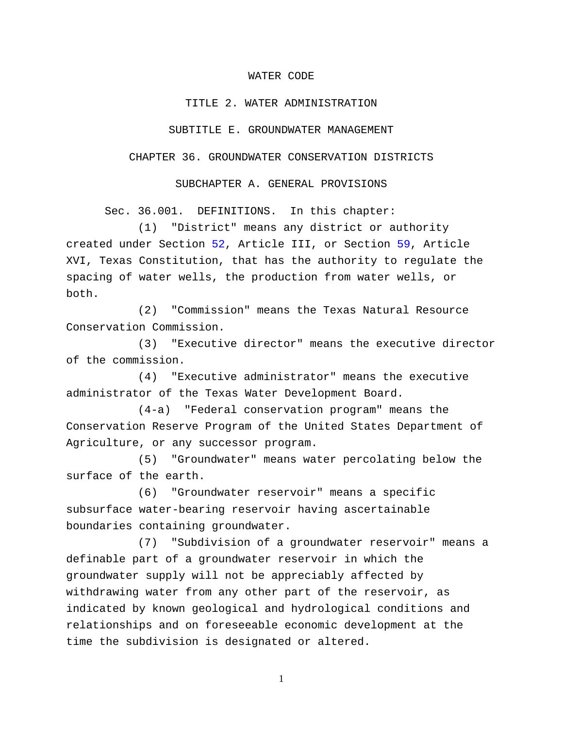### WATER CODE

### TITLE 2. WATER ADMINISTRATION

#### SUBTITLE E. GROUNDWATER MANAGEMENT

# CHAPTER 36. GROUNDWATER CONSERVATION DISTRICTS

## SUBCHAPTER A. GENERAL PROVISIONS

Sec. 36.001. DEFINITIONS. In this chapter:

(1) "District" means any district or authority created under Section [52,](http://www.statutes.legis.state.tx.us/GetStatute.aspx?Code=CN&Value=3.52) Article III, or Section [59,](http://www.statutes.legis.state.tx.us/GetStatute.aspx?Code=CN&Value=16.59) Article XVI, Texas Constitution, that has the authority to regulate the spacing of water wells, the production from water wells, or both.

(2) "Commission" means the Texas Natural Resource Conservation Commission.

(3) "Executive director" means the executive director of the commission.

(4) "Executive administrator" means the executive administrator of the Texas Water Development Board.

(4-a) "Federal conservation program" means the Conservation Reserve Program of the United States Department of Agriculture, or any successor program.

(5) "Groundwater" means water percolating below the surface of the earth.

(6) "Groundwater reservoir" means a specific subsurface water-bearing reservoir having ascertainable boundaries containing groundwater.

(7) "Subdivision of a groundwater reservoir" means a definable part of a groundwater reservoir in which the groundwater supply will not be appreciably affected by withdrawing water from any other part of the reservoir, as indicated by known geological and hydrological conditions and relationships and on foreseeable economic development at the time the subdivision is designated or altered.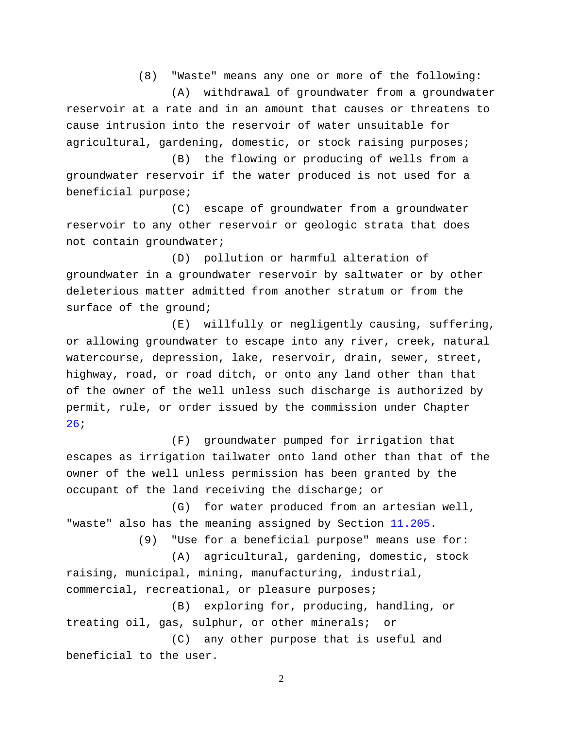(8) "Waste" means any one or more of the following:

(A) withdrawal of groundwater from a groundwater reservoir at a rate and in an amount that causes or threatens to cause intrusion into the reservoir of water unsuitable for agricultural, gardening, domestic, or stock raising purposes;

(B) the flowing or producing of wells from a groundwater reservoir if the water produced is not used for a beneficial purpose;

(C) escape of groundwater from a groundwater reservoir to any other reservoir or geologic strata that does not contain groundwater;

(D) pollution or harmful alteration of groundwater in a groundwater reservoir by saltwater or by other deleterious matter admitted from another stratum or from the surface of the ground;

(E) willfully or negligently causing, suffering, or allowing groundwater to escape into any river, creek, natural watercourse, depression, lake, reservoir, drain, sewer, street, highway, road, or road ditch, or onto any land other than that of the owner of the well unless such discharge is authorized by permit, rule, or order issued by the commission under Chapter [26;](http://www.statutes.legis.state.tx.us/GetStatute.aspx?Code=WA&Value=26)

(F) groundwater pumped for irrigation that escapes as irrigation tailwater onto land other than that of the owner of the well unless permission has been granted by the occupant of the land receiving the discharge; or

(G) for water produced from an artesian well, "waste" also has the meaning assigned by Section [11.205.](http://www.statutes.legis.state.tx.us/GetStatute.aspx?Code=WA&Value=11.205)

(9) "Use for a beneficial purpose" means use for:

(A) agricultural, gardening, domestic, stock raising, municipal, mining, manufacturing, industrial, commercial, recreational, or pleasure purposes;

(B) exploring for, producing, handling, or treating oil, gas, sulphur, or other minerals; or

(C) any other purpose that is useful and beneficial to the user.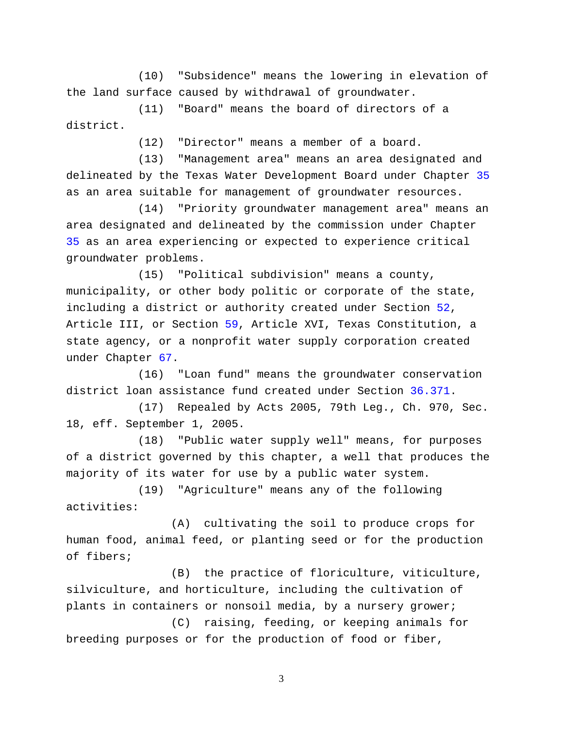(10) "Subsidence" means the lowering in elevation of the land surface caused by withdrawal of groundwater.

(11) "Board" means the board of directors of a district.

(12) "Director" means a member of a board.

(13) "Management area" means an area designated and delineated by the Texas Water Development Board under Chapter [35](http://www.statutes.legis.state.tx.us/GetStatute.aspx?Code=WA&Value=35) as an area suitable for management of groundwater resources.

(14) "Priority groundwater management area" means an area designated and delineated by the commission under Chapter [35](http://www.statutes.legis.state.tx.us/GetStatute.aspx?Code=WA&Value=35) as an area experiencing or expected to experience critical groundwater problems.

(15) "Political subdivision" means a county, municipality, or other body politic or corporate of the state, including a district or authority created under Section [52,](http://www.statutes.legis.state.tx.us/GetStatute.aspx?Code=CN&Value=3.52) Article III, or Section [59,](http://www.statutes.legis.state.tx.us/GetStatute.aspx?Code=CN&Value=16.59) Article XVI, Texas Constitution, a state agency, or a nonprofit water supply corporation created under Chapter [67.](http://www.statutes.legis.state.tx.us/GetStatute.aspx?Code=WA&Value=67)

(16) "Loan fund" means the groundwater conservation district loan assistance fund created under Section [36.371.](http://www.statutes.legis.state.tx.us/GetStatute.aspx?Code=WA&Value=36.371)

(17) Repealed by Acts 2005, 79th Leg., Ch. 970, Sec. 18, eff. September 1, 2005.

(18) "Public water supply well" means, for purposes of a district governed by this chapter, a well that produces the majority of its water for use by a public water system.

(19) "Agriculture" means any of the following activities:

(A) cultivating the soil to produce crops for human food, animal feed, or planting seed or for the production of fibers;

(B) the practice of floriculture, viticulture, silviculture, and horticulture, including the cultivation of plants in containers or nonsoil media, by a nursery grower;

(C) raising, feeding, or keeping animals for breeding purposes or for the production of food or fiber,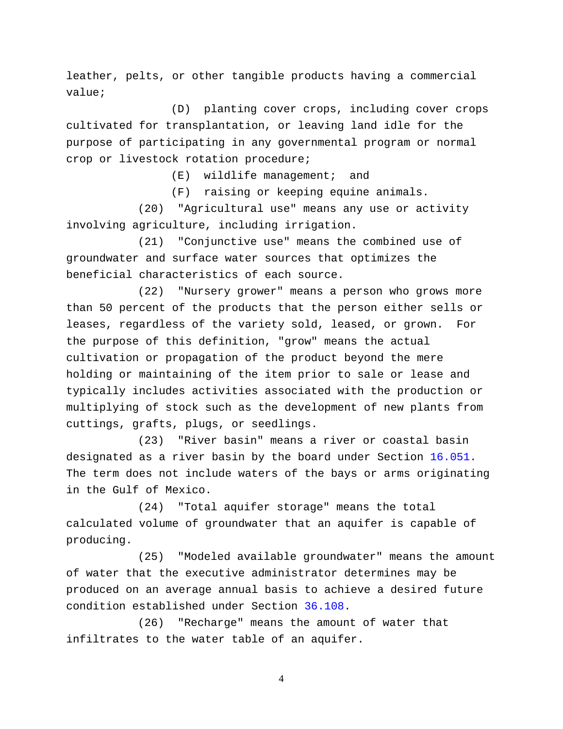leather, pelts, or other tangible products having a commercial value;

(D) planting cover crops, including cover crops cultivated for transplantation, or leaving land idle for the purpose of participating in any governmental program or normal crop or livestock rotation procedure;

(E) wildlife management; and

(F) raising or keeping equine animals.

(20) "Agricultural use" means any use or activity involving agriculture, including irrigation.

(21) "Conjunctive use" means the combined use of groundwater and surface water sources that optimizes the beneficial characteristics of each source.

(22) "Nursery grower" means a person who grows more than 50 percent of the products that the person either sells or leases, regardless of the variety sold, leased, or grown. For the purpose of this definition, "grow" means the actual cultivation or propagation of the product beyond the mere holding or maintaining of the item prior to sale or lease and typically includes activities associated with the production or multiplying of stock such as the development of new plants from cuttings, grafts, plugs, or seedlings.

(23) "River basin" means a river or coastal basin designated as a river basin by the board under Section [16.051.](http://www.statutes.legis.state.tx.us/GetStatute.aspx?Code=WA&Value=16.051) The term does not include waters of the bays or arms originating in the Gulf of Mexico.

(24) "Total aquifer storage" means the total calculated volume of groundwater that an aquifer is capable of producing.

(25) "Modeled available groundwater" means the amount of water that the executive administrator determines may be produced on an average annual basis to achieve a desired future condition established under Section [36.108.](http://www.statutes.legis.state.tx.us/GetStatute.aspx?Code=WA&Value=36.108)

(26) "Recharge" means the amount of water that infiltrates to the water table of an aquifer.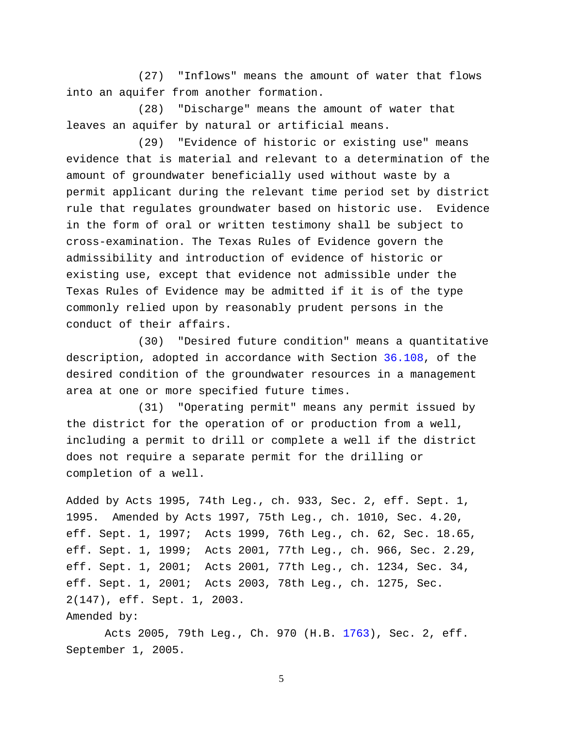(27) "Inflows" means the amount of water that flows into an aquifer from another formation.

(28) "Discharge" means the amount of water that leaves an aquifer by natural or artificial means.

(29) "Evidence of historic or existing use" means evidence that is material and relevant to a determination of the amount of groundwater beneficially used without waste by a permit applicant during the relevant time period set by district rule that regulates groundwater based on historic use. Evidence in the form of oral or written testimony shall be subject to cross-examination. The Texas Rules of Evidence govern the admissibility and introduction of evidence of historic or existing use, except that evidence not admissible under the Texas Rules of Evidence may be admitted if it is of the type commonly relied upon by reasonably prudent persons in the conduct of their affairs.

(30) "Desired future condition" means a quantitative description, adopted in accordance with Section [36.108,](http://www.statutes.legis.state.tx.us/GetStatute.aspx?Code=WA&Value=36.108) of the desired condition of the groundwater resources in a management area at one or more specified future times.

(31) "Operating permit" means any permit issued by the district for the operation of or production from a well, including a permit to drill or complete a well if the district does not require a separate permit for the drilling or completion of a well.

```
Added by Acts 1995, 74th Leg., ch. 933, Sec. 2, eff. Sept. 1, 
1995. Amended by Acts 1997, 75th Leg., ch. 1010, Sec. 4.20, 
eff. Sept. 1, 1997; Acts 1999, 76th Leg., ch. 62, Sec. 18.65, 
eff. Sept. 1, 1999; Acts 2001, 77th Leg., ch. 966, Sec. 2.29, 
eff. Sept. 1, 2001; Acts 2001, 77th Leg., ch. 1234, Sec. 34, 
eff. Sept. 1, 2001; Acts 2003, 78th Leg., ch. 1275, Sec. 
2(147), eff. Sept. 1, 2003. 
Amended by:
```
Acts 2005, 79th Leg., Ch. 970 (H.B. [1763\)](http://www.legis.state.tx.us/tlodocs/79R/billtext/html/HB01763F.HTM), Sec. 2, eff. September 1, 2005.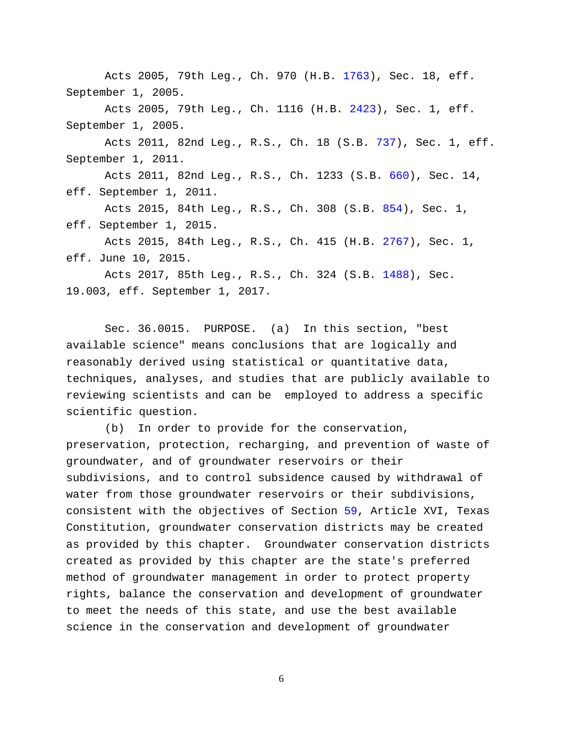Acts 2005, 79th Leg., Ch. 970 (H.B. [1763\)](http://www.legis.state.tx.us/tlodocs/79R/billtext/html/HB01763F.HTM), Sec. 18, eff. September 1, 2005.

Acts 2005, 79th Leg., Ch. 1116 (H.B. [2423\)](http://www.legis.state.tx.us/tlodocs/79R/billtext/html/HB02423F.HTM), Sec. 1, eff. September 1, 2005.

Acts 2011, 82nd Leg., R.S., Ch. 18 (S.B. [737\)](http://www.legis.state.tx.us/tlodocs/82R/billtext/html/SB00737F.HTM), Sec. 1, eff. September 1, 2011.

Acts 2011, 82nd Leg., R.S., Ch. 1233 (S.B. [660\)](http://www.legis.state.tx.us/tlodocs/82R/billtext/html/SB00660F.HTM), Sec. 14, eff. September 1, 2011.

Acts 2015, 84th Leg., R.S., Ch. 308 (S.B. [854\)](http://www.legis.state.tx.us/tlodocs/84R/billtext/html/SB00854F.HTM), Sec. 1, eff. September 1, 2015.

Acts 2015, 84th Leg., R.S., Ch. 415 (H.B. [2767\)](http://www.legis.state.tx.us/tlodocs/84R/billtext/html/HB02767F.HTM), Sec. 1, eff. June 10, 2015.

Acts 2017, 85th Leg., R.S., Ch. 324 (S.B. [1488\)](http://www.legis.state.tx.us/tlodocs/85R/billtext/html/SB01488F.HTM), Sec. 19.003, eff. September 1, 2017.

Sec. 36.0015. PURPOSE. (a) In this section, "best available science" means conclusions that are logically and reasonably derived using statistical or quantitative data, techniques, analyses, and studies that are publicly available to reviewing scientists and can be employed to address a specific scientific question.

(b) In order to provide for the conservation, preservation, protection, recharging, and prevention of waste of groundwater, and of groundwater reservoirs or their subdivisions, and to control subsidence caused by withdrawal of water from those groundwater reservoirs or their subdivisions, consistent with the objectives of Section [59,](http://www.statutes.legis.state.tx.us/GetStatute.aspx?Code=CN&Value=16.59) Article XVI, Texas Constitution, groundwater conservation districts may be created as provided by this chapter. Groundwater conservation districts created as provided by this chapter are the state's preferred method of groundwater management in order to protect property rights, balance the conservation and development of groundwater to meet the needs of this state, and use the best available science in the conservation and development of groundwater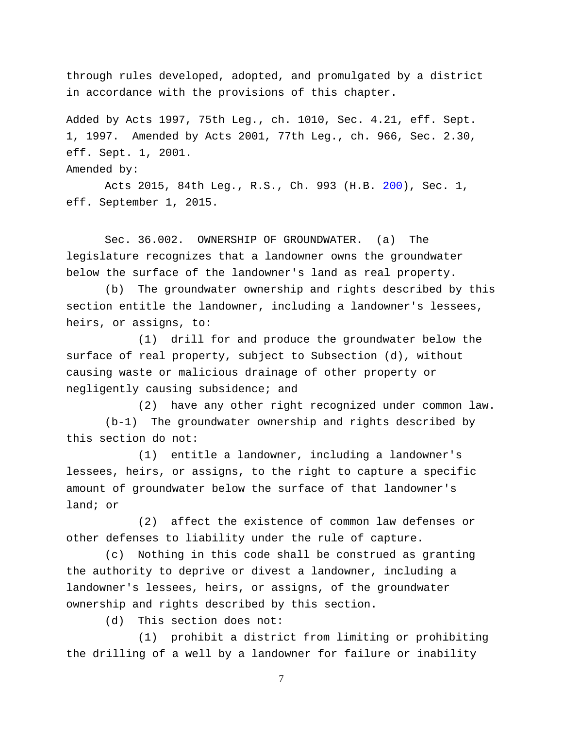through rules developed, adopted, and promulgated by a district in accordance with the provisions of this chapter.

Added by Acts 1997, 75th Leg., ch. 1010, Sec. 4.21, eff. Sept. 1, 1997. Amended by Acts 2001, 77th Leg., ch. 966, Sec. 2.30, eff. Sept. 1, 2001.

Amended by:

Acts 2015, 84th Leg., R.S., Ch. 993 (H.B. [200\)](http://www.legis.state.tx.us/tlodocs/84R/billtext/html/HB00200F.HTM), Sec. 1, eff. September 1, 2015.

Sec. 36.002. OWNERSHIP OF GROUNDWATER. (a) The legislature recognizes that a landowner owns the groundwater below the surface of the landowner's land as real property.

(b) The groundwater ownership and rights described by this section entitle the landowner, including a landowner's lessees, heirs, or assigns, to:

(1) drill for and produce the groundwater below the surface of real property, subject to Subsection (d), without causing waste or malicious drainage of other property or negligently causing subsidence; and

(2) have any other right recognized under common law. (b-1) The groundwater ownership and rights described by this section do not:

(1) entitle a landowner, including a landowner's lessees, heirs, or assigns, to the right to capture a specific amount of groundwater below the surface of that landowner's land; or

(2) affect the existence of common law defenses or other defenses to liability under the rule of capture.

(c) Nothing in this code shall be construed as granting the authority to deprive or divest a landowner, including a landowner's lessees, heirs, or assigns, of the groundwater ownership and rights described by this section.

(d) This section does not:

(1) prohibit a district from limiting or prohibiting the drilling of a well by a landowner for failure or inability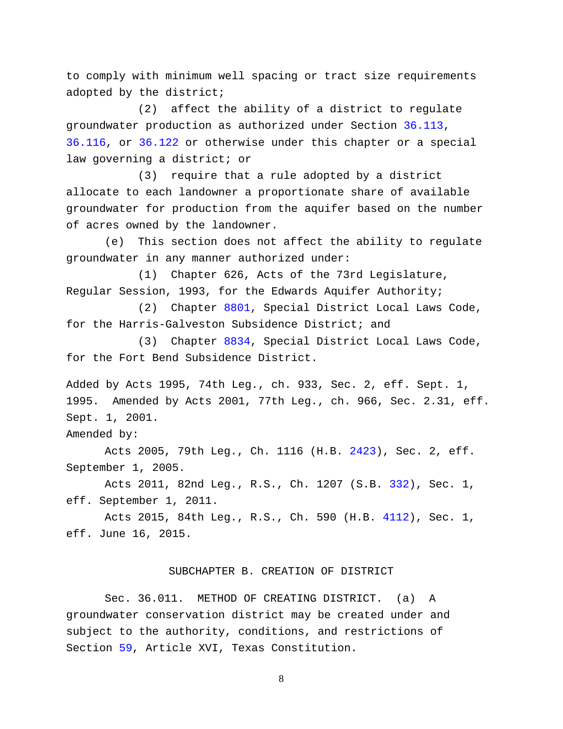to comply with minimum well spacing or tract size requirements adopted by the district;

(2) affect the ability of a district to regulate groundwater production as authorized under Section [36.113,](http://www.statutes.legis.state.tx.us/GetStatute.aspx?Code=WA&Value=36.113) [36.116,](http://www.statutes.legis.state.tx.us/GetStatute.aspx?Code=WA&Value=36.116) or [36.122](http://www.statutes.legis.state.tx.us/GetStatute.aspx?Code=WA&Value=36.122) or otherwise under this chapter or a special law governing a district; or

(3) require that a rule adopted by a district allocate to each landowner a proportionate share of available groundwater for production from the aquifer based on the number of acres owned by the landowner.

(e) This section does not affect the ability to regulate groundwater in any manner authorized under:

(1) Chapter 626, Acts of the 73rd Legislature, Regular Session, 1993, for the Edwards Aquifer Authority;

(2) Chapter [8801,](http://www.statutes.legis.state.tx.us/GetStatute.aspx?Code=SD&Value=8801) Special District Local Laws Code, for the Harris-Galveston Subsidence District; and

(3) Chapter [8834,](http://www.statutes.legis.state.tx.us/GetStatute.aspx?Code=SD&Value=8834) Special District Local Laws Code, for the Fort Bend Subsidence District.

Added by Acts 1995, 74th Leg., ch. 933, Sec. 2, eff. Sept. 1, 1995. Amended by Acts 2001, 77th Leg., ch. 966, Sec. 2.31, eff. Sept. 1, 2001.

Amended by:

Acts 2005, 79th Leg., Ch. 1116 (H.B. [2423\)](http://www.legis.state.tx.us/tlodocs/79R/billtext/html/HB02423F.HTM), Sec. 2, eff. September 1, 2005.

Acts 2011, 82nd Leg., R.S., Ch. 1207 (S.B. [332\)](http://www.legis.state.tx.us/tlodocs/82R/billtext/html/SB00332F.HTM), Sec. 1, eff. September 1, 2011.

Acts 2015, 84th Leg., R.S., Ch. 590 (H.B. [4112\)](http://www.legis.state.tx.us/tlodocs/84R/billtext/html/HB04112F.HTM), Sec. 1, eff. June 16, 2015.

### SUBCHAPTER B. CREATION OF DISTRICT

Sec. 36.011. METHOD OF CREATING DISTRICT. (a) A groundwater conservation district may be created under and subject to the authority, conditions, and restrictions of Section [59,](http://www.statutes.legis.state.tx.us/GetStatute.aspx?Code=CN&Value=16.59) Article XVI, Texas Constitution.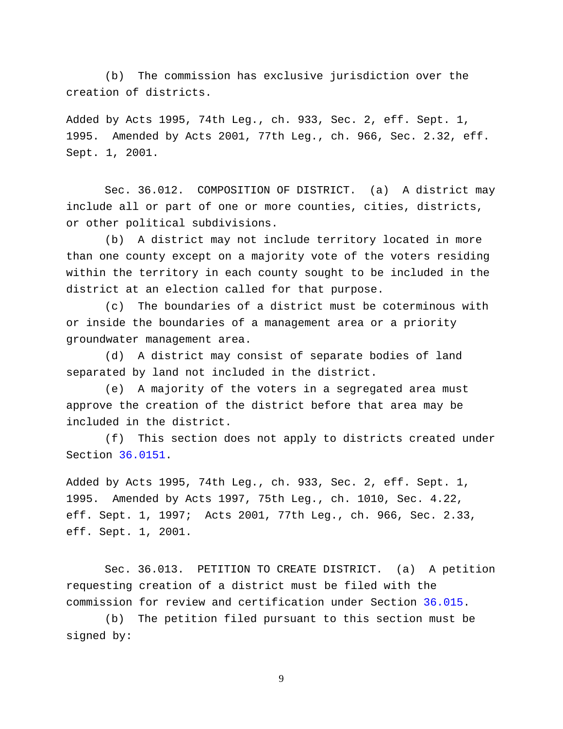(b) The commission has exclusive jurisdiction over the creation of districts.

Added by Acts 1995, 74th Leg., ch. 933, Sec. 2, eff. Sept. 1, 1995. Amended by Acts 2001, 77th Leg., ch. 966, Sec. 2.32, eff. Sept. 1, 2001.

Sec. 36.012. COMPOSITION OF DISTRICT. (a) A district may include all or part of one or more counties, cities, districts, or other political subdivisions.

(b) A district may not include territory located in more than one county except on a majority vote of the voters residing within the territory in each county sought to be included in the district at an election called for that purpose.

(c) The boundaries of a district must be coterminous with or inside the boundaries of a management area or a priority groundwater management area.

(d) A district may consist of separate bodies of land separated by land not included in the district.

(e) A majority of the voters in a segregated area must approve the creation of the district before that area may be included in the district.

(f) This section does not apply to districts created under Section [36.0151.](http://www.statutes.legis.state.tx.us/GetStatute.aspx?Code=WA&Value=36.0151)

Added by Acts 1995, 74th Leg., ch. 933, Sec. 2, eff. Sept. 1, 1995. Amended by Acts 1997, 75th Leg., ch. 1010, Sec. 4.22, eff. Sept. 1, 1997; Acts 2001, 77th Leg., ch. 966, Sec. 2.33, eff. Sept. 1, 2001.

Sec. 36.013. PETITION TO CREATE DISTRICT. (a) A petition requesting creation of a district must be filed with the commission for review and certification under Section [36.015.](http://www.statutes.legis.state.tx.us/GetStatute.aspx?Code=WA&Value=36.015)

(b) The petition filed pursuant to this section must be signed by: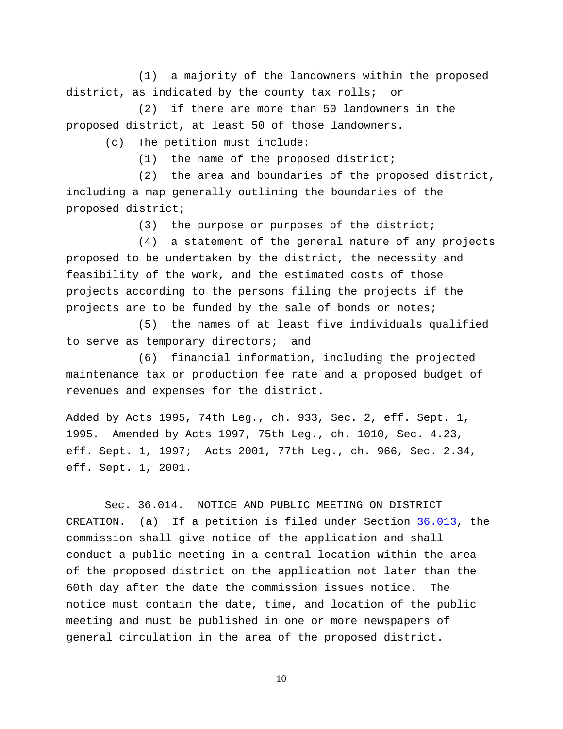(1) a majority of the landowners within the proposed district, as indicated by the county tax rolls; or

(2) if there are more than 50 landowners in the proposed district, at least 50 of those landowners.

(c) The petition must include:

(1) the name of the proposed district;

(2) the area and boundaries of the proposed district, including a map generally outlining the boundaries of the proposed district;

(3) the purpose or purposes of the district;

(4) a statement of the general nature of any projects proposed to be undertaken by the district, the necessity and feasibility of the work, and the estimated costs of those projects according to the persons filing the projects if the projects are to be funded by the sale of bonds or notes;

(5) the names of at least five individuals qualified to serve as temporary directors; and

(6) financial information, including the projected maintenance tax or production fee rate and a proposed budget of revenues and expenses for the district.

Added by Acts 1995, 74th Leg., ch. 933, Sec. 2, eff. Sept. 1, 1995. Amended by Acts 1997, 75th Leg., ch. 1010, Sec. 4.23, eff. Sept. 1, 1997; Acts 2001, 77th Leg., ch. 966, Sec. 2.34, eff. Sept. 1, 2001.

Sec. 36.014. NOTICE AND PUBLIC MEETING ON DISTRICT CREATION. (a) If a petition is filed under Section [36.013,](http://www.statutes.legis.state.tx.us/GetStatute.aspx?Code=WA&Value=36.013) the commission shall give notice of the application and shall conduct a public meeting in a central location within the area of the proposed district on the application not later than the 60th day after the date the commission issues notice. The notice must contain the date, time, and location of the public meeting and must be published in one or more newspapers of general circulation in the area of the proposed district.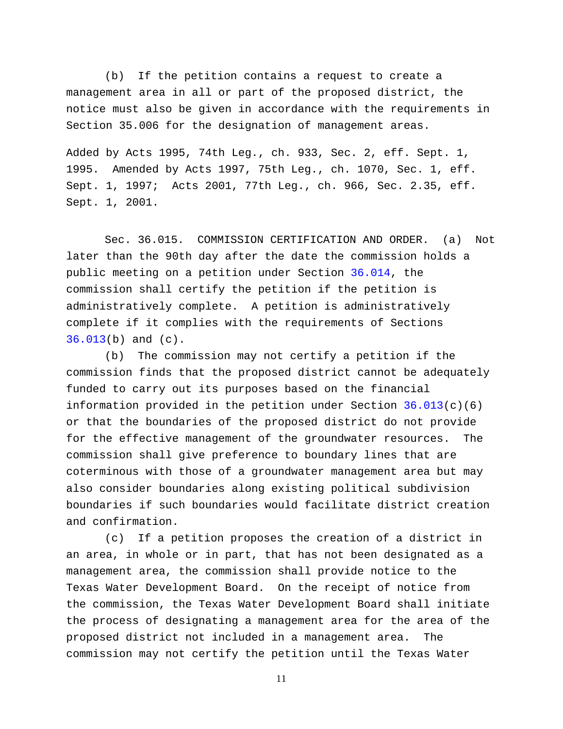(b) If the petition contains a request to create a management area in all or part of the proposed district, the notice must also be given in accordance with the requirements in Section 35.006 for the designation of management areas.

Added by Acts 1995, 74th Leg., ch. 933, Sec. 2, eff. Sept. 1, 1995. Amended by Acts 1997, 75th Leg., ch. 1070, Sec. 1, eff. Sept. 1, 1997; Acts 2001, 77th Leg., ch. 966, Sec. 2.35, eff. Sept. 1, 2001.

Sec. 36.015. COMMISSION CERTIFICATION AND ORDER. (a) Not later than the 90th day after the date the commission holds a public meeting on a petition under Section [36.014,](http://www.statutes.legis.state.tx.us/GetStatute.aspx?Code=WA&Value=36.014) the commission shall certify the petition if the petition is administratively complete. A petition is administratively complete if it complies with the requirements of Sections [36.013\(](http://www.statutes.legis.state.tx.us/GetStatute.aspx?Code=WA&Value=36.013)b) and (c).

(b) The commission may not certify a petition if the commission finds that the proposed district cannot be adequately funded to carry out its purposes based on the financial information provided in the petition under Section  $36.013(c)(6)$ or that the boundaries of the proposed district do not provide for the effective management of the groundwater resources. The commission shall give preference to boundary lines that are coterminous with those of a groundwater management area but may also consider boundaries along existing political subdivision boundaries if such boundaries would facilitate district creation and confirmation.

(c) If a petition proposes the creation of a district in an area, in whole or in part, that has not been designated as a management area, the commission shall provide notice to the Texas Water Development Board. On the receipt of notice from the commission, the Texas Water Development Board shall initiate the process of designating a management area for the area of the proposed district not included in a management area. The commission may not certify the petition until the Texas Water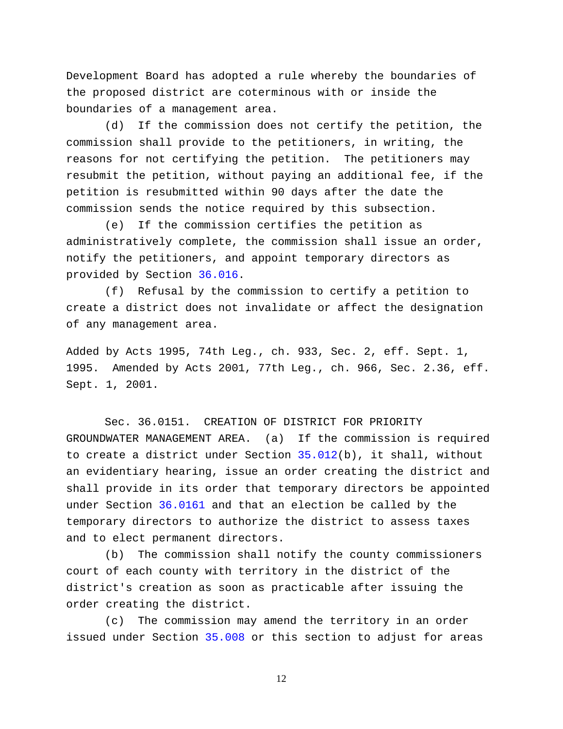Development Board has adopted a rule whereby the boundaries of the proposed district are coterminous with or inside the boundaries of a management area.

(d) If the commission does not certify the petition, the commission shall provide to the petitioners, in writing, the reasons for not certifying the petition. The petitioners may resubmit the petition, without paying an additional fee, if the petition is resubmitted within 90 days after the date the commission sends the notice required by this subsection.

(e) If the commission certifies the petition as administratively complete, the commission shall issue an order, notify the petitioners, and appoint temporary directors as provided by Section [36.016.](http://www.statutes.legis.state.tx.us/GetStatute.aspx?Code=WA&Value=36.016)

(f) Refusal by the commission to certify a petition to create a district does not invalidate or affect the designation of any management area.

Added by Acts 1995, 74th Leg., ch. 933, Sec. 2, eff. Sept. 1, 1995. Amended by Acts 2001, 77th Leg., ch. 966, Sec. 2.36, eff. Sept. 1, 2001.

Sec. 36.0151. CREATION OF DISTRICT FOR PRIORITY GROUNDWATER MANAGEMENT AREA. (a) If the commission is required to create a district under Section [35.012\(](http://www.statutes.legis.state.tx.us/GetStatute.aspx?Code=WA&Value=35.012)b), it shall, without an evidentiary hearing, issue an order creating the district and shall provide in its order that temporary directors be appointed under Section [36.0161](http://www.statutes.legis.state.tx.us/GetStatute.aspx?Code=WA&Value=36.0161) and that an election be called by the temporary directors to authorize the district to assess taxes and to elect permanent directors.

(b) The commission shall notify the county commissioners court of each county with territory in the district of the district's creation as soon as practicable after issuing the order creating the district.

(c) The commission may amend the territory in an order issued under Section [35.008](http://www.statutes.legis.state.tx.us/GetStatute.aspx?Code=WA&Value=35.008) or this section to adjust for areas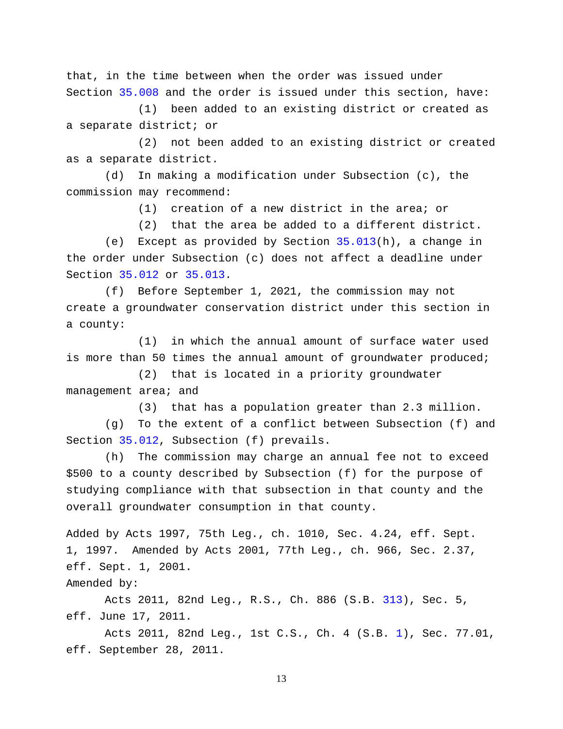that, in the time between when the order was issued under Section [35.008](http://www.statutes.legis.state.tx.us/GetStatute.aspx?Code=WA&Value=35.008) and the order is issued under this section, have:

(1) been added to an existing district or created as a separate district; or

(2) not been added to an existing district or created as a separate district.

(d) In making a modification under Subsection (c), the commission may recommend:

(1) creation of a new district in the area; or

(2) that the area be added to a different district.

(e) Except as provided by Section [35.013\(](http://www.statutes.legis.state.tx.us/GetStatute.aspx?Code=WA&Value=35.013)h), a change in the order under Subsection (c) does not affect a deadline under Section [35.012](http://www.statutes.legis.state.tx.us/GetStatute.aspx?Code=WA&Value=35.012) or [35.013.](http://www.statutes.legis.state.tx.us/GetStatute.aspx?Code=WA&Value=35.013)

(f) Before September 1, 2021, the commission may not create a groundwater conservation district under this section in a county:

(1) in which the annual amount of surface water used is more than 50 times the annual amount of groundwater produced;

(2) that is located in a priority groundwater management area; and

(3) that has a population greater than 2.3 million.

(g) To the extent of a conflict between Subsection (f) and Section [35.012,](http://www.statutes.legis.state.tx.us/GetStatute.aspx?Code=WA&Value=35.012) Subsection (f) prevails.

(h) The commission may charge an annual fee not to exceed \$500 to a county described by Subsection (f) for the purpose of studying compliance with that subsection in that county and the overall groundwater consumption in that county.

Added by Acts 1997, 75th Leg., ch. 1010, Sec. 4.24, eff. Sept. 1, 1997. Amended by Acts 2001, 77th Leg., ch. 966, Sec. 2.37, eff. Sept. 1, 2001. Amended by:

Acts 2011, 82nd Leg., R.S., Ch. 886 (S.B. [313\)](http://www.legis.state.tx.us/tlodocs/82R/billtext/html/SB00313F.HTM), Sec. 5, eff. June 17, 2011.

Acts 2011, 82nd Leg., 1st C.S., Ch. 4 (S.B. [1\)](http://www.legis.state.tx.us/tlodocs/821/billtext/html/SB00001F.HTM), Sec. 77.01, eff. September 28, 2011.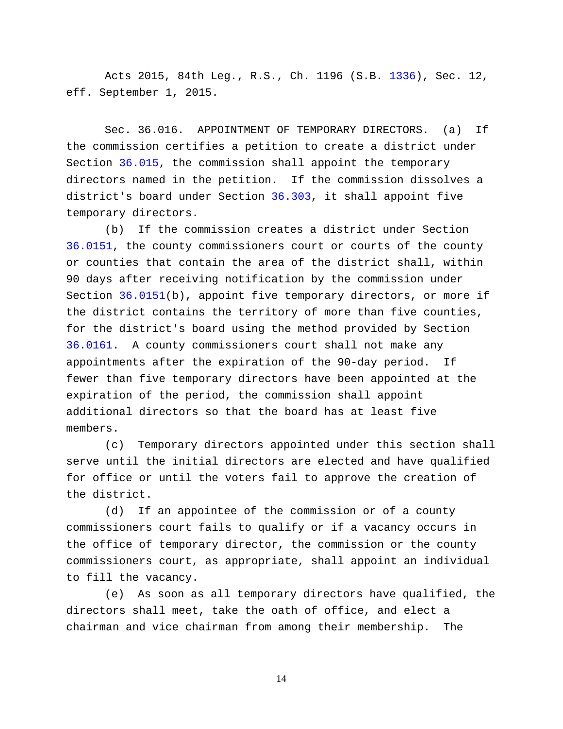Acts 2015, 84th Leg., R.S., Ch. 1196 (S.B. [1336\)](http://www.legis.state.tx.us/tlodocs/84R/billtext/html/SB01336F.HTM), Sec. 12, eff. September 1, 2015.

Sec. 36.016. APPOINTMENT OF TEMPORARY DIRECTORS. (a) If the commission certifies a petition to create a district under Section [36.015,](http://www.statutes.legis.state.tx.us/GetStatute.aspx?Code=WA&Value=36.015) the commission shall appoint the temporary directors named in the petition. If the commission dissolves a district's board under Section [36.303,](http://www.statutes.legis.state.tx.us/GetStatute.aspx?Code=WA&Value=36.303) it shall appoint five temporary directors.

(b) If the commission creates a district under Section [36.0151,](http://www.statutes.legis.state.tx.us/GetStatute.aspx?Code=WA&Value=36.0151) the county commissioners court or courts of the county or counties that contain the area of the district shall, within 90 days after receiving notification by the commission under Section [36.0151\(](http://www.statutes.legis.state.tx.us/GetStatute.aspx?Code=WA&Value=36.0151)b), appoint five temporary directors, or more if the district contains the territory of more than five counties, for the district's board using the method provided by Section [36.0161.](http://www.statutes.legis.state.tx.us/GetStatute.aspx?Code=WA&Value=36.0161) A county commissioners court shall not make any appointments after the expiration of the 90-day period. If fewer than five temporary directors have been appointed at the expiration of the period, the commission shall appoint additional directors so that the board has at least five members.

(c) Temporary directors appointed under this section shall serve until the initial directors are elected and have qualified for office or until the voters fail to approve the creation of the district.

(d) If an appointee of the commission or of a county commissioners court fails to qualify or if a vacancy occurs in the office of temporary director, the commission or the county commissioners court, as appropriate, shall appoint an individual to fill the vacancy.

(e) As soon as all temporary directors have qualified, the directors shall meet, take the oath of office, and elect a chairman and vice chairman from among their membership. The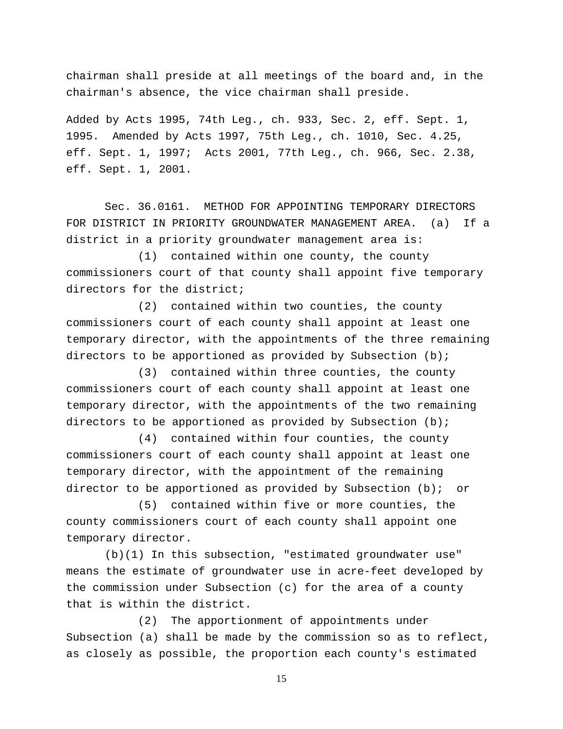chairman shall preside at all meetings of the board and, in the chairman's absence, the vice chairman shall preside.

Added by Acts 1995, 74th Leg., ch. 933, Sec. 2, eff. Sept. 1, 1995. Amended by Acts 1997, 75th Leg., ch. 1010, Sec. 4.25, eff. Sept. 1, 1997; Acts 2001, 77th Leg., ch. 966, Sec. 2.38, eff. Sept. 1, 2001.

Sec. 36.0161. METHOD FOR APPOINTING TEMPORARY DIRECTORS FOR DISTRICT IN PRIORITY GROUNDWATER MANAGEMENT AREA. (a) If a district in a priority groundwater management area is:

(1) contained within one county, the county commissioners court of that county shall appoint five temporary directors for the district;

(2) contained within two counties, the county commissioners court of each county shall appoint at least one temporary director, with the appointments of the three remaining directors to be apportioned as provided by Subsection  $(b)$ ;

(3) contained within three counties, the county commissioners court of each county shall appoint at least one temporary director, with the appointments of the two remaining directors to be apportioned as provided by Subsection  $(b)$ ;

(4) contained within four counties, the county commissioners court of each county shall appoint at least one temporary director, with the appointment of the remaining director to be apportioned as provided by Subsection (b); or

(5) contained within five or more counties, the county commissioners court of each county shall appoint one temporary director.

(b)(1) In this subsection, "estimated groundwater use" means the estimate of groundwater use in acre-feet developed by the commission under Subsection (c) for the area of a county that is within the district.

(2) The apportionment of appointments under Subsection (a) shall be made by the commission so as to reflect, as closely as possible, the proportion each county's estimated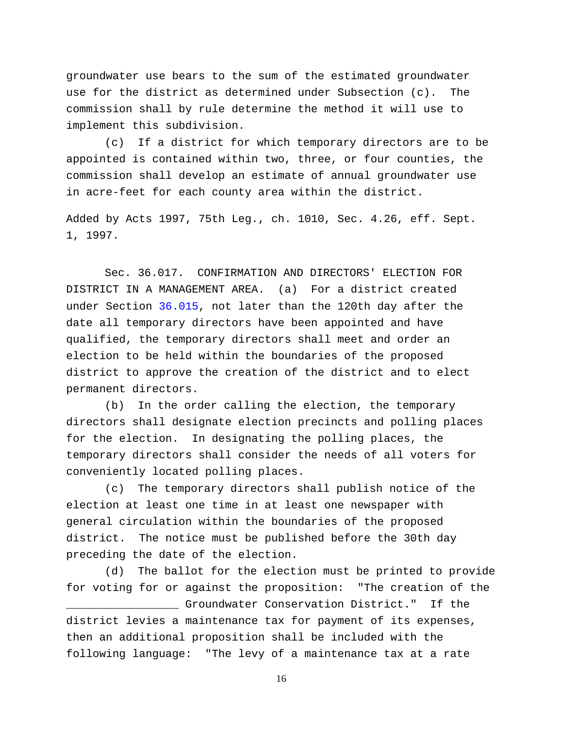groundwater use bears to the sum of the estimated groundwater use for the district as determined under Subsection (c). The commission shall by rule determine the method it will use to implement this subdivision.

(c) If a district for which temporary directors are to be appointed is contained within two, three, or four counties, the commission shall develop an estimate of annual groundwater use in acre-feet for each county area within the district.

Added by Acts 1997, 75th Leg., ch. 1010, Sec. 4.26, eff. Sept. 1, 1997.

Sec. 36.017. CONFIRMATION AND DIRECTORS' ELECTION FOR DISTRICT IN A MANAGEMENT AREA. (a) For a district created under Section [36.015,](http://www.statutes.legis.state.tx.us/GetStatute.aspx?Code=WA&Value=36.015) not later than the 120th day after the date all temporary directors have been appointed and have qualified, the temporary directors shall meet and order an election to be held within the boundaries of the proposed district to approve the creation of the district and to elect permanent directors.

(b) In the order calling the election, the temporary directors shall designate election precincts and polling places for the election. In designating the polling places, the temporary directors shall consider the needs of all voters for conveniently located polling places.

(c) The temporary directors shall publish notice of the election at least one time in at least one newspaper with general circulation within the boundaries of the proposed district. The notice must be published before the 30th day preceding the date of the election.

(d) The ballot for the election must be printed to provide for voting for or against the proposition: "The creation of the \_\_\_\_\_\_\_\_\_\_\_\_\_\_\_\_\_ Groundwater Conservation District." If the district levies a maintenance tax for payment of its expenses, then an additional proposition shall be included with the following language: "The levy of a maintenance tax at a rate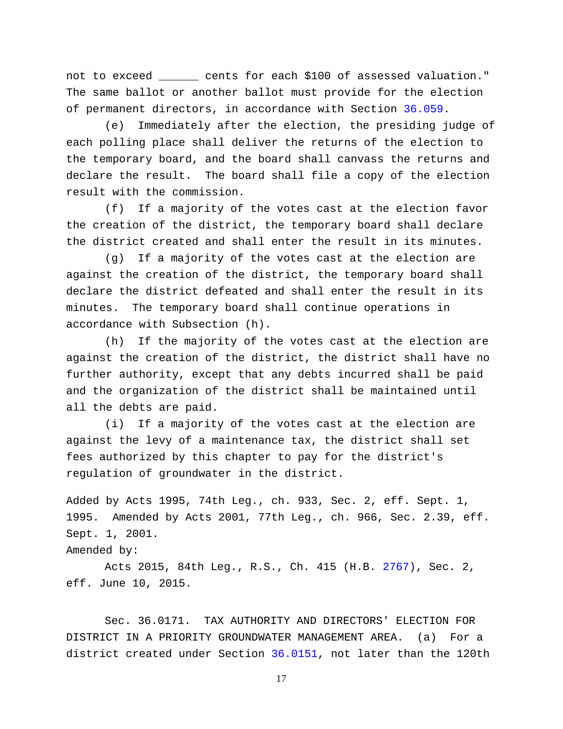not to exceed \_\_\_\_\_\_ cents for each \$100 of assessed valuation." The same ballot or another ballot must provide for the election of permanent directors, in accordance with Section [36.059.](http://www.statutes.legis.state.tx.us/GetStatute.aspx?Code=WA&Value=36.059)

(e) Immediately after the election, the presiding judge of each polling place shall deliver the returns of the election to the temporary board, and the board shall canvass the returns and declare the result. The board shall file a copy of the election result with the commission.

(f) If a majority of the votes cast at the election favor the creation of the district, the temporary board shall declare the district created and shall enter the result in its minutes.

(g) If a majority of the votes cast at the election are against the creation of the district, the temporary board shall declare the district defeated and shall enter the result in its minutes. The temporary board shall continue operations in accordance with Subsection (h).

(h) If the majority of the votes cast at the election are against the creation of the district, the district shall have no further authority, except that any debts incurred shall be paid and the organization of the district shall be maintained until all the debts are paid.

(i) If a majority of the votes cast at the election are against the levy of a maintenance tax, the district shall set fees authorized by this chapter to pay for the district's regulation of groundwater in the district.

Added by Acts 1995, 74th Leg., ch. 933, Sec. 2, eff. Sept. 1, 1995. Amended by Acts 2001, 77th Leg., ch. 966, Sec. 2.39, eff. Sept. 1, 2001.

Amended by:

Acts 2015, 84th Leg., R.S., Ch. 415 (H.B. [2767\)](http://www.legis.state.tx.us/tlodocs/84R/billtext/html/HB02767F.HTM), Sec. 2, eff. June 10, 2015.

Sec. 36.0171. TAX AUTHORITY AND DIRECTORS' ELECTION FOR DISTRICT IN A PRIORITY GROUNDWATER MANAGEMENT AREA. (a) For a district created under Section [36.0151,](http://www.statutes.legis.state.tx.us/GetStatute.aspx?Code=WA&Value=36.0151) not later than the 120th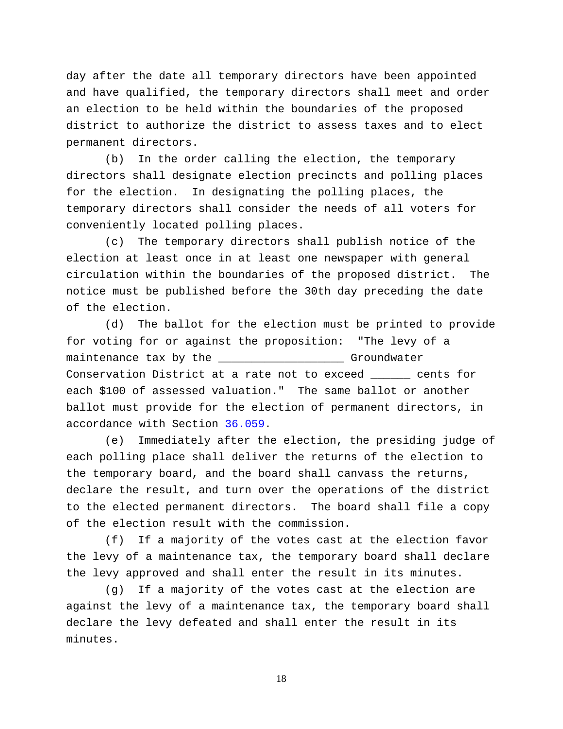day after the date all temporary directors have been appointed and have qualified, the temporary directors shall meet and order an election to be held within the boundaries of the proposed district to authorize the district to assess taxes and to elect permanent directors.

(b) In the order calling the election, the temporary directors shall designate election precincts and polling places for the election. In designating the polling places, the temporary directors shall consider the needs of all voters for conveniently located polling places.

(c) The temporary directors shall publish notice of the election at least once in at least one newspaper with general circulation within the boundaries of the proposed district. The notice must be published before the 30th day preceding the date of the election.

(d) The ballot for the election must be printed to provide for voting for or against the proposition: "The levy of a maintenance tax by the \_\_\_\_\_\_\_\_\_\_\_\_\_\_\_\_\_\_\_\_ Groundwater Conservation District at a rate not to exceed \_\_\_\_\_\_ cents for each \$100 of assessed valuation." The same ballot or another ballot must provide for the election of permanent directors, in accordance with Section [36.059.](http://www.statutes.legis.state.tx.us/GetStatute.aspx?Code=WA&Value=36.059)

(e) Immediately after the election, the presiding judge of each polling place shall deliver the returns of the election to the temporary board, and the board shall canvass the returns, declare the result, and turn over the operations of the district to the elected permanent directors. The board shall file a copy of the election result with the commission.

(f) If a majority of the votes cast at the election favor the levy of a maintenance tax, the temporary board shall declare the levy approved and shall enter the result in its minutes.

(g) If a majority of the votes cast at the election are against the levy of a maintenance tax, the temporary board shall declare the levy defeated and shall enter the result in its minutes.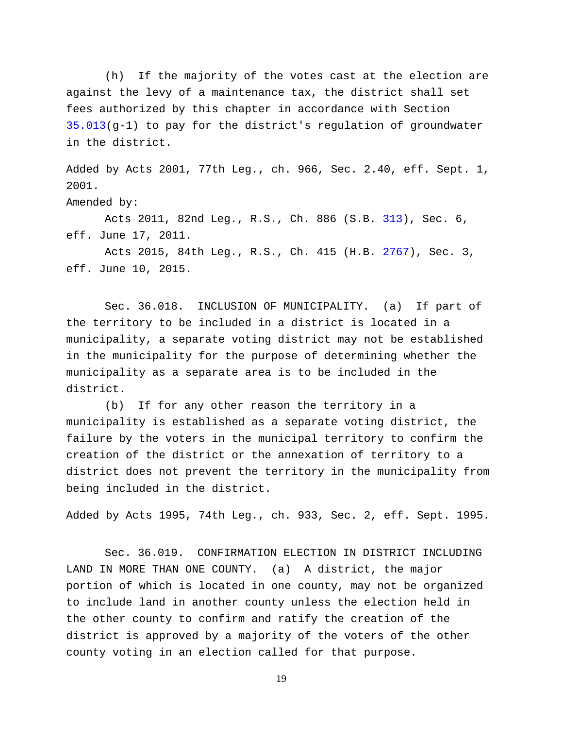(h) If the majority of the votes cast at the election are against the levy of a maintenance tax, the district shall set fees authorized by this chapter in accordance with Section [35.013\(](http://www.statutes.legis.state.tx.us/GetStatute.aspx?Code=WA&Value=35.013)g-1) to pay for the district's regulation of groundwater in the district.

Added by Acts 2001, 77th Leg., ch. 966, Sec. 2.40, eff. Sept. 1, 2001.

Amended by:

Acts 2011, 82nd Leg., R.S., Ch. 886 (S.B. [313\)](http://www.legis.state.tx.us/tlodocs/82R/billtext/html/SB00313F.HTM), Sec. 6, eff. June 17, 2011.

Acts 2015, 84th Leg., R.S., Ch. 415 (H.B. [2767\)](http://www.legis.state.tx.us/tlodocs/84R/billtext/html/HB02767F.HTM), Sec. 3, eff. June 10, 2015.

Sec. 36.018. INCLUSION OF MUNICIPALITY. (a) If part of the territory to be included in a district is located in a municipality, a separate voting district may not be established in the municipality for the purpose of determining whether the municipality as a separate area is to be included in the district.

(b) If for any other reason the territory in a municipality is established as a separate voting district, the failure by the voters in the municipal territory to confirm the creation of the district or the annexation of territory to a district does not prevent the territory in the municipality from being included in the district.

Added by Acts 1995, 74th Leg., ch. 933, Sec. 2, eff. Sept. 1995.

Sec. 36.019. CONFIRMATION ELECTION IN DISTRICT INCLUDING LAND IN MORE THAN ONE COUNTY. (a) A district, the major portion of which is located in one county, may not be organized to include land in another county unless the election held in the other county to confirm and ratify the creation of the district is approved by a majority of the voters of the other county voting in an election called for that purpose.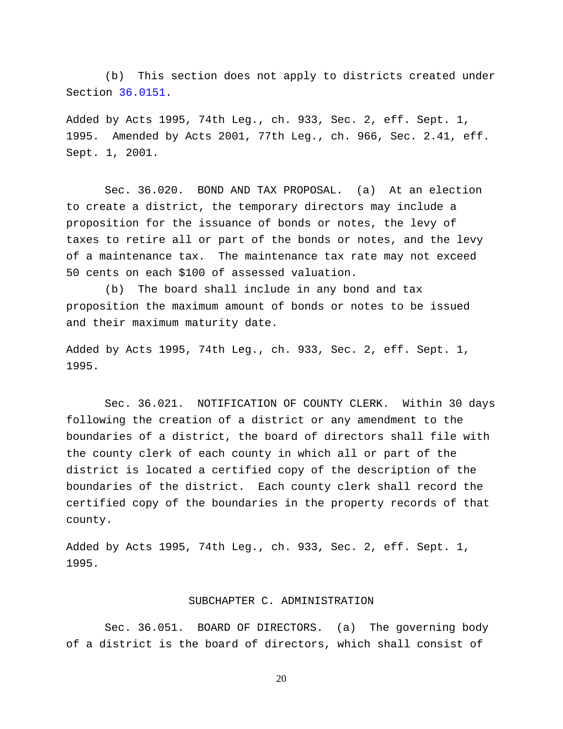(b) This section does not apply to districts created under Section [36.0151.](http://www.statutes.legis.state.tx.us/GetStatute.aspx?Code=WA&Value=36.0151)

Added by Acts 1995, 74th Leg., ch. 933, Sec. 2, eff. Sept. 1, 1995. Amended by Acts 2001, 77th Leg., ch. 966, Sec. 2.41, eff. Sept. 1, 2001.

Sec. 36.020. BOND AND TAX PROPOSAL. (a) At an election to create a district, the temporary directors may include a proposition for the issuance of bonds or notes, the levy of taxes to retire all or part of the bonds or notes, and the levy of a maintenance tax. The maintenance tax rate may not exceed 50 cents on each \$100 of assessed valuation.

(b) The board shall include in any bond and tax proposition the maximum amount of bonds or notes to be issued and their maximum maturity date.

Added by Acts 1995, 74th Leg., ch. 933, Sec. 2, eff. Sept. 1, 1995.

Sec. 36.021. NOTIFICATION OF COUNTY CLERK. Within 30 days following the creation of a district or any amendment to the boundaries of a district, the board of directors shall file with the county clerk of each county in which all or part of the district is located a certified copy of the description of the boundaries of the district. Each county clerk shall record the certified copy of the boundaries in the property records of that county.

Added by Acts 1995, 74th Leg., ch. 933, Sec. 2, eff. Sept. 1, 1995.

### SUBCHAPTER C. ADMINISTRATION

Sec. 36.051. BOARD OF DIRECTORS. (a) The governing body of a district is the board of directors, which shall consist of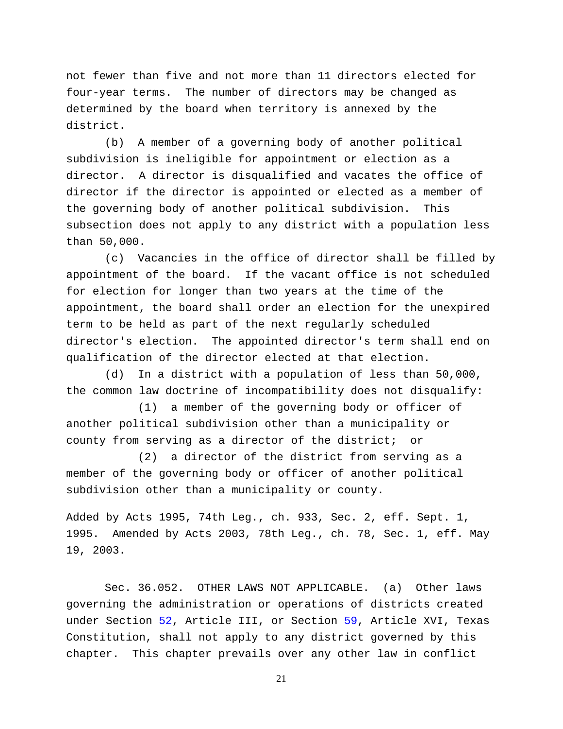not fewer than five and not more than 11 directors elected for four-year terms. The number of directors may be changed as determined by the board when territory is annexed by the district.

(b) A member of a governing body of another political subdivision is ineligible for appointment or election as a director. A director is disqualified and vacates the office of director if the director is appointed or elected as a member of the governing body of another political subdivision. This subsection does not apply to any district with a population less than 50,000.

(c) Vacancies in the office of director shall be filled by appointment of the board. If the vacant office is not scheduled for election for longer than two years at the time of the appointment, the board shall order an election for the unexpired term to be held as part of the next regularly scheduled director's election. The appointed director's term shall end on qualification of the director elected at that election.

(d) In a district with a population of less than 50,000, the common law doctrine of incompatibility does not disqualify:

(1) a member of the governing body or officer of another political subdivision other than a municipality or county from serving as a director of the district; or

(2) a director of the district from serving as a member of the governing body or officer of another political subdivision other than a municipality or county.

Added by Acts 1995, 74th Leg., ch. 933, Sec. 2, eff. Sept. 1, 1995. Amended by Acts 2003, 78th Leg., ch. 78, Sec. 1, eff. May 19, 2003.

Sec. 36.052. OTHER LAWS NOT APPLICABLE. (a) Other laws governing the administration or operations of districts created under Section [52,](http://www.statutes.legis.state.tx.us/GetStatute.aspx?Code=CN&Value=3.52) Article III, or Section [59,](http://www.statutes.legis.state.tx.us/GetStatute.aspx?Code=CN&Value=16.59) Article XVI, Texas Constitution, shall not apply to any district governed by this chapter. This chapter prevails over any other law in conflict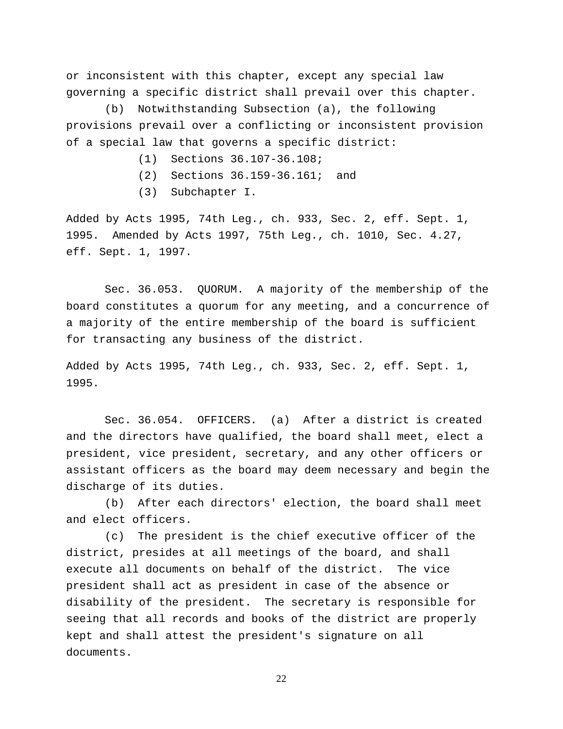or inconsistent with this chapter, except any special law governing a specific district shall prevail over this chapter.

(b) Notwithstanding Subsection (a), the following provisions prevail over a conflicting or inconsistent provision of a special law that governs a specific district:

- (1) Sections 36.107-36.108;
- (2) Sections 36.159-36.161; and
- (3) Subchapter I.

Added by Acts 1995, 74th Leg., ch. 933, Sec. 2, eff. Sept. 1, 1995. Amended by Acts 1997, 75th Leg., ch. 1010, Sec. 4.27, eff. Sept. 1, 1997.

Sec. 36.053. QUORUM. A majority of the membership of the board constitutes a quorum for any meeting, and a concurrence of a majority of the entire membership of the board is sufficient for transacting any business of the district.

Added by Acts 1995, 74th Leg., ch. 933, Sec. 2, eff. Sept. 1, 1995.

Sec. 36.054. OFFICERS. (a) After a district is created and the directors have qualified, the board shall meet, elect a president, vice president, secretary, and any other officers or assistant officers as the board may deem necessary and begin the discharge of its duties.

(b) After each directors' election, the board shall meet and elect officers.

(c) The president is the chief executive officer of the district, presides at all meetings of the board, and shall execute all documents on behalf of the district. The vice president shall act as president in case of the absence or disability of the president. The secretary is responsible for seeing that all records and books of the district are properly kept and shall attest the president's signature on all documents.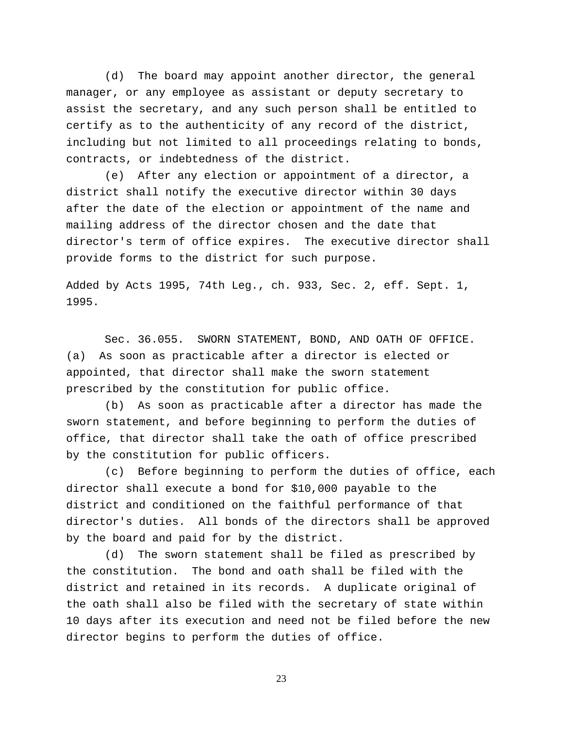(d) The board may appoint another director, the general manager, or any employee as assistant or deputy secretary to assist the secretary, and any such person shall be entitled to certify as to the authenticity of any record of the district, including but not limited to all proceedings relating to bonds, contracts, or indebtedness of the district.

(e) After any election or appointment of a director, a district shall notify the executive director within 30 days after the date of the election or appointment of the name and mailing address of the director chosen and the date that director's term of office expires. The executive director shall provide forms to the district for such purpose.

Added by Acts 1995, 74th Leg., ch. 933, Sec. 2, eff. Sept. 1, 1995.

Sec. 36.055. SWORN STATEMENT, BOND, AND OATH OF OFFICE. (a) As soon as practicable after a director is elected or appointed, that director shall make the sworn statement prescribed by the constitution for public office.

(b) As soon as practicable after a director has made the sworn statement, and before beginning to perform the duties of office, that director shall take the oath of office prescribed by the constitution for public officers.

(c) Before beginning to perform the duties of office, each director shall execute a bond for \$10,000 payable to the district and conditioned on the faithful performance of that director's duties. All bonds of the directors shall be approved by the board and paid for by the district.

(d) The sworn statement shall be filed as prescribed by the constitution. The bond and oath shall be filed with the district and retained in its records. A duplicate original of the oath shall also be filed with the secretary of state within 10 days after its execution and need not be filed before the new director begins to perform the duties of office.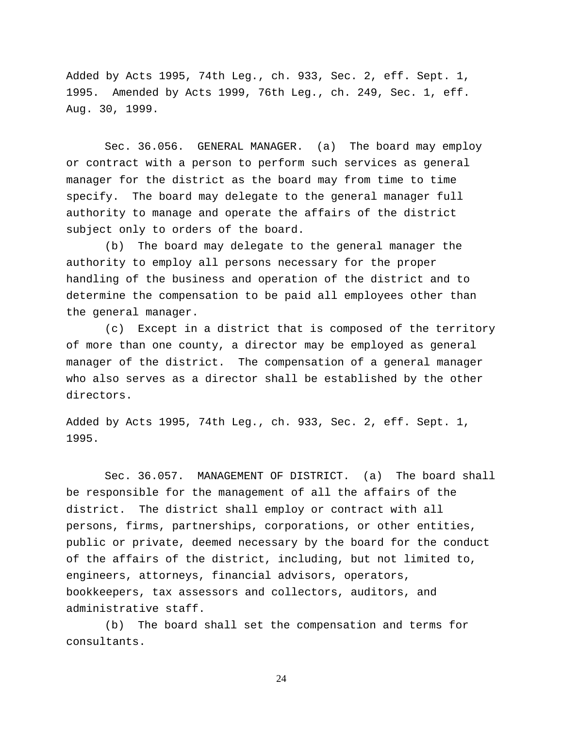Added by Acts 1995, 74th Leg., ch. 933, Sec. 2, eff. Sept. 1, 1995. Amended by Acts 1999, 76th Leg., ch. 249, Sec. 1, eff. Aug. 30, 1999.

Sec. 36.056. GENERAL MANAGER. (a) The board may employ or contract with a person to perform such services as general manager for the district as the board may from time to time specify. The board may delegate to the general manager full authority to manage and operate the affairs of the district subject only to orders of the board.

(b) The board may delegate to the general manager the authority to employ all persons necessary for the proper handling of the business and operation of the district and to determine the compensation to be paid all employees other than the general manager.

(c) Except in a district that is composed of the territory of more than one county, a director may be employed as general manager of the district. The compensation of a general manager who also serves as a director shall be established by the other directors.

Added by Acts 1995, 74th Leg., ch. 933, Sec. 2, eff. Sept. 1, 1995.

Sec. 36.057. MANAGEMENT OF DISTRICT. (a) The board shall be responsible for the management of all the affairs of the district. The district shall employ or contract with all persons, firms, partnerships, corporations, or other entities, public or private, deemed necessary by the board for the conduct of the affairs of the district, including, but not limited to, engineers, attorneys, financial advisors, operators, bookkeepers, tax assessors and collectors, auditors, and administrative staff.

(b) The board shall set the compensation and terms for consultants.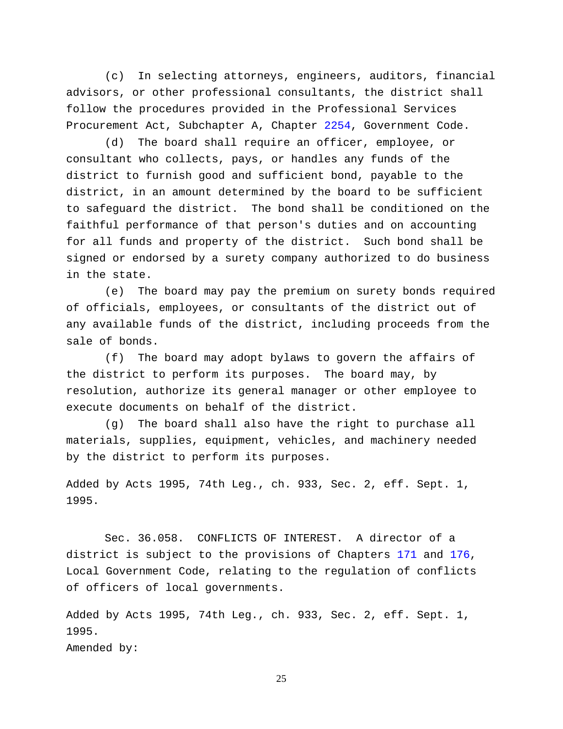(c) In selecting attorneys, engineers, auditors, financial advisors, or other professional consultants, the district shall follow the procedures provided in the Professional Services Procurement Act, Subchapter A, Chapter [2254,](http://www.statutes.legis.state.tx.us/GetStatute.aspx?Code=GV&Value=2254) Government Code.

(d) The board shall require an officer, employee, or consultant who collects, pays, or handles any funds of the district to furnish good and sufficient bond, payable to the district, in an amount determined by the board to be sufficient to safeguard the district. The bond shall be conditioned on the faithful performance of that person's duties and on accounting for all funds and property of the district. Such bond shall be signed or endorsed by a surety company authorized to do business in the state.

(e) The board may pay the premium on surety bonds required of officials, employees, or consultants of the district out of any available funds of the district, including proceeds from the sale of bonds.

(f) The board may adopt bylaws to govern the affairs of the district to perform its purposes. The board may, by resolution, authorize its general manager or other employee to execute documents on behalf of the district.

(g) The board shall also have the right to purchase all materials, supplies, equipment, vehicles, and machinery needed by the district to perform its purposes.

Added by Acts 1995, 74th Leg., ch. 933, Sec. 2, eff. Sept. 1, 1995.

Sec. 36.058. CONFLICTS OF INTEREST. A director of a district is subject to the provisions of Chapters [171](http://www.statutes.legis.state.tx.us/GetStatute.aspx?Code=LG&Value=171) and [176,](http://www.statutes.legis.state.tx.us/GetStatute.aspx?Code=LG&Value=176) Local Government Code, relating to the regulation of conflicts of officers of local governments.

Added by Acts 1995, 74th Leg., ch. 933, Sec. 2, eff. Sept. 1, 1995. Amended by: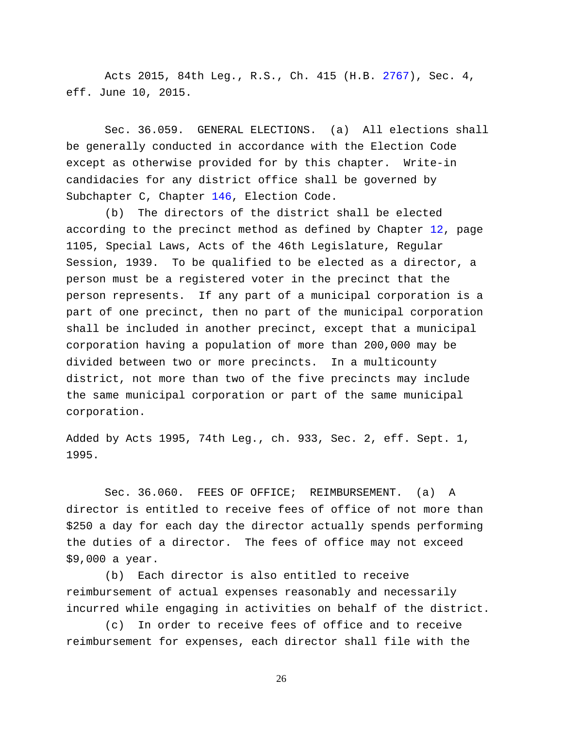Acts 2015, 84th Leg., R.S., Ch. 415 (H.B. [2767\)](http://www.legis.state.tx.us/tlodocs/84R/billtext/html/HB02767F.HTM), Sec. 4, eff. June 10, 2015.

Sec. 36.059. GENERAL ELECTIONS. (a) All elections shall be generally conducted in accordance with the Election Code except as otherwise provided for by this chapter. Write-in candidacies for any district office shall be governed by Subchapter C, Chapter [146,](http://www.statutes.legis.state.tx.us/GetStatute.aspx?Code=EL&Value=146) Election Code.

(b) The directors of the district shall be elected according to the precinct method as defined by Chapter [12,](http://www.statutes.legis.state.tx.us/GetStatute.aspx?Code=WA&Value=12) page 1105, Special Laws, Acts of the 46th Legislature, Regular Session, 1939. To be qualified to be elected as a director, a person must be a registered voter in the precinct that the person represents. If any part of a municipal corporation is a part of one precinct, then no part of the municipal corporation shall be included in another precinct, except that a municipal corporation having a population of more than 200,000 may be divided between two or more precincts. In a multicounty district, not more than two of the five precincts may include the same municipal corporation or part of the same municipal corporation.

Added by Acts 1995, 74th Leg., ch. 933, Sec. 2, eff. Sept. 1, 1995.

Sec. 36.060. FEES OF OFFICE; REIMBURSEMENT. (a) A director is entitled to receive fees of office of not more than \$250 a day for each day the director actually spends performing the duties of a director. The fees of office may not exceed \$9,000 a year.

(b) Each director is also entitled to receive reimbursement of actual expenses reasonably and necessarily incurred while engaging in activities on behalf of the district.

(c) In order to receive fees of office and to receive reimbursement for expenses, each director shall file with the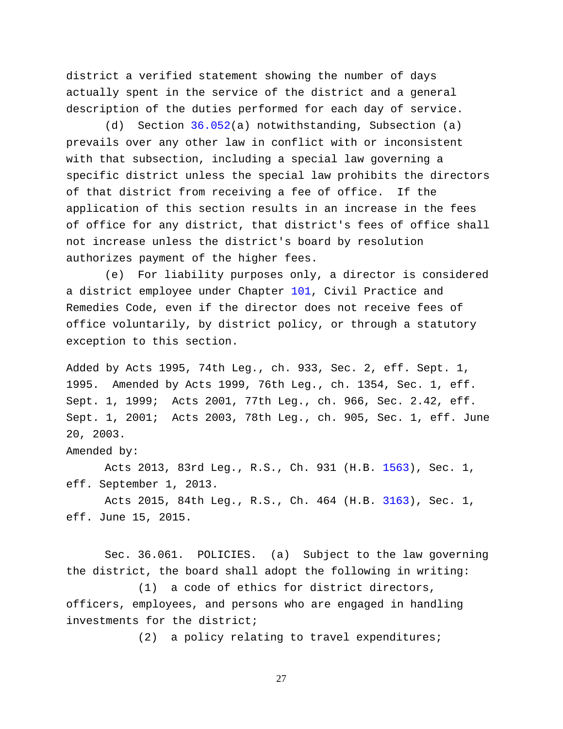district a verified statement showing the number of days actually spent in the service of the district and a general description of the duties performed for each day of service.

(d) Section [36.052\(](http://www.statutes.legis.state.tx.us/GetStatute.aspx?Code=WA&Value=36.052)a) notwithstanding, Subsection (a) prevails over any other law in conflict with or inconsistent with that subsection, including a special law governing a specific district unless the special law prohibits the directors of that district from receiving a fee of office. If the application of this section results in an increase in the fees of office for any district, that district's fees of office shall not increase unless the district's board by resolution authorizes payment of the higher fees.

(e) For liability purposes only, a director is considered a district employee under Chapter [101,](http://www.statutes.legis.state.tx.us/GetStatute.aspx?Code=CP&Value=101) Civil Practice and Remedies Code, even if the director does not receive fees of office voluntarily, by district policy, or through a statutory exception to this section.

Added by Acts 1995, 74th Leg., ch. 933, Sec. 2, eff. Sept. 1, 1995. Amended by Acts 1999, 76th Leg., ch. 1354, Sec. 1, eff. Sept. 1, 1999; Acts 2001, 77th Leg., ch. 966, Sec. 2.42, eff. Sept. 1, 2001; Acts 2003, 78th Leg., ch. 905, Sec. 1, eff. June 20, 2003.

Amended by:

Acts 2013, 83rd Leg., R.S., Ch. 931 (H.B. [1563\)](http://www.legis.state.tx.us/tlodocs/83R/billtext/html/HB01563F.HTM), Sec. 1, eff. September 1, 2013.

Acts 2015, 84th Leg., R.S., Ch. 464 (H.B. [3163\)](http://www.legis.state.tx.us/tlodocs/84R/billtext/html/HB03163F.HTM), Sec. 1, eff. June 15, 2015.

Sec. 36.061. POLICIES. (a) Subject to the law governing the district, the board shall adopt the following in writing:

(1) a code of ethics for district directors, officers, employees, and persons who are engaged in handling investments for the district;

(2) a policy relating to travel expenditures;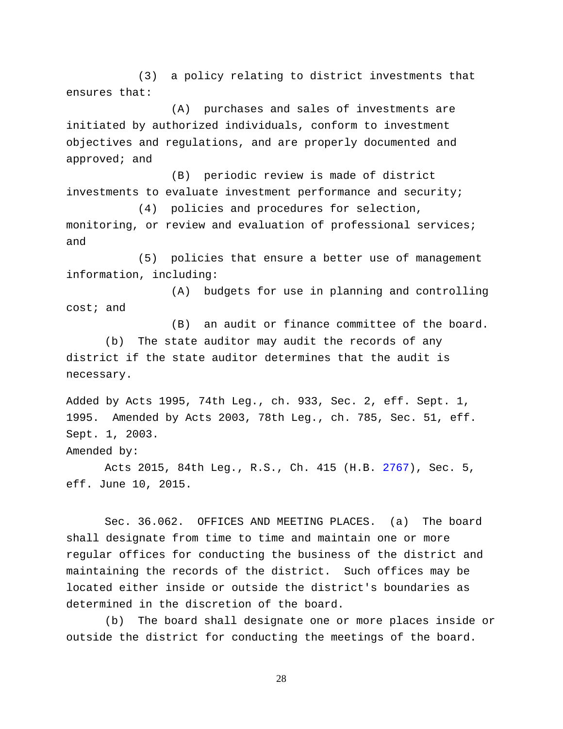(3) a policy relating to district investments that ensures that:

(A) purchases and sales of investments are initiated by authorized individuals, conform to investment objectives and regulations, and are properly documented and approved; and

(B) periodic review is made of district investments to evaluate investment performance and security;

(4) policies and procedures for selection, monitoring, or review and evaluation of professional services; and

(5) policies that ensure a better use of management information, including:

(A) budgets for use in planning and controlling cost; and

(B) an audit or finance committee of the board. (b) The state auditor may audit the records of any district if the state auditor determines that the audit is necessary.

Added by Acts 1995, 74th Leg., ch. 933, Sec. 2, eff. Sept. 1, 1995. Amended by Acts 2003, 78th Leg., ch. 785, Sec. 51, eff. Sept. 1, 2003.

Amended by:

Acts 2015, 84th Leg., R.S., Ch. 415 (H.B. [2767\)](http://www.legis.state.tx.us/tlodocs/84R/billtext/html/HB02767F.HTM), Sec. 5, eff. June 10, 2015.

Sec. 36.062. OFFICES AND MEETING PLACES. (a) The board shall designate from time to time and maintain one or more regular offices for conducting the business of the district and maintaining the records of the district. Such offices may be located either inside or outside the district's boundaries as determined in the discretion of the board.

(b) The board shall designate one or more places inside or outside the district for conducting the meetings of the board.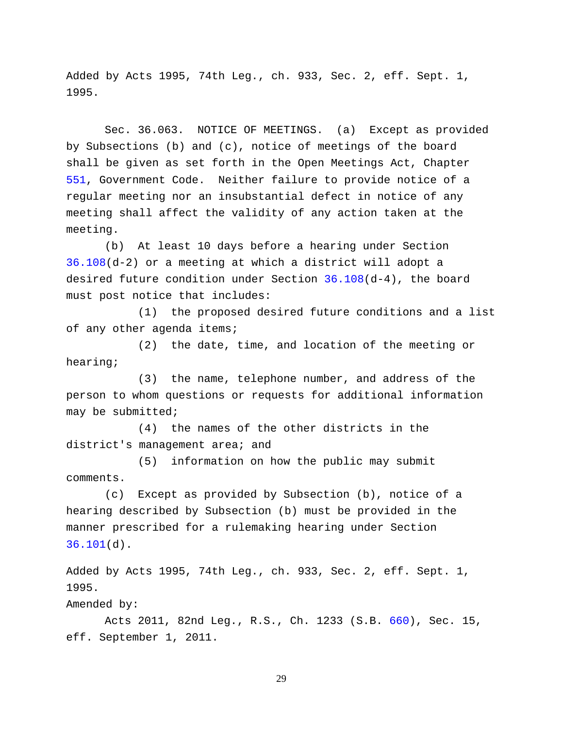Added by Acts 1995, 74th Leg., ch. 933, Sec. 2, eff. Sept. 1, 1995.

Sec. 36.063. NOTICE OF MEETINGS. (a) Except as provided by Subsections (b) and (c), notice of meetings of the board shall be given as set forth in the Open Meetings Act, Chapter [551,](http://www.statutes.legis.state.tx.us/GetStatute.aspx?Code=GV&Value=551) Government Code. Neither failure to provide notice of a regular meeting nor an insubstantial defect in notice of any meeting shall affect the validity of any action taken at the meeting.

(b) At least 10 days before a hearing under Section [36.108\(](http://www.statutes.legis.state.tx.us/GetStatute.aspx?Code=WA&Value=36.108)d-2) or a meeting at which a district will adopt a desired future condition under Section [36.108\(](http://www.statutes.legis.state.tx.us/GetStatute.aspx?Code=WA&Value=36.108)d-4), the board must post notice that includes:

(1) the proposed desired future conditions and a list of any other agenda items;

(2) the date, time, and location of the meeting or hearing;

(3) the name, telephone number, and address of the person to whom questions or requests for additional information may be submitted;

(4) the names of the other districts in the district's management area; and

(5) information on how the public may submit comments.

(c) Except as provided by Subsection (b), notice of a hearing described by Subsection (b) must be provided in the manner prescribed for a rulemaking hearing under Section [36.101\(](http://www.statutes.legis.state.tx.us/GetStatute.aspx?Code=WA&Value=36.101)d).

Added by Acts 1995, 74th Leg., ch. 933, Sec. 2, eff. Sept. 1, 1995.

Amended by:

Acts 2011, 82nd Leg., R.S., Ch. 1233 (S.B. [660\)](http://www.legis.state.tx.us/tlodocs/82R/billtext/html/SB00660F.HTM), Sec. 15, eff. September 1, 2011.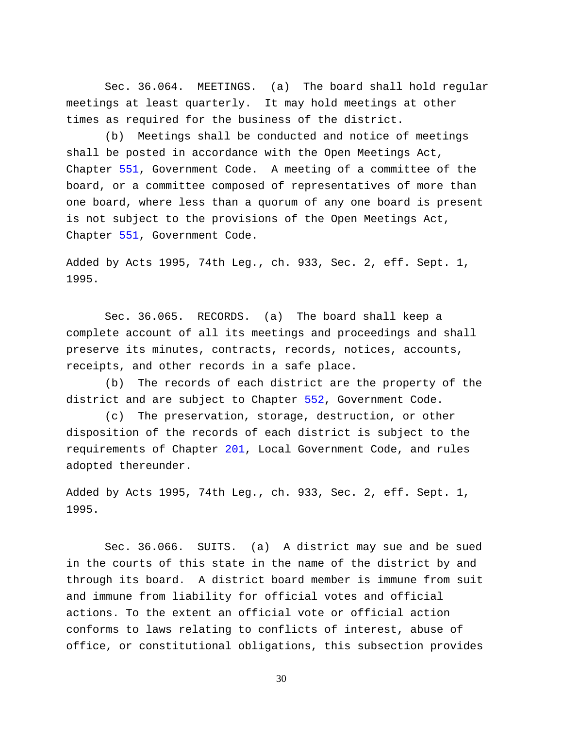Sec. 36.064. MEETINGS. (a) The board shall hold regular meetings at least quarterly. It may hold meetings at other times as required for the business of the district.

(b) Meetings shall be conducted and notice of meetings shall be posted in accordance with the Open Meetings Act, Chapter [551,](http://www.statutes.legis.state.tx.us/GetStatute.aspx?Code=GV&Value=551) Government Code. A meeting of a committee of the board, or a committee composed of representatives of more than one board, where less than a quorum of any one board is present is not subject to the provisions of the Open Meetings Act, Chapter [551,](http://www.statutes.legis.state.tx.us/GetStatute.aspx?Code=GV&Value=551) Government Code.

Added by Acts 1995, 74th Leg., ch. 933, Sec. 2, eff. Sept. 1, 1995.

Sec. 36.065. RECORDS. (a) The board shall keep a complete account of all its meetings and proceedings and shall preserve its minutes, contracts, records, notices, accounts, receipts, and other records in a safe place.

(b) The records of each district are the property of the district and are subject to Chapter [552,](http://www.statutes.legis.state.tx.us/GetStatute.aspx?Code=GV&Value=552) Government Code.

(c) The preservation, storage, destruction, or other disposition of the records of each district is subject to the requirements of Chapter [201,](http://www.statutes.legis.state.tx.us/GetStatute.aspx?Code=LG&Value=201) Local Government Code, and rules adopted thereunder.

Added by Acts 1995, 74th Leg., ch. 933, Sec. 2, eff. Sept. 1, 1995.

Sec. 36.066. SUITS. (a) A district may sue and be sued in the courts of this state in the name of the district by and through its board. A district board member is immune from suit and immune from liability for official votes and official actions. To the extent an official vote or official action conforms to laws relating to conflicts of interest, abuse of office, or constitutional obligations, this subsection provides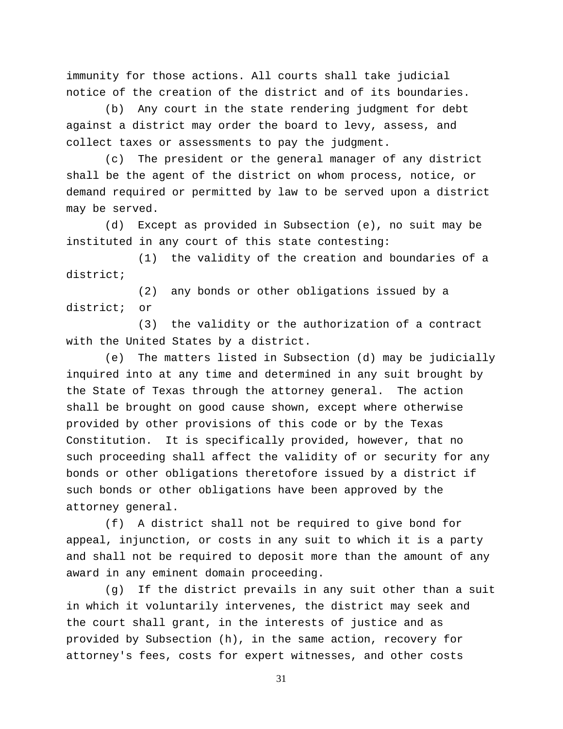immunity for those actions. All courts shall take judicial notice of the creation of the district and of its boundaries.

(b) Any court in the state rendering judgment for debt against a district may order the board to levy, assess, and collect taxes or assessments to pay the judgment.

(c) The president or the general manager of any district shall be the agent of the district on whom process, notice, or demand required or permitted by law to be served upon a district may be served.

(d) Except as provided in Subsection (e), no suit may be instituted in any court of this state contesting:

(1) the validity of the creation and boundaries of a district;

(2) any bonds or other obligations issued by a district; or

(3) the validity or the authorization of a contract with the United States by a district.

(e) The matters listed in Subsection (d) may be judicially inquired into at any time and determined in any suit brought by the State of Texas through the attorney general. The action shall be brought on good cause shown, except where otherwise provided by other provisions of this code or by the Texas Constitution. It is specifically provided, however, that no such proceeding shall affect the validity of or security for any bonds or other obligations theretofore issued by a district if such bonds or other obligations have been approved by the attorney general.

(f) A district shall not be required to give bond for appeal, injunction, or costs in any suit to which it is a party and shall not be required to deposit more than the amount of any award in any eminent domain proceeding.

(g) If the district prevails in any suit other than a suit in which it voluntarily intervenes, the district may seek and the court shall grant, in the interests of justice and as provided by Subsection (h), in the same action, recovery for attorney's fees, costs for expert witnesses, and other costs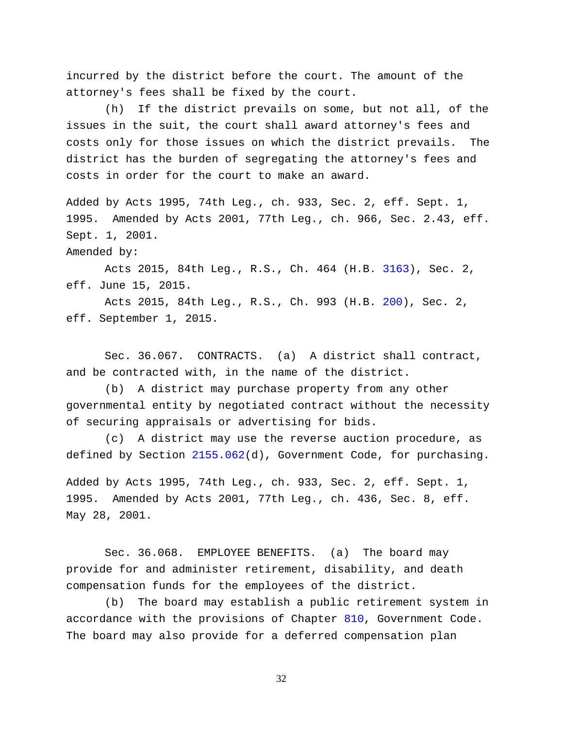incurred by the district before the court. The amount of the attorney's fees shall be fixed by the court.

(h) If the district prevails on some, but not all, of the issues in the suit, the court shall award attorney's fees and costs only for those issues on which the district prevails. The district has the burden of segregating the attorney's fees and costs in order for the court to make an award.

Added by Acts 1995, 74th Leg., ch. 933, Sec. 2, eff. Sept. 1, 1995. Amended by Acts 2001, 77th Leg., ch. 966, Sec. 2.43, eff. Sept. 1, 2001.

Amended by:

Acts 2015, 84th Leg., R.S., Ch. 464 (H.B. [3163\)](http://www.legis.state.tx.us/tlodocs/84R/billtext/html/HB03163F.HTM), Sec. 2, eff. June 15, 2015.

Acts 2015, 84th Leg., R.S., Ch. 993 (H.B. [200\)](http://www.legis.state.tx.us/tlodocs/84R/billtext/html/HB00200F.HTM), Sec. 2, eff. September 1, 2015.

Sec. 36.067. CONTRACTS. (a) A district shall contract, and be contracted with, in the name of the district.

(b) A district may purchase property from any other governmental entity by negotiated contract without the necessity of securing appraisals or advertising for bids.

(c) A district may use the reverse auction procedure, as defined by Section [2155.062\(](http://www.statutes.legis.state.tx.us/GetStatute.aspx?Code=GV&Value=2155.062)d), Government Code, for purchasing.

Added by Acts 1995, 74th Leg., ch. 933, Sec. 2, eff. Sept. 1, 1995. Amended by Acts 2001, 77th Leg., ch. 436, Sec. 8, eff. May 28, 2001.

Sec. 36.068. EMPLOYEE BENEFITS. (a) The board may provide for and administer retirement, disability, and death compensation funds for the employees of the district.

(b) The board may establish a public retirement system in accordance with the provisions of Chapter [810,](http://www.statutes.legis.state.tx.us/GetStatute.aspx?Code=GV&Value=810) Government Code. The board may also provide for a deferred compensation plan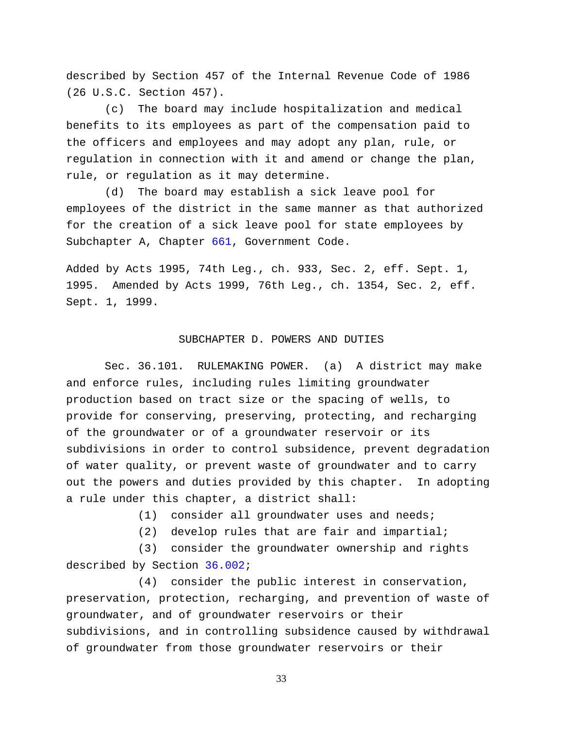described by Section 457 of the Internal Revenue Code of 1986 (26 U.S.C. Section 457).

(c) The board may include hospitalization and medical benefits to its employees as part of the compensation paid to the officers and employees and may adopt any plan, rule, or regulation in connection with it and amend or change the plan, rule, or regulation as it may determine.

(d) The board may establish a sick leave pool for employees of the district in the same manner as that authorized for the creation of a sick leave pool for state employees by Subchapter A, Chapter [661,](http://www.statutes.legis.state.tx.us/GetStatute.aspx?Code=GV&Value=661) Government Code.

Added by Acts 1995, 74th Leg., ch. 933, Sec. 2, eff. Sept. 1, 1995. Amended by Acts 1999, 76th Leg., ch. 1354, Sec. 2, eff. Sept. 1, 1999.

# SUBCHAPTER D. POWERS AND DUTIES

Sec. 36.101. RULEMAKING POWER. (a) A district may make and enforce rules, including rules limiting groundwater production based on tract size or the spacing of wells, to provide for conserving, preserving, protecting, and recharging of the groundwater or of a groundwater reservoir or its subdivisions in order to control subsidence, prevent degradation of water quality, or prevent waste of groundwater and to carry out the powers and duties provided by this chapter. In adopting a rule under this chapter, a district shall:

(1) consider all groundwater uses and needs;

(2) develop rules that are fair and impartial;

(3) consider the groundwater ownership and rights described by Section [36.002;](http://www.statutes.legis.state.tx.us/GetStatute.aspx?Code=WA&Value=36.002)

(4) consider the public interest in conservation, preservation, protection, recharging, and prevention of waste of groundwater, and of groundwater reservoirs or their subdivisions, and in controlling subsidence caused by withdrawal of groundwater from those groundwater reservoirs or their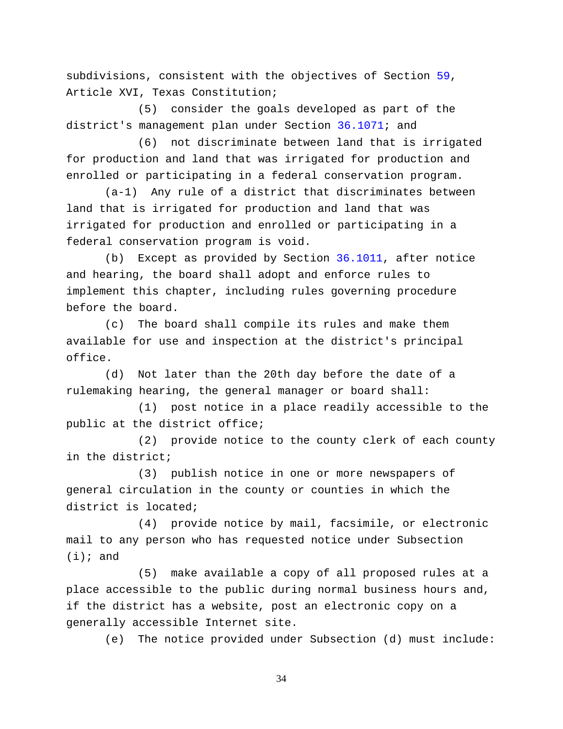subdivisions, consistent with the objectives of Section [59,](http://www.statutes.legis.state.tx.us/GetStatute.aspx?Code=CN&Value=16.59) Article XVI, Texas Constitution;

(5) consider the goals developed as part of the district's management plan under Section [36.1071;](http://www.statutes.legis.state.tx.us/GetStatute.aspx?Code=WA&Value=36.1071) and

(6) not discriminate between land that is irrigated for production and land that was irrigated for production and enrolled or participating in a federal conservation program.

(a-1) Any rule of a district that discriminates between land that is irrigated for production and land that was irrigated for production and enrolled or participating in a federal conservation program is void.

(b) Except as provided by Section [36.1011,](http://www.statutes.legis.state.tx.us/GetStatute.aspx?Code=WA&Value=36.1011) after notice and hearing, the board shall adopt and enforce rules to implement this chapter, including rules governing procedure before the board.

(c) The board shall compile its rules and make them available for use and inspection at the district's principal office.

(d) Not later than the 20th day before the date of a rulemaking hearing, the general manager or board shall:

(1) post notice in a place readily accessible to the public at the district office;

(2) provide notice to the county clerk of each county in the district;

(3) publish notice in one or more newspapers of general circulation in the county or counties in which the district is located;

(4) provide notice by mail, facsimile, or electronic mail to any person who has requested notice under Subsection  $(i);$  and

(5) make available a copy of all proposed rules at a place accessible to the public during normal business hours and, if the district has a website, post an electronic copy on a generally accessible Internet site.

(e) The notice provided under Subsection (d) must include: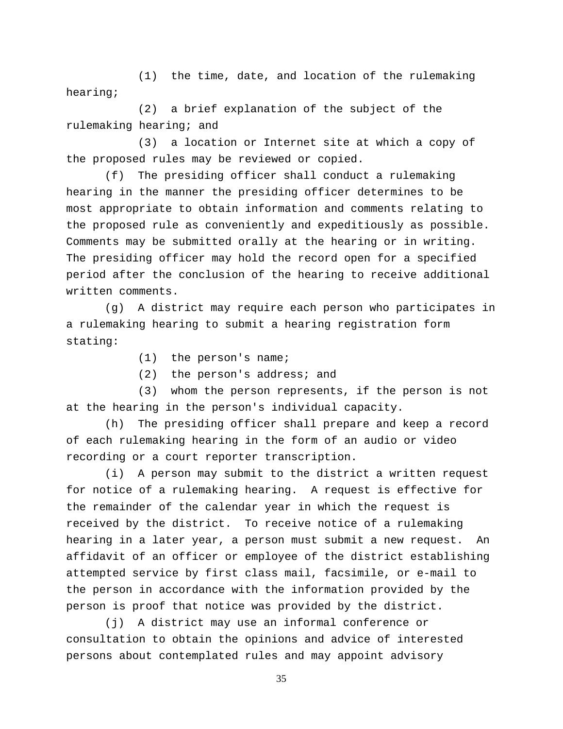(1) the time, date, and location of the rulemaking hearing;

(2) a brief explanation of the subject of the rulemaking hearing; and

(3) a location or Internet site at which a copy of the proposed rules may be reviewed or copied.

(f) The presiding officer shall conduct a rulemaking hearing in the manner the presiding officer determines to be most appropriate to obtain information and comments relating to the proposed rule as conveniently and expeditiously as possible. Comments may be submitted orally at the hearing or in writing. The presiding officer may hold the record open for a specified period after the conclusion of the hearing to receive additional written comments.

(g) A district may require each person who participates in a rulemaking hearing to submit a hearing registration form stating:

(1) the person's name;

(2) the person's address; and

(3) whom the person represents, if the person is not at the hearing in the person's individual capacity.

(h) The presiding officer shall prepare and keep a record of each rulemaking hearing in the form of an audio or video recording or a court reporter transcription.

(i) A person may submit to the district a written request for notice of a rulemaking hearing. A request is effective for the remainder of the calendar year in which the request is received by the district. To receive notice of a rulemaking hearing in a later year, a person must submit a new request. An affidavit of an officer or employee of the district establishing attempted service by first class mail, facsimile, or e-mail to the person in accordance with the information provided by the person is proof that notice was provided by the district.

(j) A district may use an informal conference or consultation to obtain the opinions and advice of interested persons about contemplated rules and may appoint advisory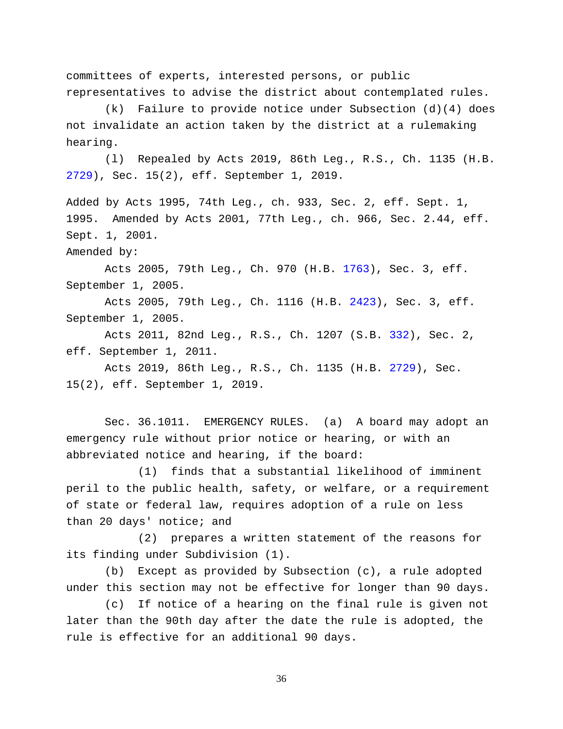committees of experts, interested persons, or public representatives to advise the district about contemplated rules.

(k) Failure to provide notice under Subsection (d)(4) does not invalidate an action taken by the district at a rulemaking hearing.

(l) Repealed by Acts 2019, 86th Leg., R.S., Ch. 1135 (H.B. [2729\)](http://www.legis.state.tx.us/tlodocs/86R/billtext/html/HB02729F.HTM), Sec. 15(2), eff. September 1, 2019.

Added by Acts 1995, 74th Leg., ch. 933, Sec. 2, eff. Sept. 1, 1995. Amended by Acts 2001, 77th Leg., ch. 966, Sec. 2.44, eff. Sept. 1, 2001.

Amended by:

Acts 2005, 79th Leg., Ch. 970 (H.B. [1763\)](http://www.legis.state.tx.us/tlodocs/79R/billtext/html/HB01763F.HTM), Sec. 3, eff. September 1, 2005.

Acts 2005, 79th Leg., Ch. 1116 (H.B. [2423\)](http://www.legis.state.tx.us/tlodocs/79R/billtext/html/HB02423F.HTM), Sec. 3, eff. September 1, 2005.

Acts 2011, 82nd Leg., R.S., Ch. 1207 (S.B. [332\)](http://www.legis.state.tx.us/tlodocs/82R/billtext/html/SB00332F.HTM), Sec. 2, eff. September 1, 2011.

Acts 2019, 86th Leg., R.S., Ch. 1135 (H.B. [2729\)](http://www.legis.state.tx.us/tlodocs/86R/billtext/html/HB02729F.HTM), Sec. 15(2), eff. September 1, 2019.

Sec. 36.1011. EMERGENCY RULES. (a) A board may adopt an emergency rule without prior notice or hearing, or with an abbreviated notice and hearing, if the board:

(1) finds that a substantial likelihood of imminent peril to the public health, safety, or welfare, or a requirement of state or federal law, requires adoption of a rule on less than 20 days' notice; and

(2) prepares a written statement of the reasons for its finding under Subdivision (1).

(b) Except as provided by Subsection (c), a rule adopted under this section may not be effective for longer than 90 days.

(c) If notice of a hearing on the final rule is given not later than the 90th day after the date the rule is adopted, the rule is effective for an additional 90 days.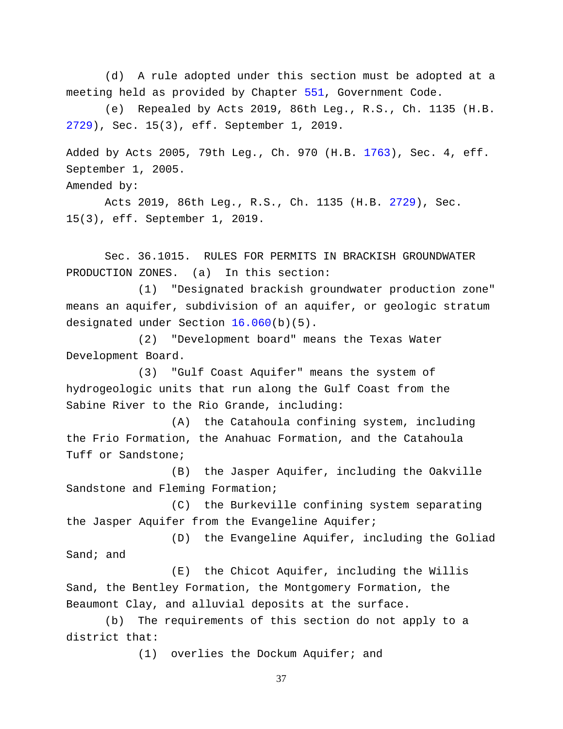(d) A rule adopted under this section must be adopted at a meeting held as provided by Chapter [551,](http://www.statutes.legis.state.tx.us/GetStatute.aspx?Code=GV&Value=551) Government Code.

(e) Repealed by Acts 2019, 86th Leg., R.S., Ch. 1135 (H.B. [2729\)](http://www.legis.state.tx.us/tlodocs/86R/billtext/html/HB02729F.HTM), Sec. 15(3), eff. September 1, 2019.

Added by Acts 2005, 79th Leg., Ch. 970 (H.B. [1763\)](http://www.legis.state.tx.us/tlodocs/79R/billtext/html/HB01763F.HTM), Sec. 4, eff. September 1, 2005.

Amended by:

Acts 2019, 86th Leg., R.S., Ch. 1135 (H.B. [2729\)](http://www.legis.state.tx.us/tlodocs/86R/billtext/html/HB02729F.HTM), Sec. 15(3), eff. September 1, 2019.

Sec. 36.1015. RULES FOR PERMITS IN BRACKISH GROUNDWATER PRODUCTION ZONES. (a) In this section:

(1) "Designated brackish groundwater production zone" means an aquifer, subdivision of an aquifer, or geologic stratum designated under Section [16.060\(](http://www.statutes.legis.state.tx.us/GetStatute.aspx?Code=WA&Value=16.060)b)(5).

(2) "Development board" means the Texas Water Development Board.

(3) "Gulf Coast Aquifer" means the system of hydrogeologic units that run along the Gulf Coast from the Sabine River to the Rio Grande, including:

(A) the Catahoula confining system, including the Frio Formation, the Anahuac Formation, and the Catahoula Tuff or Sandstone;

(B) the Jasper Aquifer, including the Oakville Sandstone and Fleming Formation;

(C) the Burkeville confining system separating the Jasper Aquifer from the Evangeline Aquifer;

(D) the Evangeline Aquifer, including the Goliad Sand; and

(E) the Chicot Aquifer, including the Willis Sand, the Bentley Formation, the Montgomery Formation, the Beaumont Clay, and alluvial deposits at the surface.

(b) The requirements of this section do not apply to a district that:

(1) overlies the Dockum Aquifer; and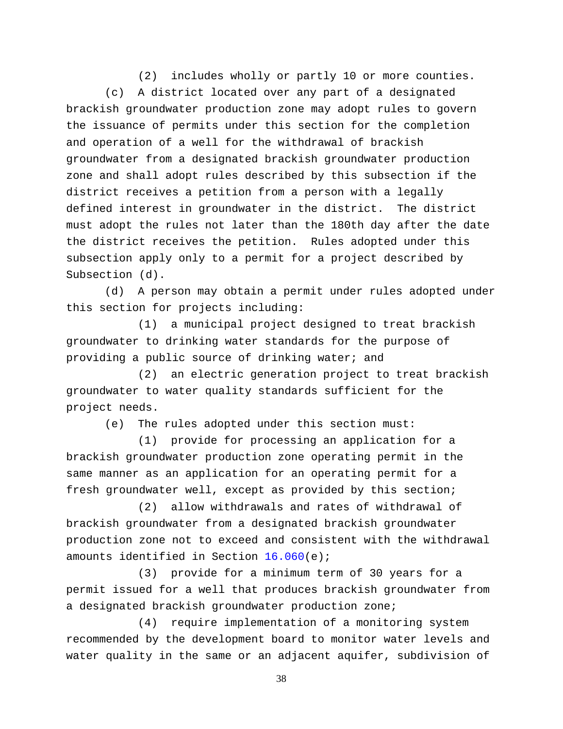(2) includes wholly or partly 10 or more counties.

(c) A district located over any part of a designated brackish groundwater production zone may adopt rules to govern the issuance of permits under this section for the completion and operation of a well for the withdrawal of brackish groundwater from a designated brackish groundwater production zone and shall adopt rules described by this subsection if the district receives a petition from a person with a legally defined interest in groundwater in the district. The district must adopt the rules not later than the 180th day after the date the district receives the petition. Rules adopted under this subsection apply only to a permit for a project described by Subsection (d).

(d) A person may obtain a permit under rules adopted under this section for projects including:

(1) a municipal project designed to treat brackish groundwater to drinking water standards for the purpose of providing a public source of drinking water; and

(2) an electric generation project to treat brackish groundwater to water quality standards sufficient for the project needs.

(e) The rules adopted under this section must:

(1) provide for processing an application for a brackish groundwater production zone operating permit in the same manner as an application for an operating permit for a fresh groundwater well, except as provided by this section;

(2) allow withdrawals and rates of withdrawal of brackish groundwater from a designated brackish groundwater production zone not to exceed and consistent with the withdrawal amounts identified in Section [16.060\(](http://www.statutes.legis.state.tx.us/GetStatute.aspx?Code=WA&Value=16.060)e);

(3) provide for a minimum term of 30 years for a permit issued for a well that produces brackish groundwater from a designated brackish groundwater production zone;

(4) require implementation of a monitoring system recommended by the development board to monitor water levels and water quality in the same or an adjacent aquifer, subdivision of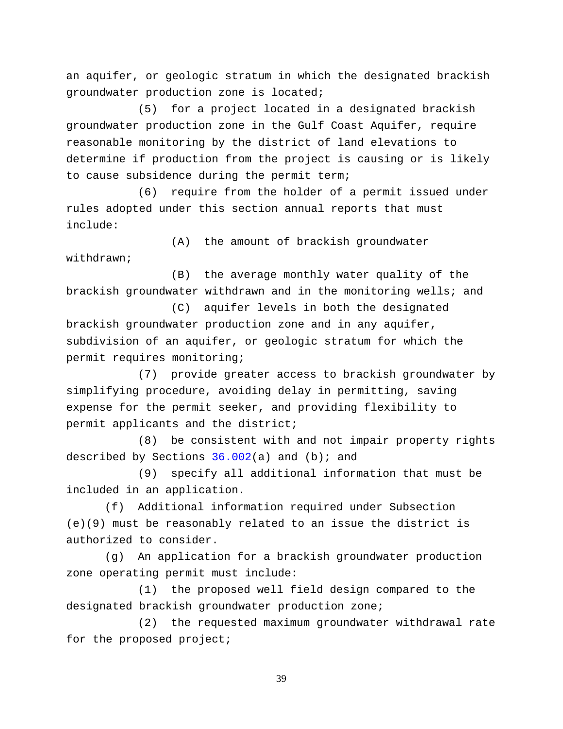an aquifer, or geologic stratum in which the designated brackish groundwater production zone is located;

(5) for a project located in a designated brackish groundwater production zone in the Gulf Coast Aquifer, require reasonable monitoring by the district of land elevations to determine if production from the project is causing or is likely to cause subsidence during the permit term;

(6) require from the holder of a permit issued under rules adopted under this section annual reports that must include:

(A) the amount of brackish groundwater withdrawn;

(B) the average monthly water quality of the brackish groundwater withdrawn and in the monitoring wells; and

(C) aquifer levels in both the designated brackish groundwater production zone and in any aquifer, subdivision of an aquifer, or geologic stratum for which the permit requires monitoring;

(7) provide greater access to brackish groundwater by simplifying procedure, avoiding delay in permitting, saving expense for the permit seeker, and providing flexibility to permit applicants and the district;

(8) be consistent with and not impair property rights described by Sections  $36.002(a)$  and (b); and

(9) specify all additional information that must be included in an application.

(f) Additional information required under Subsection (e)(9) must be reasonably related to an issue the district is authorized to consider.

(g) An application for a brackish groundwater production zone operating permit must include:

(1) the proposed well field design compared to the designated brackish groundwater production zone;

(2) the requested maximum groundwater withdrawal rate for the proposed project;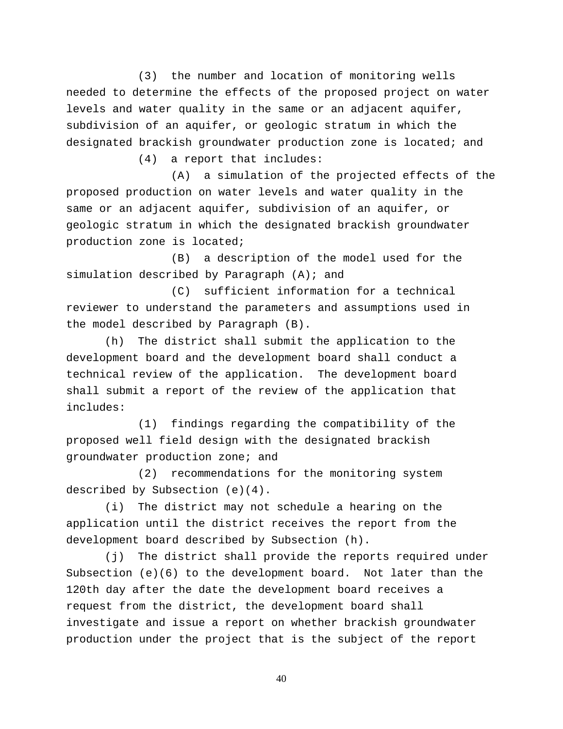(3) the number and location of monitoring wells needed to determine the effects of the proposed project on water levels and water quality in the same or an adjacent aquifer, subdivision of an aquifer, or geologic stratum in which the designated brackish groundwater production zone is located; and

(4) a report that includes:

(A) a simulation of the projected effects of the proposed production on water levels and water quality in the same or an adjacent aquifer, subdivision of an aquifer, or geologic stratum in which the designated brackish groundwater production zone is located;

(B) a description of the model used for the simulation described by Paragraph  $(A)$ ; and

(C) sufficient information for a technical reviewer to understand the parameters and assumptions used in the model described by Paragraph (B).

(h) The district shall submit the application to the development board and the development board shall conduct a technical review of the application. The development board shall submit a report of the review of the application that includes:

(1) findings regarding the compatibility of the proposed well field design with the designated brackish groundwater production zone; and

(2) recommendations for the monitoring system described by Subsection (e)(4).

(i) The district may not schedule a hearing on the application until the district receives the report from the development board described by Subsection (h).

(j) The district shall provide the reports required under Subsection (e)(6) to the development board. Not later than the 120th day after the date the development board receives a request from the district, the development board shall investigate and issue a report on whether brackish groundwater production under the project that is the subject of the report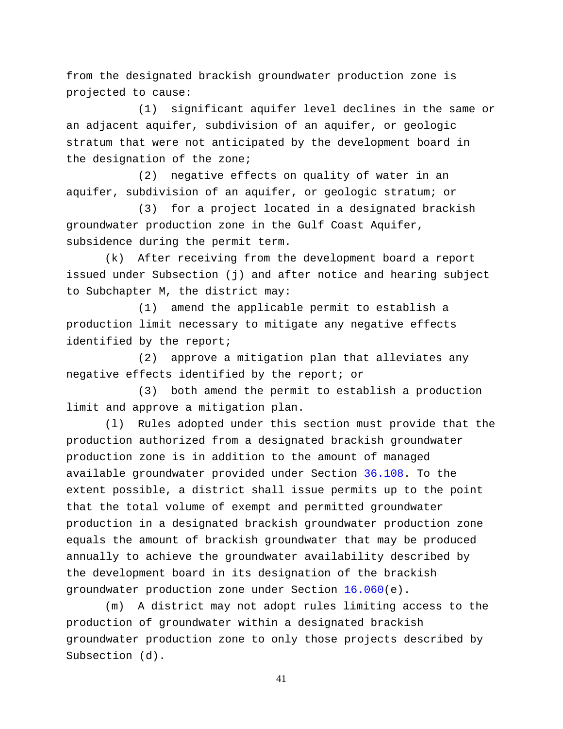from the designated brackish groundwater production zone is projected to cause:

(1) significant aquifer level declines in the same or an adjacent aquifer, subdivision of an aquifer, or geologic stratum that were not anticipated by the development board in the designation of the zone;

(2) negative effects on quality of water in an aquifer, subdivision of an aquifer, or geologic stratum; or

(3) for a project located in a designated brackish groundwater production zone in the Gulf Coast Aquifer, subsidence during the permit term.

(k) After receiving from the development board a report issued under Subsection (j) and after notice and hearing subject to Subchapter M, the district may:

(1) amend the applicable permit to establish a production limit necessary to mitigate any negative effects identified by the report;

(2) approve a mitigation plan that alleviates any negative effects identified by the report; or

(3) both amend the permit to establish a production limit and approve a mitigation plan.

(l) Rules adopted under this section must provide that the production authorized from a designated brackish groundwater production zone is in addition to the amount of managed available groundwater provided under Section [36.108.](http://www.statutes.legis.state.tx.us/GetStatute.aspx?Code=WA&Value=36.108) To the extent possible, a district shall issue permits up to the point that the total volume of exempt and permitted groundwater production in a designated brackish groundwater production zone equals the amount of brackish groundwater that may be produced annually to achieve the groundwater availability described by the development board in its designation of the brackish groundwater production zone under Section [16.060\(](http://www.statutes.legis.state.tx.us/GetStatute.aspx?Code=WA&Value=16.060)e).

(m) A district may not adopt rules limiting access to the production of groundwater within a designated brackish groundwater production zone to only those projects described by Subsection (d).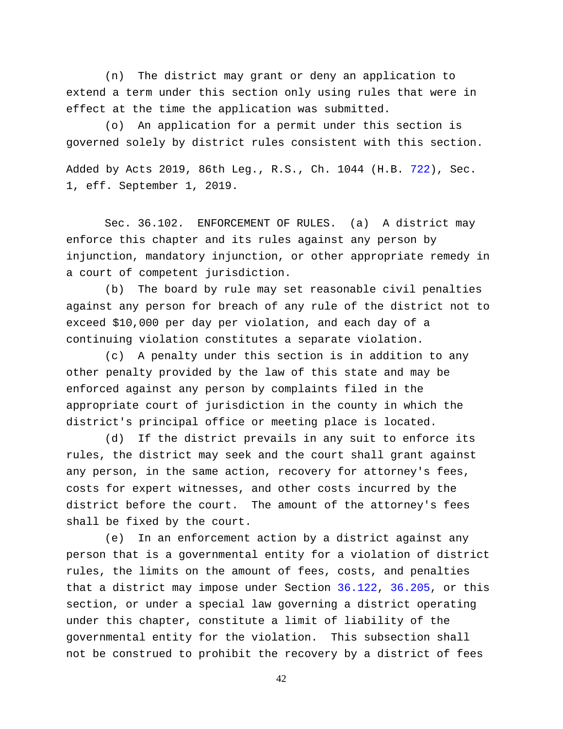(n) The district may grant or deny an application to extend a term under this section only using rules that were in effect at the time the application was submitted.

(o) An application for a permit under this section is governed solely by district rules consistent with this section.

Added by Acts 2019, 86th Leg., R.S., Ch. 1044 (H.B. [722\)](http://www.legis.state.tx.us/tlodocs/86R/billtext/html/HB00722F.HTM), Sec. 1, eff. September 1, 2019.

Sec. 36.102. ENFORCEMENT OF RULES. (a) A district may enforce this chapter and its rules against any person by injunction, mandatory injunction, or other appropriate remedy in a court of competent jurisdiction.

(b) The board by rule may set reasonable civil penalties against any person for breach of any rule of the district not to exceed \$10,000 per day per violation, and each day of a continuing violation constitutes a separate violation.

(c) A penalty under this section is in addition to any other penalty provided by the law of this state and may be enforced against any person by complaints filed in the appropriate court of jurisdiction in the county in which the district's principal office or meeting place is located.

(d) If the district prevails in any suit to enforce its rules, the district may seek and the court shall grant against any person, in the same action, recovery for attorney's fees, costs for expert witnesses, and other costs incurred by the district before the court. The amount of the attorney's fees shall be fixed by the court.

(e) In an enforcement action by a district against any person that is a governmental entity for a violation of district rules, the limits on the amount of fees, costs, and penalties that a district may impose under Section [36.122,](http://www.statutes.legis.state.tx.us/GetStatute.aspx?Code=WA&Value=36.122) [36.205,](http://www.statutes.legis.state.tx.us/GetStatute.aspx?Code=WA&Value=36.205) or this section, or under a special law governing a district operating under this chapter, constitute a limit of liability of the governmental entity for the violation. This subsection shall not be construed to prohibit the recovery by a district of fees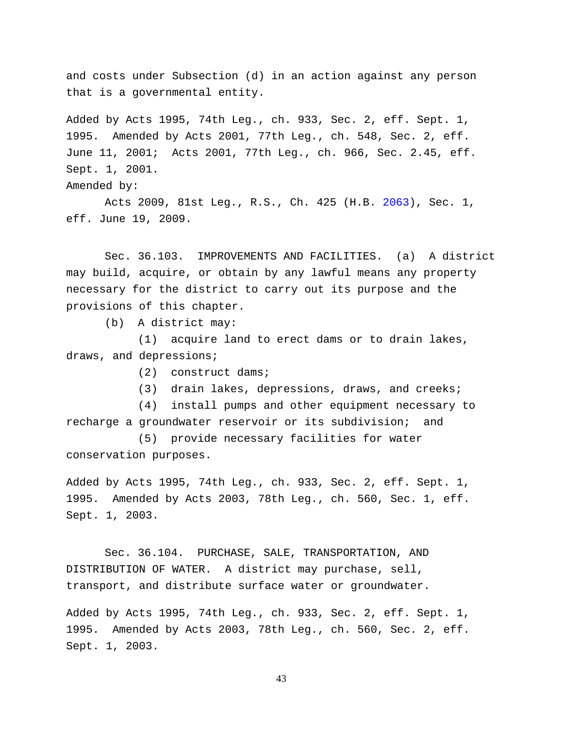and costs under Subsection (d) in an action against any person that is a governmental entity.

Added by Acts 1995, 74th Leg., ch. 933, Sec. 2, eff. Sept. 1, 1995. Amended by Acts 2001, 77th Leg., ch. 548, Sec. 2, eff. June 11, 2001; Acts 2001, 77th Leg., ch. 966, Sec. 2.45, eff. Sept. 1, 2001.

Amended by:

Acts 2009, 81st Leg., R.S., Ch. 425 (H.B. [2063\)](http://www.legis.state.tx.us/tlodocs/81R/billtext/html/HB02063F.HTM), Sec. 1, eff. June 19, 2009.

Sec. 36.103. IMPROVEMENTS AND FACILITIES. (a) A district may build, acquire, or obtain by any lawful means any property necessary for the district to carry out its purpose and the provisions of this chapter.

(b) A district may:

(1) acquire land to erect dams or to drain lakes, draws, and depressions;

(2) construct dams;

(3) drain lakes, depressions, draws, and creeks;

(4) install pumps and other equipment necessary to recharge a groundwater reservoir or its subdivision; and

(5) provide necessary facilities for water conservation purposes.

Added by Acts 1995, 74th Leg., ch. 933, Sec. 2, eff. Sept. 1, 1995. Amended by Acts 2003, 78th Leg., ch. 560, Sec. 1, eff. Sept. 1, 2003.

Sec. 36.104. PURCHASE, SALE, TRANSPORTATION, AND DISTRIBUTION OF WATER. A district may purchase, sell, transport, and distribute surface water or groundwater.

Added by Acts 1995, 74th Leg., ch. 933, Sec. 2, eff. Sept. 1, 1995. Amended by Acts 2003, 78th Leg., ch. 560, Sec. 2, eff. Sept. 1, 2003.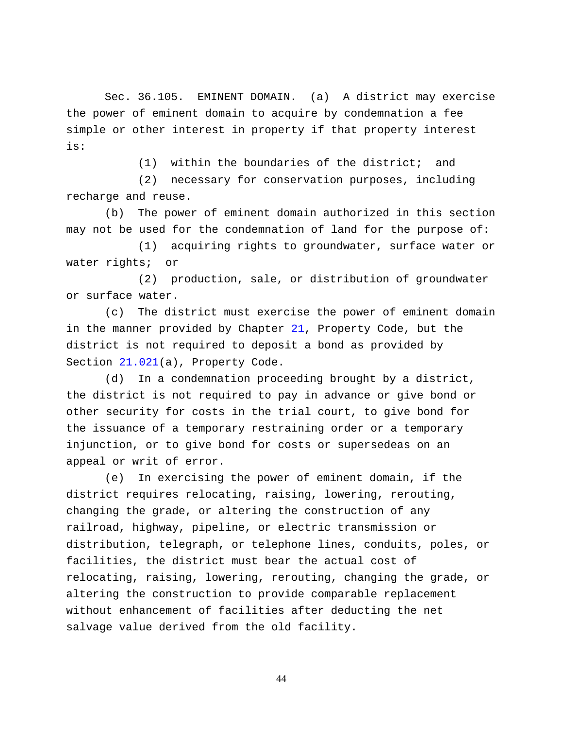Sec. 36.105. EMINENT DOMAIN. (a) A district may exercise the power of eminent domain to acquire by condemnation a fee simple or other interest in property if that property interest is:

(1) within the boundaries of the district; and

(2) necessary for conservation purposes, including recharge and reuse.

(b) The power of eminent domain authorized in this section may not be used for the condemnation of land for the purpose of:

(1) acquiring rights to groundwater, surface water or water rights; or

(2) production, sale, or distribution of groundwater or surface water.

(c) The district must exercise the power of eminent domain in the manner provided by Chapter [21,](http://www.statutes.legis.state.tx.us/GetStatute.aspx?Code=PR&Value=21) Property Code, but the district is not required to deposit a bond as provided by Section [21.021\(](http://www.statutes.legis.state.tx.us/GetStatute.aspx?Code=PR&Value=21.021)a), Property Code.

(d) In a condemnation proceeding brought by a district, the district is not required to pay in advance or give bond or other security for costs in the trial court, to give bond for the issuance of a temporary restraining order or a temporary injunction, or to give bond for costs or supersedeas on an appeal or writ of error.

(e) In exercising the power of eminent domain, if the district requires relocating, raising, lowering, rerouting, changing the grade, or altering the construction of any railroad, highway, pipeline, or electric transmission or distribution, telegraph, or telephone lines, conduits, poles, or facilities, the district must bear the actual cost of relocating, raising, lowering, rerouting, changing the grade, or altering the construction to provide comparable replacement without enhancement of facilities after deducting the net salvage value derived from the old facility.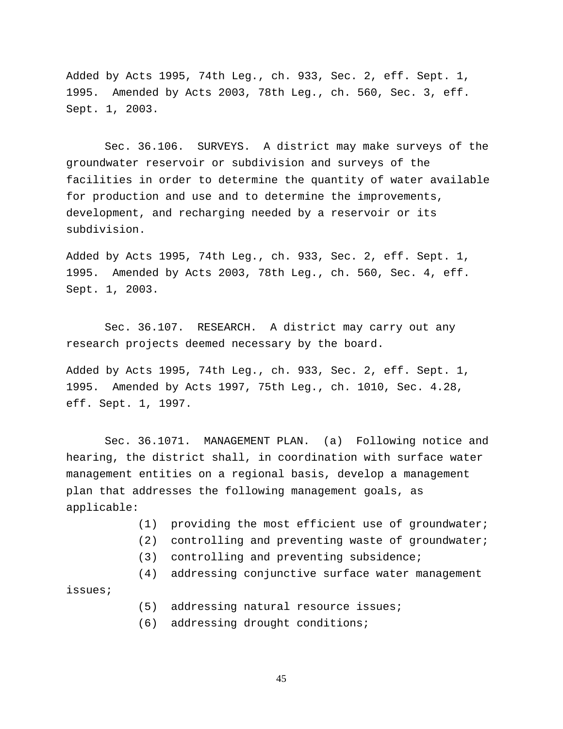Added by Acts 1995, 74th Leg., ch. 933, Sec. 2, eff. Sept. 1, 1995. Amended by Acts 2003, 78th Leg., ch. 560, Sec. 3, eff. Sept. 1, 2003.

Sec. 36.106. SURVEYS. A district may make surveys of the groundwater reservoir or subdivision and surveys of the facilities in order to determine the quantity of water available for production and use and to determine the improvements, development, and recharging needed by a reservoir or its subdivision.

Added by Acts 1995, 74th Leg., ch. 933, Sec. 2, eff. Sept. 1, 1995. Amended by Acts 2003, 78th Leg., ch. 560, Sec. 4, eff. Sept. 1, 2003.

Sec. 36.107. RESEARCH. A district may carry out any research projects deemed necessary by the board.

Added by Acts 1995, 74th Leg., ch. 933, Sec. 2, eff. Sept. 1, 1995. Amended by Acts 1997, 75th Leg., ch. 1010, Sec. 4.28, eff. Sept. 1, 1997.

Sec. 36.1071. MANAGEMENT PLAN. (a) Following notice and hearing, the district shall, in coordination with surface water management entities on a regional basis, develop a management plan that addresses the following management goals, as applicable:

- (1) providing the most efficient use of groundwater;
- (2) controlling and preventing waste of groundwater;
- (3) controlling and preventing subsidence;
- (4) addressing conjunctive surface water management

issues;

- (5) addressing natural resource issues;
- (6) addressing drought conditions;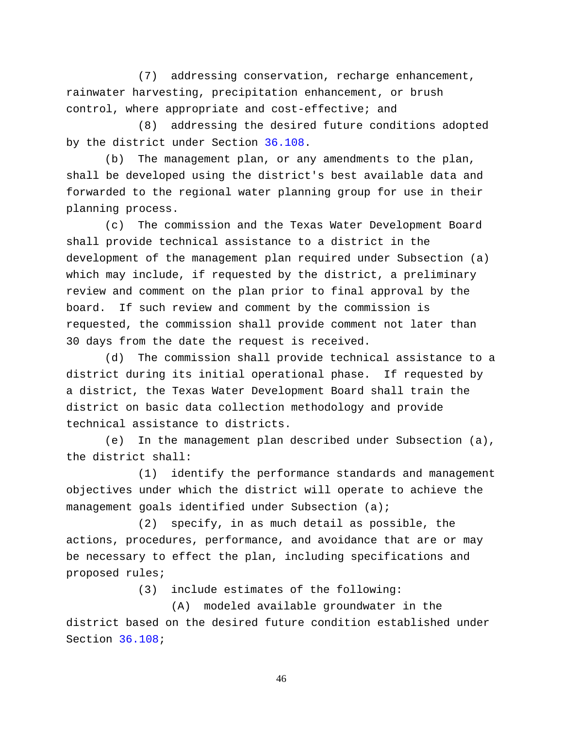(7) addressing conservation, recharge enhancement, rainwater harvesting, precipitation enhancement, or brush control, where appropriate and cost-effective; and

(8) addressing the desired future conditions adopted by the district under Section [36.108.](http://www.statutes.legis.state.tx.us/GetStatute.aspx?Code=WA&Value=36.108)

(b) The management plan, or any amendments to the plan, shall be developed using the district's best available data and forwarded to the regional water planning group for use in their planning process.

(c) The commission and the Texas Water Development Board shall provide technical assistance to a district in the development of the management plan required under Subsection (a) which may include, if requested by the district, a preliminary review and comment on the plan prior to final approval by the board. If such review and comment by the commission is requested, the commission shall provide comment not later than 30 days from the date the request is received.

(d) The commission shall provide technical assistance to a district during its initial operational phase. If requested by a district, the Texas Water Development Board shall train the district on basic data collection methodology and provide technical assistance to districts.

(e) In the management plan described under Subsection (a), the district shall:

(1) identify the performance standards and management objectives under which the district will operate to achieve the management goals identified under Subsection (a);

(2) specify, in as much detail as possible, the actions, procedures, performance, and avoidance that are or may be necessary to effect the plan, including specifications and proposed rules;

(3) include estimates of the following:

(A) modeled available groundwater in the district based on the desired future condition established under Section [36.108;](http://www.statutes.legis.state.tx.us/GetStatute.aspx?Code=WA&Value=36.108)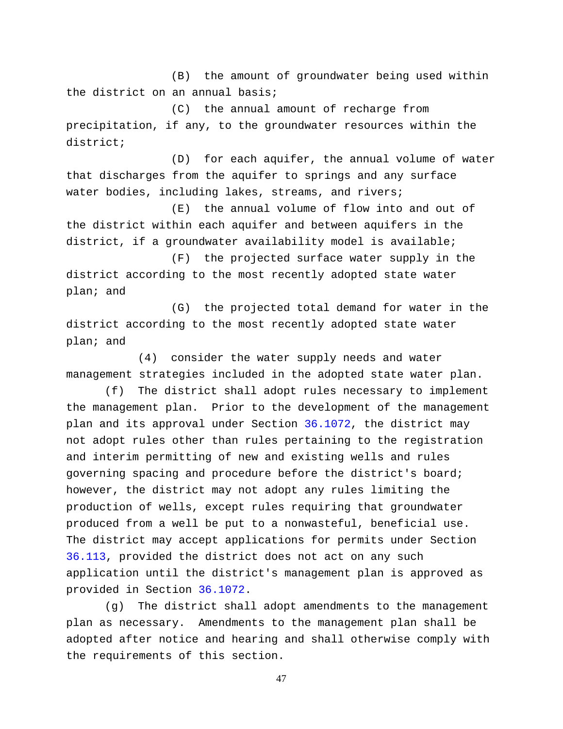(B) the amount of groundwater being used within the district on an annual basis;

(C) the annual amount of recharge from precipitation, if any, to the groundwater resources within the district;

(D) for each aquifer, the annual volume of water that discharges from the aquifer to springs and any surface water bodies, including lakes, streams, and rivers;

(E) the annual volume of flow into and out of the district within each aquifer and between aquifers in the district, if a groundwater availability model is available;

(F) the projected surface water supply in the district according to the most recently adopted state water plan; and

(G) the projected total demand for water in the district according to the most recently adopted state water plan; and

(4) consider the water supply needs and water management strategies included in the adopted state water plan.

(f) The district shall adopt rules necessary to implement the management plan. Prior to the development of the management plan and its approval under Section [36.1072,](http://www.statutes.legis.state.tx.us/GetStatute.aspx?Code=WA&Value=36.1072) the district may not adopt rules other than rules pertaining to the registration and interim permitting of new and existing wells and rules governing spacing and procedure before the district's board; however, the district may not adopt any rules limiting the production of wells, except rules requiring that groundwater produced from a well be put to a nonwasteful, beneficial use. The district may accept applications for permits under Section [36.113,](http://www.statutes.legis.state.tx.us/GetStatute.aspx?Code=WA&Value=36.113) provided the district does not act on any such application until the district's management plan is approved as provided in Section [36.1072.](http://www.statutes.legis.state.tx.us/GetStatute.aspx?Code=WA&Value=36.1072)

(g) The district shall adopt amendments to the management plan as necessary. Amendments to the management plan shall be adopted after notice and hearing and shall otherwise comply with the requirements of this section.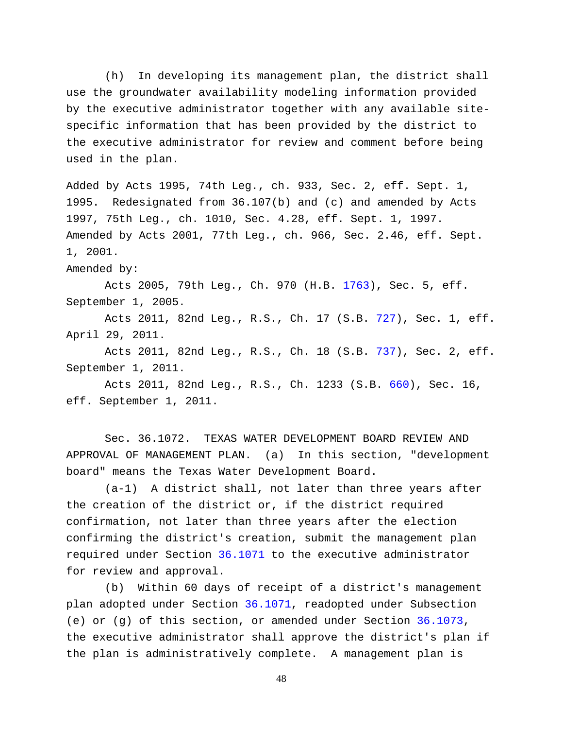(h) In developing its management plan, the district shall use the groundwater availability modeling information provided by the executive administrator together with any available sitespecific information that has been provided by the district to the executive administrator for review and comment before being used in the plan.

Added by Acts 1995, 74th Leg., ch. 933, Sec. 2, eff. Sept. 1, 1995. Redesignated from 36.107(b) and (c) and amended by Acts 1997, 75th Leg., ch. 1010, Sec. 4.28, eff. Sept. 1, 1997. Amended by Acts 2001, 77th Leg., ch. 966, Sec. 2.46, eff. Sept. 1, 2001.

Amended by:

Acts 2005, 79th Leg., Ch. 970 (H.B. [1763\)](http://www.legis.state.tx.us/tlodocs/79R/billtext/html/HB01763F.HTM), Sec. 5, eff. September 1, 2005.

Acts 2011, 82nd Leg., R.S., Ch. 17 (S.B. [727\)](http://www.legis.state.tx.us/tlodocs/82R/billtext/html/SB00727F.HTM), Sec. 1, eff. April 29, 2011.

Acts 2011, 82nd Leg., R.S., Ch. 18 (S.B. [737\)](http://www.legis.state.tx.us/tlodocs/82R/billtext/html/SB00737F.HTM), Sec. 2, eff. September 1, 2011.

Acts 2011, 82nd Leg., R.S., Ch. 1233 (S.B. [660\)](http://www.legis.state.tx.us/tlodocs/82R/billtext/html/SB00660F.HTM), Sec. 16, eff. September 1, 2011.

Sec. 36.1072. TEXAS WATER DEVELOPMENT BOARD REVIEW AND APPROVAL OF MANAGEMENT PLAN. (a) In this section, "development board" means the Texas Water Development Board.

(a-1) A district shall, not later than three years after the creation of the district or, if the district required confirmation, not later than three years after the election confirming the district's creation, submit the management plan required under Section [36.1071](http://www.statutes.legis.state.tx.us/GetStatute.aspx?Code=WA&Value=36.1071) to the executive administrator for review and approval.

(b) Within 60 days of receipt of a district's management plan adopted under Section [36.1071,](http://www.statutes.legis.state.tx.us/GetStatute.aspx?Code=WA&Value=36.1071) readopted under Subsection (e) or (g) of this section, or amended under Section [36.1073,](http://www.statutes.legis.state.tx.us/GetStatute.aspx?Code=WA&Value=36.1073) the executive administrator shall approve the district's plan if the plan is administratively complete. A management plan is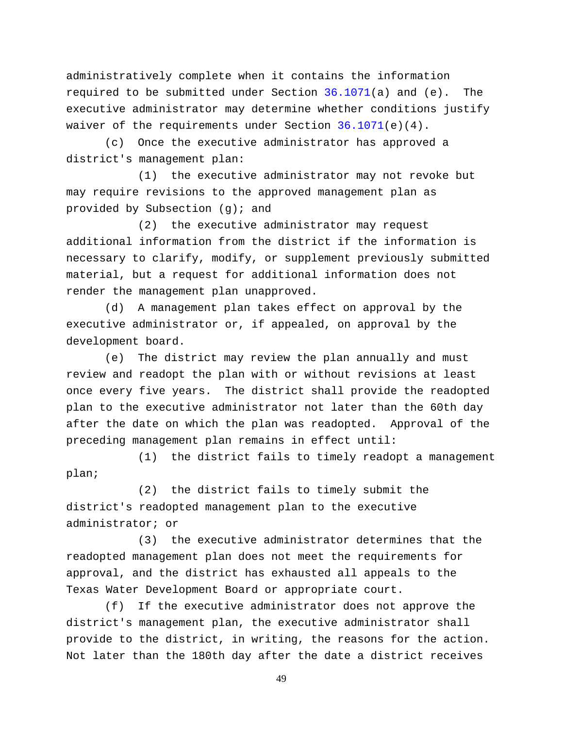administratively complete when it contains the information required to be submitted under Section [36.1071\(](http://www.statutes.legis.state.tx.us/GetStatute.aspx?Code=WA&Value=36.1071)a) and (e). The executive administrator may determine whether conditions justify waiver of the requirements under Section  $36.1071(e)(4)$ .

(c) Once the executive administrator has approved a district's management plan:

(1) the executive administrator may not revoke but may require revisions to the approved management plan as provided by Subsection (g); and

(2) the executive administrator may request additional information from the district if the information is necessary to clarify, modify, or supplement previously submitted material, but a request for additional information does not render the management plan unapproved.

(d) A management plan takes effect on approval by the executive administrator or, if appealed, on approval by the development board.

(e) The district may review the plan annually and must review and readopt the plan with or without revisions at least once every five years. The district shall provide the readopted plan to the executive administrator not later than the 60th day after the date on which the plan was readopted. Approval of the preceding management plan remains in effect until:

(1) the district fails to timely readopt a management plan;

(2) the district fails to timely submit the district's readopted management plan to the executive administrator; or

(3) the executive administrator determines that the readopted management plan does not meet the requirements for approval, and the district has exhausted all appeals to the Texas Water Development Board or appropriate court.

(f) If the executive administrator does not approve the district's management plan, the executive administrator shall provide to the district, in writing, the reasons for the action. Not later than the 180th day after the date a district receives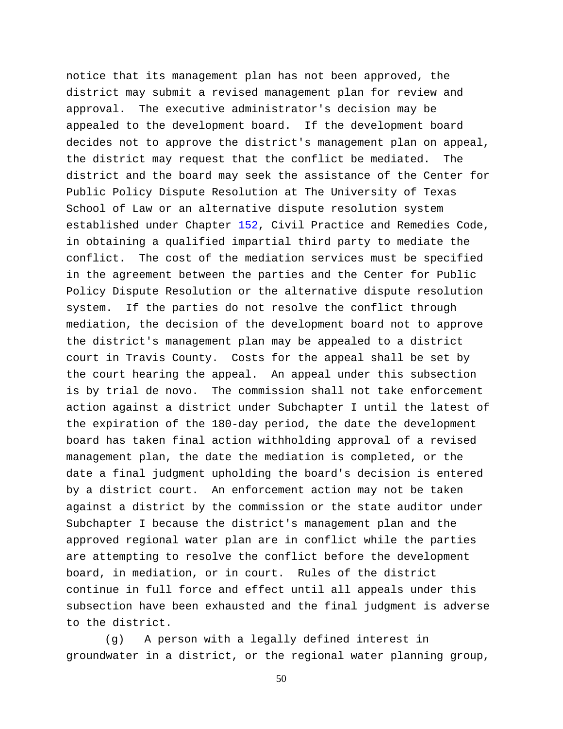notice that its management plan has not been approved, the district may submit a revised management plan for review and approval. The executive administrator's decision may be appealed to the development board. If the development board decides not to approve the district's management plan on appeal, the district may request that the conflict be mediated. The district and the board may seek the assistance of the Center for Public Policy Dispute Resolution at The University of Texas School of Law or an alternative dispute resolution system established under Chapter [152,](http://www.statutes.legis.state.tx.us/GetStatute.aspx?Code=CP&Value=152) Civil Practice and Remedies Code, in obtaining a qualified impartial third party to mediate the conflict. The cost of the mediation services must be specified in the agreement between the parties and the Center for Public Policy Dispute Resolution or the alternative dispute resolution system. If the parties do not resolve the conflict through mediation, the decision of the development board not to approve the district's management plan may be appealed to a district court in Travis County. Costs for the appeal shall be set by the court hearing the appeal. An appeal under this subsection is by trial de novo. The commission shall not take enforcement action against a district under Subchapter I until the latest of the expiration of the 180-day period, the date the development board has taken final action withholding approval of a revised management plan, the date the mediation is completed, or the date a final judgment upholding the board's decision is entered by a district court. An enforcement action may not be taken against a district by the commission or the state auditor under Subchapter I because the district's management plan and the approved regional water plan are in conflict while the parties are attempting to resolve the conflict before the development board, in mediation, or in court. Rules of the district continue in full force and effect until all appeals under this subsection have been exhausted and the final judgment is adverse to the district.

(g) A person with a legally defined interest in groundwater in a district, or the regional water planning group,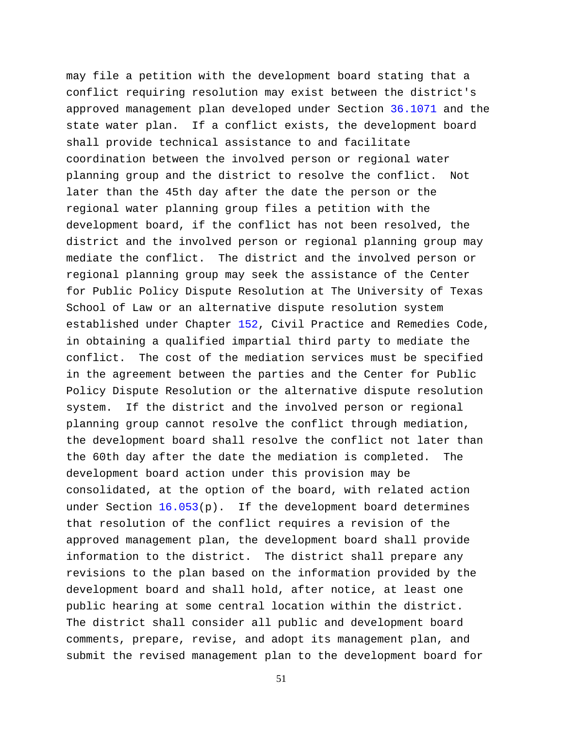may file a petition with the development board stating that a conflict requiring resolution may exist between the district's approved management plan developed under Section [36.1071](http://www.statutes.legis.state.tx.us/GetStatute.aspx?Code=WA&Value=36.1071) and the state water plan. If a conflict exists, the development board shall provide technical assistance to and facilitate coordination between the involved person or regional water planning group and the district to resolve the conflict. Not later than the 45th day after the date the person or the regional water planning group files a petition with the development board, if the conflict has not been resolved, the district and the involved person or regional planning group may mediate the conflict. The district and the involved person or regional planning group may seek the assistance of the Center for Public Policy Dispute Resolution at The University of Texas School of Law or an alternative dispute resolution system established under Chapter [152,](http://www.statutes.legis.state.tx.us/GetStatute.aspx?Code=CP&Value=152) Civil Practice and Remedies Code, in obtaining a qualified impartial third party to mediate the conflict. The cost of the mediation services must be specified in the agreement between the parties and the Center for Public Policy Dispute Resolution or the alternative dispute resolution system. If the district and the involved person or regional planning group cannot resolve the conflict through mediation, the development board shall resolve the conflict not later than the 60th day after the date the mediation is completed. The development board action under this provision may be consolidated, at the option of the board, with related action under Section [16.053\(](http://www.statutes.legis.state.tx.us/GetStatute.aspx?Code=WA&Value=16.053)p). If the development board determines that resolution of the conflict requires a revision of the approved management plan, the development board shall provide information to the district. The district shall prepare any revisions to the plan based on the information provided by the development board and shall hold, after notice, at least one public hearing at some central location within the district. The district shall consider all public and development board comments, prepare, revise, and adopt its management plan, and submit the revised management plan to the development board for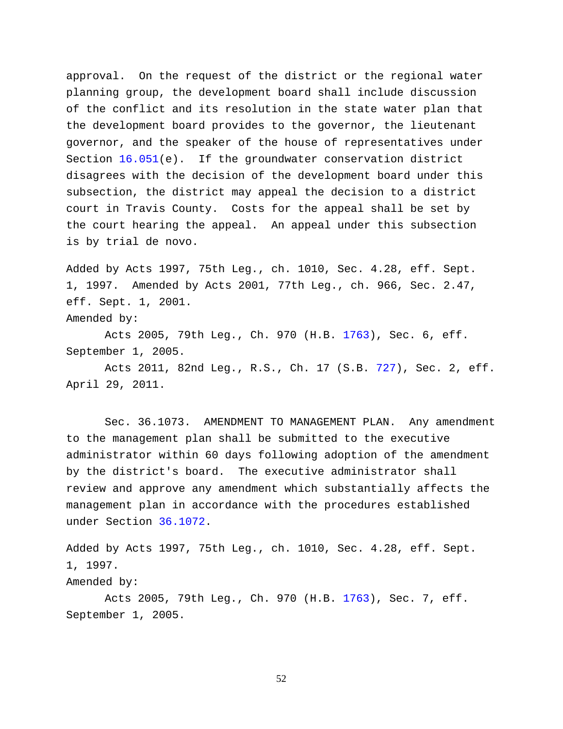approval. On the request of the district or the regional water planning group, the development board shall include discussion of the conflict and its resolution in the state water plan that the development board provides to the governor, the lieutenant governor, and the speaker of the house of representatives under Section [16.051\(](http://www.statutes.legis.state.tx.us/GetStatute.aspx?Code=WA&Value=16.051)e). If the groundwater conservation district disagrees with the decision of the development board under this subsection, the district may appeal the decision to a district court in Travis County. Costs for the appeal shall be set by the court hearing the appeal. An appeal under this subsection is by trial de novo.

Added by Acts 1997, 75th Leg., ch. 1010, Sec. 4.28, eff. Sept. 1, 1997. Amended by Acts 2001, 77th Leg., ch. 966, Sec. 2.47, eff. Sept. 1, 2001.

Amended by:

Acts 2005, 79th Leg., Ch. 970 (H.B. [1763\)](http://www.legis.state.tx.us/tlodocs/79R/billtext/html/HB01763F.HTM), Sec. 6, eff. September 1, 2005.

Acts 2011, 82nd Leg., R.S., Ch. 17 (S.B. [727\)](http://www.legis.state.tx.us/tlodocs/82R/billtext/html/SB00727F.HTM), Sec. 2, eff. April 29, 2011.

Sec. 36.1073. AMENDMENT TO MANAGEMENT PLAN. Any amendment to the management plan shall be submitted to the executive administrator within 60 days following adoption of the amendment by the district's board. The executive administrator shall review and approve any amendment which substantially affects the management plan in accordance with the procedures established under Section [36.1072.](http://www.statutes.legis.state.tx.us/GetStatute.aspx?Code=WA&Value=36.1072)

Added by Acts 1997, 75th Leg., ch. 1010, Sec. 4.28, eff. Sept. 1, 1997.

Amended by:

Acts 2005, 79th Leg., Ch. 970 (H.B. [1763\)](http://www.legis.state.tx.us/tlodocs/79R/billtext/html/HB01763F.HTM), Sec. 7, eff. September 1, 2005.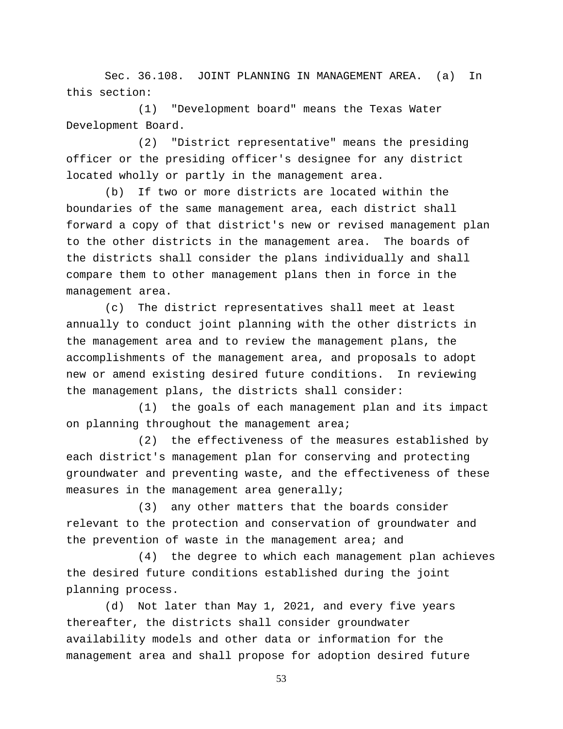Sec. 36.108. JOINT PLANNING IN MANAGEMENT AREA. (a) In this section:

(1) "Development board" means the Texas Water Development Board.

(2) "District representative" means the presiding officer or the presiding officer's designee for any district located wholly or partly in the management area.

(b) If two or more districts are located within the boundaries of the same management area, each district shall forward a copy of that district's new or revised management plan to the other districts in the management area. The boards of the districts shall consider the plans individually and shall compare them to other management plans then in force in the management area.

(c) The district representatives shall meet at least annually to conduct joint planning with the other districts in the management area and to review the management plans, the accomplishments of the management area, and proposals to adopt new or amend existing desired future conditions. In reviewing the management plans, the districts shall consider:

(1) the goals of each management plan and its impact on planning throughout the management area;

(2) the effectiveness of the measures established by each district's management plan for conserving and protecting groundwater and preventing waste, and the effectiveness of these measures in the management area generally;

(3) any other matters that the boards consider relevant to the protection and conservation of groundwater and the prevention of waste in the management area; and

(4) the degree to which each management plan achieves the desired future conditions established during the joint planning process.

(d) Not later than May 1, 2021, and every five years thereafter, the districts shall consider groundwater availability models and other data or information for the management area and shall propose for adoption desired future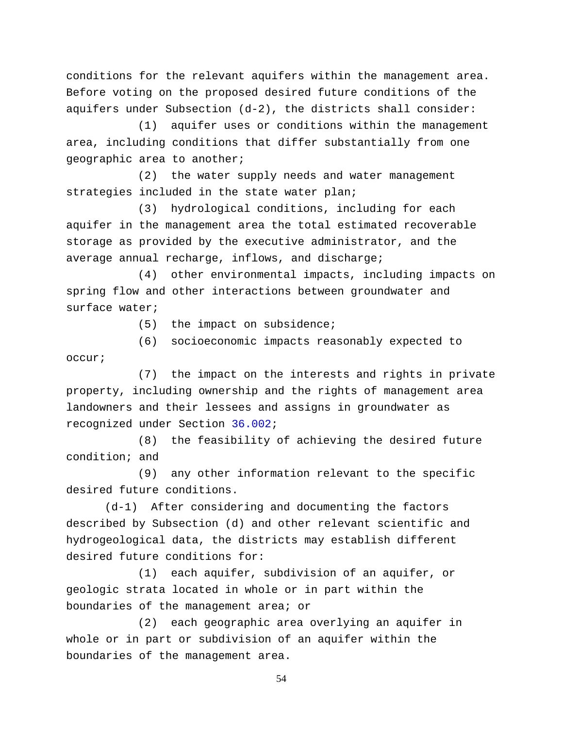conditions for the relevant aquifers within the management area. Before voting on the proposed desired future conditions of the aquifers under Subsection (d-2), the districts shall consider:

(1) aquifer uses or conditions within the management area, including conditions that differ substantially from one geographic area to another;

(2) the water supply needs and water management strategies included in the state water plan;

(3) hydrological conditions, including for each aquifer in the management area the total estimated recoverable storage as provided by the executive administrator, and the average annual recharge, inflows, and discharge;

(4) other environmental impacts, including impacts on spring flow and other interactions between groundwater and surface water;

(5) the impact on subsidence;

(6) socioeconomic impacts reasonably expected to occur;

(7) the impact on the interests and rights in private property, including ownership and the rights of management area landowners and their lessees and assigns in groundwater as recognized under Section [36.002;](http://www.statutes.legis.state.tx.us/GetStatute.aspx?Code=WA&Value=36.002)

(8) the feasibility of achieving the desired future condition; and

(9) any other information relevant to the specific desired future conditions.

(d-1) After considering and documenting the factors described by Subsection (d) and other relevant scientific and hydrogeological data, the districts may establish different desired future conditions for:

(1) each aquifer, subdivision of an aquifer, or geologic strata located in whole or in part within the boundaries of the management area; or

(2) each geographic area overlying an aquifer in whole or in part or subdivision of an aquifer within the boundaries of the management area.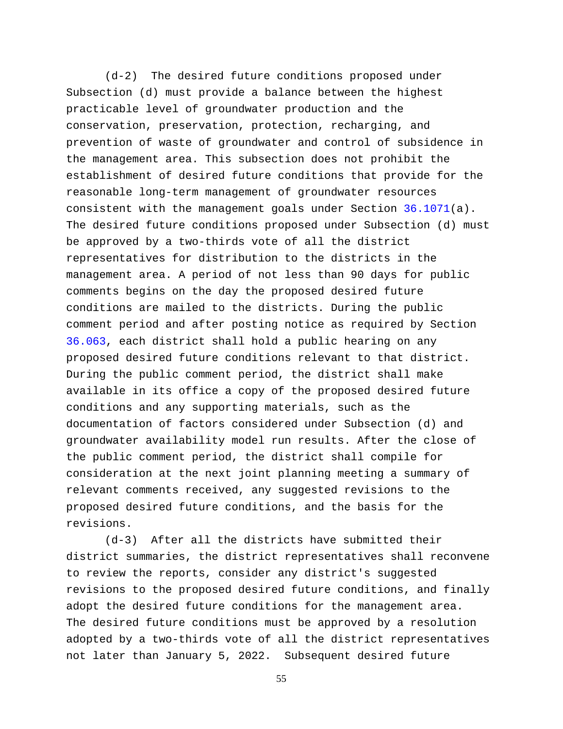(d-2) The desired future conditions proposed under Subsection (d) must provide a balance between the highest practicable level of groundwater production and the conservation, preservation, protection, recharging, and prevention of waste of groundwater and control of subsidence in the management area. This subsection does not prohibit the establishment of desired future conditions that provide for the reasonable long-term management of groundwater resources consistent with the management goals under Section [36.1071\(](http://www.statutes.legis.state.tx.us/GetStatute.aspx?Code=WA&Value=36.1071)a). The desired future conditions proposed under Subsection (d) must be approved by a two-thirds vote of all the district representatives for distribution to the districts in the management area. A period of not less than 90 days for public comments begins on the day the proposed desired future conditions are mailed to the districts. During the public comment period and after posting notice as required by Section [36.063,](http://www.statutes.legis.state.tx.us/GetStatute.aspx?Code=WA&Value=36.063) each district shall hold a public hearing on any proposed desired future conditions relevant to that district. During the public comment period, the district shall make available in its office a copy of the proposed desired future conditions and any supporting materials, such as the documentation of factors considered under Subsection (d) and groundwater availability model run results. After the close of the public comment period, the district shall compile for consideration at the next joint planning meeting a summary of relevant comments received, any suggested revisions to the proposed desired future conditions, and the basis for the revisions.

(d-3) After all the districts have submitted their district summaries, the district representatives shall reconvene to review the reports, consider any district's suggested revisions to the proposed desired future conditions, and finally adopt the desired future conditions for the management area. The desired future conditions must be approved by a resolution adopted by a two-thirds vote of all the district representatives not later than January 5, 2022. Subsequent desired future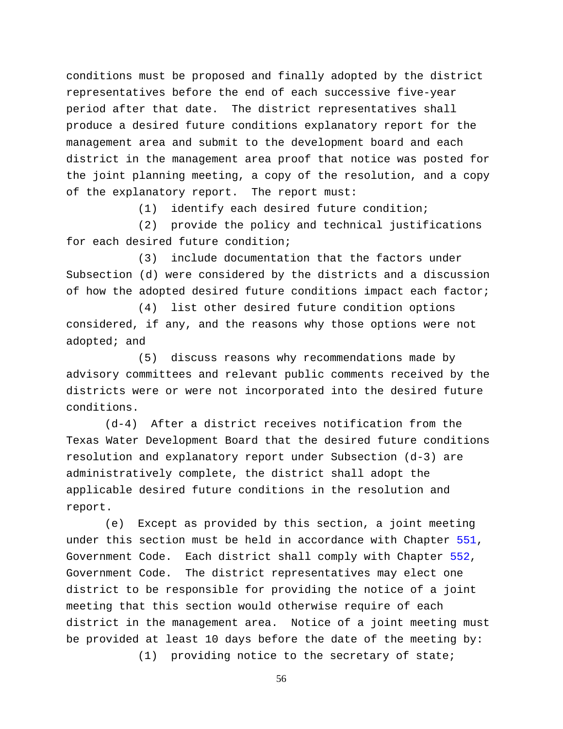conditions must be proposed and finally adopted by the district representatives before the end of each successive five-year period after that date. The district representatives shall produce a desired future conditions explanatory report for the management area and submit to the development board and each district in the management area proof that notice was posted for the joint planning meeting, a copy of the resolution, and a copy of the explanatory report. The report must:

(1) identify each desired future condition;

(2) provide the policy and technical justifications for each desired future condition;

(3) include documentation that the factors under Subsection (d) were considered by the districts and a discussion of how the adopted desired future conditions impact each factor;

(4) list other desired future condition options considered, if any, and the reasons why those options were not adopted; and

(5) discuss reasons why recommendations made by advisory committees and relevant public comments received by the districts were or were not incorporated into the desired future conditions.

(d-4) After a district receives notification from the Texas Water Development Board that the desired future conditions resolution and explanatory report under Subsection (d-3) are administratively complete, the district shall adopt the applicable desired future conditions in the resolution and report.

(e) Except as provided by this section, a joint meeting under this section must be held in accordance with Chapter [551,](http://www.statutes.legis.state.tx.us/GetStatute.aspx?Code=GV&Value=551) Government Code. Each district shall comply with Chapter [552,](http://www.statutes.legis.state.tx.us/GetStatute.aspx?Code=GV&Value=552) Government Code. The district representatives may elect one district to be responsible for providing the notice of a joint meeting that this section would otherwise require of each district in the management area. Notice of a joint meeting must be provided at least 10 days before the date of the meeting by:

(1) providing notice to the secretary of state;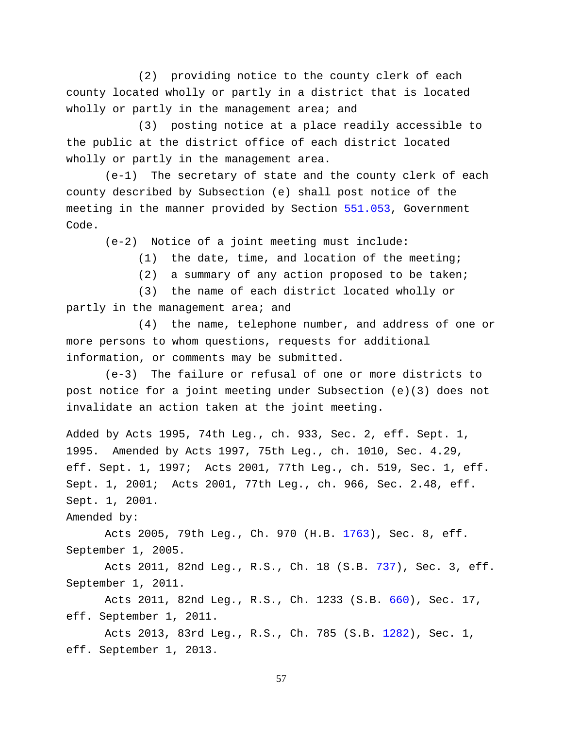(2) providing notice to the county clerk of each county located wholly or partly in a district that is located wholly or partly in the management area; and

(3) posting notice at a place readily accessible to the public at the district office of each district located wholly or partly in the management area.

(e-1) The secretary of state and the county clerk of each county described by Subsection (e) shall post notice of the meeting in the manner provided by Section [551.053,](http://www.statutes.legis.state.tx.us/GetStatute.aspx?Code=GV&Value=551.053) Government Code.

(e-2) Notice of a joint meeting must include:

(1) the date, time, and location of the meeting;

(2) a summary of any action proposed to be taken;

(3) the name of each district located wholly or partly in the management area; and

(4) the name, telephone number, and address of one or more persons to whom questions, requests for additional information, or comments may be submitted.

(e-3) The failure or refusal of one or more districts to post notice for a joint meeting under Subsection (e)(3) does not invalidate an action taken at the joint meeting.

Added by Acts 1995, 74th Leg., ch. 933, Sec. 2, eff. Sept. 1, 1995. Amended by Acts 1997, 75th Leg., ch. 1010, Sec. 4.29, eff. Sept. 1, 1997; Acts 2001, 77th Leg., ch. 519, Sec. 1, eff. Sept. 1, 2001; Acts 2001, 77th Leg., ch. 966, Sec. 2.48, eff. Sept. 1, 2001.

Amended by:

Acts 2005, 79th Leg., Ch. 970 (H.B. [1763\)](http://www.legis.state.tx.us/tlodocs/79R/billtext/html/HB01763F.HTM), Sec. 8, eff. September 1, 2005.

Acts 2011, 82nd Leg., R.S., Ch. 18 (S.B. [737\)](http://www.legis.state.tx.us/tlodocs/82R/billtext/html/SB00737F.HTM), Sec. 3, eff. September 1, 2011.

Acts 2011, 82nd Leg., R.S., Ch. 1233 (S.B. [660\)](http://www.legis.state.tx.us/tlodocs/82R/billtext/html/SB00660F.HTM), Sec. 17, eff. September 1, 2011.

Acts 2013, 83rd Leg., R.S., Ch. 785 (S.B. [1282\)](http://www.legis.state.tx.us/tlodocs/83R/billtext/html/SB01282F.HTM), Sec. 1, eff. September 1, 2013.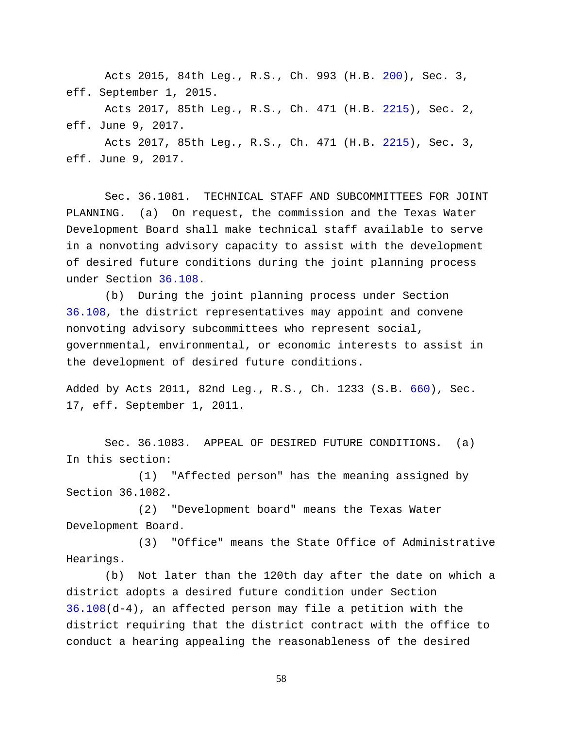Acts 2015, 84th Leg., R.S., Ch. 993 (H.B. [200\)](http://www.legis.state.tx.us/tlodocs/84R/billtext/html/HB00200F.HTM), Sec. 3, eff. September 1, 2015.

Acts 2017, 85th Leg., R.S., Ch. 471 (H.B. [2215\)](http://www.legis.state.tx.us/tlodocs/85R/billtext/html/HB02215F.HTM), Sec. 2, eff. June 9, 2017.

Acts 2017, 85th Leg., R.S., Ch. 471 (H.B. [2215\)](http://www.legis.state.tx.us/tlodocs/85R/billtext/html/HB02215F.HTM), Sec. 3, eff. June 9, 2017.

Sec. 36.1081. TECHNICAL STAFF AND SUBCOMMITTEES FOR JOINT PLANNING. (a) On request, the commission and the Texas Water Development Board shall make technical staff available to serve in a nonvoting advisory capacity to assist with the development of desired future conditions during the joint planning process under Section [36.108.](http://www.statutes.legis.state.tx.us/GetStatute.aspx?Code=WA&Value=36.108)

(b) During the joint planning process under Section [36.108,](http://www.statutes.legis.state.tx.us/GetStatute.aspx?Code=WA&Value=36.108) the district representatives may appoint and convene nonvoting advisory subcommittees who represent social, governmental, environmental, or economic interests to assist in the development of desired future conditions.

Added by Acts 2011, 82nd Leg., R.S., Ch. 1233 (S.B. [660\)](http://www.legis.state.tx.us/tlodocs/82R/billtext/html/SB00660F.HTM), Sec. 17, eff. September 1, 2011.

Sec. 36.1083. APPEAL OF DESIRED FUTURE CONDITIONS. (a) In this section:

(1) "Affected person" has the meaning assigned by Section 36.1082.

(2) "Development board" means the Texas Water Development Board.

(3) "Office" means the State Office of Administrative Hearings.

(b) Not later than the 120th day after the date on which a district adopts a desired future condition under Section [36.108\(](http://www.statutes.legis.state.tx.us/GetStatute.aspx?Code=WA&Value=36.108)d-4), an affected person may file a petition with the district requiring that the district contract with the office to conduct a hearing appealing the reasonableness of the desired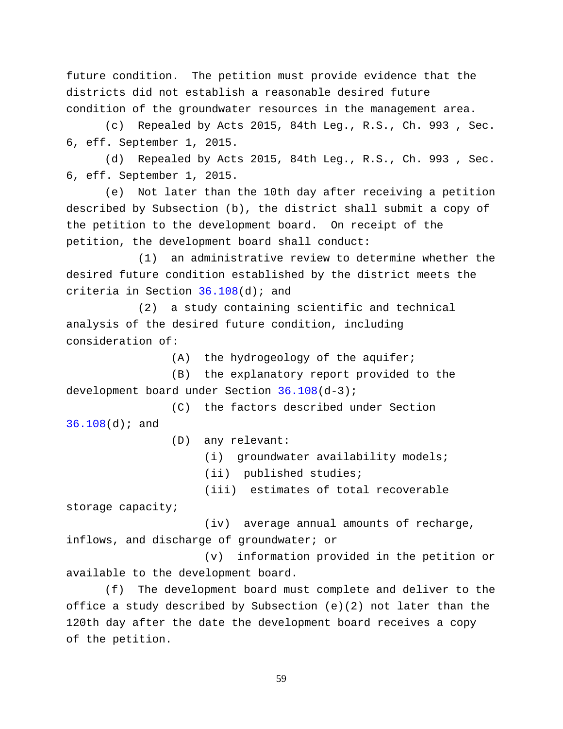future condition. The petition must provide evidence that the districts did not establish a reasonable desired future condition of the groundwater resources in the management area.

(c) Repealed by Acts 2015, 84th Leg., R.S., Ch. 993 , Sec. 6, eff. September 1, 2015.

(d) Repealed by Acts 2015, 84th Leg., R.S., Ch. 993 , Sec. 6, eff. September 1, 2015.

(e) Not later than the 10th day after receiving a petition described by Subsection (b), the district shall submit a copy of the petition to the development board. On receipt of the petition, the development board shall conduct:

(1) an administrative review to determine whether the desired future condition established by the district meets the criteria in Section [36.108\(](http://www.statutes.legis.state.tx.us/GetStatute.aspx?Code=WA&Value=36.108)d); and

(2) a study containing scientific and technical analysis of the desired future condition, including consideration of:

(A) the hydrogeology of the aquifer;

(B) the explanatory report provided to the development board under Section [36.108\(](http://www.statutes.legis.state.tx.us/GetStatute.aspx?Code=WA&Value=36.108)d-3);

(C) the factors described under Section [36.108\(](http://www.statutes.legis.state.tx.us/GetStatute.aspx?Code=WA&Value=36.108)d); and

(D) any relevant:

(i) groundwater availability models;

(ii) published studies;

(iii) estimates of total recoverable

storage capacity;

(iv) average annual amounts of recharge, inflows, and discharge of groundwater; or

(v) information provided in the petition or available to the development board.

(f) The development board must complete and deliver to the office a study described by Subsection (e)(2) not later than the 120th day after the date the development board receives a copy of the petition.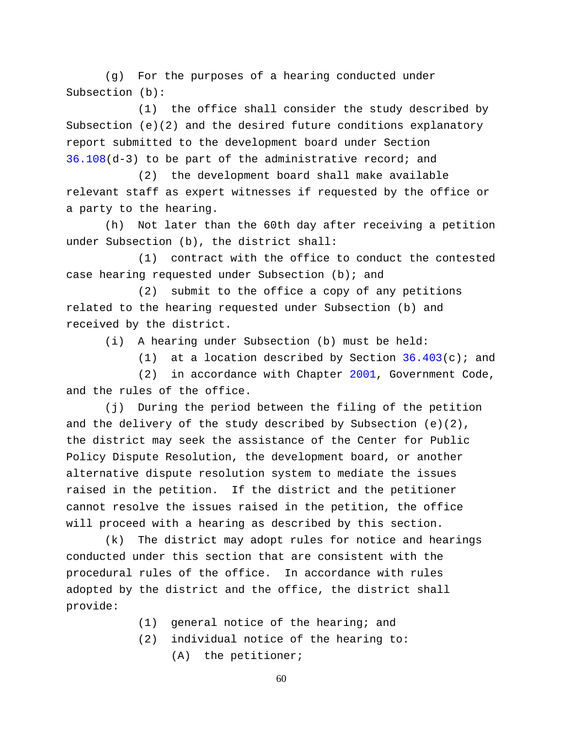(g) For the purposes of a hearing conducted under Subsection (b):

(1) the office shall consider the study described by Subsection  $(e)(2)$  and the desired future conditions explanatory report submitted to the development board under Section [36.108\(](http://www.statutes.legis.state.tx.us/GetStatute.aspx?Code=WA&Value=36.108)d-3) to be part of the administrative record; and

(2) the development board shall make available relevant staff as expert witnesses if requested by the office or a party to the hearing.

(h) Not later than the 60th day after receiving a petition under Subsection (b), the district shall:

(1) contract with the office to conduct the contested case hearing requested under Subsection (b); and

(2) submit to the office a copy of any petitions related to the hearing requested under Subsection (b) and received by the district.

(i) A hearing under Subsection (b) must be held:

(1) at a location described by Section  $36.403(c)$ ; and

(2) in accordance with Chapter [2001,](http://www.statutes.legis.state.tx.us/GetStatute.aspx?Code=GV&Value=2001) Government Code, and the rules of the office.

(j) During the period between the filing of the petition and the delivery of the study described by Subsection (e)(2), the district may seek the assistance of the Center for Public Policy Dispute Resolution, the development board, or another alternative dispute resolution system to mediate the issues raised in the petition. If the district and the petitioner cannot resolve the issues raised in the petition, the office will proceed with a hearing as described by this section.

(k) The district may adopt rules for notice and hearings conducted under this section that are consistent with the procedural rules of the office. In accordance with rules adopted by the district and the office, the district shall provide:

- (1) general notice of the hearing; and
- (2) individual notice of the hearing to: (A) the petitioner;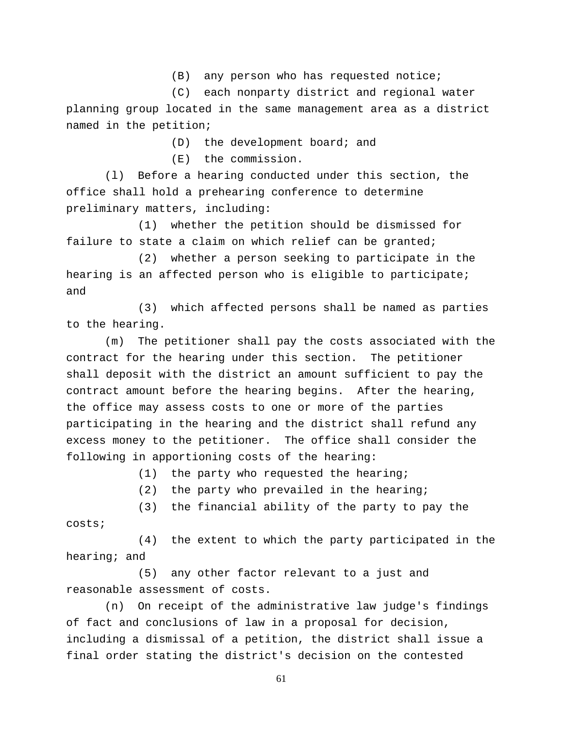(B) any person who has requested notice;

(C) each nonparty district and regional water planning group located in the same management area as a district named in the petition;

(D) the development board; and

(E) the commission.

(l) Before a hearing conducted under this section, the office shall hold a prehearing conference to determine preliminary matters, including:

(1) whether the petition should be dismissed for failure to state a claim on which relief can be granted;

(2) whether a person seeking to participate in the hearing is an affected person who is eligible to participate; and

(3) which affected persons shall be named as parties to the hearing.

(m) The petitioner shall pay the costs associated with the contract for the hearing under this section. The petitioner shall deposit with the district an amount sufficient to pay the contract amount before the hearing begins. After the hearing, the office may assess costs to one or more of the parties participating in the hearing and the district shall refund any excess money to the petitioner. The office shall consider the following in apportioning costs of the hearing:

(1) the party who requested the hearing;

(2) the party who prevailed in the hearing;

(3) the financial ability of the party to pay the costs;

(4) the extent to which the party participated in the hearing; and

(5) any other factor relevant to a just and reasonable assessment of costs.

(n) On receipt of the administrative law judge's findings of fact and conclusions of law in a proposal for decision, including a dismissal of a petition, the district shall issue a final order stating the district's decision on the contested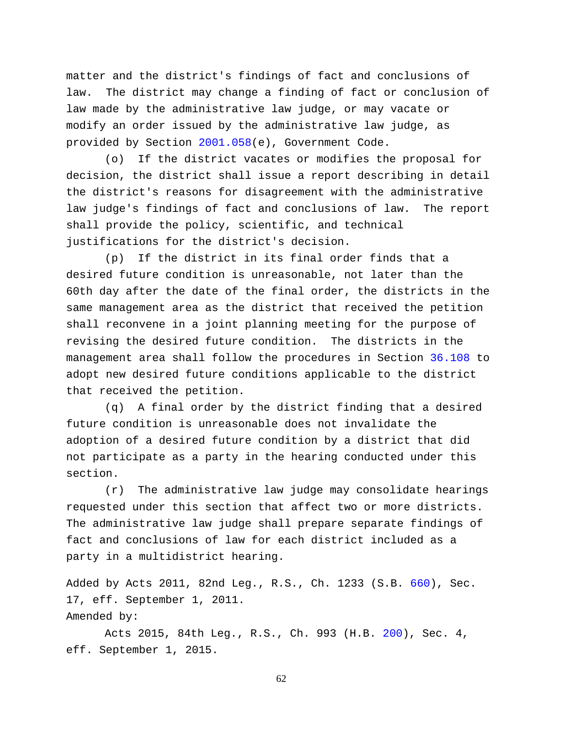matter and the district's findings of fact and conclusions of law. The district may change a finding of fact or conclusion of law made by the administrative law judge, or may vacate or modify an order issued by the administrative law judge, as provided by Section [2001.058\(](http://www.statutes.legis.state.tx.us/GetStatute.aspx?Code=GV&Value=2001.058)e), Government Code.

(o) If the district vacates or modifies the proposal for decision, the district shall issue a report describing in detail the district's reasons for disagreement with the administrative law judge's findings of fact and conclusions of law. The report shall provide the policy, scientific, and technical justifications for the district's decision.

(p) If the district in its final order finds that a desired future condition is unreasonable, not later than the 60th day after the date of the final order, the districts in the same management area as the district that received the petition shall reconvene in a joint planning meeting for the purpose of revising the desired future condition. The districts in the management area shall follow the procedures in Section [36.108](http://www.statutes.legis.state.tx.us/GetStatute.aspx?Code=WA&Value=36.108) to adopt new desired future conditions applicable to the district that received the petition.

(q) A final order by the district finding that a desired future condition is unreasonable does not invalidate the adoption of a desired future condition by a district that did not participate as a party in the hearing conducted under this section.

(r) The administrative law judge may consolidate hearings requested under this section that affect two or more districts. The administrative law judge shall prepare separate findings of fact and conclusions of law for each district included as a party in a multidistrict hearing.

Added by Acts 2011, 82nd Leg., R.S., Ch. 1233 (S.B. [660\)](http://www.legis.state.tx.us/tlodocs/82R/billtext/html/SB00660F.HTM), Sec. 17, eff. September 1, 2011. Amended by:

Acts 2015, 84th Leg., R.S., Ch. 993 (H.B. [200\)](http://www.legis.state.tx.us/tlodocs/84R/billtext/html/HB00200F.HTM), Sec. 4, eff. September 1, 2015.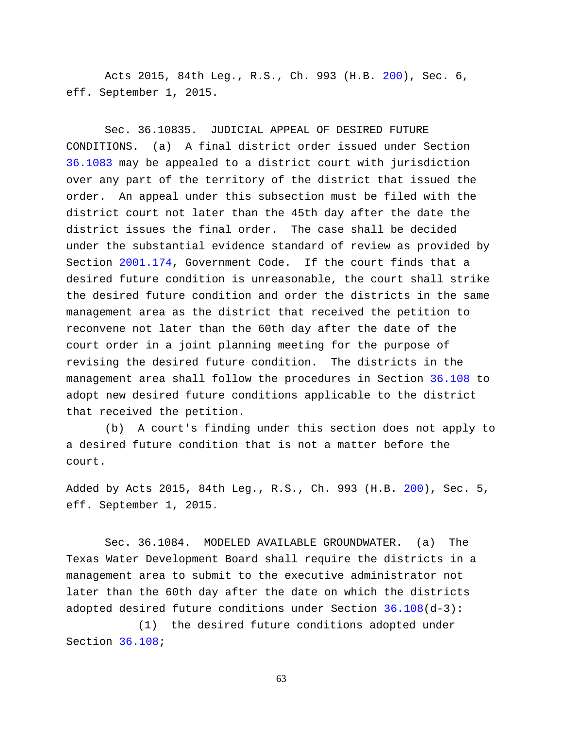Acts 2015, 84th Leg., R.S., Ch. 993 (H.B. [200\)](http://www.legis.state.tx.us/tlodocs/84R/billtext/html/HB00200F.HTM), Sec. 6, eff. September 1, 2015.

Sec. 36.10835. JUDICIAL APPEAL OF DESIRED FUTURE CONDITIONS. (a) A final district order issued under Section [36.1083](http://www.statutes.legis.state.tx.us/GetStatute.aspx?Code=WA&Value=36.1083) may be appealed to a district court with jurisdiction over any part of the territory of the district that issued the order. An appeal under this subsection must be filed with the district court not later than the 45th day after the date the district issues the final order. The case shall be decided under the substantial evidence standard of review as provided by Section [2001.174,](http://www.statutes.legis.state.tx.us/GetStatute.aspx?Code=GV&Value=2001.174) Government Code. If the court finds that a desired future condition is unreasonable, the court shall strike the desired future condition and order the districts in the same management area as the district that received the petition to reconvene not later than the 60th day after the date of the court order in a joint planning meeting for the purpose of revising the desired future condition. The districts in the management area shall follow the procedures in Section [36.108](http://www.statutes.legis.state.tx.us/GetStatute.aspx?Code=WA&Value=36.108) to adopt new desired future conditions applicable to the district that received the petition.

(b) A court's finding under this section does not apply to a desired future condition that is not a matter before the court.

Added by Acts 2015, 84th Leg., R.S., Ch. 993 (H.B. [200\)](http://www.legis.state.tx.us/tlodocs/84R/billtext/html/HB00200F.HTM), Sec. 5, eff. September 1, 2015.

Sec. 36.1084. MODELED AVAILABLE GROUNDWATER. (a) The Texas Water Development Board shall require the districts in a management area to submit to the executive administrator not later than the 60th day after the date on which the districts adopted desired future conditions under Section [36.108\(](http://www.statutes.legis.state.tx.us/GetStatute.aspx?Code=WA&Value=36.108)d-3):

(1) the desired future conditions adopted under Section [36.108;](http://www.statutes.legis.state.tx.us/GetStatute.aspx?Code=WA&Value=36.108)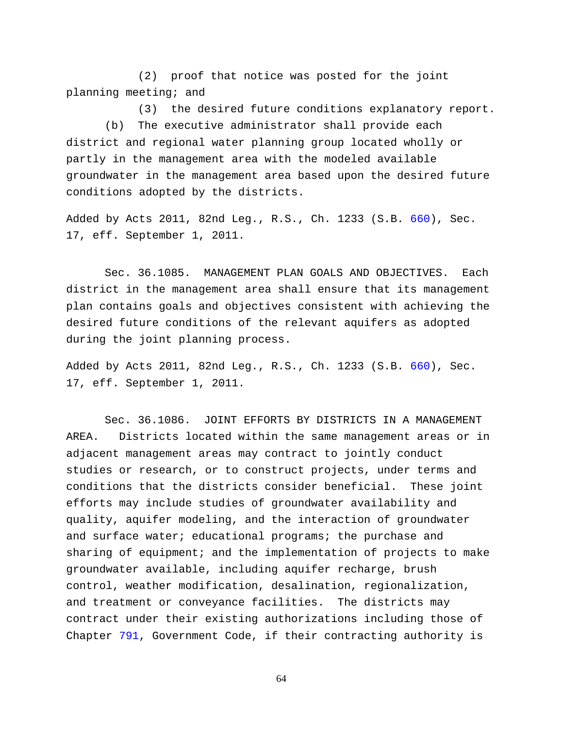(2) proof that notice was posted for the joint planning meeting; and

(3) the desired future conditions explanatory report. (b) The executive administrator shall provide each district and regional water planning group located wholly or partly in the management area with the modeled available groundwater in the management area based upon the desired future conditions adopted by the districts.

Added by Acts 2011, 82nd Leg., R.S., Ch. 1233 (S.B. [660\)](http://www.legis.state.tx.us/tlodocs/82R/billtext/html/SB00660F.HTM), Sec. 17, eff. September 1, 2011.

Sec. 36.1085. MANAGEMENT PLAN GOALS AND OBJECTIVES. Each district in the management area shall ensure that its management plan contains goals and objectives consistent with achieving the desired future conditions of the relevant aquifers as adopted during the joint planning process.

Added by Acts 2011, 82nd Leg., R.S., Ch. 1233 (S.B. [660\)](http://www.legis.state.tx.us/tlodocs/82R/billtext/html/SB00660F.HTM), Sec. 17, eff. September 1, 2011.

Sec. 36.1086. JOINT EFFORTS BY DISTRICTS IN A MANAGEMENT AREA. Districts located within the same management areas or in adjacent management areas may contract to jointly conduct studies or research, or to construct projects, under terms and conditions that the districts consider beneficial. These joint efforts may include studies of groundwater availability and quality, aquifer modeling, and the interaction of groundwater and surface water; educational programs; the purchase and sharing of equipment; and the implementation of projects to make groundwater available, including aquifer recharge, brush control, weather modification, desalination, regionalization, and treatment or conveyance facilities. The districts may contract under their existing authorizations including those of Chapter [791,](http://www.statutes.legis.state.tx.us/GetStatute.aspx?Code=GV&Value=791) Government Code, if their contracting authority is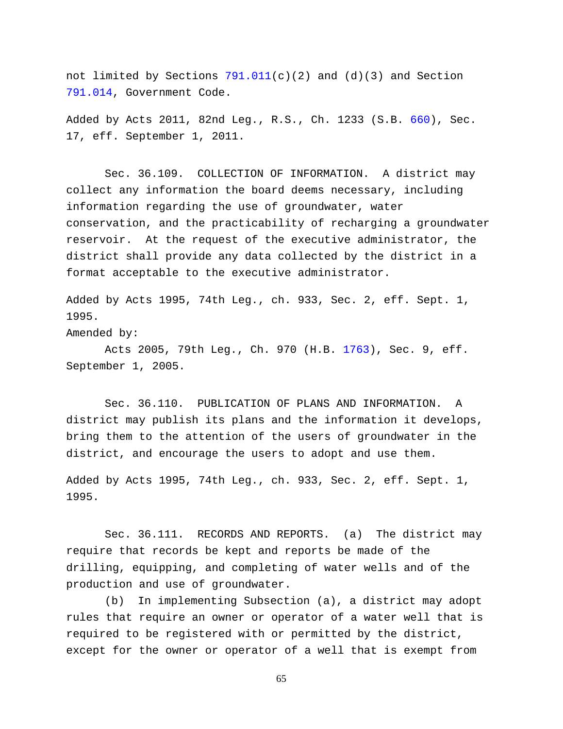not limited by Sections  $791.011(c)(2)$  and  $(d)(3)$  and Section [791.014,](http://www.statutes.legis.state.tx.us/GetStatute.aspx?Code=GV&Value=791.014) Government Code.

Added by Acts 2011, 82nd Leg., R.S., Ch. 1233 (S.B. [660\)](http://www.legis.state.tx.us/tlodocs/82R/billtext/html/SB00660F.HTM), Sec. 17, eff. September 1, 2011.

Sec. 36.109. COLLECTION OF INFORMATION. A district may collect any information the board deems necessary, including information regarding the use of groundwater, water conservation, and the practicability of recharging a groundwater reservoir. At the request of the executive administrator, the district shall provide any data collected by the district in a format acceptable to the executive administrator.

Added by Acts 1995, 74th Leg., ch. 933, Sec. 2, eff. Sept. 1, 1995.

Amended by:

Acts 2005, 79th Leg., Ch. 970 (H.B. [1763\)](http://www.legis.state.tx.us/tlodocs/79R/billtext/html/HB01763F.HTM), Sec. 9, eff. September 1, 2005.

Sec. 36.110. PUBLICATION OF PLANS AND INFORMATION. A district may publish its plans and the information it develops, bring them to the attention of the users of groundwater in the district, and encourage the users to adopt and use them.

Added by Acts 1995, 74th Leg., ch. 933, Sec. 2, eff. Sept. 1, 1995.

Sec. 36.111. RECORDS AND REPORTS. (a) The district may require that records be kept and reports be made of the drilling, equipping, and completing of water wells and of the production and use of groundwater.

(b) In implementing Subsection (a), a district may adopt rules that require an owner or operator of a water well that is required to be registered with or permitted by the district, except for the owner or operator of a well that is exempt from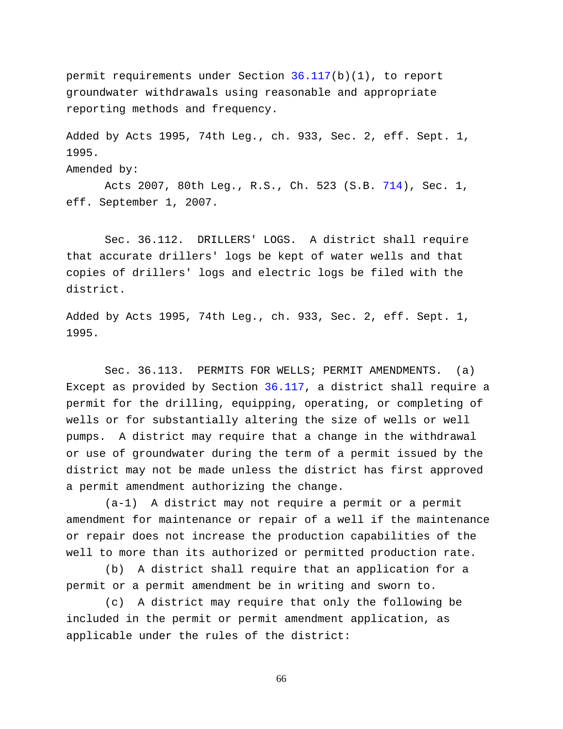permit requirements under Section [36.117\(](http://www.statutes.legis.state.tx.us/GetStatute.aspx?Code=WA&Value=36.117)b)(1), to report groundwater withdrawals using reasonable and appropriate reporting methods and frequency.

Added by Acts 1995, 74th Leg., ch. 933, Sec. 2, eff. Sept. 1, 1995.

Amended by:

Acts 2007, 80th Leg., R.S., Ch. 523 (S.B. [714\)](http://www.legis.state.tx.us/tlodocs/80R/billtext/html/SB00714F.HTM), Sec. 1, eff. September 1, 2007.

Sec. 36.112. DRILLERS' LOGS. A district shall require that accurate drillers' logs be kept of water wells and that copies of drillers' logs and electric logs be filed with the district.

Added by Acts 1995, 74th Leg., ch. 933, Sec. 2, eff. Sept. 1, 1995.

Sec. 36.113. PERMITS FOR WELLS; PERMIT AMENDMENTS. (a) Except as provided by Section [36.117,](http://www.statutes.legis.state.tx.us/GetStatute.aspx?Code=WA&Value=36.117) a district shall require a permit for the drilling, equipping, operating, or completing of wells or for substantially altering the size of wells or well pumps. A district may require that a change in the withdrawal or use of groundwater during the term of a permit issued by the district may not be made unless the district has first approved a permit amendment authorizing the change.

(a-1) A district may not require a permit or a permit amendment for maintenance or repair of a well if the maintenance or repair does not increase the production capabilities of the well to more than its authorized or permitted production rate.

(b) A district shall require that an application for a permit or a permit amendment be in writing and sworn to.

(c) A district may require that only the following be included in the permit or permit amendment application, as applicable under the rules of the district: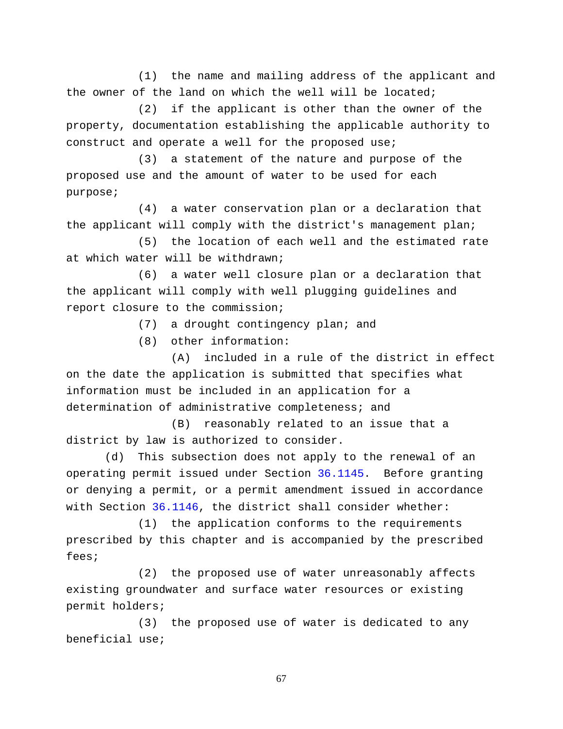(1) the name and mailing address of the applicant and the owner of the land on which the well will be located;

(2) if the applicant is other than the owner of the property, documentation establishing the applicable authority to construct and operate a well for the proposed use;

(3) a statement of the nature and purpose of the proposed use and the amount of water to be used for each purpose;

(4) a water conservation plan or a declaration that the applicant will comply with the district's management plan;

(5) the location of each well and the estimated rate at which water will be withdrawn;

(6) a water well closure plan or a declaration that the applicant will comply with well plugging guidelines and report closure to the commission;

(7) a drought contingency plan; and

(8) other information:

(A) included in a rule of the district in effect on the date the application is submitted that specifies what information must be included in an application for a determination of administrative completeness; and

(B) reasonably related to an issue that a district by law is authorized to consider.

(d) This subsection does not apply to the renewal of an operating permit issued under Section [36.1145.](http://www.statutes.legis.state.tx.us/GetStatute.aspx?Code=WA&Value=36.1145) Before granting or denying a permit, or a permit amendment issued in accordance with Section [36.1146,](http://www.statutes.legis.state.tx.us/GetStatute.aspx?Code=WA&Value=36.1146) the district shall consider whether:

(1) the application conforms to the requirements prescribed by this chapter and is accompanied by the prescribed fees;

(2) the proposed use of water unreasonably affects existing groundwater and surface water resources or existing permit holders;

(3) the proposed use of water is dedicated to any beneficial use;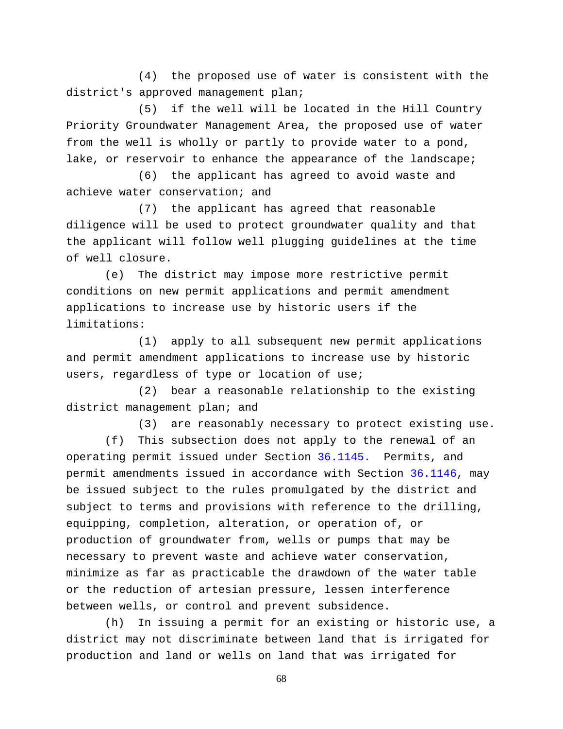(4) the proposed use of water is consistent with the district's approved management plan;

(5) if the well will be located in the Hill Country Priority Groundwater Management Area, the proposed use of water from the well is wholly or partly to provide water to a pond, lake, or reservoir to enhance the appearance of the landscape;

(6) the applicant has agreed to avoid waste and achieve water conservation; and

(7) the applicant has agreed that reasonable diligence will be used to protect groundwater quality and that the applicant will follow well plugging guidelines at the time of well closure.

(e) The district may impose more restrictive permit conditions on new permit applications and permit amendment applications to increase use by historic users if the limitations:

(1) apply to all subsequent new permit applications and permit amendment applications to increase use by historic users, regardless of type or location of use;

(2) bear a reasonable relationship to the existing district management plan; and

(3) are reasonably necessary to protect existing use.

(f) This subsection does not apply to the renewal of an operating permit issued under Section [36.1145.](http://www.statutes.legis.state.tx.us/GetStatute.aspx?Code=WA&Value=36.1145) Permits, and permit amendments issued in accordance with Section [36.1146,](http://www.statutes.legis.state.tx.us/GetStatute.aspx?Code=WA&Value=36.1146) may be issued subject to the rules promulgated by the district and subject to terms and provisions with reference to the drilling, equipping, completion, alteration, or operation of, or production of groundwater from, wells or pumps that may be necessary to prevent waste and achieve water conservation, minimize as far as practicable the drawdown of the water table or the reduction of artesian pressure, lessen interference between wells, or control and prevent subsidence.

(h) In issuing a permit for an existing or historic use, a district may not discriminate between land that is irrigated for production and land or wells on land that was irrigated for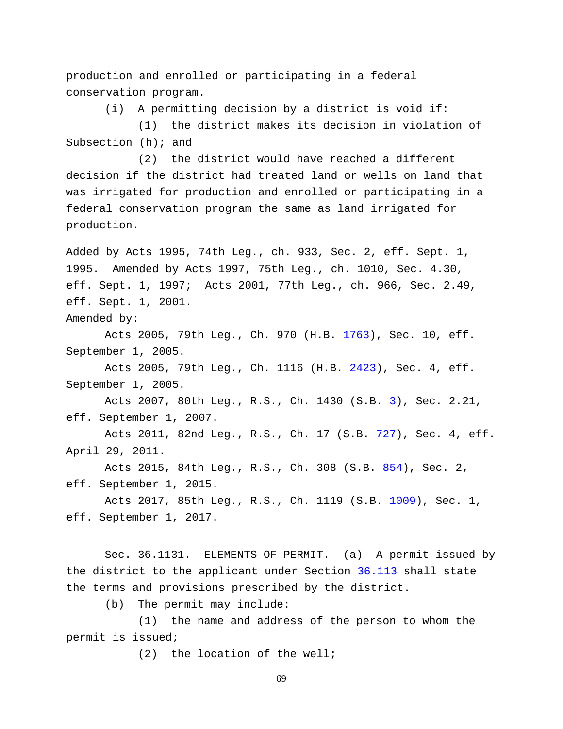production and enrolled or participating in a federal conservation program.

(i) A permitting decision by a district is void if:

(1) the district makes its decision in violation of Subsection (h); and

(2) the district would have reached a different decision if the district had treated land or wells on land that was irrigated for production and enrolled or participating in a federal conservation program the same as land irrigated for production.

Added by Acts 1995, 74th Leg., ch. 933, Sec. 2, eff. Sept. 1, 1995. Amended by Acts 1997, 75th Leg., ch. 1010, Sec. 4.30, eff. Sept. 1, 1997; Acts 2001, 77th Leg., ch. 966, Sec. 2.49, eff. Sept. 1, 2001.

Amended by:

Acts 2005, 79th Leg., Ch. 970 (H.B. [1763\)](http://www.legis.state.tx.us/tlodocs/79R/billtext/html/HB01763F.HTM), Sec. 10, eff. September 1, 2005.

Acts 2005, 79th Leg., Ch. 1116 (H.B. [2423\)](http://www.legis.state.tx.us/tlodocs/79R/billtext/html/HB02423F.HTM), Sec. 4, eff. September 1, 2005.

Acts 2007, 80th Leg., R.S., Ch. 1430 (S.B. [3\)](http://www.legis.state.tx.us/tlodocs/80R/billtext/html/SB00003F.HTM), Sec. 2.21, eff. September 1, 2007.

Acts 2011, 82nd Leg., R.S., Ch. 17 (S.B. [727\)](http://www.legis.state.tx.us/tlodocs/82R/billtext/html/SB00727F.HTM), Sec. 4, eff. April 29, 2011.

Acts 2015, 84th Leg., R.S., Ch. 308 (S.B. [854\)](http://www.legis.state.tx.us/tlodocs/84R/billtext/html/SB00854F.HTM), Sec. 2, eff. September 1, 2015.

Acts 2017, 85th Leg., R.S., Ch. 1119 (S.B. [1009\)](http://www.legis.state.tx.us/tlodocs/85R/billtext/html/SB01009F.HTM), Sec. 1, eff. September 1, 2017.

Sec. 36.1131. ELEMENTS OF PERMIT. (a) A permit issued by the district to the applicant under Section [36.113](http://www.statutes.legis.state.tx.us/GetStatute.aspx?Code=WA&Value=36.113) shall state the terms and provisions prescribed by the district.

(b) The permit may include:

(1) the name and address of the person to whom the permit is issued;

(2) the location of the well;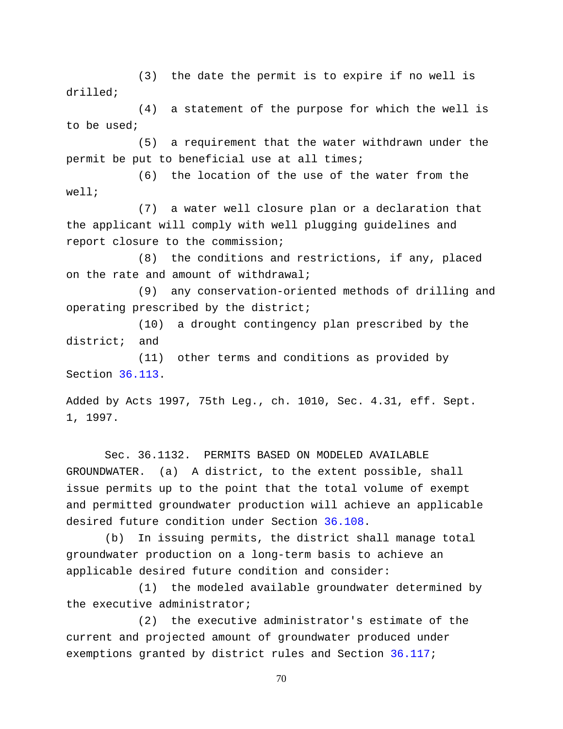(3) the date the permit is to expire if no well is drilled;

(4) a statement of the purpose for which the well is to be used;

(5) a requirement that the water withdrawn under the permit be put to beneficial use at all times;

(6) the location of the use of the water from the well;

(7) a water well closure plan or a declaration that the applicant will comply with well plugging guidelines and report closure to the commission;

(8) the conditions and restrictions, if any, placed on the rate and amount of withdrawal;

(9) any conservation-oriented methods of drilling and operating prescribed by the district;

(10) a drought contingency plan prescribed by the district; and

(11) other terms and conditions as provided by Section [36.113.](http://www.statutes.legis.state.tx.us/GetStatute.aspx?Code=WA&Value=36.113)

Added by Acts 1997, 75th Leg., ch. 1010, Sec. 4.31, eff. Sept. 1, 1997.

Sec. 36.1132. PERMITS BASED ON MODELED AVAILABLE GROUNDWATER. (a) A district, to the extent possible, shall issue permits up to the point that the total volume of exempt and permitted groundwater production will achieve an applicable desired future condition under Section [36.108.](http://www.statutes.legis.state.tx.us/GetStatute.aspx?Code=WA&Value=36.108)

(b) In issuing permits, the district shall manage total groundwater production on a long-term basis to achieve an applicable desired future condition and consider:

(1) the modeled available groundwater determined by the executive administrator;

(2) the executive administrator's estimate of the current and projected amount of groundwater produced under exemptions granted by district rules and Section [36.117;](http://www.statutes.legis.state.tx.us/GetStatute.aspx?Code=WA&Value=36.117)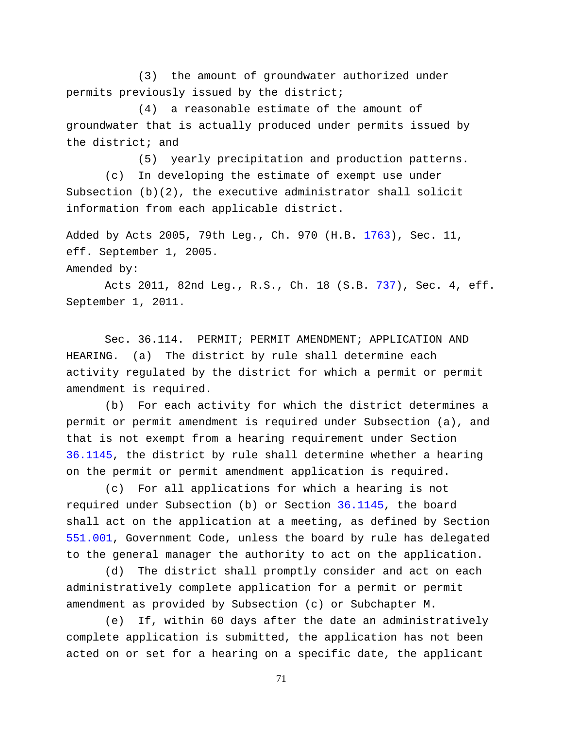(3) the amount of groundwater authorized under permits previously issued by the district;

(4) a reasonable estimate of the amount of groundwater that is actually produced under permits issued by the district; and

(5) yearly precipitation and production patterns.

(c) In developing the estimate of exempt use under Subsection  $(b)(2)$ , the executive administrator shall solicit information from each applicable district.

Added by Acts 2005, 79th Leg., Ch. 970 (H.B. [1763\)](http://www.legis.state.tx.us/tlodocs/79R/billtext/html/HB01763F.HTM), Sec. 11, eff. September 1, 2005.

Amended by:

Acts 2011, 82nd Leg., R.S., Ch. 18 (S.B. [737\)](http://www.legis.state.tx.us/tlodocs/82R/billtext/html/SB00737F.HTM), Sec. 4, eff. September 1, 2011.

Sec. 36.114. PERMIT; PERMIT AMENDMENT; APPLICATION AND HEARING. (a) The district by rule shall determine each activity regulated by the district for which a permit or permit amendment is required.

(b) For each activity for which the district determines a permit or permit amendment is required under Subsection (a), and that is not exempt from a hearing requirement under Section [36.1145,](http://www.statutes.legis.state.tx.us/GetStatute.aspx?Code=WA&Value=36.1145) the district by rule shall determine whether a hearing on the permit or permit amendment application is required.

(c) For all applications for which a hearing is not required under Subsection (b) or Section [36.1145,](http://www.statutes.legis.state.tx.us/GetStatute.aspx?Code=WA&Value=36.1145) the board shall act on the application at a meeting, as defined by Section [551.001,](http://www.statutes.legis.state.tx.us/GetStatute.aspx?Code=GV&Value=551.001) Government Code, unless the board by rule has delegated to the general manager the authority to act on the application.

(d) The district shall promptly consider and act on each administratively complete application for a permit or permit amendment as provided by Subsection (c) or Subchapter M.

(e) If, within 60 days after the date an administratively complete application is submitted, the application has not been acted on or set for a hearing on a specific date, the applicant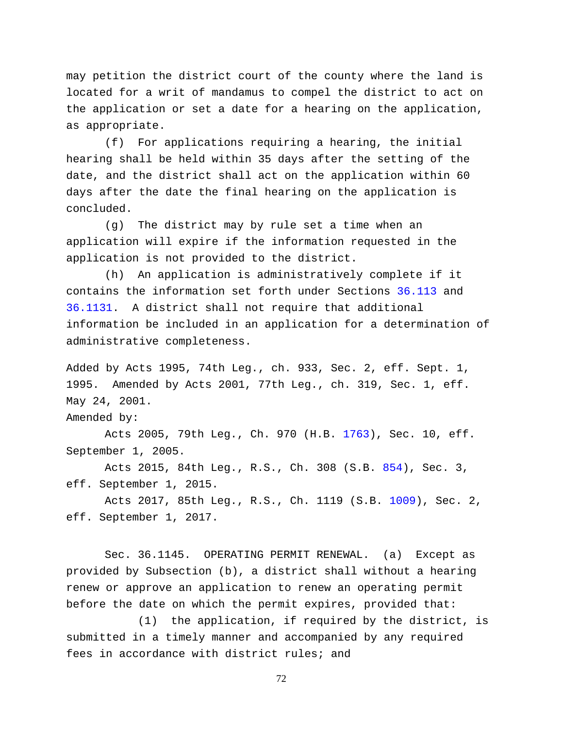may petition the district court of the county where the land is located for a writ of mandamus to compel the district to act on the application or set a date for a hearing on the application, as appropriate.

(f) For applications requiring a hearing, the initial hearing shall be held within 35 days after the setting of the date, and the district shall act on the application within 60 days after the date the final hearing on the application is concluded.

(g) The district may by rule set a time when an application will expire if the information requested in the application is not provided to the district.

(h) An application is administratively complete if it contains the information set forth under Sections [36.113](http://www.statutes.legis.state.tx.us/GetStatute.aspx?Code=WA&Value=36.113) and [36.1131.](http://www.statutes.legis.state.tx.us/GetStatute.aspx?Code=WA&Value=36.1131) A district shall not require that additional information be included in an application for a determination of administrative completeness.

Added by Acts 1995, 74th Leg., ch. 933, Sec. 2, eff. Sept. 1, 1995. Amended by Acts 2001, 77th Leg., ch. 319, Sec. 1, eff. May 24, 2001.

Amended by:

Acts 2005, 79th Leg., Ch. 970 (H.B. [1763\)](http://www.legis.state.tx.us/tlodocs/79R/billtext/html/HB01763F.HTM), Sec. 10, eff. September 1, 2005.

Acts 2015, 84th Leg., R.S., Ch. 308 (S.B. [854\)](http://www.legis.state.tx.us/tlodocs/84R/billtext/html/SB00854F.HTM), Sec. 3, eff. September 1, 2015.

Acts 2017, 85th Leg., R.S., Ch. 1119 (S.B. [1009\)](http://www.legis.state.tx.us/tlodocs/85R/billtext/html/SB01009F.HTM), Sec. 2, eff. September 1, 2017.

Sec. 36.1145. OPERATING PERMIT RENEWAL. (a) Except as provided by Subsection (b), a district shall without a hearing renew or approve an application to renew an operating permit before the date on which the permit expires, provided that:

(1) the application, if required by the district, is submitted in a timely manner and accompanied by any required fees in accordance with district rules; and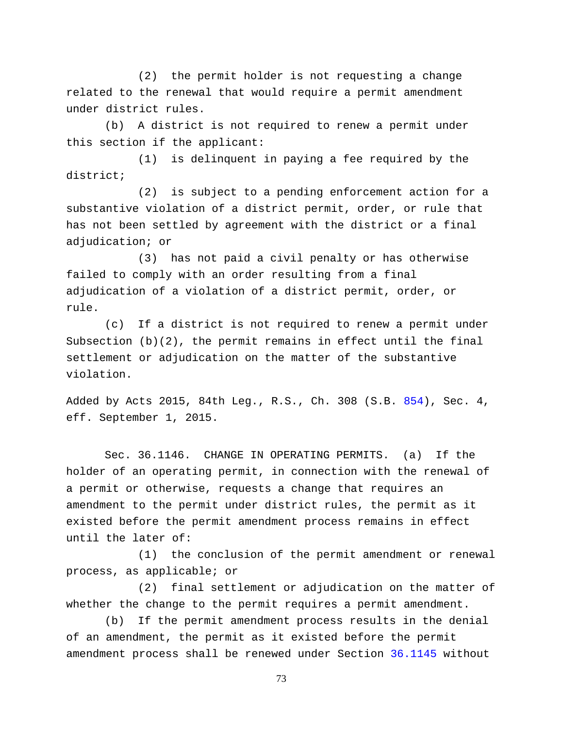(2) the permit holder is not requesting a change related to the renewal that would require a permit amendment under district rules.

(b) A district is not required to renew a permit under this section if the applicant:

(1) is delinquent in paying a fee required by the district;

(2) is subject to a pending enforcement action for a substantive violation of a district permit, order, or rule that has not been settled by agreement with the district or a final adjudication; or

(3) has not paid a civil penalty or has otherwise failed to comply with an order resulting from a final adjudication of a violation of a district permit, order, or rule.

(c) If a district is not required to renew a permit under Subsection (b)(2), the permit remains in effect until the final settlement or adjudication on the matter of the substantive violation.

Added by Acts 2015, 84th Leg., R.S., Ch. 308 (S.B. [854\)](http://www.legis.state.tx.us/tlodocs/84R/billtext/html/SB00854F.HTM), Sec. 4, eff. September 1, 2015.

Sec. 36.1146. CHANGE IN OPERATING PERMITS. (a) If the holder of an operating permit, in connection with the renewal of a permit or otherwise, requests a change that requires an amendment to the permit under district rules, the permit as it existed before the permit amendment process remains in effect until the later of:

(1) the conclusion of the permit amendment or renewal process, as applicable; or

(2) final settlement or adjudication on the matter of whether the change to the permit requires a permit amendment.

(b) If the permit amendment process results in the denial of an amendment, the permit as it existed before the permit amendment process shall be renewed under Section [36.1145](http://www.statutes.legis.state.tx.us/GetStatute.aspx?Code=WA&Value=36.1145) without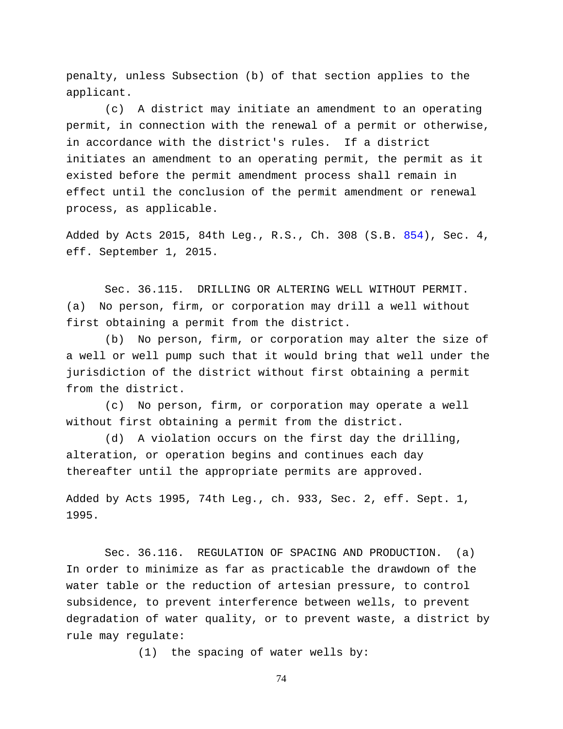penalty, unless Subsection (b) of that section applies to the applicant.

(c) A district may initiate an amendment to an operating permit, in connection with the renewal of a permit or otherwise, in accordance with the district's rules. If a district initiates an amendment to an operating permit, the permit as it existed before the permit amendment process shall remain in effect until the conclusion of the permit amendment or renewal process, as applicable.

Added by Acts 2015, 84th Leg., R.S., Ch. 308 (S.B. [854\)](http://www.legis.state.tx.us/tlodocs/84R/billtext/html/SB00854F.HTM), Sec. 4, eff. September 1, 2015.

Sec. 36.115. DRILLING OR ALTERING WELL WITHOUT PERMIT. (a) No person, firm, or corporation may drill a well without first obtaining a permit from the district.

(b) No person, firm, or corporation may alter the size of a well or well pump such that it would bring that well under the jurisdiction of the district without first obtaining a permit from the district.

(c) No person, firm, or corporation may operate a well without first obtaining a permit from the district.

(d) A violation occurs on the first day the drilling, alteration, or operation begins and continues each day thereafter until the appropriate permits are approved.

Added by Acts 1995, 74th Leg., ch. 933, Sec. 2, eff. Sept. 1, 1995.

Sec. 36.116. REGULATION OF SPACING AND PRODUCTION. (a) In order to minimize as far as practicable the drawdown of the water table or the reduction of artesian pressure, to control subsidence, to prevent interference between wells, to prevent degradation of water quality, or to prevent waste, a district by rule may regulate:

(1) the spacing of water wells by: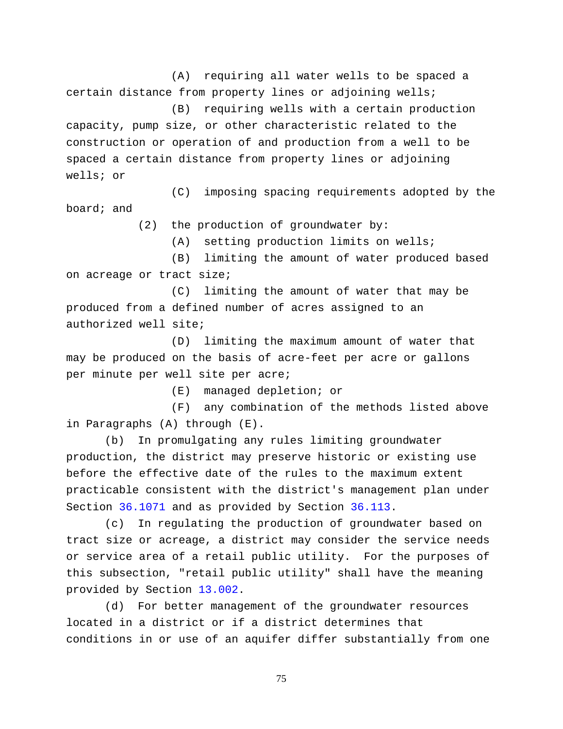(A) requiring all water wells to be spaced a certain distance from property lines or adjoining wells; (B) requiring wells with a certain production

capacity, pump size, or other characteristic related to the construction or operation of and production from a well to be spaced a certain distance from property lines or adjoining wells; or

(C) imposing spacing requirements adopted by the board; and

(2) the production of groundwater by:

(A) setting production limits on wells;

(B) limiting the amount of water produced based on acreage or tract size;

(C) limiting the amount of water that may be produced from a defined number of acres assigned to an authorized well site;

(D) limiting the maximum amount of water that may be produced on the basis of acre-feet per acre or gallons per minute per well site per acre;

(E) managed depletion; or

(F) any combination of the methods listed above in Paragraphs (A) through (E).

(b) In promulgating any rules limiting groundwater production, the district may preserve historic or existing use before the effective date of the rules to the maximum extent practicable consistent with the district's management plan under Section [36.1071](http://www.statutes.legis.state.tx.us/GetStatute.aspx?Code=WA&Value=36.1071) and as provided by Section [36.113.](http://www.statutes.legis.state.tx.us/GetStatute.aspx?Code=WA&Value=36.113)

(c) In regulating the production of groundwater based on tract size or acreage, a district may consider the service needs or service area of a retail public utility. For the purposes of this subsection, "retail public utility" shall have the meaning provided by Section [13.002.](http://www.statutes.legis.state.tx.us/GetStatute.aspx?Code=WA&Value=13.002)

(d) For better management of the groundwater resources located in a district or if a district determines that conditions in or use of an aquifer differ substantially from one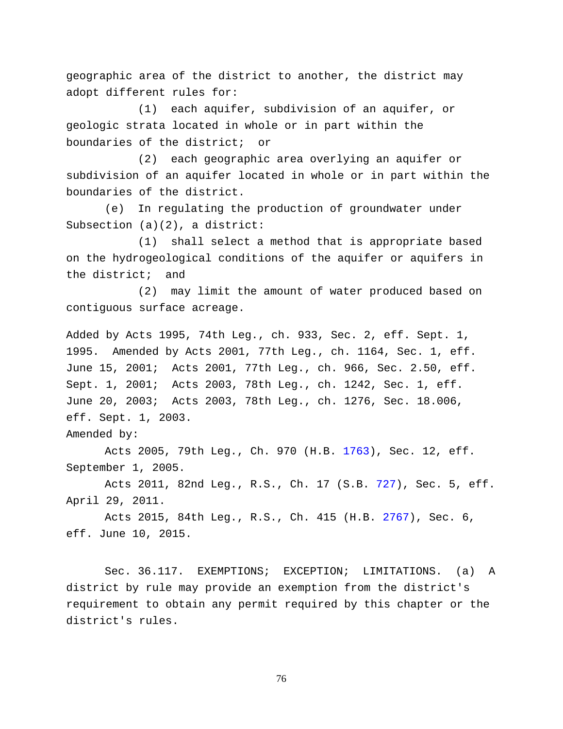geographic area of the district to another, the district may adopt different rules for:

(1) each aquifer, subdivision of an aquifer, or geologic strata located in whole or in part within the boundaries of the district; or

(2) each geographic area overlying an aquifer or subdivision of an aquifer located in whole or in part within the boundaries of the district.

(e) In regulating the production of groundwater under Subsection (a)(2), a district:

(1) shall select a method that is appropriate based on the hydrogeological conditions of the aquifer or aquifers in the district; and

(2) may limit the amount of water produced based on contiguous surface acreage.

Added by Acts 1995, 74th Leg., ch. 933, Sec. 2, eff. Sept. 1, 1995. Amended by Acts 2001, 77th Leg., ch. 1164, Sec. 1, eff. June 15, 2001; Acts 2001, 77th Leg., ch. 966, Sec. 2.50, eff. Sept. 1, 2001; Acts 2003, 78th Leg., ch. 1242, Sec. 1, eff. June 20, 2003; Acts 2003, 78th Leg., ch. 1276, Sec. 18.006, eff. Sept. 1, 2003.

Amended by:

Acts 2005, 79th Leg., Ch. 970 (H.B. [1763\)](http://www.legis.state.tx.us/tlodocs/79R/billtext/html/HB01763F.HTM), Sec. 12, eff. September 1, 2005.

Acts 2011, 82nd Leg., R.S., Ch. 17 (S.B. [727\)](http://www.legis.state.tx.us/tlodocs/82R/billtext/html/SB00727F.HTM), Sec. 5, eff. April 29, 2011.

Acts 2015, 84th Leg., R.S., Ch. 415 (H.B. [2767\)](http://www.legis.state.tx.us/tlodocs/84R/billtext/html/HB02767F.HTM), Sec. 6, eff. June 10, 2015.

Sec. 36.117. EXEMPTIONS; EXCEPTION; LIMITATIONS. (a) A district by rule may provide an exemption from the district's requirement to obtain any permit required by this chapter or the district's rules.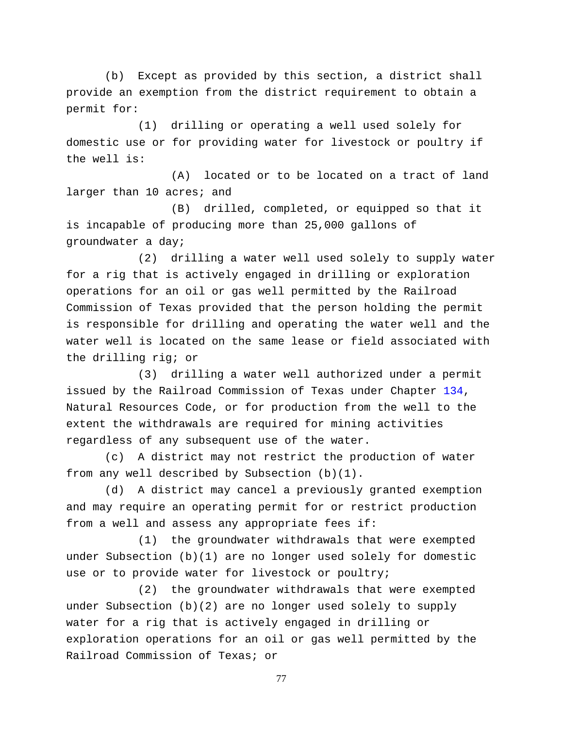(b) Except as provided by this section, a district shall provide an exemption from the district requirement to obtain a permit for:

(1) drilling or operating a well used solely for domestic use or for providing water for livestock or poultry if the well is:

(A) located or to be located on a tract of land larger than 10 acres; and

(B) drilled, completed, or equipped so that it is incapable of producing more than 25,000 gallons of groundwater a day;

(2) drilling a water well used solely to supply water for a rig that is actively engaged in drilling or exploration operations for an oil or gas well permitted by the Railroad Commission of Texas provided that the person holding the permit is responsible for drilling and operating the water well and the water well is located on the same lease or field associated with the drilling rig; or

(3) drilling a water well authorized under a permit issued by the Railroad Commission of Texas under Chapter [134,](http://www.statutes.legis.state.tx.us/GetStatute.aspx?Code=NR&Value=134) Natural Resources Code, or for production from the well to the extent the withdrawals are required for mining activities regardless of any subsequent use of the water.

(c) A district may not restrict the production of water from any well described by Subsection (b)(1).

(d) A district may cancel a previously granted exemption and may require an operating permit for or restrict production from a well and assess any appropriate fees if:

(1) the groundwater withdrawals that were exempted under Subsection (b)(1) are no longer used solely for domestic use or to provide water for livestock or poultry;

(2) the groundwater withdrawals that were exempted under Subsection (b)(2) are no longer used solely to supply water for a rig that is actively engaged in drilling or exploration operations for an oil or gas well permitted by the Railroad Commission of Texas; or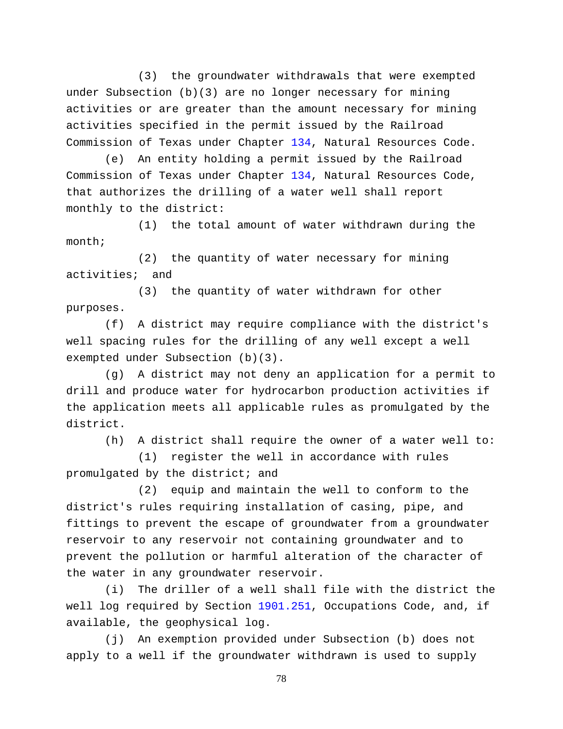(3) the groundwater withdrawals that were exempted under Subsection (b)(3) are no longer necessary for mining activities or are greater than the amount necessary for mining activities specified in the permit issued by the Railroad Commission of Texas under Chapter [134,](http://www.statutes.legis.state.tx.us/GetStatute.aspx?Code=NR&Value=134) Natural Resources Code.

(e) An entity holding a permit issued by the Railroad Commission of Texas under Chapter [134,](http://www.statutes.legis.state.tx.us/GetStatute.aspx?Code=NR&Value=134) Natural Resources Code, that authorizes the drilling of a water well shall report monthly to the district:

(1) the total amount of water withdrawn during the month;

(2) the quantity of water necessary for mining activities; and

(3) the quantity of water withdrawn for other purposes.

(f) A district may require compliance with the district's well spacing rules for the drilling of any well except a well exempted under Subsection (b)(3).

(g) A district may not deny an application for a permit to drill and produce water for hydrocarbon production activities if the application meets all applicable rules as promulgated by the district.

(h) A district shall require the owner of a water well to:

(1) register the well in accordance with rules promulgated by the district; and

(2) equip and maintain the well to conform to the district's rules requiring installation of casing, pipe, and fittings to prevent the escape of groundwater from a groundwater reservoir to any reservoir not containing groundwater and to prevent the pollution or harmful alteration of the character of the water in any groundwater reservoir.

(i) The driller of a well shall file with the district the well log required by Section [1901.251,](http://www.statutes.legis.state.tx.us/GetStatute.aspx?Code=OC&Value=1901.251) Occupations Code, and, if available, the geophysical log.

(j) An exemption provided under Subsection (b) does not apply to a well if the groundwater withdrawn is used to supply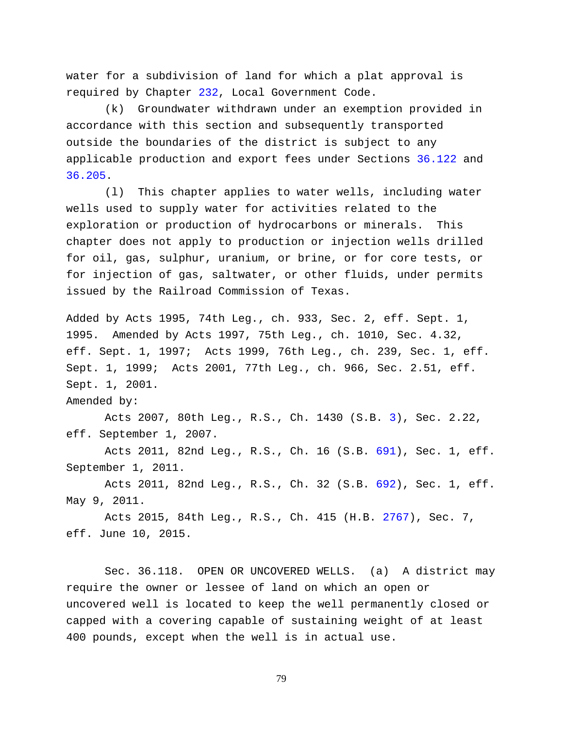water for a subdivision of land for which a plat approval is required by Chapter [232,](http://www.statutes.legis.state.tx.us/GetStatute.aspx?Code=LG&Value=232) Local Government Code.

(k) Groundwater withdrawn under an exemption provided in accordance with this section and subsequently transported outside the boundaries of the district is subject to any applicable production and export fees under Sections [36.122](http://www.statutes.legis.state.tx.us/GetStatute.aspx?Code=WA&Value=36.122) and [36.205.](http://www.statutes.legis.state.tx.us/GetStatute.aspx?Code=WA&Value=36.205)

(l) This chapter applies to water wells, including water wells used to supply water for activities related to the exploration or production of hydrocarbons or minerals. This chapter does not apply to production or injection wells drilled for oil, gas, sulphur, uranium, or brine, or for core tests, or for injection of gas, saltwater, or other fluids, under permits issued by the Railroad Commission of Texas.

Added by Acts 1995, 74th Leg., ch. 933, Sec. 2, eff. Sept. 1, 1995. Amended by Acts 1997, 75th Leg., ch. 1010, Sec. 4.32, eff. Sept. 1, 1997; Acts 1999, 76th Leg., ch. 239, Sec. 1, eff. Sept. 1, 1999; Acts 2001, 77th Leg., ch. 966, Sec. 2.51, eff. Sept. 1, 2001.

Amended by:

Acts 2007, 80th Leg., R.S., Ch. 1430 (S.B. [3\)](http://www.legis.state.tx.us/tlodocs/80R/billtext/html/SB00003F.HTM), Sec. 2.22, eff. September 1, 2007.

Acts 2011, 82nd Leg., R.S., Ch. 16 (S.B. [691\)](http://www.legis.state.tx.us/tlodocs/82R/billtext/html/SB00691F.HTM), Sec. 1, eff. September 1, 2011.

Acts 2011, 82nd Leg., R.S., Ch. 32 (S.B. [692\)](http://www.legis.state.tx.us/tlodocs/82R/billtext/html/SB00692F.HTM), Sec. 1, eff. May 9, 2011.

Acts 2015, 84th Leg., R.S., Ch. 415 (H.B. [2767\)](http://www.legis.state.tx.us/tlodocs/84R/billtext/html/HB02767F.HTM), Sec. 7, eff. June 10, 2015.

Sec. 36.118. OPEN OR UNCOVERED WELLS. (a) A district may require the owner or lessee of land on which an open or uncovered well is located to keep the well permanently closed or capped with a covering capable of sustaining weight of at least 400 pounds, except when the well is in actual use.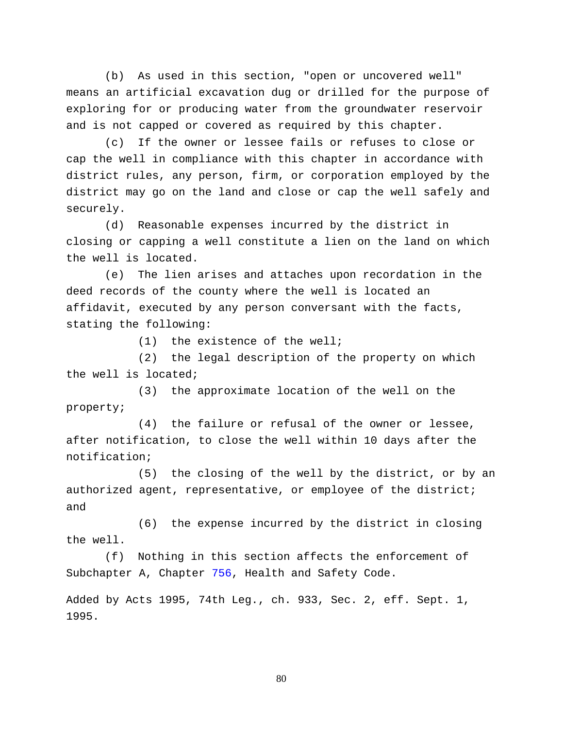(b) As used in this section, "open or uncovered well" means an artificial excavation dug or drilled for the purpose of exploring for or producing water from the groundwater reservoir and is not capped or covered as required by this chapter.

(c) If the owner or lessee fails or refuses to close or cap the well in compliance with this chapter in accordance with district rules, any person, firm, or corporation employed by the district may go on the land and close or cap the well safely and securely.

(d) Reasonable expenses incurred by the district in closing or capping a well constitute a lien on the land on which the well is located.

(e) The lien arises and attaches upon recordation in the deed records of the county where the well is located an affidavit, executed by any person conversant with the facts, stating the following:

(1) the existence of the well;

(2) the legal description of the property on which the well is located;

(3) the approximate location of the well on the property;

(4) the failure or refusal of the owner or lessee, after notification, to close the well within 10 days after the notification;

(5) the closing of the well by the district, or by an authorized agent, representative, or employee of the district; and

(6) the expense incurred by the district in closing the well.

(f) Nothing in this section affects the enforcement of Subchapter A, Chapter [756,](http://www.statutes.legis.state.tx.us/GetStatute.aspx?Code=HS&Value=756) Health and Safety Code.

Added by Acts 1995, 74th Leg., ch. 933, Sec. 2, eff. Sept. 1, 1995.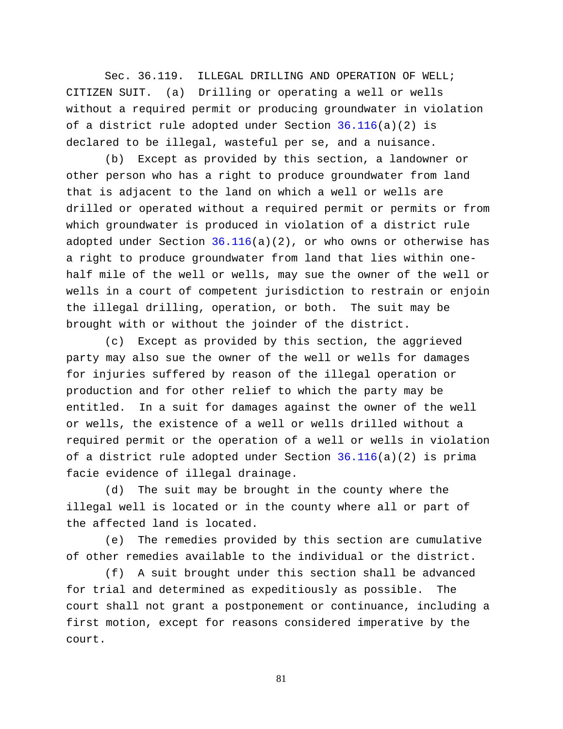Sec. 36.119. ILLEGAL DRILLING AND OPERATION OF WELL; CITIZEN SUIT. (a) Drilling or operating a well or wells without a required permit or producing groundwater in violation of a district rule adopted under Section [36.116\(](http://www.statutes.legis.state.tx.us/GetStatute.aspx?Code=WA&Value=36.116)a)(2) is declared to be illegal, wasteful per se, and a nuisance.

(b) Except as provided by this section, a landowner or other person who has a right to produce groundwater from land that is adjacent to the land on which a well or wells are drilled or operated without a required permit or permits or from which groundwater is produced in violation of a district rule adopted under Section  $36.116(a)(2)$ , or who owns or otherwise has a right to produce groundwater from land that lies within onehalf mile of the well or wells, may sue the owner of the well or wells in a court of competent jurisdiction to restrain or enjoin the illegal drilling, operation, or both. The suit may be brought with or without the joinder of the district.

(c) Except as provided by this section, the aggrieved party may also sue the owner of the well or wells for damages for injuries suffered by reason of the illegal operation or production and for other relief to which the party may be entitled. In a suit for damages against the owner of the well or wells, the existence of a well or wells drilled without a required permit or the operation of a well or wells in violation of a district rule adopted under Section [36.116\(](http://www.statutes.legis.state.tx.us/GetStatute.aspx?Code=WA&Value=36.116)a)(2) is prima facie evidence of illegal drainage.

(d) The suit may be brought in the county where the illegal well is located or in the county where all or part of the affected land is located.

(e) The remedies provided by this section are cumulative of other remedies available to the individual or the district.

(f) A suit brought under this section shall be advanced for trial and determined as expeditiously as possible. The court shall not grant a postponement or continuance, including a first motion, except for reasons considered imperative by the court.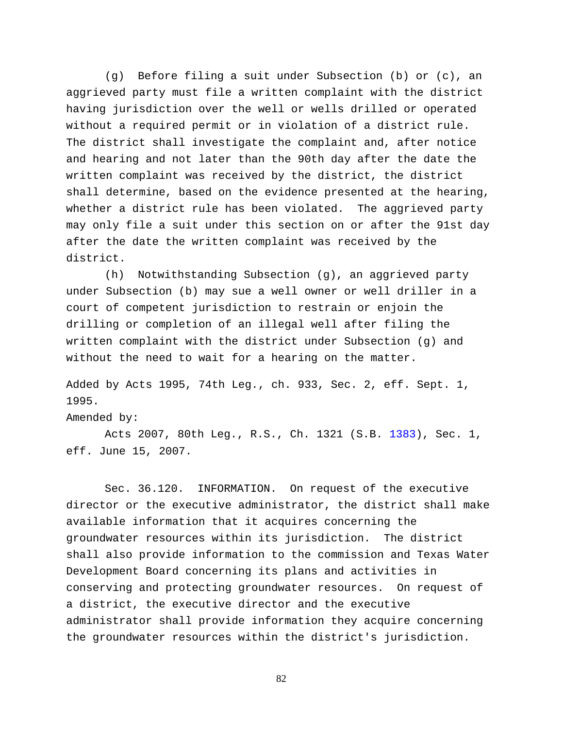(g) Before filing a suit under Subsection (b) or (c), an aggrieved party must file a written complaint with the district having jurisdiction over the well or wells drilled or operated without a required permit or in violation of a district rule. The district shall investigate the complaint and, after notice and hearing and not later than the 90th day after the date the written complaint was received by the district, the district shall determine, based on the evidence presented at the hearing, whether a district rule has been violated. The aggrieved party may only file a suit under this section on or after the 91st day after the date the written complaint was received by the district.

(h) Notwithstanding Subsection (g), an aggrieved party under Subsection (b) may sue a well owner or well driller in a court of competent jurisdiction to restrain or enjoin the drilling or completion of an illegal well after filing the written complaint with the district under Subsection (g) and without the need to wait for a hearing on the matter.

Added by Acts 1995, 74th Leg., ch. 933, Sec. 2, eff. Sept. 1, 1995.

Amended by:

Acts 2007, 80th Leg., R.S., Ch. 1321 (S.B. [1383\)](http://www.legis.state.tx.us/tlodocs/80R/billtext/html/SB01383F.HTM), Sec. 1, eff. June 15, 2007.

Sec. 36.120. INFORMATION. On request of the executive director or the executive administrator, the district shall make available information that it acquires concerning the groundwater resources within its jurisdiction. The district shall also provide information to the commission and Texas Water Development Board concerning its plans and activities in conserving and protecting groundwater resources. On request of a district, the executive director and the executive administrator shall provide information they acquire concerning the groundwater resources within the district's jurisdiction.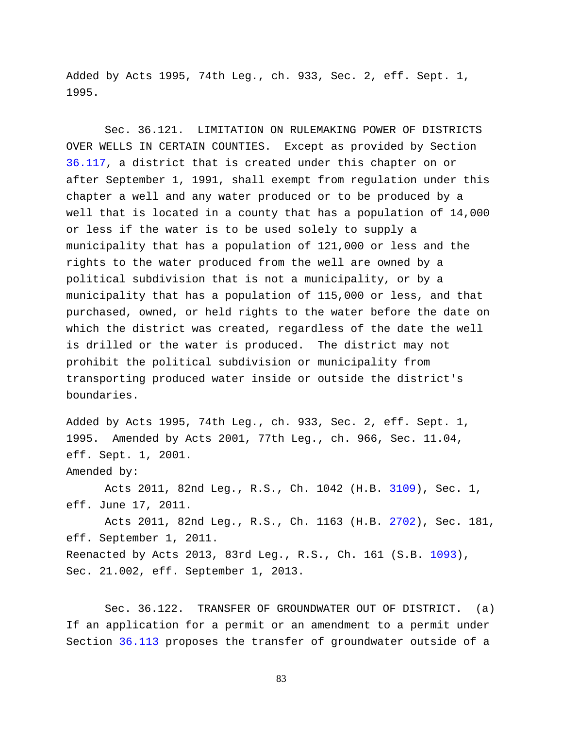Added by Acts 1995, 74th Leg., ch. 933, Sec. 2, eff. Sept. 1, 1995.

Sec. 36.121. LIMITATION ON RULEMAKING POWER OF DISTRICTS OVER WELLS IN CERTAIN COUNTIES. Except as provided by Section [36.117,](http://www.statutes.legis.state.tx.us/GetStatute.aspx?Code=WA&Value=36.117) a district that is created under this chapter on or after September 1, 1991, shall exempt from regulation under this chapter a well and any water produced or to be produced by a well that is located in a county that has a population of 14,000 or less if the water is to be used solely to supply a municipality that has a population of 121,000 or less and the rights to the water produced from the well are owned by a political subdivision that is not a municipality, or by a municipality that has a population of 115,000 or less, and that purchased, owned, or held rights to the water before the date on which the district was created, regardless of the date the well is drilled or the water is produced. The district may not prohibit the political subdivision or municipality from transporting produced water inside or outside the district's boundaries.

Added by Acts 1995, 74th Leg., ch. 933, Sec. 2, eff. Sept. 1, 1995. Amended by Acts 2001, 77th Leg., ch. 966, Sec. 11.04, eff. Sept. 1, 2001.

Amended by:

Acts 2011, 82nd Leg., R.S., Ch. 1042 (H.B. [3109\)](http://www.legis.state.tx.us/tlodocs/82R/billtext/html/HB03109F.HTM), Sec. 1, eff. June 17, 2011.

Acts 2011, 82nd Leg., R.S., Ch. 1163 (H.B. [2702\)](http://www.legis.state.tx.us/tlodocs/82R/billtext/html/HB02702F.HTM), Sec. 181, eff. September 1, 2011. Reenacted by Acts 2013, 83rd Leg., R.S., Ch. 161 (S.B. [1093\)](http://www.legis.state.tx.us/tlodocs/83R/billtext/html/SB01093F.HTM), Sec. 21.002, eff. September 1, 2013.

Sec. 36.122. TRANSFER OF GROUNDWATER OUT OF DISTRICT. (a) If an application for a permit or an amendment to a permit under Section [36.113](http://www.statutes.legis.state.tx.us/GetStatute.aspx?Code=WA&Value=36.113) proposes the transfer of groundwater outside of a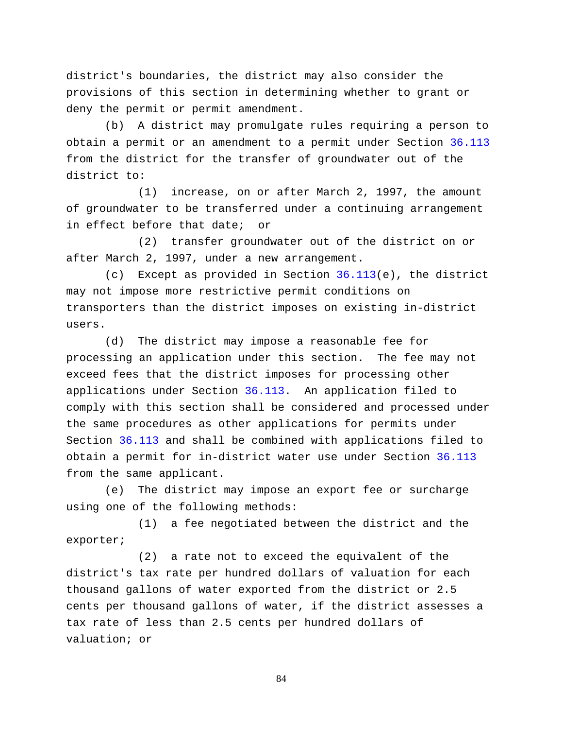district's boundaries, the district may also consider the provisions of this section in determining whether to grant or deny the permit or permit amendment.

(b) A district may promulgate rules requiring a person to obtain a permit or an amendment to a permit under Section [36.113](http://www.statutes.legis.state.tx.us/GetStatute.aspx?Code=WA&Value=36.113) from the district for the transfer of groundwater out of the district to:

(1) increase, on or after March 2, 1997, the amount of groundwater to be transferred under a continuing arrangement in effect before that date; or

(2) transfer groundwater out of the district on or after March 2, 1997, under a new arrangement.

(c) Except as provided in Section [36.113\(](http://www.statutes.legis.state.tx.us/GetStatute.aspx?Code=WA&Value=36.113)e), the district may not impose more restrictive permit conditions on transporters than the district imposes on existing in-district users.

(d) The district may impose a reasonable fee for processing an application under this section. The fee may not exceed fees that the district imposes for processing other applications under Section [36.113.](http://www.statutes.legis.state.tx.us/GetStatute.aspx?Code=WA&Value=36.113) An application filed to comply with this section shall be considered and processed under the same procedures as other applications for permits under Section [36.113](http://www.statutes.legis.state.tx.us/GetStatute.aspx?Code=WA&Value=36.113) and shall be combined with applications filed to obtain a permit for in-district water use under Section [36.113](http://www.statutes.legis.state.tx.us/GetStatute.aspx?Code=WA&Value=36.113) from the same applicant.

(e) The district may impose an export fee or surcharge using one of the following methods:

(1) a fee negotiated between the district and the exporter;

(2) a rate not to exceed the equivalent of the district's tax rate per hundred dollars of valuation for each thousand gallons of water exported from the district or 2.5 cents per thousand gallons of water, if the district assesses a tax rate of less than 2.5 cents per hundred dollars of valuation; or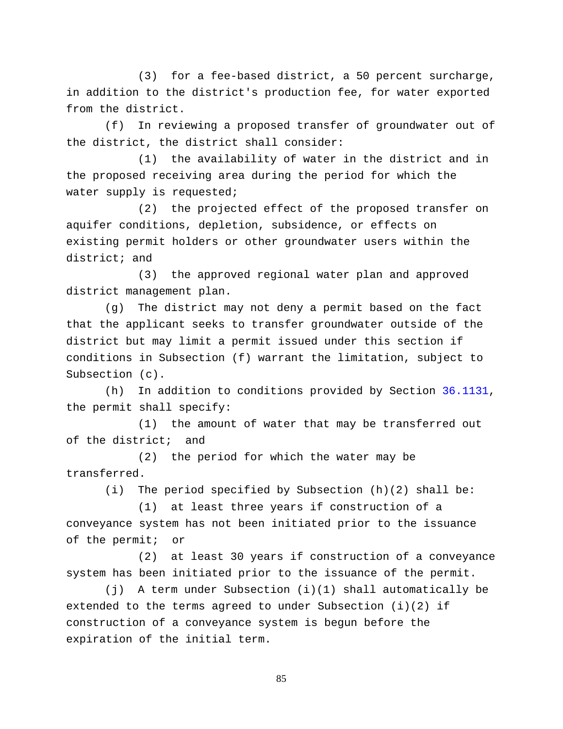(3) for a fee-based district, a 50 percent surcharge, in addition to the district's production fee, for water exported from the district.

(f) In reviewing a proposed transfer of groundwater out of the district, the district shall consider:

(1) the availability of water in the district and in the proposed receiving area during the period for which the water supply is requested;

(2) the projected effect of the proposed transfer on aquifer conditions, depletion, subsidence, or effects on existing permit holders or other groundwater users within the district; and

(3) the approved regional water plan and approved district management plan.

(g) The district may not deny a permit based on the fact that the applicant seeks to transfer groundwater outside of the district but may limit a permit issued under this section if conditions in Subsection (f) warrant the limitation, subject to Subsection (c).

(h) In addition to conditions provided by Section [36.1131,](http://www.statutes.legis.state.tx.us/GetStatute.aspx?Code=WA&Value=36.1131) the permit shall specify:

(1) the amount of water that may be transferred out of the district; and

(2) the period for which the water may be transferred.

(i) The period specified by Subsection (h)(2) shall be:

(1) at least three years if construction of a conveyance system has not been initiated prior to the issuance of the permit; or

(2) at least 30 years if construction of a conveyance system has been initiated prior to the issuance of the permit.

(j) A term under Subsection (i)(1) shall automatically be extended to the terms agreed to under Subsection  $(i)(2)$  if construction of a conveyance system is begun before the expiration of the initial term.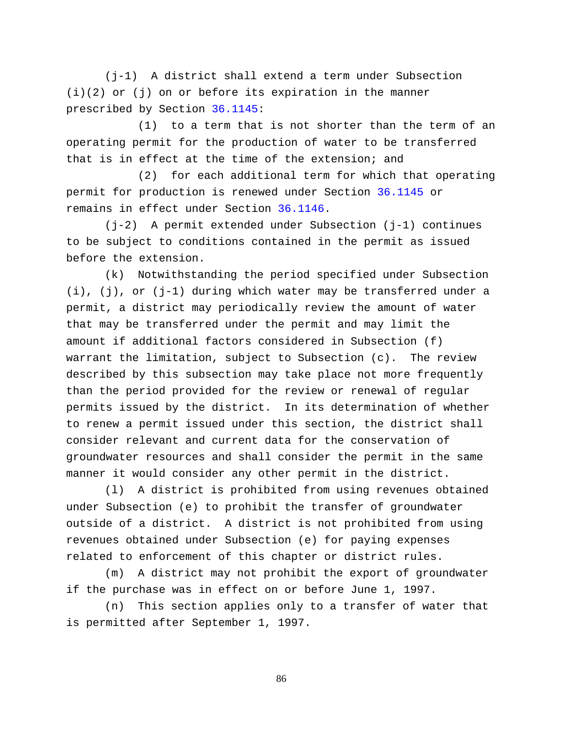(j-1) A district shall extend a term under Subsection  $(i)(2)$  or  $(j)$  on or before its expiration in the manner prescribed by Section [36.1145:](http://www.statutes.legis.state.tx.us/GetStatute.aspx?Code=WA&Value=36.1145)

(1) to a term that is not shorter than the term of an operating permit for the production of water to be transferred that is in effect at the time of the extension; and

(2) for each additional term for which that operating permit for production is renewed under Section [36.1145](http://www.statutes.legis.state.tx.us/GetStatute.aspx?Code=WA&Value=36.1145) or remains in effect under Section [36.1146.](http://www.statutes.legis.state.tx.us/GetStatute.aspx?Code=WA&Value=36.1146)

(j-2) A permit extended under Subsection (j-1) continues to be subject to conditions contained in the permit as issued before the extension.

(k) Notwithstanding the period specified under Subsection (i), (j), or (j-1) during which water may be transferred under a permit, a district may periodically review the amount of water that may be transferred under the permit and may limit the amount if additional factors considered in Subsection (f) warrant the limitation, subject to Subsection (c). The review described by this subsection may take place not more frequently than the period provided for the review or renewal of regular permits issued by the district. In its determination of whether to renew a permit issued under this section, the district shall consider relevant and current data for the conservation of groundwater resources and shall consider the permit in the same manner it would consider any other permit in the district.

(l) A district is prohibited from using revenues obtained under Subsection (e) to prohibit the transfer of groundwater outside of a district. A district is not prohibited from using revenues obtained under Subsection (e) for paying expenses related to enforcement of this chapter or district rules.

(m) A district may not prohibit the export of groundwater if the purchase was in effect on or before June 1, 1997.

(n) This section applies only to a transfer of water that is permitted after September 1, 1997.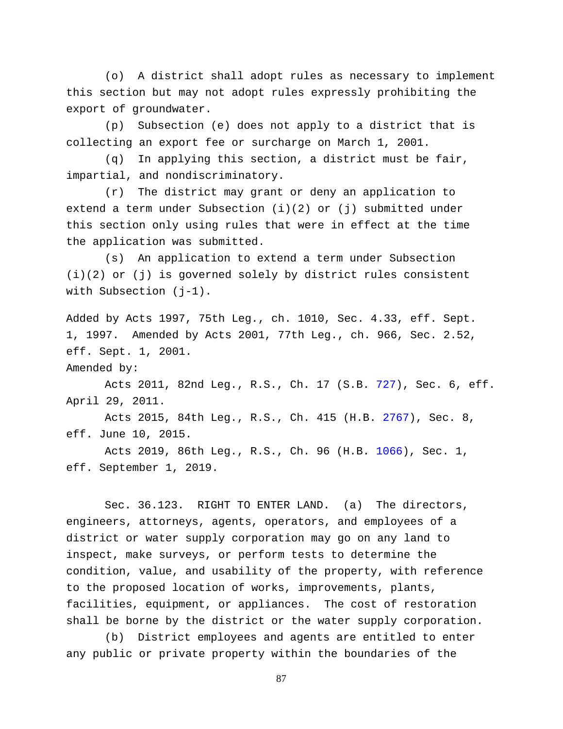(o) A district shall adopt rules as necessary to implement this section but may not adopt rules expressly prohibiting the export of groundwater.

(p) Subsection (e) does not apply to a district that is collecting an export fee or surcharge on March 1, 2001.

(q) In applying this section, a district must be fair, impartial, and nondiscriminatory.

(r) The district may grant or deny an application to extend a term under Subsection  $(i)(2)$  or  $(j)$  submitted under this section only using rules that were in effect at the time the application was submitted.

(s) An application to extend a term under Subsection (i)(2) or (j) is governed solely by district rules consistent with Subsection (j-1).

Added by Acts 1997, 75th Leg., ch. 1010, Sec. 4.33, eff. Sept. 1, 1997. Amended by Acts 2001, 77th Leg., ch. 966, Sec. 2.52, eff. Sept. 1, 2001.

Amended by:

Acts 2011, 82nd Leg., R.S., Ch. 17 (S.B. [727\)](http://www.legis.state.tx.us/tlodocs/82R/billtext/html/SB00727F.HTM), Sec. 6, eff. April 29, 2011.

Acts 2015, 84th Leg., R.S., Ch. 415 (H.B. [2767\)](http://www.legis.state.tx.us/tlodocs/84R/billtext/html/HB02767F.HTM), Sec. 8, eff. June 10, 2015.

Acts 2019, 86th Leg., R.S., Ch. 96 (H.B. [1066\)](http://www.legis.state.tx.us/tlodocs/86R/billtext/html/HB01066F.HTM), Sec. 1, eff. September 1, 2019.

Sec. 36.123. RIGHT TO ENTER LAND. (a) The directors, engineers, attorneys, agents, operators, and employees of a district or water supply corporation may go on any land to inspect, make surveys, or perform tests to determine the condition, value, and usability of the property, with reference to the proposed location of works, improvements, plants, facilities, equipment, or appliances. The cost of restoration shall be borne by the district or the water supply corporation.

(b) District employees and agents are entitled to enter any public or private property within the boundaries of the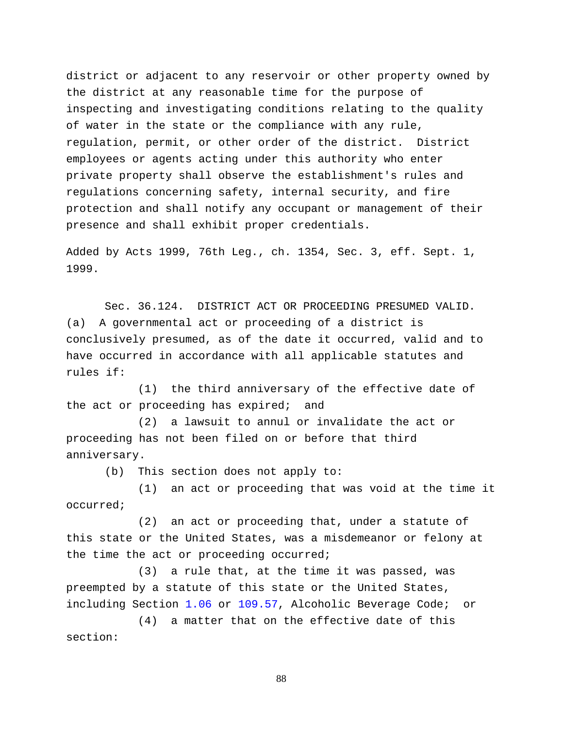district or adjacent to any reservoir or other property owned by the district at any reasonable time for the purpose of inspecting and investigating conditions relating to the quality of water in the state or the compliance with any rule, regulation, permit, or other order of the district. District employees or agents acting under this authority who enter private property shall observe the establishment's rules and regulations concerning safety, internal security, and fire protection and shall notify any occupant or management of their presence and shall exhibit proper credentials.

Added by Acts 1999, 76th Leg., ch. 1354, Sec. 3, eff. Sept. 1, 1999.

Sec. 36.124. DISTRICT ACT OR PROCEEDING PRESUMED VALID. (a) A governmental act or proceeding of a district is conclusively presumed, as of the date it occurred, valid and to have occurred in accordance with all applicable statutes and rules if:

(1) the third anniversary of the effective date of the act or proceeding has expired; and

(2) a lawsuit to annul or invalidate the act or proceeding has not been filed on or before that third anniversary.

(b) This section does not apply to:

(1) an act or proceeding that was void at the time it occurred;

(2) an act or proceeding that, under a statute of this state or the United States, was a misdemeanor or felony at the time the act or proceeding occurred;

(3) a rule that, at the time it was passed, was preempted by a statute of this state or the United States, including Section [1.06](http://www.statutes.legis.state.tx.us/GetStatute.aspx?Code=AL&Value=1.06) or [109.57,](http://www.statutes.legis.state.tx.us/GetStatute.aspx?Code=AL&Value=109.57) Alcoholic Beverage Code; or

(4) a matter that on the effective date of this section: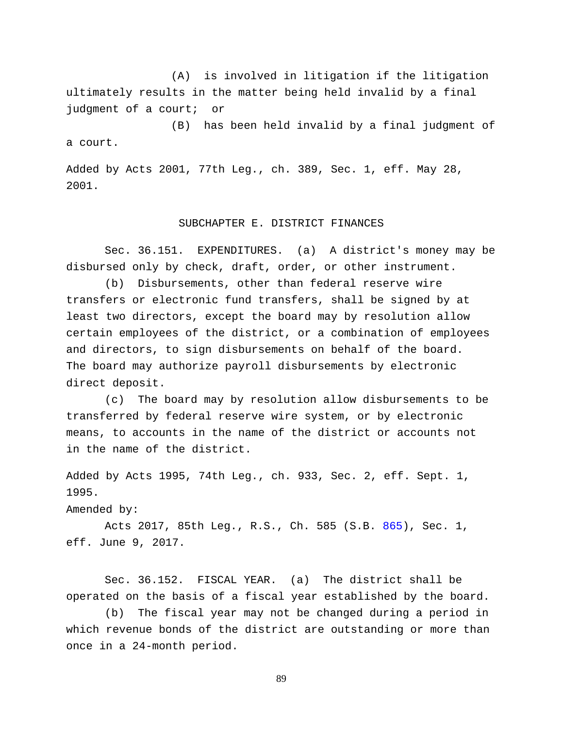(A) is involved in litigation if the litigation ultimately results in the matter being held invalid by a final judgment of a court; or

(B) has been held invalid by a final judgment of a court.

Added by Acts 2001, 77th Leg., ch. 389, Sec. 1, eff. May 28, 2001.

# SUBCHAPTER E. DISTRICT FINANCES

Sec. 36.151. EXPENDITURES. (a) A district's money may be disbursed only by check, draft, order, or other instrument.

(b) Disbursements, other than federal reserve wire transfers or electronic fund transfers, shall be signed by at least two directors, except the board may by resolution allow certain employees of the district, or a combination of employees and directors, to sign disbursements on behalf of the board. The board may authorize payroll disbursements by electronic direct deposit.

(c) The board may by resolution allow disbursements to be transferred by federal reserve wire system, or by electronic means, to accounts in the name of the district or accounts not in the name of the district.

Added by Acts 1995, 74th Leg., ch. 933, Sec. 2, eff. Sept. 1, 1995.

Amended by:

Acts 2017, 85th Leg., R.S., Ch. 585 (S.B. [865\)](http://www.legis.state.tx.us/tlodocs/85R/billtext/html/SB00865F.HTM), Sec. 1, eff. June 9, 2017.

Sec. 36.152. FISCAL YEAR. (a) The district shall be operated on the basis of a fiscal year established by the board.

(b) The fiscal year may not be changed during a period in which revenue bonds of the district are outstanding or more than once in a 24-month period.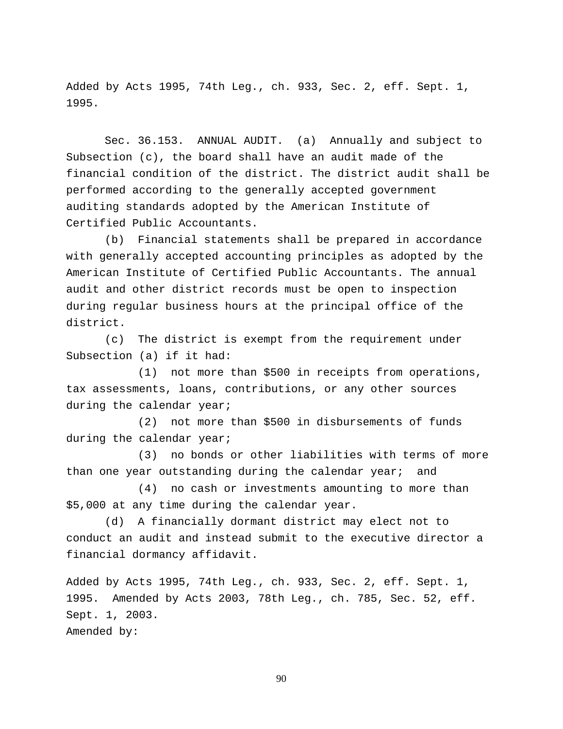Added by Acts 1995, 74th Leg., ch. 933, Sec. 2, eff. Sept. 1, 1995.

Sec. 36.153. ANNUAL AUDIT. (a) Annually and subject to Subsection (c), the board shall have an audit made of the financial condition of the district. The district audit shall be performed according to the generally accepted government auditing standards adopted by the American Institute of Certified Public Accountants.

(b) Financial statements shall be prepared in accordance with generally accepted accounting principles as adopted by the American Institute of Certified Public Accountants. The annual audit and other district records must be open to inspection during regular business hours at the principal office of the district.

(c) The district is exempt from the requirement under Subsection (a) if it had:

(1) not more than \$500 in receipts from operations, tax assessments, loans, contributions, or any other sources during the calendar year;

(2) not more than \$500 in disbursements of funds during the calendar year;

(3) no bonds or other liabilities with terms of more than one year outstanding during the calendar year; and

(4) no cash or investments amounting to more than \$5,000 at any time during the calendar year.

(d) A financially dormant district may elect not to conduct an audit and instead submit to the executive director a financial dormancy affidavit.

Added by Acts 1995, 74th Leg., ch. 933, Sec. 2, eff. Sept. 1, 1995. Amended by Acts 2003, 78th Leg., ch. 785, Sec. 52, eff. Sept. 1, 2003. Amended by: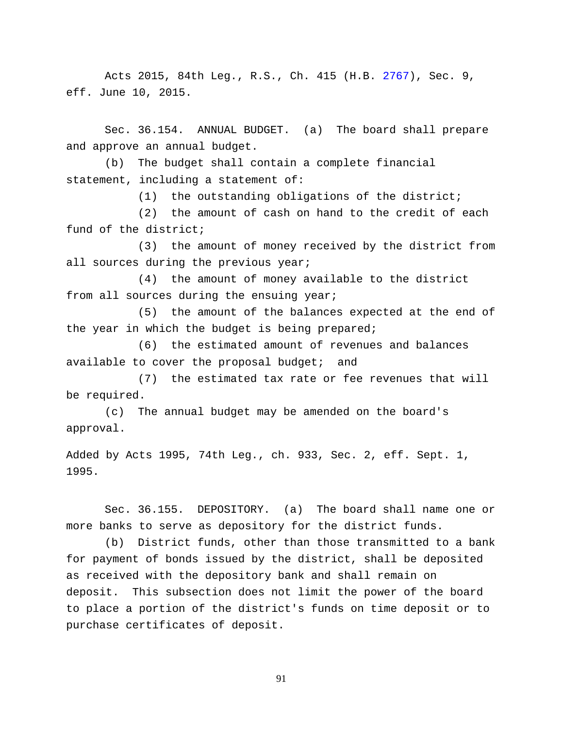Acts 2015, 84th Leg., R.S., Ch. 415 (H.B. [2767\)](http://www.legis.state.tx.us/tlodocs/84R/billtext/html/HB02767F.HTM), Sec. 9, eff. June 10, 2015.

Sec. 36.154. ANNUAL BUDGET. (a) The board shall prepare and approve an annual budget.

(b) The budget shall contain a complete financial statement, including a statement of:

(1) the outstanding obligations of the district;

(2) the amount of cash on hand to the credit of each fund of the district;

(3) the amount of money received by the district from all sources during the previous year;

(4) the amount of money available to the district from all sources during the ensuing year;

(5) the amount of the balances expected at the end of the year in which the budget is being prepared;

(6) the estimated amount of revenues and balances available to cover the proposal budget; and

(7) the estimated tax rate or fee revenues that will be required.

(c) The annual budget may be amended on the board's approval.

Added by Acts 1995, 74th Leg., ch. 933, Sec. 2, eff. Sept. 1, 1995.

Sec. 36.155. DEPOSITORY. (a) The board shall name one or more banks to serve as depository for the district funds.

(b) District funds, other than those transmitted to a bank for payment of bonds issued by the district, shall be deposited as received with the depository bank and shall remain on deposit. This subsection does not limit the power of the board to place a portion of the district's funds on time deposit or to purchase certificates of deposit.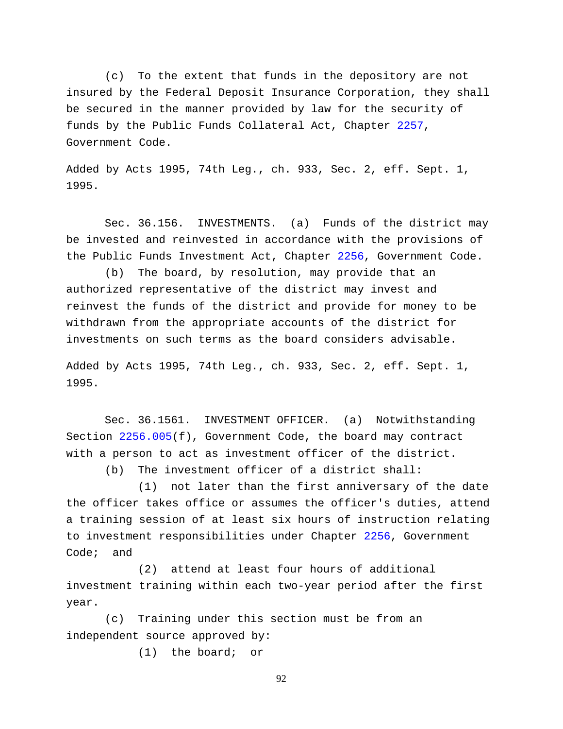(c) To the extent that funds in the depository are not insured by the Federal Deposit Insurance Corporation, they shall be secured in the manner provided by law for the security of funds by the Public Funds Collateral Act, Chapter [2257,](http://www.statutes.legis.state.tx.us/GetStatute.aspx?Code=GV&Value=2257) Government Code.

Added by Acts 1995, 74th Leg., ch. 933, Sec. 2, eff. Sept. 1, 1995.

Sec. 36.156. INVESTMENTS. (a) Funds of the district may be invested and reinvested in accordance with the provisions of the Public Funds Investment Act, Chapter [2256,](http://www.statutes.legis.state.tx.us/GetStatute.aspx?Code=GV&Value=2256) Government Code.

(b) The board, by resolution, may provide that an authorized representative of the district may invest and reinvest the funds of the district and provide for money to be withdrawn from the appropriate accounts of the district for investments on such terms as the board considers advisable.

Added by Acts 1995, 74th Leg., ch. 933, Sec. 2, eff. Sept. 1, 1995.

Sec. 36.1561. INVESTMENT OFFICER. (a) Notwithstanding Section [2256.005\(](http://www.statutes.legis.state.tx.us/GetStatute.aspx?Code=GV&Value=2256.005)f), Government Code, the board may contract with a person to act as investment officer of the district.

(b) The investment officer of a district shall:

(1) not later than the first anniversary of the date the officer takes office or assumes the officer's duties, attend a training session of at least six hours of instruction relating to investment responsibilities under Chapter [2256,](http://www.statutes.legis.state.tx.us/GetStatute.aspx?Code=GV&Value=2256) Government Code; and

(2) attend at least four hours of additional investment training within each two-year period after the first year.

(c) Training under this section must be from an independent source approved by:

(1) the board; or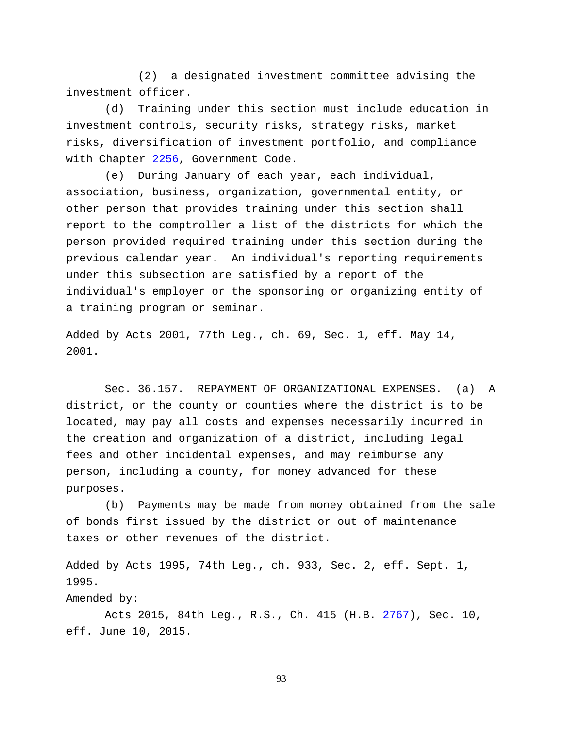(2) a designated investment committee advising the investment officer.

(d) Training under this section must include education in investment controls, security risks, strategy risks, market risks, diversification of investment portfolio, and compliance with Chapter [2256,](http://www.statutes.legis.state.tx.us/GetStatute.aspx?Code=GV&Value=2256) Government Code.

(e) During January of each year, each individual, association, business, organization, governmental entity, or other person that provides training under this section shall report to the comptroller a list of the districts for which the person provided required training under this section during the previous calendar year. An individual's reporting requirements under this subsection are satisfied by a report of the individual's employer or the sponsoring or organizing entity of a training program or seminar.

Added by Acts 2001, 77th Leg., ch. 69, Sec. 1, eff. May 14, 2001.

Sec. 36.157. REPAYMENT OF ORGANIZATIONAL EXPENSES. (a) A district, or the county or counties where the district is to be located, may pay all costs and expenses necessarily incurred in the creation and organization of a district, including legal fees and other incidental expenses, and may reimburse any person, including a county, for money advanced for these purposes.

(b) Payments may be made from money obtained from the sale of bonds first issued by the district or out of maintenance taxes or other revenues of the district.

Added by Acts 1995, 74th Leg., ch. 933, Sec. 2, eff. Sept. 1, 1995.

Amended by:

Acts 2015, 84th Leg., R.S., Ch. 415 (H.B. [2767\)](http://www.legis.state.tx.us/tlodocs/84R/billtext/html/HB02767F.HTM), Sec. 10, eff. June 10, 2015.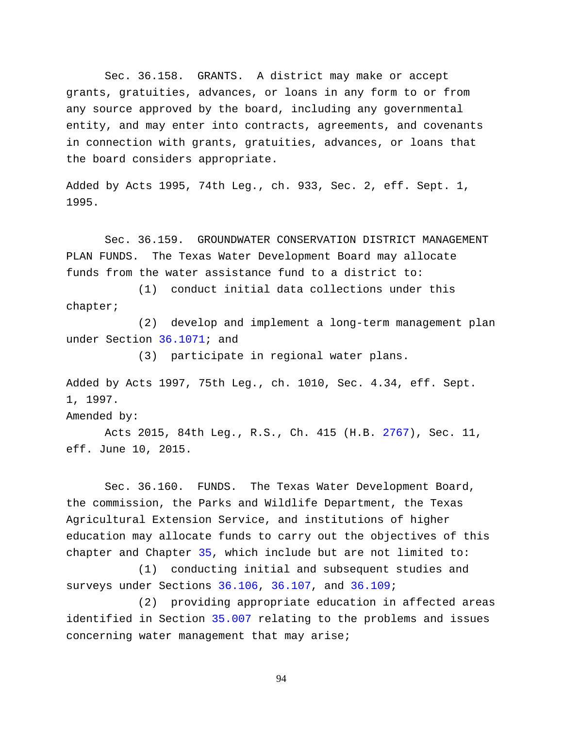Sec. 36.158. GRANTS. A district may make or accept grants, gratuities, advances, or loans in any form to or from any source approved by the board, including any governmental entity, and may enter into contracts, agreements, and covenants in connection with grants, gratuities, advances, or loans that the board considers appropriate.

Added by Acts 1995, 74th Leg., ch. 933, Sec. 2, eff. Sept. 1, 1995.

Sec. 36.159. GROUNDWATER CONSERVATION DISTRICT MANAGEMENT PLAN FUNDS. The Texas Water Development Board may allocate funds from the water assistance fund to a district to:

(1) conduct initial data collections under this chapter;

(2) develop and implement a long-term management plan under Section [36.1071;](http://www.statutes.legis.state.tx.us/GetStatute.aspx?Code=WA&Value=36.1071) and

(3) participate in regional water plans.

Added by Acts 1997, 75th Leg., ch. 1010, Sec. 4.34, eff. Sept. 1, 1997.

Amended by:

Acts 2015, 84th Leg., R.S., Ch. 415 (H.B. [2767\)](http://www.legis.state.tx.us/tlodocs/84R/billtext/html/HB02767F.HTM), Sec. 11, eff. June 10, 2015.

Sec. 36.160. FUNDS. The Texas Water Development Board, the commission, the Parks and Wildlife Department, the Texas Agricultural Extension Service, and institutions of higher education may allocate funds to carry out the objectives of this chapter and Chapter [35,](http://www.statutes.legis.state.tx.us/GetStatute.aspx?Code=WA&Value=35) which include but are not limited to:

(1) conducting initial and subsequent studies and surveys under Sections [36.106,](http://www.statutes.legis.state.tx.us/GetStatute.aspx?Code=WA&Value=36.106) [36.107,](http://www.statutes.legis.state.tx.us/GetStatute.aspx?Code=WA&Value=36.107) and [36.109;](http://www.statutes.legis.state.tx.us/GetStatute.aspx?Code=WA&Value=36.109)

(2) providing appropriate education in affected areas identified in Section [35.007](http://www.statutes.legis.state.tx.us/GetStatute.aspx?Code=WA&Value=35.007) relating to the problems and issues concerning water management that may arise;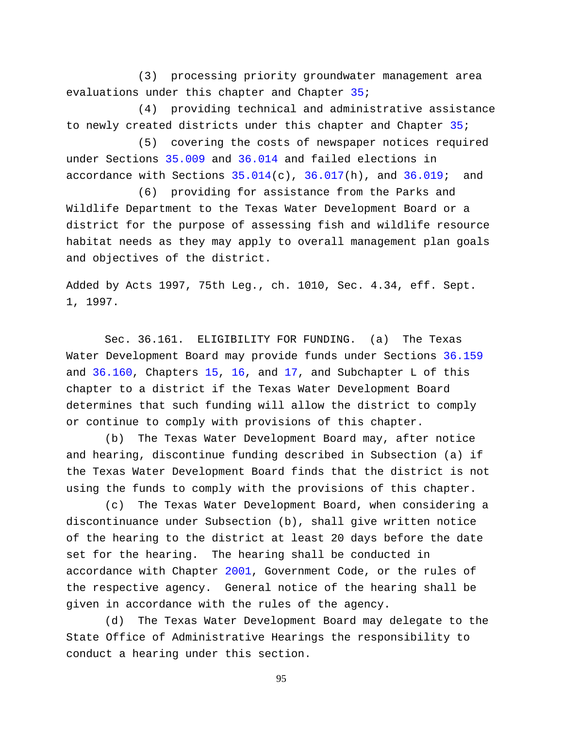(3) processing priority groundwater management area evaluations under this chapter and Chapter [35;](http://www.statutes.legis.state.tx.us/GetStatute.aspx?Code=WA&Value=35)

(4) providing technical and administrative assistance to newly created districts under this chapter and Chapter [35;](http://www.statutes.legis.state.tx.us/GetStatute.aspx?Code=WA&Value=35)

(5) covering the costs of newspaper notices required under Sections [35.009](http://www.statutes.legis.state.tx.us/GetStatute.aspx?Code=WA&Value=35.009) and [36.014](http://www.statutes.legis.state.tx.us/GetStatute.aspx?Code=WA&Value=36.014) and failed elections in accordance with Sections  $35.014(c)$ ,  $36.017(h)$ , and  $36.019$ ; and

(6) providing for assistance from the Parks and Wildlife Department to the Texas Water Development Board or a district for the purpose of assessing fish and wildlife resource habitat needs as they may apply to overall management plan goals and objectives of the district.

Added by Acts 1997, 75th Leg., ch. 1010, Sec. 4.34, eff. Sept. 1, 1997.

Sec. 36.161. ELIGIBILITY FOR FUNDING. (a) The Texas Water Development Board may provide funds under Sections [36.159](http://www.statutes.legis.state.tx.us/GetStatute.aspx?Code=WA&Value=36.159) and [36.160,](http://www.statutes.legis.state.tx.us/GetStatute.aspx?Code=WA&Value=36.160) Chapters [15,](http://www.statutes.legis.state.tx.us/GetStatute.aspx?Code=WA&Value=15) [16,](http://www.statutes.legis.state.tx.us/GetStatute.aspx?Code=WA&Value=16) and [17,](http://www.statutes.legis.state.tx.us/GetStatute.aspx?Code=WA&Value=17) and Subchapter L of this chapter to a district if the Texas Water Development Board determines that such funding will allow the district to comply or continue to comply with provisions of this chapter.

(b) The Texas Water Development Board may, after notice and hearing, discontinue funding described in Subsection (a) if the Texas Water Development Board finds that the district is not using the funds to comply with the provisions of this chapter.

(c) The Texas Water Development Board, when considering a discontinuance under Subsection (b), shall give written notice of the hearing to the district at least 20 days before the date set for the hearing. The hearing shall be conducted in accordance with Chapter [2001,](http://www.statutes.legis.state.tx.us/GetStatute.aspx?Code=GV&Value=2001) Government Code, or the rules of the respective agency. General notice of the hearing shall be given in accordance with the rules of the agency.

(d) The Texas Water Development Board may delegate to the State Office of Administrative Hearings the responsibility to conduct a hearing under this section.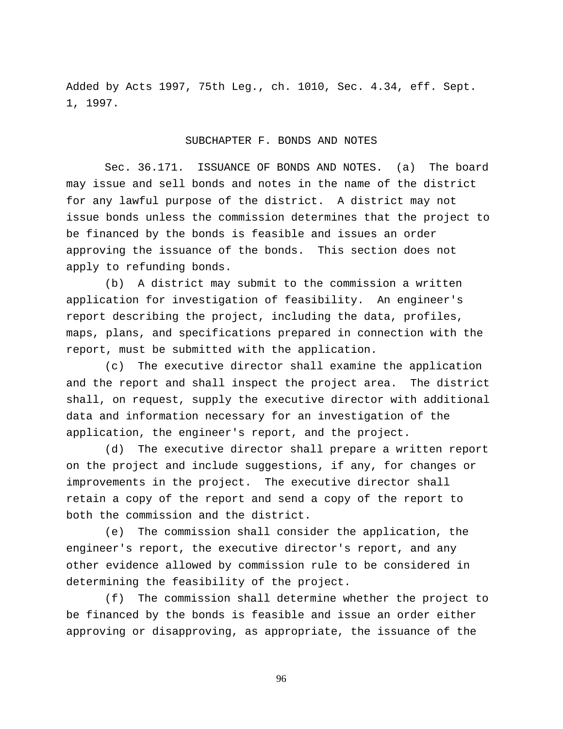Added by Acts 1997, 75th Leg., ch. 1010, Sec. 4.34, eff. Sept. 1, 1997.

#### SUBCHAPTER F. BONDS AND NOTES

Sec. 36.171. ISSUANCE OF BONDS AND NOTES. (a) The board may issue and sell bonds and notes in the name of the district for any lawful purpose of the district. A district may not issue bonds unless the commission determines that the project to be financed by the bonds is feasible and issues an order approving the issuance of the bonds. This section does not apply to refunding bonds.

(b) A district may submit to the commission a written application for investigation of feasibility. An engineer's report describing the project, including the data, profiles, maps, plans, and specifications prepared in connection with the report, must be submitted with the application.

(c) The executive director shall examine the application and the report and shall inspect the project area. The district shall, on request, supply the executive director with additional data and information necessary for an investigation of the application, the engineer's report, and the project.

(d) The executive director shall prepare a written report on the project and include suggestions, if any, for changes or improvements in the project. The executive director shall retain a copy of the report and send a copy of the report to both the commission and the district.

(e) The commission shall consider the application, the engineer's report, the executive director's report, and any other evidence allowed by commission rule to be considered in determining the feasibility of the project.

(f) The commission shall determine whether the project to be financed by the bonds is feasible and issue an order either approving or disapproving, as appropriate, the issuance of the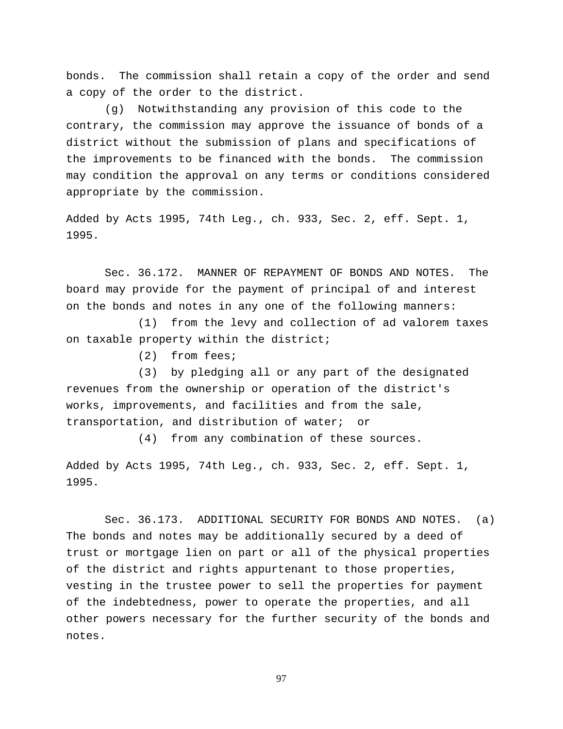bonds. The commission shall retain a copy of the order and send a copy of the order to the district.

(g) Notwithstanding any provision of this code to the contrary, the commission may approve the issuance of bonds of a district without the submission of plans and specifications of the improvements to be financed with the bonds. The commission may condition the approval on any terms or conditions considered appropriate by the commission.

Added by Acts 1995, 74th Leg., ch. 933, Sec. 2, eff. Sept. 1, 1995.

Sec. 36.172. MANNER OF REPAYMENT OF BONDS AND NOTES. The board may provide for the payment of principal of and interest on the bonds and notes in any one of the following manners:

(1) from the levy and collection of ad valorem taxes on taxable property within the district;

(2) from fees;

(3) by pledging all or any part of the designated revenues from the ownership or operation of the district's works, improvements, and facilities and from the sale, transportation, and distribution of water; or

(4) from any combination of these sources.

Added by Acts 1995, 74th Leg., ch. 933, Sec. 2, eff. Sept. 1, 1995.

Sec. 36.173. ADDITIONAL SECURITY FOR BONDS AND NOTES. (a) The bonds and notes may be additionally secured by a deed of trust or mortgage lien on part or all of the physical properties of the district and rights appurtenant to those properties, vesting in the trustee power to sell the properties for payment of the indebtedness, power to operate the properties, and all other powers necessary for the further security of the bonds and notes.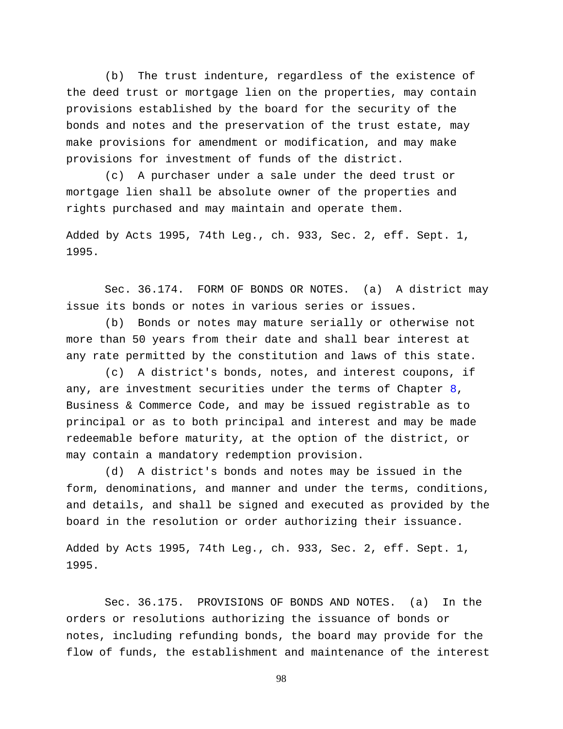(b) The trust indenture, regardless of the existence of the deed trust or mortgage lien on the properties, may contain provisions established by the board for the security of the bonds and notes and the preservation of the trust estate, may make provisions for amendment or modification, and may make provisions for investment of funds of the district.

(c) A purchaser under a sale under the deed trust or mortgage lien shall be absolute owner of the properties and rights purchased and may maintain and operate them.

Added by Acts 1995, 74th Leg., ch. 933, Sec. 2, eff. Sept. 1, 1995.

Sec. 36.174. FORM OF BONDS OR NOTES. (a) A district may issue its bonds or notes in various series or issues.

(b) Bonds or notes may mature serially or otherwise not more than 50 years from their date and shall bear interest at any rate permitted by the constitution and laws of this state.

(c) A district's bonds, notes, and interest coupons, if any, are investment securities under the terms of Chapter [8,](http://www.statutes.legis.state.tx.us/GetStatute.aspx?Code=BC&Value=8) Business & Commerce Code, and may be issued registrable as to principal or as to both principal and interest and may be made redeemable before maturity, at the option of the district, or may contain a mandatory redemption provision.

(d) A district's bonds and notes may be issued in the form, denominations, and manner and under the terms, conditions, and details, and shall be signed and executed as provided by the board in the resolution or order authorizing their issuance.

Added by Acts 1995, 74th Leg., ch. 933, Sec. 2, eff. Sept. 1, 1995.

Sec. 36.175. PROVISIONS OF BONDS AND NOTES. (a) In the orders or resolutions authorizing the issuance of bonds or notes, including refunding bonds, the board may provide for the flow of funds, the establishment and maintenance of the interest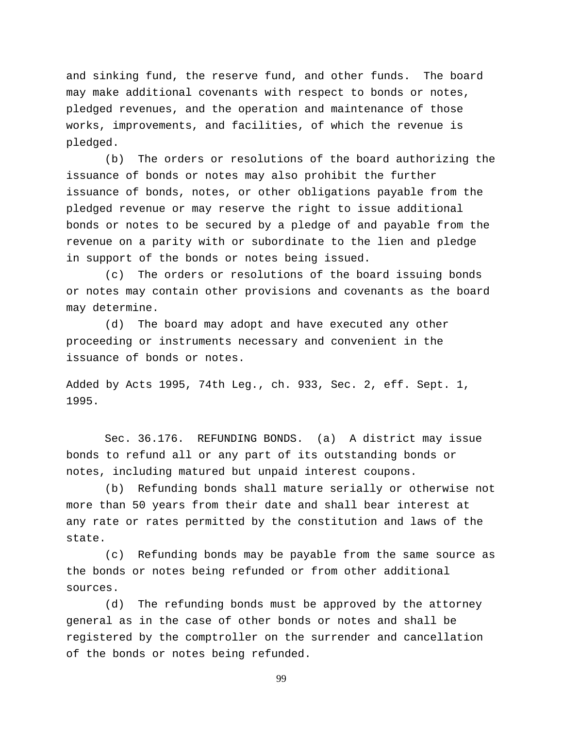and sinking fund, the reserve fund, and other funds. The board may make additional covenants with respect to bonds or notes, pledged revenues, and the operation and maintenance of those works, improvements, and facilities, of which the revenue is pledged.

(b) The orders or resolutions of the board authorizing the issuance of bonds or notes may also prohibit the further issuance of bonds, notes, or other obligations payable from the pledged revenue or may reserve the right to issue additional bonds or notes to be secured by a pledge of and payable from the revenue on a parity with or subordinate to the lien and pledge in support of the bonds or notes being issued.

(c) The orders or resolutions of the board issuing bonds or notes may contain other provisions and covenants as the board may determine.

(d) The board may adopt and have executed any other proceeding or instruments necessary and convenient in the issuance of bonds or notes.

Added by Acts 1995, 74th Leg., ch. 933, Sec. 2, eff. Sept. 1, 1995.

Sec. 36.176. REFUNDING BONDS. (a) A district may issue bonds to refund all or any part of its outstanding bonds or notes, including matured but unpaid interest coupons.

(b) Refunding bonds shall mature serially or otherwise not more than 50 years from their date and shall bear interest at any rate or rates permitted by the constitution and laws of the state.

(c) Refunding bonds may be payable from the same source as the bonds or notes being refunded or from other additional sources.

(d) The refunding bonds must be approved by the attorney general as in the case of other bonds or notes and shall be registered by the comptroller on the surrender and cancellation of the bonds or notes being refunded.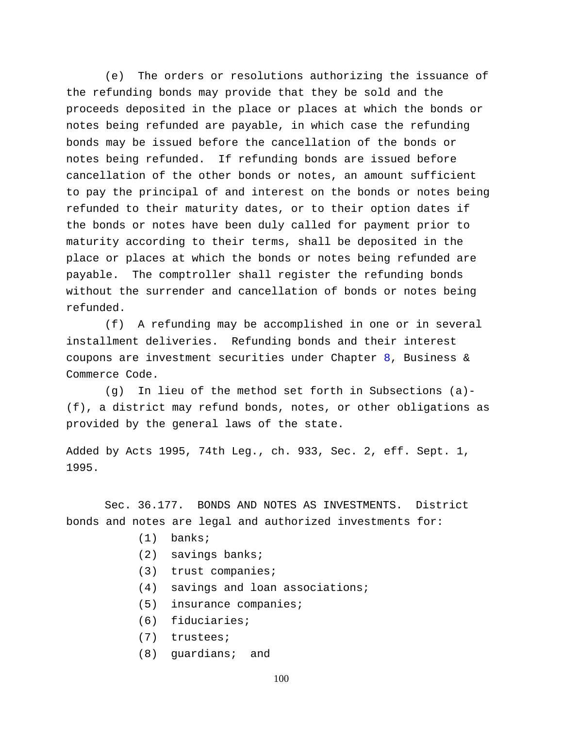(e) The orders or resolutions authorizing the issuance of the refunding bonds may provide that they be sold and the proceeds deposited in the place or places at which the bonds or notes being refunded are payable, in which case the refunding bonds may be issued before the cancellation of the bonds or notes being refunded. If refunding bonds are issued before cancellation of the other bonds or notes, an amount sufficient to pay the principal of and interest on the bonds or notes being refunded to their maturity dates, or to their option dates if the bonds or notes have been duly called for payment prior to maturity according to their terms, shall be deposited in the place or places at which the bonds or notes being refunded are payable. The comptroller shall register the refunding bonds without the surrender and cancellation of bonds or notes being refunded.

(f) A refunding may be accomplished in one or in several installment deliveries. Refunding bonds and their interest coupons are investment securities under Chapter [8,](http://www.statutes.legis.state.tx.us/GetStatute.aspx?Code=BC&Value=8) Business & Commerce Code.

(g) In lieu of the method set forth in Subsections (a)- (f), a district may refund bonds, notes, or other obligations as provided by the general laws of the state.

Added by Acts 1995, 74th Leg., ch. 933, Sec. 2, eff. Sept. 1, 1995.

Sec. 36.177. BONDS AND NOTES AS INVESTMENTS. District bonds and notes are legal and authorized investments for:

- (1) banks;
- (2) savings banks;
- (3) trust companies;
- (4) savings and loan associations;
- (5) insurance companies;
- (6) fiduciaries;
- (7) trustees;
- (8) guardians; and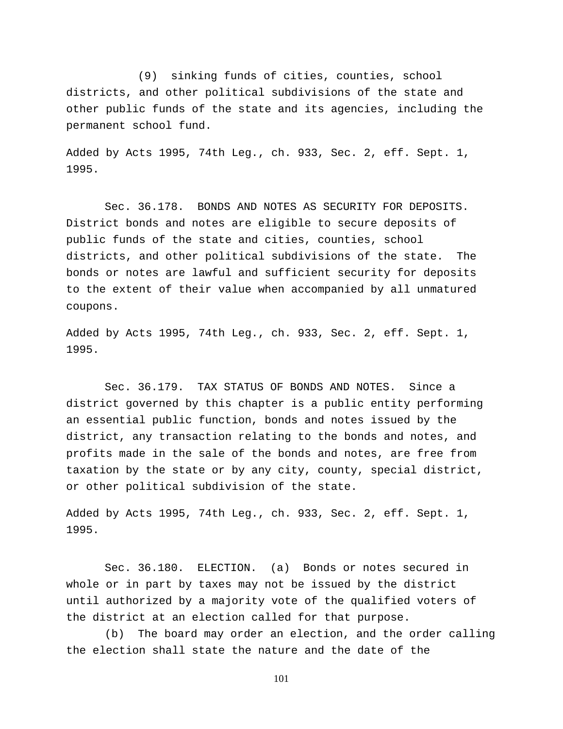(9) sinking funds of cities, counties, school districts, and other political subdivisions of the state and other public funds of the state and its agencies, including the permanent school fund.

Added by Acts 1995, 74th Leg., ch. 933, Sec. 2, eff. Sept. 1, 1995.

Sec. 36.178. BONDS AND NOTES AS SECURITY FOR DEPOSITS. District bonds and notes are eligible to secure deposits of public funds of the state and cities, counties, school districts, and other political subdivisions of the state. The bonds or notes are lawful and sufficient security for deposits to the extent of their value when accompanied by all unmatured coupons.

Added by Acts 1995, 74th Leg., ch. 933, Sec. 2, eff. Sept. 1, 1995.

Sec. 36.179. TAX STATUS OF BONDS AND NOTES. Since a district governed by this chapter is a public entity performing an essential public function, bonds and notes issued by the district, any transaction relating to the bonds and notes, and profits made in the sale of the bonds and notes, are free from taxation by the state or by any city, county, special district, or other political subdivision of the state.

Added by Acts 1995, 74th Leg., ch. 933, Sec. 2, eff. Sept. 1, 1995.

Sec. 36.180. ELECTION. (a) Bonds or notes secured in whole or in part by taxes may not be issued by the district until authorized by a majority vote of the qualified voters of the district at an election called for that purpose.

(b) The board may order an election, and the order calling the election shall state the nature and the date of the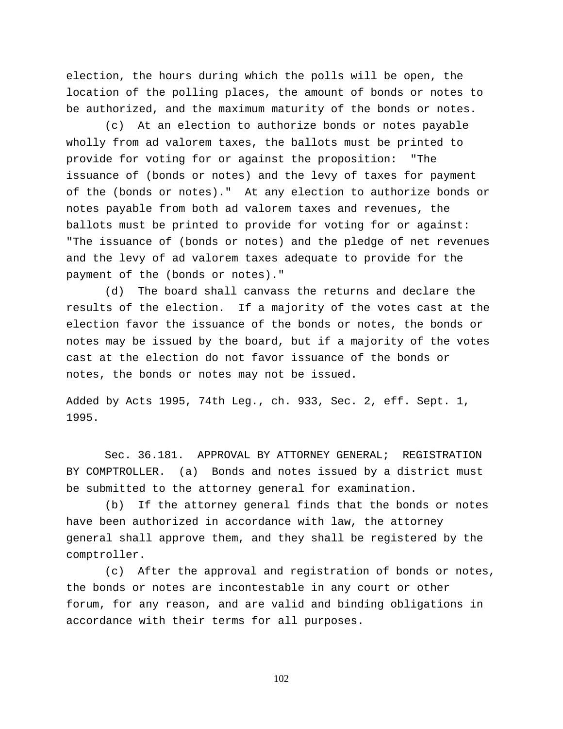election, the hours during which the polls will be open, the location of the polling places, the amount of bonds or notes to be authorized, and the maximum maturity of the bonds or notes.

(c) At an election to authorize bonds or notes payable wholly from ad valorem taxes, the ballots must be printed to provide for voting for or against the proposition: "The issuance of (bonds or notes) and the levy of taxes for payment of the (bonds or notes)." At any election to authorize bonds or notes payable from both ad valorem taxes and revenues, the ballots must be printed to provide for voting for or against: "The issuance of (bonds or notes) and the pledge of net revenues and the levy of ad valorem taxes adequate to provide for the payment of the (bonds or notes)."

(d) The board shall canvass the returns and declare the results of the election. If a majority of the votes cast at the election favor the issuance of the bonds or notes, the bonds or notes may be issued by the board, but if a majority of the votes cast at the election do not favor issuance of the bonds or notes, the bonds or notes may not be issued.

Added by Acts 1995, 74th Leg., ch. 933, Sec. 2, eff. Sept. 1, 1995.

Sec. 36.181. APPROVAL BY ATTORNEY GENERAL; REGISTRATION BY COMPTROLLER. (a) Bonds and notes issued by a district must be submitted to the attorney general for examination.

(b) If the attorney general finds that the bonds or notes have been authorized in accordance with law, the attorney general shall approve them, and they shall be registered by the comptroller.

(c) After the approval and registration of bonds or notes, the bonds or notes are incontestable in any court or other forum, for any reason, and are valid and binding obligations in accordance with their terms for all purposes.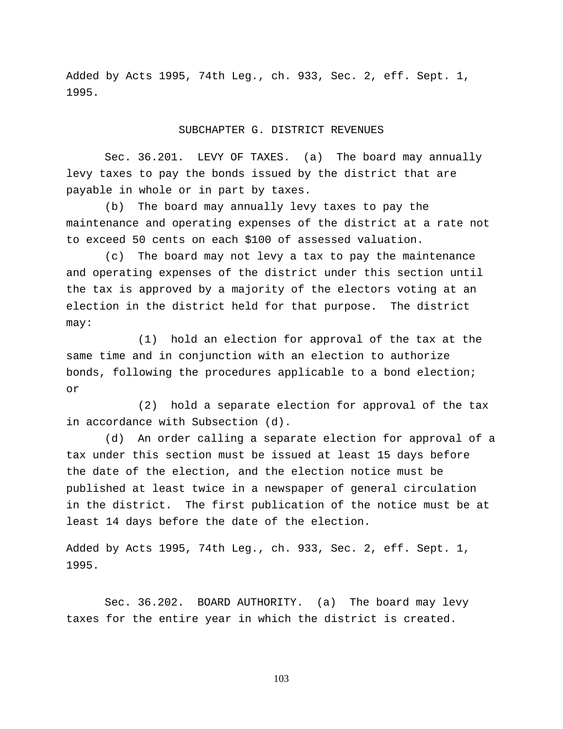Added by Acts 1995, 74th Leg., ch. 933, Sec. 2, eff. Sept. 1, 1995.

### SUBCHAPTER G. DISTRICT REVENUES

Sec. 36.201. LEVY OF TAXES. (a) The board may annually levy taxes to pay the bonds issued by the district that are payable in whole or in part by taxes.

(b) The board may annually levy taxes to pay the maintenance and operating expenses of the district at a rate not to exceed 50 cents on each \$100 of assessed valuation.

(c) The board may not levy a tax to pay the maintenance and operating expenses of the district under this section until the tax is approved by a majority of the electors voting at an election in the district held for that purpose. The district may:

(1) hold an election for approval of the tax at the same time and in conjunction with an election to authorize bonds, following the procedures applicable to a bond election; or

(2) hold a separate election for approval of the tax in accordance with Subsection (d).

(d) An order calling a separate election for approval of a tax under this section must be issued at least 15 days before the date of the election, and the election notice must be published at least twice in a newspaper of general circulation in the district. The first publication of the notice must be at least 14 days before the date of the election.

Added by Acts 1995, 74th Leg., ch. 933, Sec. 2, eff. Sept. 1, 1995.

Sec. 36.202. BOARD AUTHORITY. (a) The board may levy taxes for the entire year in which the district is created.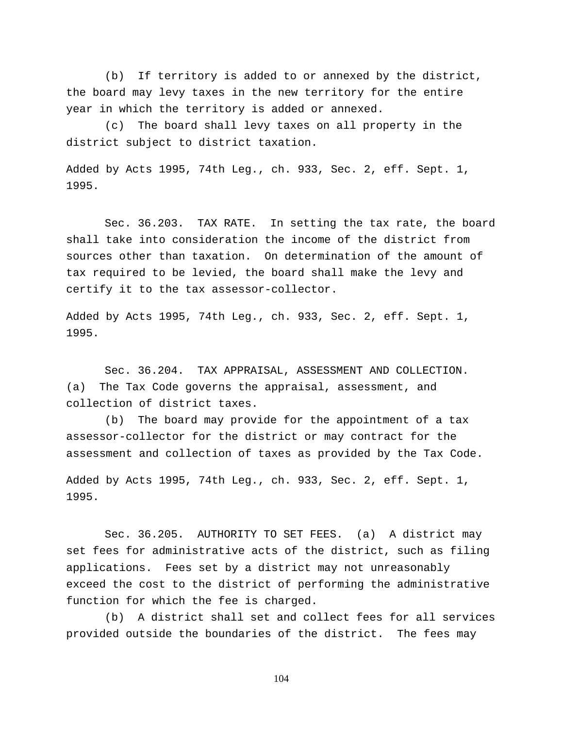(b) If territory is added to or annexed by the district, the board may levy taxes in the new territory for the entire year in which the territory is added or annexed.

(c) The board shall levy taxes on all property in the district subject to district taxation.

Added by Acts 1995, 74th Leg., ch. 933, Sec. 2, eff. Sept. 1, 1995.

Sec. 36.203. TAX RATE. In setting the tax rate, the board shall take into consideration the income of the district from sources other than taxation. On determination of the amount of tax required to be levied, the board shall make the levy and certify it to the tax assessor-collector.

Added by Acts 1995, 74th Leg., ch. 933, Sec. 2, eff. Sept. 1, 1995.

Sec. 36.204. TAX APPRAISAL, ASSESSMENT AND COLLECTION. (a) The Tax Code governs the appraisal, assessment, and collection of district taxes.

(b) The board may provide for the appointment of a tax assessor-collector for the district or may contract for the assessment and collection of taxes as provided by the Tax Code.

Added by Acts 1995, 74th Leg., ch. 933, Sec. 2, eff. Sept. 1, 1995.

Sec. 36.205. AUTHORITY TO SET FEES. (a) A district may set fees for administrative acts of the district, such as filing applications. Fees set by a district may not unreasonably exceed the cost to the district of performing the administrative function for which the fee is charged.

(b) A district shall set and collect fees for all services provided outside the boundaries of the district. The fees may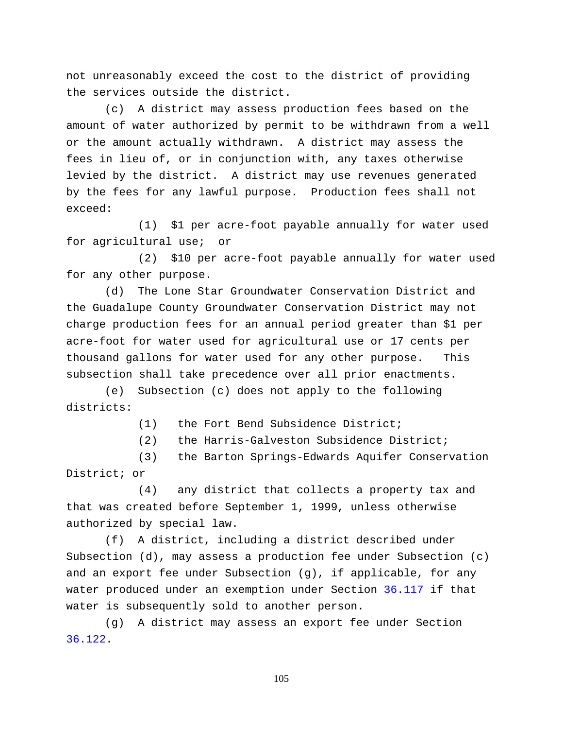not unreasonably exceed the cost to the district of providing the services outside the district.

(c) A district may assess production fees based on the amount of water authorized by permit to be withdrawn from a well or the amount actually withdrawn. A district may assess the fees in lieu of, or in conjunction with, any taxes otherwise levied by the district. A district may use revenues generated by the fees for any lawful purpose. Production fees shall not exceed:

(1) \$1 per acre-foot payable annually for water used for agricultural use; or

(2) \$10 per acre-foot payable annually for water used for any other purpose.

(d) The Lone Star Groundwater Conservation District and the Guadalupe County Groundwater Conservation District may not charge production fees for an annual period greater than \$1 per acre-foot for water used for agricultural use or 17 cents per thousand gallons for water used for any other purpose. This subsection shall take precedence over all prior enactments.

(e) Subsection (c) does not apply to the following districts:

(1) the Fort Bend Subsidence District;

(2) the Harris-Galveston Subsidence District;

(3) the Barton Springs-Edwards Aquifer Conservation District; or

(4) any district that collects a property tax and that was created before September 1, 1999, unless otherwise authorized by special law.

(f) A district, including a district described under Subsection (d), may assess a production fee under Subsection (c) and an export fee under Subsection (g), if applicable, for any water produced under an exemption under Section [36.117](http://www.statutes.legis.state.tx.us/GetStatute.aspx?Code=WA&Value=36.117) if that water is subsequently sold to another person.

(g) A district may assess an export fee under Section [36.122.](http://www.statutes.legis.state.tx.us/GetStatute.aspx?Code=WA&Value=36.122)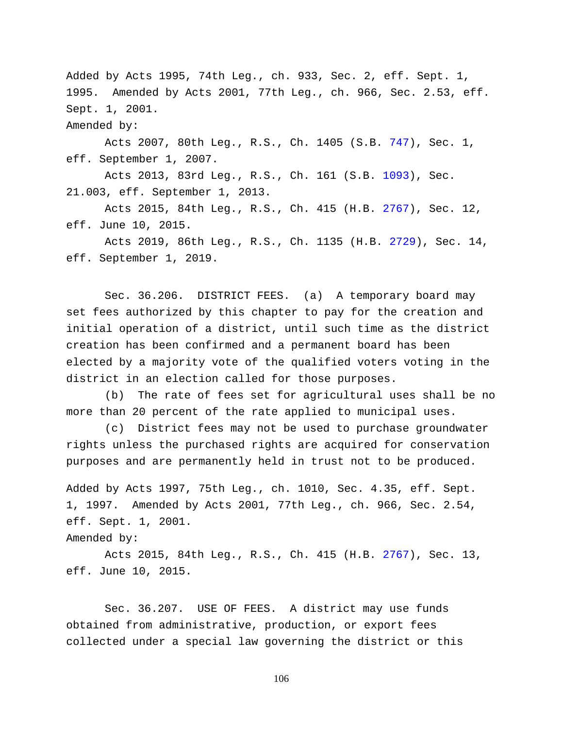Added by Acts 1995, 74th Leg., ch. 933, Sec. 2, eff. Sept. 1, 1995. Amended by Acts 2001, 77th Leg., ch. 966, Sec. 2.53, eff. Sept. 1, 2001.

Amended by:

Acts 2007, 80th Leg., R.S., Ch. 1405 (S.B. [747\)](http://www.legis.state.tx.us/tlodocs/80R/billtext/html/SB00747F.HTM), Sec. 1, eff. September 1, 2007.

Acts 2013, 83rd Leg., R.S., Ch. 161 (S.B. [1093\)](http://www.legis.state.tx.us/tlodocs/83R/billtext/html/SB01093F.HTM), Sec. 21.003, eff. September 1, 2013.

Acts 2015, 84th Leg., R.S., Ch. 415 (H.B. [2767\)](http://www.legis.state.tx.us/tlodocs/84R/billtext/html/HB02767F.HTM), Sec. 12, eff. June 10, 2015.

Acts 2019, 86th Leg., R.S., Ch. 1135 (H.B. [2729\)](http://www.legis.state.tx.us/tlodocs/86R/billtext/html/HB02729F.HTM), Sec. 14, eff. September 1, 2019.

Sec. 36.206. DISTRICT FEES. (a) A temporary board may set fees authorized by this chapter to pay for the creation and initial operation of a district, until such time as the district creation has been confirmed and a permanent board has been elected by a majority vote of the qualified voters voting in the district in an election called for those purposes.

(b) The rate of fees set for agricultural uses shall be no more than 20 percent of the rate applied to municipal uses.

(c) District fees may not be used to purchase groundwater rights unless the purchased rights are acquired for conservation purposes and are permanently held in trust not to be produced.

Added by Acts 1997, 75th Leg., ch. 1010, Sec. 4.35, eff. Sept. 1, 1997. Amended by Acts 2001, 77th Leg., ch. 966, Sec. 2.54, eff. Sept. 1, 2001.

Amended by:

Acts 2015, 84th Leg., R.S., Ch. 415 (H.B. [2767\)](http://www.legis.state.tx.us/tlodocs/84R/billtext/html/HB02767F.HTM), Sec. 13, eff. June 10, 2015.

Sec. 36.207. USE OF FEES. A district may use funds obtained from administrative, production, or export fees collected under a special law governing the district or this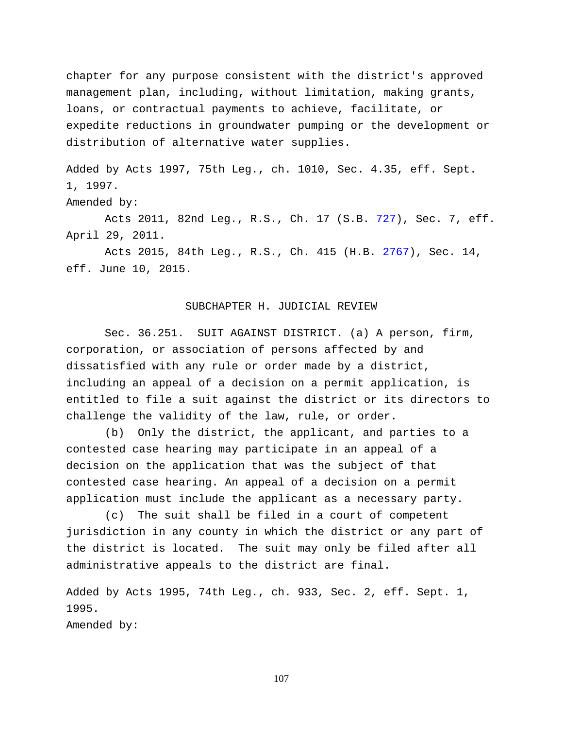chapter for any purpose consistent with the district's approved management plan, including, without limitation, making grants, loans, or contractual payments to achieve, facilitate, or expedite reductions in groundwater pumping or the development or distribution of alternative water supplies.

Added by Acts 1997, 75th Leg., ch. 1010, Sec. 4.35, eff. Sept. 1, 1997.

Amended by:

Acts 2011, 82nd Leg., R.S., Ch. 17 (S.B. [727\)](http://www.legis.state.tx.us/tlodocs/82R/billtext/html/SB00727F.HTM), Sec. 7, eff. April 29, 2011.

Acts 2015, 84th Leg., R.S., Ch. 415 (H.B. [2767\)](http://www.legis.state.tx.us/tlodocs/84R/billtext/html/HB02767F.HTM), Sec. 14, eff. June 10, 2015.

## SUBCHAPTER H. JUDICIAL REVIEW

Sec. 36.251. SUIT AGAINST DISTRICT. (a) A person, firm, corporation, or association of persons affected by and dissatisfied with any rule or order made by a district, including an appeal of a decision on a permit application, is entitled to file a suit against the district or its directors to challenge the validity of the law, rule, or order.

(b) Only the district, the applicant, and parties to a contested case hearing may participate in an appeal of a decision on the application that was the subject of that contested case hearing. An appeal of a decision on a permit application must include the applicant as a necessary party.

(c) The suit shall be filed in a court of competent jurisdiction in any county in which the district or any part of the district is located. The suit may only be filed after all administrative appeals to the district are final.

Added by Acts 1995, 74th Leg., ch. 933, Sec. 2, eff. Sept. 1, 1995.

Amended by: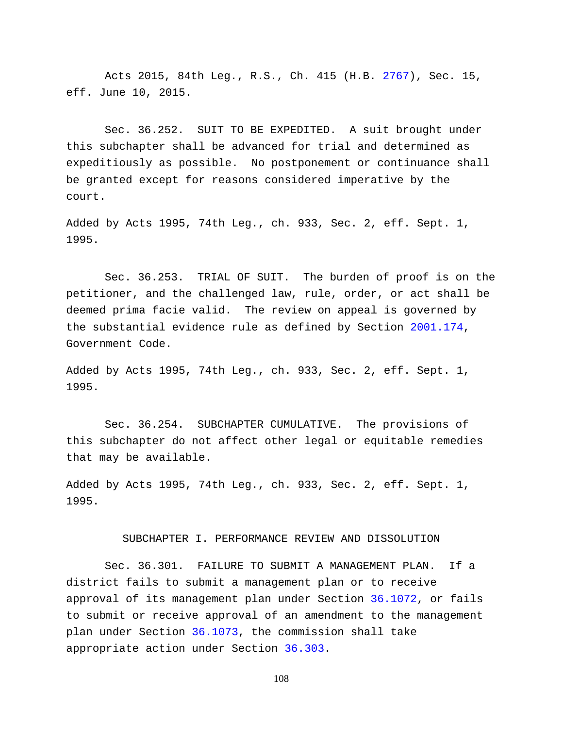Acts 2015, 84th Leg., R.S., Ch. 415 (H.B. [2767\)](http://www.legis.state.tx.us/tlodocs/84R/billtext/html/HB02767F.HTM), Sec. 15, eff. June 10, 2015.

Sec. 36.252. SUIT TO BE EXPEDITED. A suit brought under this subchapter shall be advanced for trial and determined as expeditiously as possible. No postponement or continuance shall be granted except for reasons considered imperative by the court.

Added by Acts 1995, 74th Leg., ch. 933, Sec. 2, eff. Sept. 1, 1995.

Sec. 36.253. TRIAL OF SUIT. The burden of proof is on the petitioner, and the challenged law, rule, order, or act shall be deemed prima facie valid. The review on appeal is governed by the substantial evidence rule as defined by Section [2001.174,](http://www.statutes.legis.state.tx.us/GetStatute.aspx?Code=GV&Value=2001.174) Government Code.

Added by Acts 1995, 74th Leg., ch. 933, Sec. 2, eff. Sept. 1, 1995.

Sec. 36.254. SUBCHAPTER CUMULATIVE. The provisions of this subchapter do not affect other legal or equitable remedies that may be available.

Added by Acts 1995, 74th Leg., ch. 933, Sec. 2, eff. Sept. 1, 1995.

### SUBCHAPTER I. PERFORMANCE REVIEW AND DISSOLUTION

Sec. 36.301. FAILURE TO SUBMIT A MANAGEMENT PLAN. If a district fails to submit a management plan or to receive approval of its management plan under Section [36.1072,](http://www.statutes.legis.state.tx.us/GetStatute.aspx?Code=WA&Value=36.1072) or fails to submit or receive approval of an amendment to the management plan under Section [36.1073,](http://www.statutes.legis.state.tx.us/GetStatute.aspx?Code=WA&Value=36.1073) the commission shall take appropriate action under Section [36.303.](http://www.statutes.legis.state.tx.us/GetStatute.aspx?Code=WA&Value=36.303)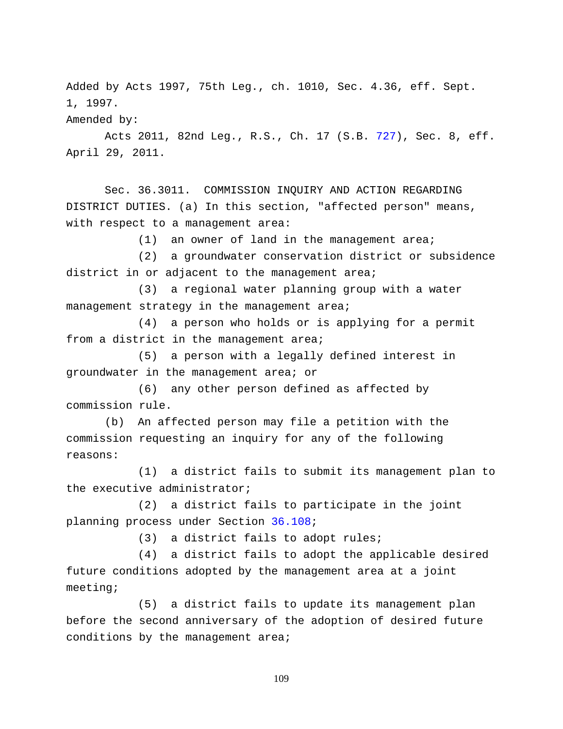Added by Acts 1997, 75th Leg., ch. 1010, Sec. 4.36, eff. Sept. 1, 1997.

Amended by:

Acts 2011, 82nd Leg., R.S., Ch. 17 (S.B. [727\)](http://www.legis.state.tx.us/tlodocs/82R/billtext/html/SB00727F.HTM), Sec. 8, eff. April 29, 2011.

Sec. 36.3011. COMMISSION INQUIRY AND ACTION REGARDING DISTRICT DUTIES. (a) In this section, "affected person" means, with respect to a management area:

(1) an owner of land in the management area;

(2) a groundwater conservation district or subsidence district in or adjacent to the management area;

(3) a regional water planning group with a water management strategy in the management area;

(4) a person who holds or is applying for a permit from a district in the management area;

(5) a person with a legally defined interest in groundwater in the management area; or

(6) any other person defined as affected by commission rule.

(b) An affected person may file a petition with the commission requesting an inquiry for any of the following reasons:

(1) a district fails to submit its management plan to the executive administrator;

(2) a district fails to participate in the joint planning process under Section [36.108;](http://www.statutes.legis.state.tx.us/GetStatute.aspx?Code=WA&Value=36.108)

(3) a district fails to adopt rules;

(4) a district fails to adopt the applicable desired future conditions adopted by the management area at a joint meeting;

(5) a district fails to update its management plan before the second anniversary of the adoption of desired future conditions by the management area;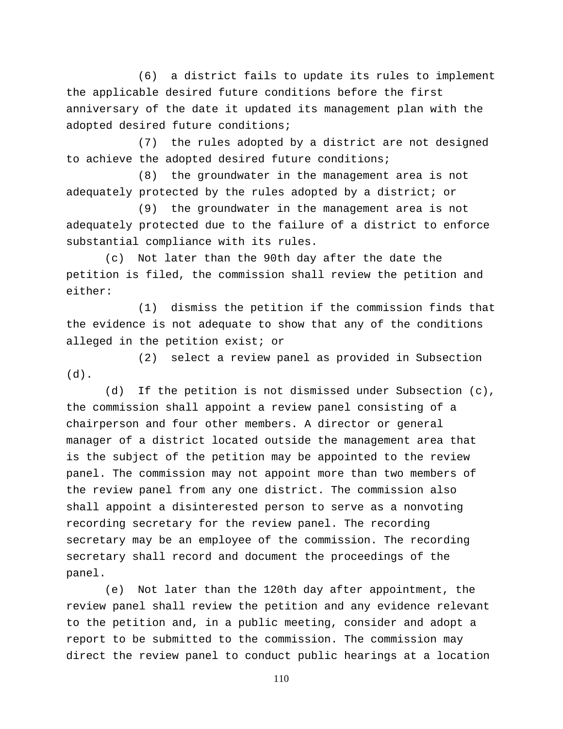(6) a district fails to update its rules to implement the applicable desired future conditions before the first anniversary of the date it updated its management plan with the adopted desired future conditions;

(7) the rules adopted by a district are not designed to achieve the adopted desired future conditions;

(8) the groundwater in the management area is not adequately protected by the rules adopted by a district; or

(9) the groundwater in the management area is not adequately protected due to the failure of a district to enforce substantial compliance with its rules.

(c) Not later than the 90th day after the date the petition is filed, the commission shall review the petition and either:

(1) dismiss the petition if the commission finds that the evidence is not adequate to show that any of the conditions alleged in the petition exist; or

(2) select a review panel as provided in Subsection (d).

(d) If the petition is not dismissed under Subsection (c), the commission shall appoint a review panel consisting of a chairperson and four other members. A director or general manager of a district located outside the management area that is the subject of the petition may be appointed to the review panel. The commission may not appoint more than two members of the review panel from any one district. The commission also shall appoint a disinterested person to serve as a nonvoting recording secretary for the review panel. The recording secretary may be an employee of the commission. The recording secretary shall record and document the proceedings of the panel.

(e) Not later than the 120th day after appointment, the review panel shall review the petition and any evidence relevant to the petition and, in a public meeting, consider and adopt a report to be submitted to the commission. The commission may direct the review panel to conduct public hearings at a location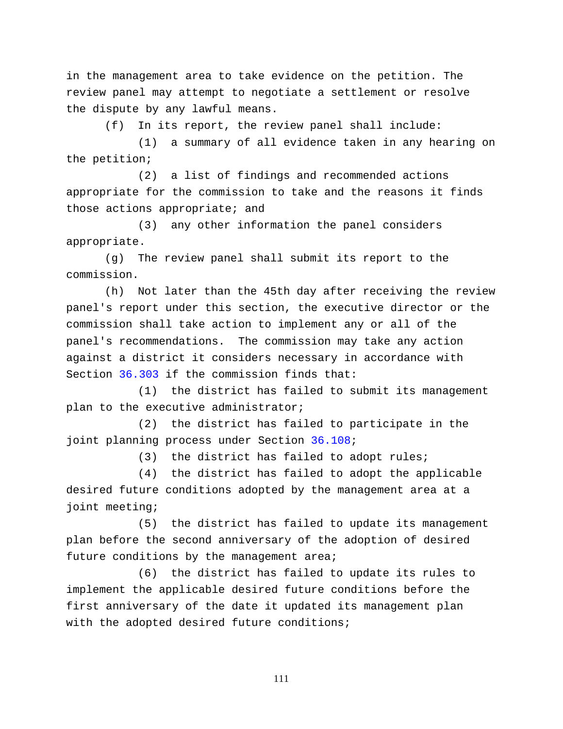in the management area to take evidence on the petition. The review panel may attempt to negotiate a settlement or resolve the dispute by any lawful means.

(f) In its report, the review panel shall include:

(1) a summary of all evidence taken in any hearing on the petition;

(2) a list of findings and recommended actions appropriate for the commission to take and the reasons it finds those actions appropriate; and

(3) any other information the panel considers appropriate.

(g) The review panel shall submit its report to the commission.

(h) Not later than the 45th day after receiving the review panel's report under this section, the executive director or the commission shall take action to implement any or all of the panel's recommendations. The commission may take any action against a district it considers necessary in accordance with Section [36.303](http://www.statutes.legis.state.tx.us/GetStatute.aspx?Code=WA&Value=36.303) if the commission finds that:

(1) the district has failed to submit its management plan to the executive administrator;

(2) the district has failed to participate in the joint planning process under Section [36.108;](http://www.statutes.legis.state.tx.us/GetStatute.aspx?Code=WA&Value=36.108)

(3) the district has failed to adopt rules;

(4) the district has failed to adopt the applicable desired future conditions adopted by the management area at a joint meeting;

(5) the district has failed to update its management plan before the second anniversary of the adoption of desired future conditions by the management area;

(6) the district has failed to update its rules to implement the applicable desired future conditions before the first anniversary of the date it updated its management plan with the adopted desired future conditions;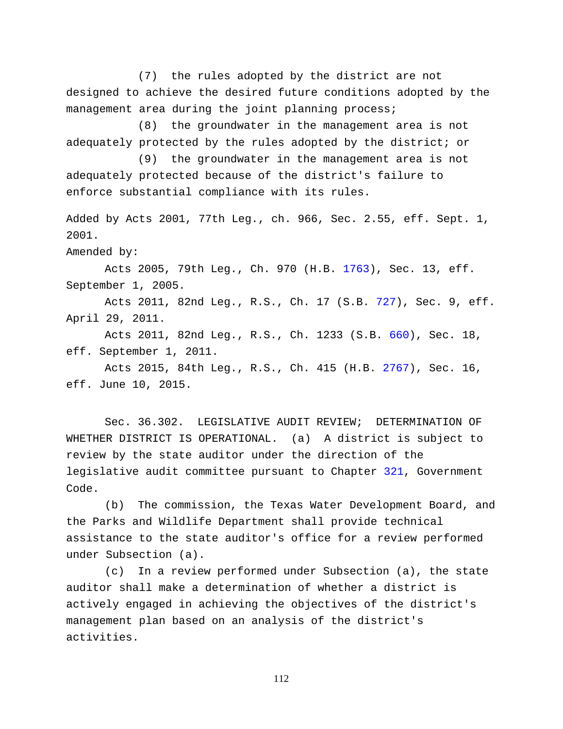(7) the rules adopted by the district are not designed to achieve the desired future conditions adopted by the management area during the joint planning process;

(8) the groundwater in the management area is not adequately protected by the rules adopted by the district; or

(9) the groundwater in the management area is not adequately protected because of the district's failure to enforce substantial compliance with its rules.

Added by Acts 2001, 77th Leg., ch. 966, Sec. 2.55, eff. Sept. 1, 2001.

Amended by:

Acts 2005, 79th Leg., Ch. 970 (H.B. [1763\)](http://www.legis.state.tx.us/tlodocs/79R/billtext/html/HB01763F.HTM), Sec. 13, eff. September 1, 2005.

Acts 2011, 82nd Leg., R.S., Ch. 17 (S.B. [727\)](http://www.legis.state.tx.us/tlodocs/82R/billtext/html/SB00727F.HTM), Sec. 9, eff. April 29, 2011.

Acts 2011, 82nd Leg., R.S., Ch. 1233 (S.B. [660\)](http://www.legis.state.tx.us/tlodocs/82R/billtext/html/SB00660F.HTM), Sec. 18, eff. September 1, 2011.

Acts 2015, 84th Leg., R.S., Ch. 415 (H.B. [2767\)](http://www.legis.state.tx.us/tlodocs/84R/billtext/html/HB02767F.HTM), Sec. 16, eff. June 10, 2015.

Sec. 36.302. LEGISLATIVE AUDIT REVIEW; DETERMINATION OF WHETHER DISTRICT IS OPERATIONAL. (a) A district is subject to review by the state auditor under the direction of the legislative audit committee pursuant to Chapter [321,](http://www.statutes.legis.state.tx.us/GetStatute.aspx?Code=GV&Value=321) Government Code.

(b) The commission, the Texas Water Development Board, and the Parks and Wildlife Department shall provide technical assistance to the state auditor's office for a review performed under Subsection (a).

(c) In a review performed under Subsection (a), the state auditor shall make a determination of whether a district is actively engaged in achieving the objectives of the district's management plan based on an analysis of the district's activities.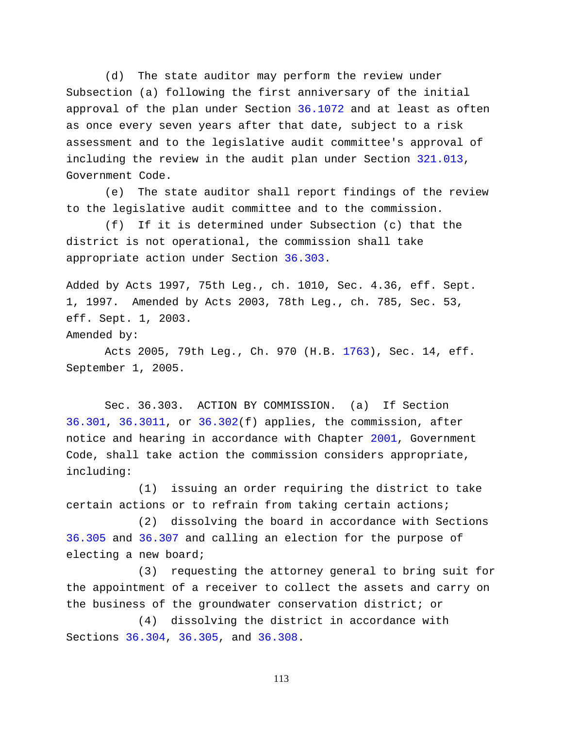(d) The state auditor may perform the review under Subsection (a) following the first anniversary of the initial approval of the plan under Section [36.1072](http://www.statutes.legis.state.tx.us/GetStatute.aspx?Code=WA&Value=36.1072) and at least as often as once every seven years after that date, subject to a risk assessment and to the legislative audit committee's approval of including the review in the audit plan under Section [321.013,](http://www.statutes.legis.state.tx.us/GetStatute.aspx?Code=GV&Value=321.013) Government Code.

(e) The state auditor shall report findings of the review to the legislative audit committee and to the commission.

(f) If it is determined under Subsection (c) that the district is not operational, the commission shall take appropriate action under Section [36.303.](http://www.statutes.legis.state.tx.us/GetStatute.aspx?Code=WA&Value=36.303)

Added by Acts 1997, 75th Leg., ch. 1010, Sec. 4.36, eff. Sept. 1, 1997. Amended by Acts 2003, 78th Leg., ch. 785, Sec. 53, eff. Sept. 1, 2003.

Amended by:

Acts 2005, 79th Leg., Ch. 970 (H.B. [1763\)](http://www.legis.state.tx.us/tlodocs/79R/billtext/html/HB01763F.HTM), Sec. 14, eff. September 1, 2005.

Sec. 36.303. ACTION BY COMMISSION. (a) If Section [36.301,](http://www.statutes.legis.state.tx.us/GetStatute.aspx?Code=WA&Value=36.301) [36.3011,](http://www.statutes.legis.state.tx.us/GetStatute.aspx?Code=WA&Value=36.3011) or [36.302\(](http://www.statutes.legis.state.tx.us/GetStatute.aspx?Code=WA&Value=36.302)f) applies, the commission, after notice and hearing in accordance with Chapter [2001,](http://www.statutes.legis.state.tx.us/GetStatute.aspx?Code=GV&Value=2001) Government Code, shall take action the commission considers appropriate, including:

(1) issuing an order requiring the district to take certain actions or to refrain from taking certain actions;

(2) dissolving the board in accordance with Sections [36.305](http://www.statutes.legis.state.tx.us/GetStatute.aspx?Code=WA&Value=36.305) and [36.307](http://www.statutes.legis.state.tx.us/GetStatute.aspx?Code=WA&Value=36.307) and calling an election for the purpose of electing a new board;

(3) requesting the attorney general to bring suit for the appointment of a receiver to collect the assets and carry on the business of the groundwater conservation district; or

(4) dissolving the district in accordance with Sections [36.304,](http://www.statutes.legis.state.tx.us/GetStatute.aspx?Code=WA&Value=36.304) [36.305,](http://www.statutes.legis.state.tx.us/GetStatute.aspx?Code=WA&Value=36.305) and [36.308.](http://www.statutes.legis.state.tx.us/GetStatute.aspx?Code=WA&Value=36.308)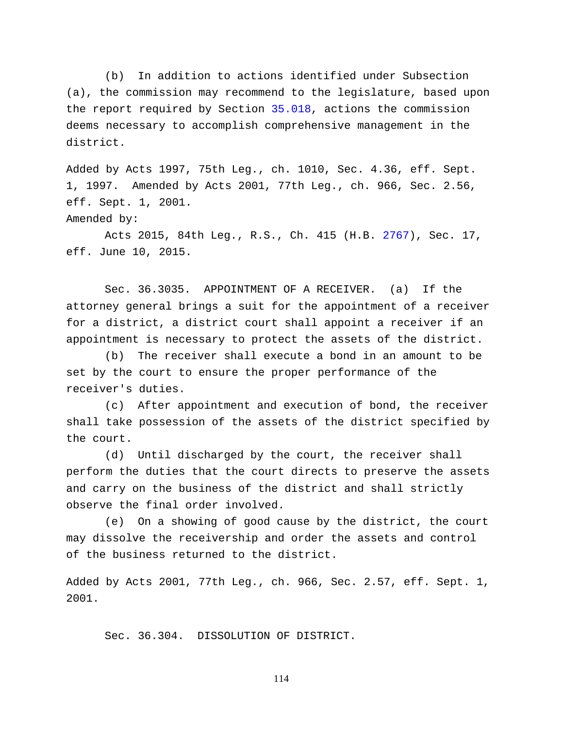(b) In addition to actions identified under Subsection (a), the commission may recommend to the legislature, based upon the report required by Section [35.018,](http://www.statutes.legis.state.tx.us/GetStatute.aspx?Code=WA&Value=35.018) actions the commission deems necessary to accomplish comprehensive management in the district.

Added by Acts 1997, 75th Leg., ch. 1010, Sec. 4.36, eff. Sept. 1, 1997. Amended by Acts 2001, 77th Leg., ch. 966, Sec. 2.56, eff. Sept. 1, 2001. Amended by:

Acts 2015, 84th Leg., R.S., Ch. 415 (H.B. [2767\)](http://www.legis.state.tx.us/tlodocs/84R/billtext/html/HB02767F.HTM), Sec. 17, eff. June 10, 2015.

Sec. 36.3035. APPOINTMENT OF A RECEIVER. (a) If the attorney general brings a suit for the appointment of a receiver for a district, a district court shall appoint a receiver if an appointment is necessary to protect the assets of the district.

(b) The receiver shall execute a bond in an amount to be set by the court to ensure the proper performance of the receiver's duties.

(c) After appointment and execution of bond, the receiver shall take possession of the assets of the district specified by the court.

(d) Until discharged by the court, the receiver shall perform the duties that the court directs to preserve the assets and carry on the business of the district and shall strictly observe the final order involved.

(e) On a showing of good cause by the district, the court may dissolve the receivership and order the assets and control of the business returned to the district.

Added by Acts 2001, 77th Leg., ch. 966, Sec. 2.57, eff. Sept. 1, 2001.

Sec. 36.304. DISSOLUTION OF DISTRICT.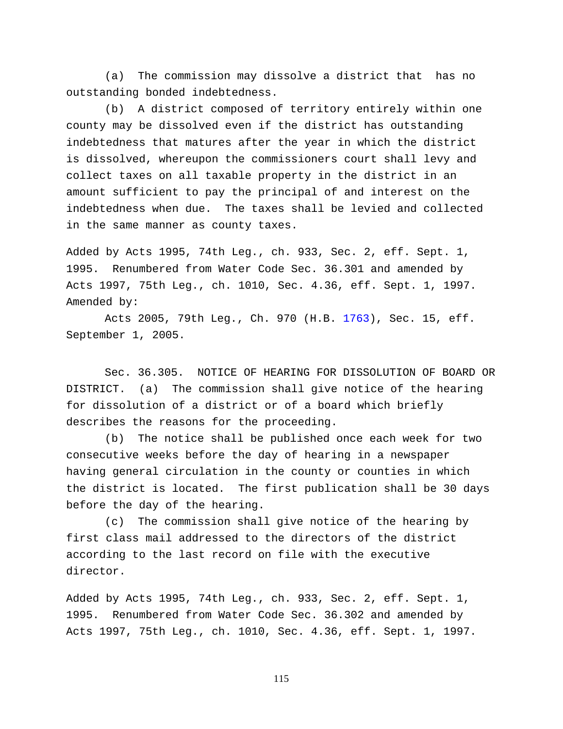(a) The commission may dissolve a district that has no outstanding bonded indebtedness.

(b) A district composed of territory entirely within one county may be dissolved even if the district has outstanding indebtedness that matures after the year in which the district is dissolved, whereupon the commissioners court shall levy and collect taxes on all taxable property in the district in an amount sufficient to pay the principal of and interest on the indebtedness when due. The taxes shall be levied and collected in the same manner as county taxes.

Added by Acts 1995, 74th Leg., ch. 933, Sec. 2, eff. Sept. 1, 1995. Renumbered from Water Code Sec. 36.301 and amended by Acts 1997, 75th Leg., ch. 1010, Sec. 4.36, eff. Sept. 1, 1997. Amended by:

Acts 2005, 79th Leg., Ch. 970 (H.B. [1763\)](http://www.legis.state.tx.us/tlodocs/79R/billtext/html/HB01763F.HTM), Sec. 15, eff. September 1, 2005.

Sec. 36.305. NOTICE OF HEARING FOR DISSOLUTION OF BOARD OR DISTRICT. (a) The commission shall give notice of the hearing for dissolution of a district or of a board which briefly describes the reasons for the proceeding.

(b) The notice shall be published once each week for two consecutive weeks before the day of hearing in a newspaper having general circulation in the county or counties in which the district is located. The first publication shall be 30 days before the day of the hearing.

(c) The commission shall give notice of the hearing by first class mail addressed to the directors of the district according to the last record on file with the executive director.

Added by Acts 1995, 74th Leg., ch. 933, Sec. 2, eff. Sept. 1, 1995. Renumbered from Water Code Sec. 36.302 and amended by Acts 1997, 75th Leg., ch. 1010, Sec. 4.36, eff. Sept. 1, 1997.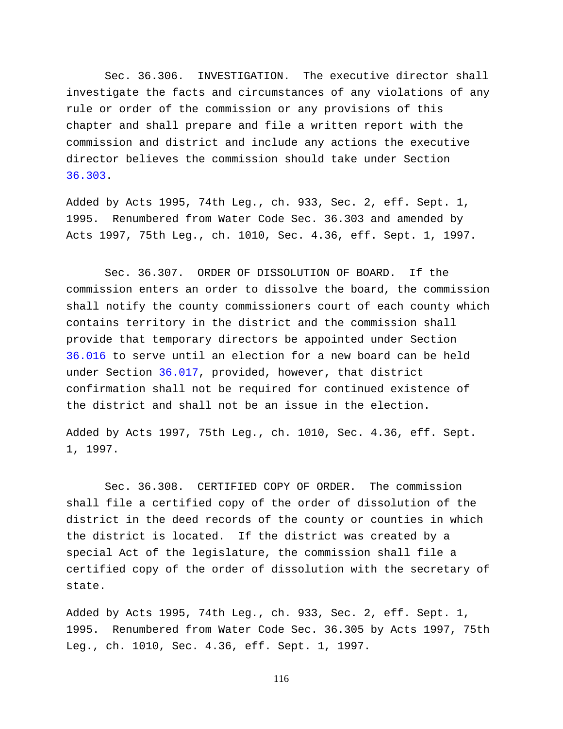Sec. 36.306. INVESTIGATION. The executive director shall investigate the facts and circumstances of any violations of any rule or order of the commission or any provisions of this chapter and shall prepare and file a written report with the commission and district and include any actions the executive director believes the commission should take under Section [36.303.](http://www.statutes.legis.state.tx.us/GetStatute.aspx?Code=WA&Value=36.303)

Added by Acts 1995, 74th Leg., ch. 933, Sec. 2, eff. Sept. 1, 1995. Renumbered from Water Code Sec. 36.303 and amended by Acts 1997, 75th Leg., ch. 1010, Sec. 4.36, eff. Sept. 1, 1997.

Sec. 36.307. ORDER OF DISSOLUTION OF BOARD. If the commission enters an order to dissolve the board, the commission shall notify the county commissioners court of each county which contains territory in the district and the commission shall provide that temporary directors be appointed under Section [36.016](http://www.statutes.legis.state.tx.us/GetStatute.aspx?Code=WA&Value=36.016) to serve until an election for a new board can be held under Section [36.017,](http://www.statutes.legis.state.tx.us/GetStatute.aspx?Code=WA&Value=36.017) provided, however, that district confirmation shall not be required for continued existence of the district and shall not be an issue in the election.

Added by Acts 1997, 75th Leg., ch. 1010, Sec. 4.36, eff. Sept. 1, 1997.

Sec. 36.308. CERTIFIED COPY OF ORDER. The commission shall file a certified copy of the order of dissolution of the district in the deed records of the county or counties in which the district is located. If the district was created by a special Act of the legislature, the commission shall file a certified copy of the order of dissolution with the secretary of state.

Added by Acts 1995, 74th Leg., ch. 933, Sec. 2, eff. Sept. 1, 1995. Renumbered from Water Code Sec. 36.305 by Acts 1997, 75th Leg., ch. 1010, Sec. 4.36, eff. Sept. 1, 1997.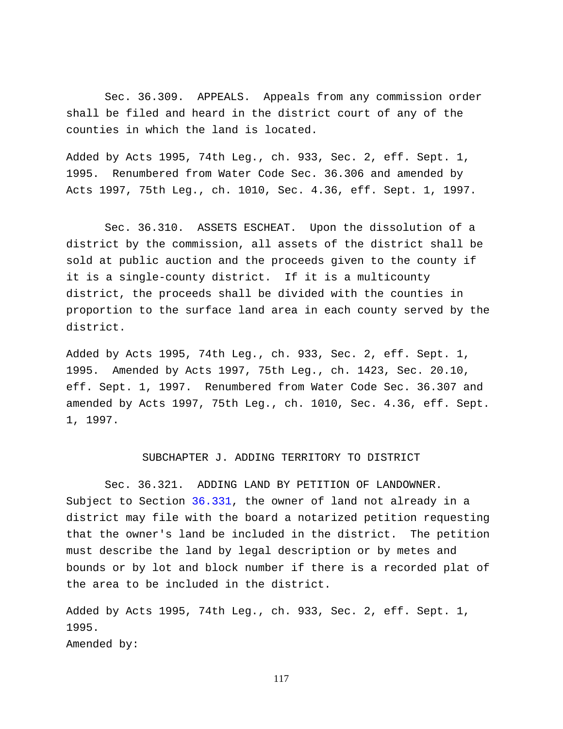Sec. 36.309. APPEALS. Appeals from any commission order shall be filed and heard in the district court of any of the counties in which the land is located.

Added by Acts 1995, 74th Leg., ch. 933, Sec. 2, eff. Sept. 1, 1995. Renumbered from Water Code Sec. 36.306 and amended by Acts 1997, 75th Leg., ch. 1010, Sec. 4.36, eff. Sept. 1, 1997.

Sec. 36.310. ASSETS ESCHEAT. Upon the dissolution of a district by the commission, all assets of the district shall be sold at public auction and the proceeds given to the county if it is a single-county district. If it is a multicounty district, the proceeds shall be divided with the counties in proportion to the surface land area in each county served by the district.

Added by Acts 1995, 74th Leg., ch. 933, Sec. 2, eff. Sept. 1, 1995. Amended by Acts 1997, 75th Leg., ch. 1423, Sec. 20.10, eff. Sept. 1, 1997. Renumbered from Water Code Sec. 36.307 and amended by Acts 1997, 75th Leg., ch. 1010, Sec. 4.36, eff. Sept. 1, 1997.

## SUBCHAPTER J. ADDING TERRITORY TO DISTRICT

Sec. 36.321. ADDING LAND BY PETITION OF LANDOWNER. Subject to Section [36.331,](http://www.statutes.legis.state.tx.us/GetStatute.aspx?Code=WA&Value=36.331) the owner of land not already in a district may file with the board a notarized petition requesting that the owner's land be included in the district. The petition must describe the land by legal description or by metes and bounds or by lot and block number if there is a recorded plat of the area to be included in the district.

Added by Acts 1995, 74th Leg., ch. 933, Sec. 2, eff. Sept. 1, 1995. Amended by: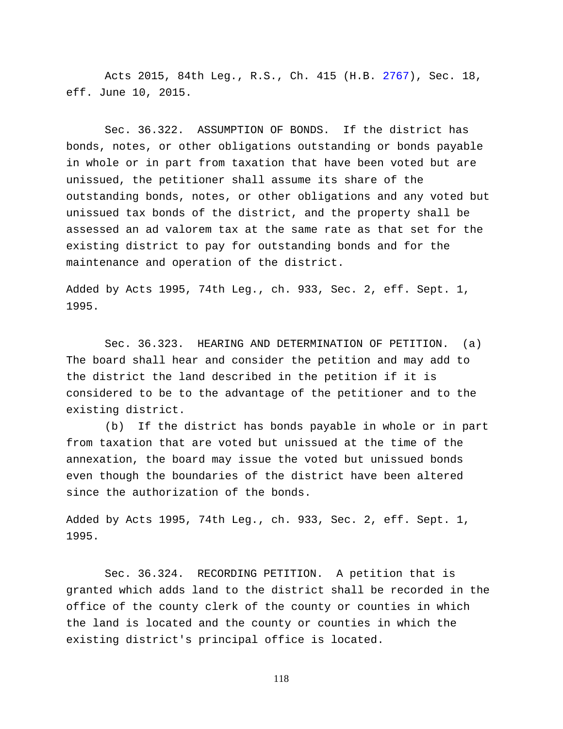Acts 2015, 84th Leg., R.S., Ch. 415 (H.B. [2767\)](http://www.legis.state.tx.us/tlodocs/84R/billtext/html/HB02767F.HTM), Sec. 18, eff. June 10, 2015.

Sec. 36.322. ASSUMPTION OF BONDS. If the district has bonds, notes, or other obligations outstanding or bonds payable in whole or in part from taxation that have been voted but are unissued, the petitioner shall assume its share of the outstanding bonds, notes, or other obligations and any voted but unissued tax bonds of the district, and the property shall be assessed an ad valorem tax at the same rate as that set for the existing district to pay for outstanding bonds and for the maintenance and operation of the district.

Added by Acts 1995, 74th Leg., ch. 933, Sec. 2, eff. Sept. 1, 1995.

Sec. 36.323. HEARING AND DETERMINATION OF PETITION. (a) The board shall hear and consider the petition and may add to the district the land described in the petition if it is considered to be to the advantage of the petitioner and to the existing district.

(b) If the district has bonds payable in whole or in part from taxation that are voted but unissued at the time of the annexation, the board may issue the voted but unissued bonds even though the boundaries of the district have been altered since the authorization of the bonds.

Added by Acts 1995, 74th Leg., ch. 933, Sec. 2, eff. Sept. 1, 1995.

Sec. 36.324. RECORDING PETITION. A petition that is granted which adds land to the district shall be recorded in the office of the county clerk of the county or counties in which the land is located and the county or counties in which the existing district's principal office is located.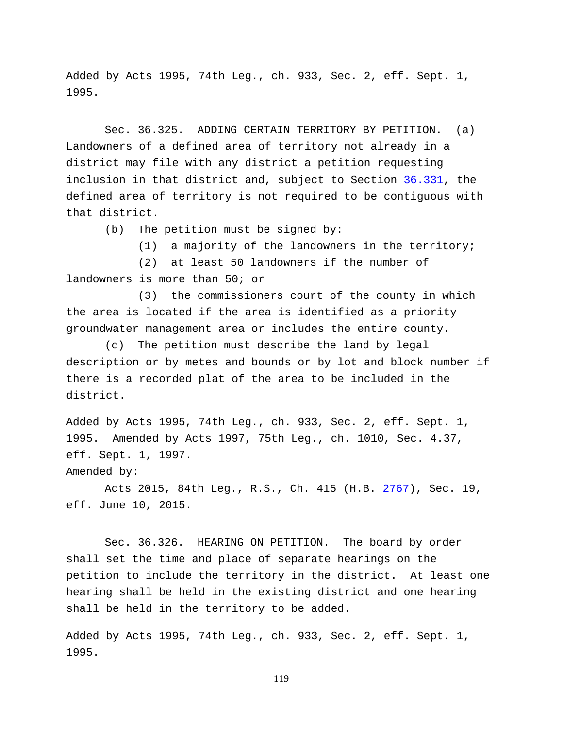Added by Acts 1995, 74th Leg., ch. 933, Sec. 2, eff. Sept. 1, 1995.

Sec. 36.325. ADDING CERTAIN TERRITORY BY PETITION. (a) Landowners of a defined area of territory not already in a district may file with any district a petition requesting inclusion in that district and, subject to Section [36.331,](http://www.statutes.legis.state.tx.us/GetStatute.aspx?Code=WA&Value=36.331) the defined area of territory is not required to be contiguous with that district.

(b) The petition must be signed by:

(1) a majority of the landowners in the territory;

(2) at least 50 landowners if the number of landowners is more than 50; or

(3) the commissioners court of the county in which the area is located if the area is identified as a priority groundwater management area or includes the entire county.

(c) The petition must describe the land by legal description or by metes and bounds or by lot and block number if there is a recorded plat of the area to be included in the district.

Added by Acts 1995, 74th Leg., ch. 933, Sec. 2, eff. Sept. 1, 1995. Amended by Acts 1997, 75th Leg., ch. 1010, Sec. 4.37, eff. Sept. 1, 1997.

Amended by:

Acts 2015, 84th Leg., R.S., Ch. 415 (H.B. [2767\)](http://www.legis.state.tx.us/tlodocs/84R/billtext/html/HB02767F.HTM), Sec. 19, eff. June 10, 2015.

Sec. 36.326. HEARING ON PETITION. The board by order shall set the time and place of separate hearings on the petition to include the territory in the district. At least one hearing shall be held in the existing district and one hearing shall be held in the territory to be added.

Added by Acts 1995, 74th Leg., ch. 933, Sec. 2, eff. Sept. 1, 1995.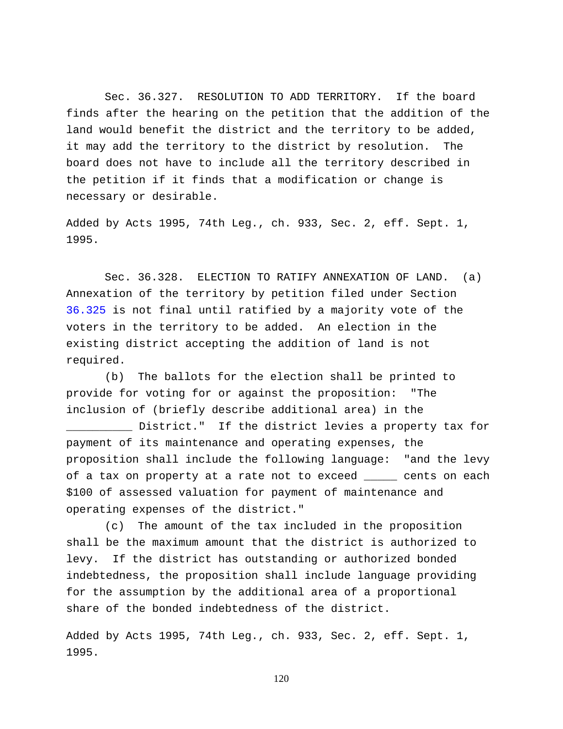Sec. 36.327. RESOLUTION TO ADD TERRITORY. If the board finds after the hearing on the petition that the addition of the land would benefit the district and the territory to be added, it may add the territory to the district by resolution. The board does not have to include all the territory described in the petition if it finds that a modification or change is necessary or desirable.

Added by Acts 1995, 74th Leg., ch. 933, Sec. 2, eff. Sept. 1, 1995.

Sec. 36.328. ELECTION TO RATIFY ANNEXATION OF LAND. (a) Annexation of the territory by petition filed under Section [36.325](http://www.statutes.legis.state.tx.us/GetStatute.aspx?Code=WA&Value=36.325) is not final until ratified by a majority vote of the voters in the territory to be added. An election in the existing district accepting the addition of land is not required.

(b) The ballots for the election shall be printed to provide for voting for or against the proposition: "The inclusion of (briefly describe additional area) in the

\_\_\_\_\_\_\_\_\_\_ District." If the district levies a property tax for payment of its maintenance and operating expenses, the proposition shall include the following language: "and the levy of a tax on property at a rate not to exceed \_\_\_\_\_ cents on each \$100 of assessed valuation for payment of maintenance and operating expenses of the district."

(c) The amount of the tax included in the proposition shall be the maximum amount that the district is authorized to levy. If the district has outstanding or authorized bonded indebtedness, the proposition shall include language providing for the assumption by the additional area of a proportional share of the bonded indebtedness of the district.

Added by Acts 1995, 74th Leg., ch. 933, Sec. 2, eff. Sept. 1, 1995.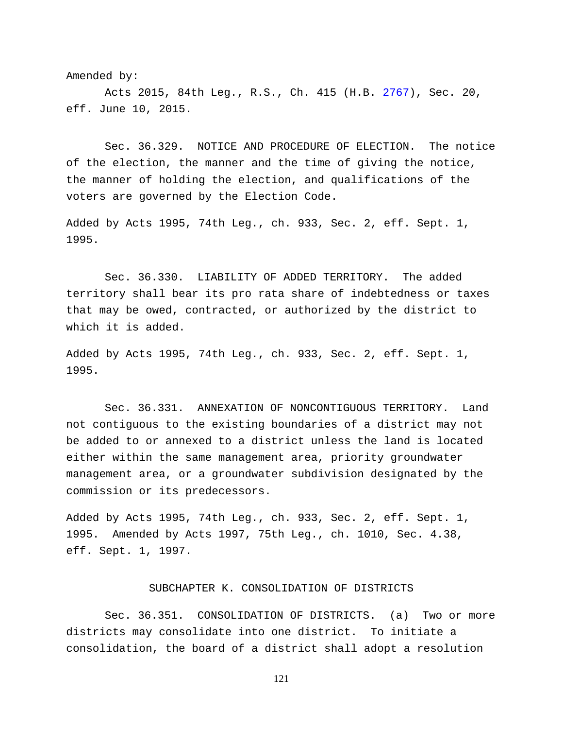Amended by:

Acts 2015, 84th Leg., R.S., Ch. 415 (H.B. [2767\)](http://www.legis.state.tx.us/tlodocs/84R/billtext/html/HB02767F.HTM), Sec. 20, eff. June 10, 2015.

Sec. 36.329. NOTICE AND PROCEDURE OF ELECTION. The notice of the election, the manner and the time of giving the notice, the manner of holding the election, and qualifications of the voters are governed by the Election Code.

Added by Acts 1995, 74th Leg., ch. 933, Sec. 2, eff. Sept. 1, 1995.

Sec. 36.330. LIABILITY OF ADDED TERRITORY. The added territory shall bear its pro rata share of indebtedness or taxes that may be owed, contracted, or authorized by the district to which it is added.

Added by Acts 1995, 74th Leg., ch. 933, Sec. 2, eff. Sept. 1, 1995.

Sec. 36.331. ANNEXATION OF NONCONTIGUOUS TERRITORY. Land not contiguous to the existing boundaries of a district may not be added to or annexed to a district unless the land is located either within the same management area, priority groundwater management area, or a groundwater subdivision designated by the commission or its predecessors.

Added by Acts 1995, 74th Leg., ch. 933, Sec. 2, eff. Sept. 1, 1995. Amended by Acts 1997, 75th Leg., ch. 1010, Sec. 4.38, eff. Sept. 1, 1997.

## SUBCHAPTER K. CONSOLIDATION OF DISTRICTS

Sec. 36.351. CONSOLIDATION OF DISTRICTS. (a) Two or more districts may consolidate into one district. To initiate a consolidation, the board of a district shall adopt a resolution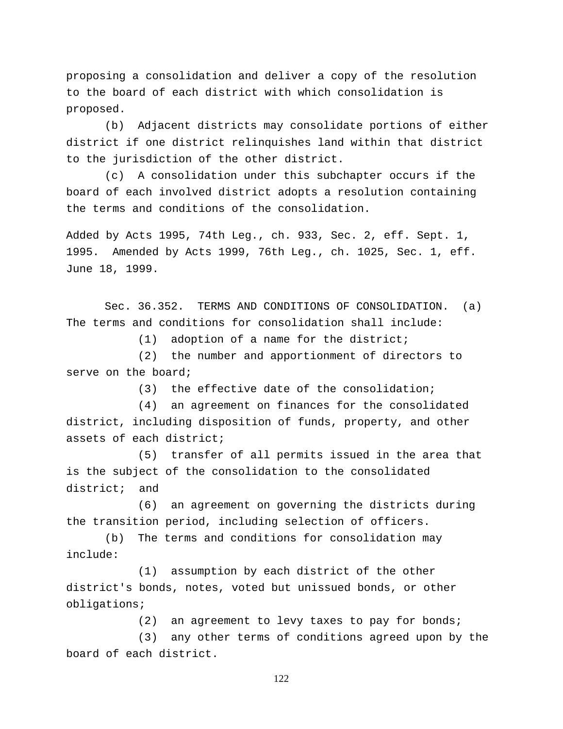proposing a consolidation and deliver a copy of the resolution to the board of each district with which consolidation is proposed.

(b) Adjacent districts may consolidate portions of either district if one district relinquishes land within that district to the jurisdiction of the other district.

(c) A consolidation under this subchapter occurs if the board of each involved district adopts a resolution containing the terms and conditions of the consolidation.

Added by Acts 1995, 74th Leg., ch. 933, Sec. 2, eff. Sept. 1, 1995. Amended by Acts 1999, 76th Leg., ch. 1025, Sec. 1, eff. June 18, 1999.

Sec. 36.352. TERMS AND CONDITIONS OF CONSOLIDATION. (a) The terms and conditions for consolidation shall include:

(1) adoption of a name for the district;

(2) the number and apportionment of directors to serve on the board;

(3) the effective date of the consolidation;

(4) an agreement on finances for the consolidated district, including disposition of funds, property, and other assets of each district;

(5) transfer of all permits issued in the area that is the subject of the consolidation to the consolidated district; and

(6) an agreement on governing the districts during the transition period, including selection of officers.

(b) The terms and conditions for consolidation may include:

(1) assumption by each district of the other district's bonds, notes, voted but unissued bonds, or other obligations;

(2) an agreement to levy taxes to pay for bonds;

(3) any other terms of conditions agreed upon by the board of each district.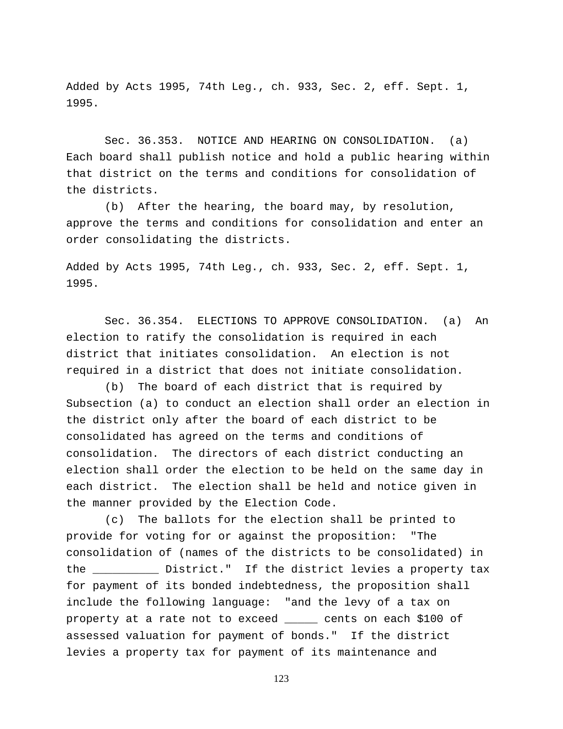Added by Acts 1995, 74th Leg., ch. 933, Sec. 2, eff. Sept. 1, 1995.

Sec. 36.353. NOTICE AND HEARING ON CONSOLIDATION. (a) Each board shall publish notice and hold a public hearing within that district on the terms and conditions for consolidation of the districts.

(b) After the hearing, the board may, by resolution, approve the terms and conditions for consolidation and enter an order consolidating the districts.

Added by Acts 1995, 74th Leg., ch. 933, Sec. 2, eff. Sept. 1, 1995.

Sec. 36.354. ELECTIONS TO APPROVE CONSOLIDATION. (a) An election to ratify the consolidation is required in each district that initiates consolidation. An election is not required in a district that does not initiate consolidation.

(b) The board of each district that is required by Subsection (a) to conduct an election shall order an election in the district only after the board of each district to be consolidated has agreed on the terms and conditions of consolidation. The directors of each district conducting an election shall order the election to be held on the same day in each district. The election shall be held and notice given in the manner provided by the Election Code.

(c) The ballots for the election shall be printed to provide for voting for or against the proposition: "The consolidation of (names of the districts to be consolidated) in the \_\_\_\_\_\_\_\_\_\_ District." If the district levies a property tax for payment of its bonded indebtedness, the proposition shall include the following language: "and the levy of a tax on property at a rate not to exceed \_\_\_\_\_ cents on each \$100 of assessed valuation for payment of bonds." If the district levies a property tax for payment of its maintenance and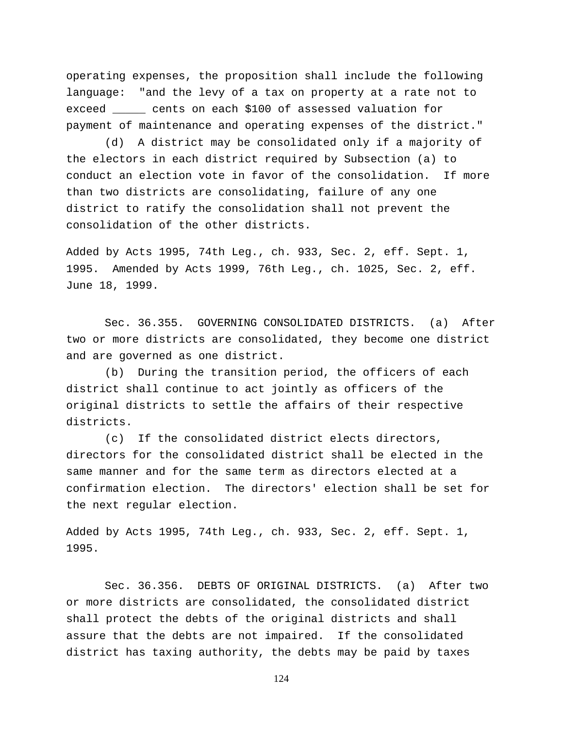operating expenses, the proposition shall include the following language: "and the levy of a tax on property at a rate not to exceed \_\_\_\_\_ cents on each \$100 of assessed valuation for payment of maintenance and operating expenses of the district."

(d) A district may be consolidated only if a majority of the electors in each district required by Subsection (a) to conduct an election vote in favor of the consolidation. If more than two districts are consolidating, failure of any one district to ratify the consolidation shall not prevent the consolidation of the other districts.

Added by Acts 1995, 74th Leg., ch. 933, Sec. 2, eff. Sept. 1, 1995. Amended by Acts 1999, 76th Leg., ch. 1025, Sec. 2, eff. June 18, 1999.

Sec. 36.355. GOVERNING CONSOLIDATED DISTRICTS. (a) After two or more districts are consolidated, they become one district and are governed as one district.

(b) During the transition period, the officers of each district shall continue to act jointly as officers of the original districts to settle the affairs of their respective districts.

(c) If the consolidated district elects directors, directors for the consolidated district shall be elected in the same manner and for the same term as directors elected at a confirmation election. The directors' election shall be set for the next regular election.

Added by Acts 1995, 74th Leg., ch. 933, Sec. 2, eff. Sept. 1, 1995.

Sec. 36.356. DEBTS OF ORIGINAL DISTRICTS. (a) After two or more districts are consolidated, the consolidated district shall protect the debts of the original districts and shall assure that the debts are not impaired. If the consolidated district has taxing authority, the debts may be paid by taxes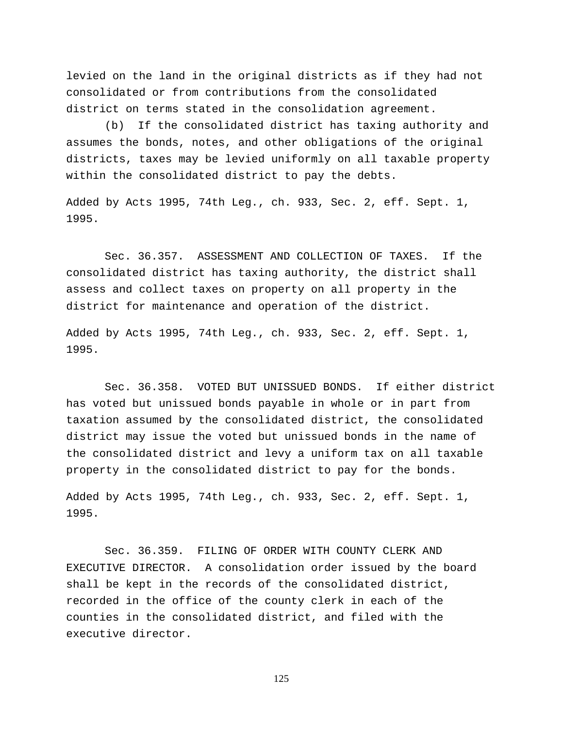levied on the land in the original districts as if they had not consolidated or from contributions from the consolidated district on terms stated in the consolidation agreement.

(b) If the consolidated district has taxing authority and assumes the bonds, notes, and other obligations of the original districts, taxes may be levied uniformly on all taxable property within the consolidated district to pay the debts.

Added by Acts 1995, 74th Leg., ch. 933, Sec. 2, eff. Sept. 1, 1995.

Sec. 36.357. ASSESSMENT AND COLLECTION OF TAXES. If the consolidated district has taxing authority, the district shall assess and collect taxes on property on all property in the district for maintenance and operation of the district.

Added by Acts 1995, 74th Leg., ch. 933, Sec. 2, eff. Sept. 1, 1995.

Sec. 36.358. VOTED BUT UNISSUED BONDS. If either district has voted but unissued bonds payable in whole or in part from taxation assumed by the consolidated district, the consolidated district may issue the voted but unissued bonds in the name of the consolidated district and levy a uniform tax on all taxable property in the consolidated district to pay for the bonds.

Added by Acts 1995, 74th Leg., ch. 933, Sec. 2, eff. Sept. 1, 1995.

Sec. 36.359. FILING OF ORDER WITH COUNTY CLERK AND EXECUTIVE DIRECTOR. A consolidation order issued by the board shall be kept in the records of the consolidated district, recorded in the office of the county clerk in each of the counties in the consolidated district, and filed with the executive director.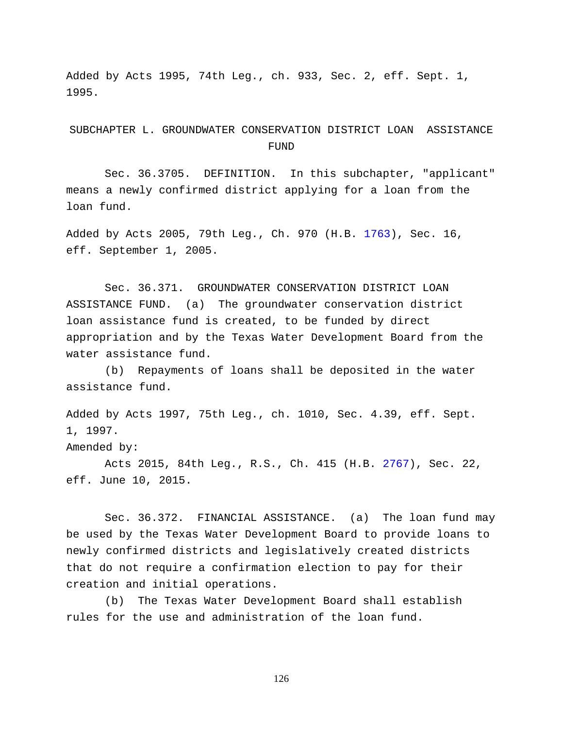Added by Acts 1995, 74th Leg., ch. 933, Sec. 2, eff. Sept. 1, 1995.

SUBCHAPTER L. GROUNDWATER CONSERVATION DISTRICT LOAN ASSISTANCE **FUND** 

Sec. 36.3705. DEFINITION. In this subchapter, "applicant" means a newly confirmed district applying for a loan from the loan fund.

Added by Acts 2005, 79th Leg., Ch. 970 (H.B. [1763\)](http://www.legis.state.tx.us/tlodocs/79R/billtext/html/HB01763F.HTM), Sec. 16, eff. September 1, 2005.

Sec. 36.371. GROUNDWATER CONSERVATION DISTRICT LOAN ASSISTANCE FUND. (a) The groundwater conservation district loan assistance fund is created, to be funded by direct appropriation and by the Texas Water Development Board from the water assistance fund.

(b) Repayments of loans shall be deposited in the water assistance fund.

Added by Acts 1997, 75th Leg., ch. 1010, Sec. 4.39, eff. Sept. 1, 1997. Amended by:

Acts 2015, 84th Leg., R.S., Ch. 415 (H.B. [2767\)](http://www.legis.state.tx.us/tlodocs/84R/billtext/html/HB02767F.HTM), Sec. 22, eff. June 10, 2015.

Sec. 36.372. FINANCIAL ASSISTANCE. (a) The loan fund may be used by the Texas Water Development Board to provide loans to newly confirmed districts and legislatively created districts that do not require a confirmation election to pay for their creation and initial operations.

(b) The Texas Water Development Board shall establish rules for the use and administration of the loan fund.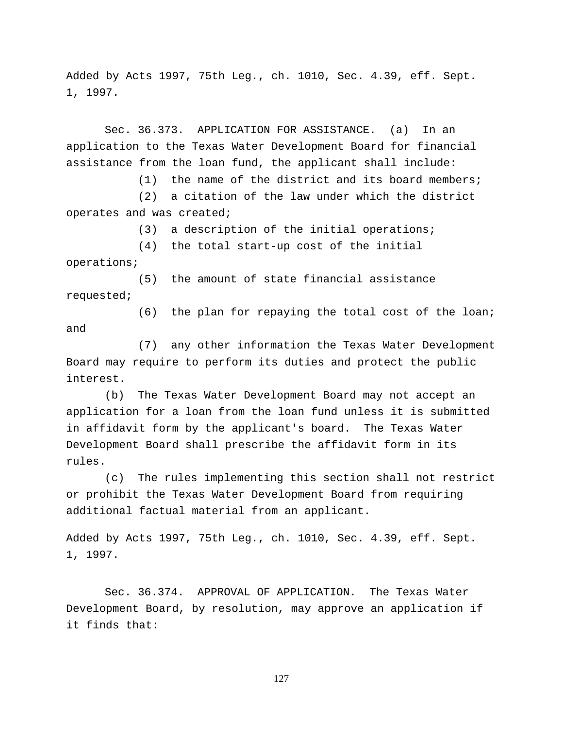Added by Acts 1997, 75th Leg., ch. 1010, Sec. 4.39, eff. Sept. 1, 1997.

Sec. 36.373. APPLICATION FOR ASSISTANCE. (a) In an application to the Texas Water Development Board for financial assistance from the loan fund, the applicant shall include:

(1) the name of the district and its board members;

(2) a citation of the law under which the district operates and was created;

(3) a description of the initial operations;

(4) the total start-up cost of the initial operations;

(5) the amount of state financial assistance requested;

(6) the plan for repaying the total cost of the loan; and

(7) any other information the Texas Water Development Board may require to perform its duties and protect the public interest.

(b) The Texas Water Development Board may not accept an application for a loan from the loan fund unless it is submitted in affidavit form by the applicant's board. The Texas Water Development Board shall prescribe the affidavit form in its rules.

(c) The rules implementing this section shall not restrict or prohibit the Texas Water Development Board from requiring additional factual material from an applicant.

Added by Acts 1997, 75th Leg., ch. 1010, Sec. 4.39, eff. Sept. 1, 1997.

Sec. 36.374. APPROVAL OF APPLICATION. The Texas Water Development Board, by resolution, may approve an application if it finds that: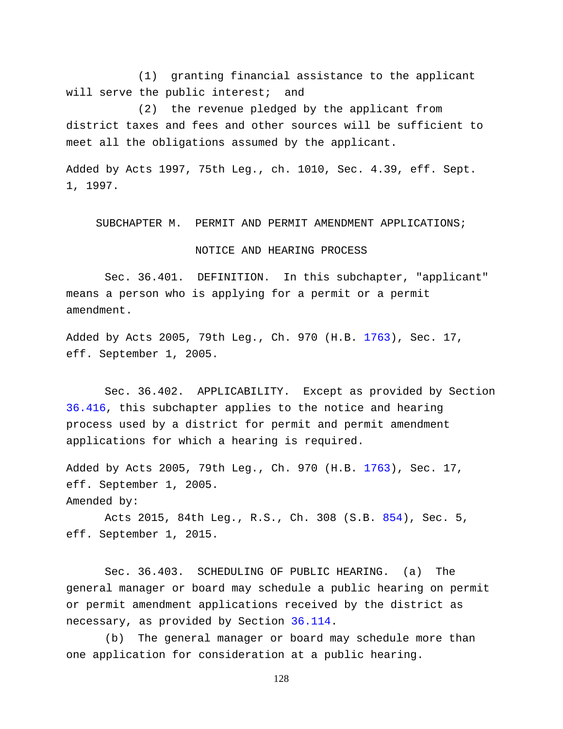(1) granting financial assistance to the applicant will serve the public interest; and

(2) the revenue pledged by the applicant from district taxes and fees and other sources will be sufficient to meet all the obligations assumed by the applicant.

Added by Acts 1997, 75th Leg., ch. 1010, Sec. 4.39, eff. Sept. 1, 1997.

SUBCHAPTER M. PERMIT AND PERMIT AMENDMENT APPLICATIONS;

## NOTICE AND HEARING PROCESS

Sec. 36.401. DEFINITION. In this subchapter, "applicant" means a person who is applying for a permit or a permit amendment.

Added by Acts 2005, 79th Leg., Ch. 970 (H.B. [1763\)](http://www.legis.state.tx.us/tlodocs/79R/billtext/html/HB01763F.HTM), Sec. 17, eff. September 1, 2005.

Sec. 36.402. APPLICABILITY. Except as provided by Section [36.416,](http://www.statutes.legis.state.tx.us/GetStatute.aspx?Code=WA&Value=36.416) this subchapter applies to the notice and hearing process used by a district for permit and permit amendment applications for which a hearing is required.

Added by Acts 2005, 79th Leg., Ch. 970 (H.B. [1763\)](http://www.legis.state.tx.us/tlodocs/79R/billtext/html/HB01763F.HTM), Sec. 17, eff. September 1, 2005.

Amended by:

Acts 2015, 84th Leg., R.S., Ch. 308 (S.B. [854\)](http://www.legis.state.tx.us/tlodocs/84R/billtext/html/SB00854F.HTM), Sec. 5, eff. September 1, 2015.

Sec. 36.403. SCHEDULING OF PUBLIC HEARING. (a) The general manager or board may schedule a public hearing on permit or permit amendment applications received by the district as necessary, as provided by Section [36.114.](http://www.statutes.legis.state.tx.us/GetStatute.aspx?Code=WA&Value=36.114)

(b) The general manager or board may schedule more than one application for consideration at a public hearing.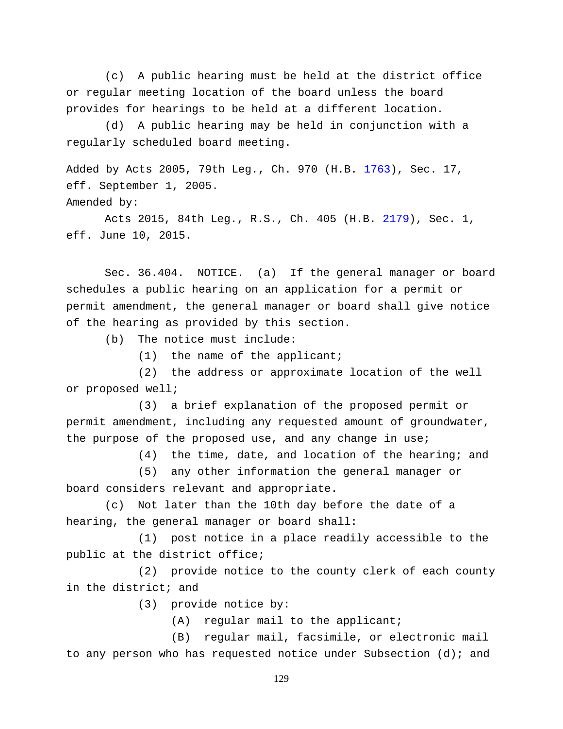(c) A public hearing must be held at the district office or regular meeting location of the board unless the board provides for hearings to be held at a different location.

(d) A public hearing may be held in conjunction with a regularly scheduled board meeting.

Added by Acts 2005, 79th Leg., Ch. 970 (H.B. [1763\)](http://www.legis.state.tx.us/tlodocs/79R/billtext/html/HB01763F.HTM), Sec. 17, eff. September 1, 2005. Amended by:

Acts 2015, 84th Leg., R.S., Ch. 405 (H.B. [2179\)](http://www.legis.state.tx.us/tlodocs/84R/billtext/html/HB02179F.HTM), Sec. 1, eff. June 10, 2015.

Sec. 36.404. NOTICE. (a) If the general manager or board schedules a public hearing on an application for a permit or permit amendment, the general manager or board shall give notice of the hearing as provided by this section.

(b) The notice must include:

(1) the name of the applicant;

(2) the address or approximate location of the well or proposed well;

(3) a brief explanation of the proposed permit or permit amendment, including any requested amount of groundwater, the purpose of the proposed use, and any change in use;

(4) the time, date, and location of the hearing; and

(5) any other information the general manager or board considers relevant and appropriate.

(c) Not later than the 10th day before the date of a hearing, the general manager or board shall:

(1) post notice in a place readily accessible to the public at the district office;

(2) provide notice to the county clerk of each county in the district; and

(3) provide notice by:

(A) regular mail to the applicant;

(B) regular mail, facsimile, or electronic mail to any person who has requested notice under Subsection (d); and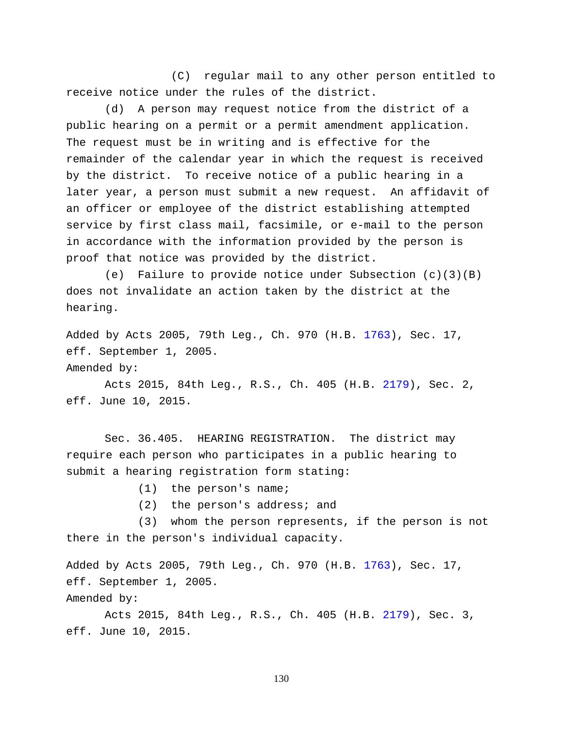(C) regular mail to any other person entitled to receive notice under the rules of the district.

(d) A person may request notice from the district of a public hearing on a permit or a permit amendment application. The request must be in writing and is effective for the remainder of the calendar year in which the request is received by the district. To receive notice of a public hearing in a later year, a person must submit a new request. An affidavit of an officer or employee of the district establishing attempted service by first class mail, facsimile, or e-mail to the person in accordance with the information provided by the person is proof that notice was provided by the district.

(e) Failure to provide notice under Subsection  $(c)(3)(B)$ does not invalidate an action taken by the district at the hearing.

Added by Acts 2005, 79th Leg., Ch. 970 (H.B. [1763\)](http://www.legis.state.tx.us/tlodocs/79R/billtext/html/HB01763F.HTM), Sec. 17, eff. September 1, 2005. Amended by:

Acts 2015, 84th Leg., R.S., Ch. 405 (H.B. [2179\)](http://www.legis.state.tx.us/tlodocs/84R/billtext/html/HB02179F.HTM), Sec. 2, eff. June 10, 2015.

Sec. 36.405. HEARING REGISTRATION. The district may require each person who participates in a public hearing to submit a hearing registration form stating:

(1) the person's name;

(2) the person's address; and

(3) whom the person represents, if the person is not there in the person's individual capacity.

Added by Acts 2005, 79th Leg., Ch. 970 (H.B. [1763\)](http://www.legis.state.tx.us/tlodocs/79R/billtext/html/HB01763F.HTM), Sec. 17, eff. September 1, 2005. Amended by:

Acts 2015, 84th Leg., R.S., Ch. 405 (H.B. [2179\)](http://www.legis.state.tx.us/tlodocs/84R/billtext/html/HB02179F.HTM), Sec. 3, eff. June 10, 2015.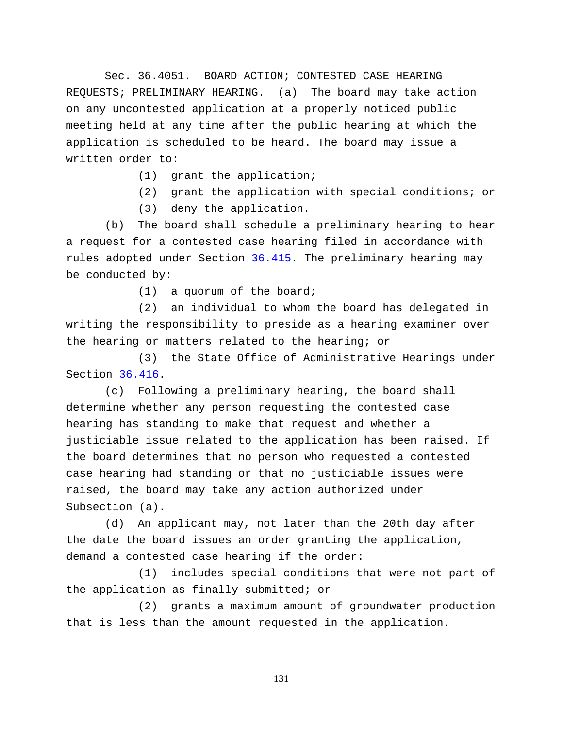Sec. 36.4051. BOARD ACTION; CONTESTED CASE HEARING REQUESTS; PRELIMINARY HEARING. (a) The board may take action on any uncontested application at a properly noticed public meeting held at any time after the public hearing at which the application is scheduled to be heard. The board may issue a written order to:

- (1) grant the application;
- (2) grant the application with special conditions; or
- (3) deny the application.

(b) The board shall schedule a preliminary hearing to hear a request for a contested case hearing filed in accordance with rules adopted under Section [36.415.](http://www.statutes.legis.state.tx.us/GetStatute.aspx?Code=WA&Value=36.415) The preliminary hearing may be conducted by:

(1) a quorum of the board;

(2) an individual to whom the board has delegated in writing the responsibility to preside as a hearing examiner over the hearing or matters related to the hearing; or

(3) the State Office of Administrative Hearings under Section [36.416.](http://www.statutes.legis.state.tx.us/GetStatute.aspx?Code=WA&Value=36.416)

(c) Following a preliminary hearing, the board shall determine whether any person requesting the contested case hearing has standing to make that request and whether a justiciable issue related to the application has been raised. If the board determines that no person who requested a contested case hearing had standing or that no justiciable issues were raised, the board may take any action authorized under Subsection (a).

(d) An applicant may, not later than the 20th day after the date the board issues an order granting the application, demand a contested case hearing if the order:

(1) includes special conditions that were not part of the application as finally submitted; or

(2) grants a maximum amount of groundwater production that is less than the amount requested in the application.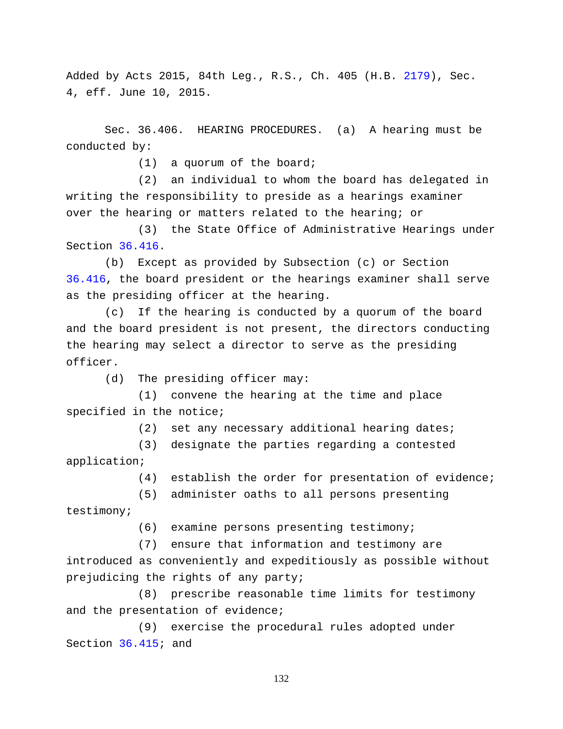Added by Acts 2015, 84th Leg., R.S., Ch. 405 (H.B. [2179\)](http://www.legis.state.tx.us/tlodocs/84R/billtext/html/HB02179F.HTM), Sec. 4, eff. June 10, 2015.

Sec. 36.406. HEARING PROCEDURES. (a) A hearing must be conducted by:

(1) a quorum of the board;

(2) an individual to whom the board has delegated in writing the responsibility to preside as a hearings examiner over the hearing or matters related to the hearing; or

(3) the State Office of Administrative Hearings under Section [36.416.](http://www.statutes.legis.state.tx.us/GetStatute.aspx?Code=WA&Value=36.416)

(b) Except as provided by Subsection (c) or Section [36.416,](http://www.statutes.legis.state.tx.us/GetStatute.aspx?Code=WA&Value=36.416) the board president or the hearings examiner shall serve as the presiding officer at the hearing.

(c) If the hearing is conducted by a quorum of the board and the board president is not present, the directors conducting the hearing may select a director to serve as the presiding officer.

(d) The presiding officer may:

(1) convene the hearing at the time and place specified in the notice;

(2) set any necessary additional hearing dates;

(3) designate the parties regarding a contested application;

(4) establish the order for presentation of evidence;

(5) administer oaths to all persons presenting

testimony;

(6) examine persons presenting testimony;

(7) ensure that information and testimony are

introduced as conveniently and expeditiously as possible without prejudicing the rights of any party;

(8) prescribe reasonable time limits for testimony and the presentation of evidence;

(9) exercise the procedural rules adopted under Section [36.415;](http://www.statutes.legis.state.tx.us/GetStatute.aspx?Code=WA&Value=36.415) and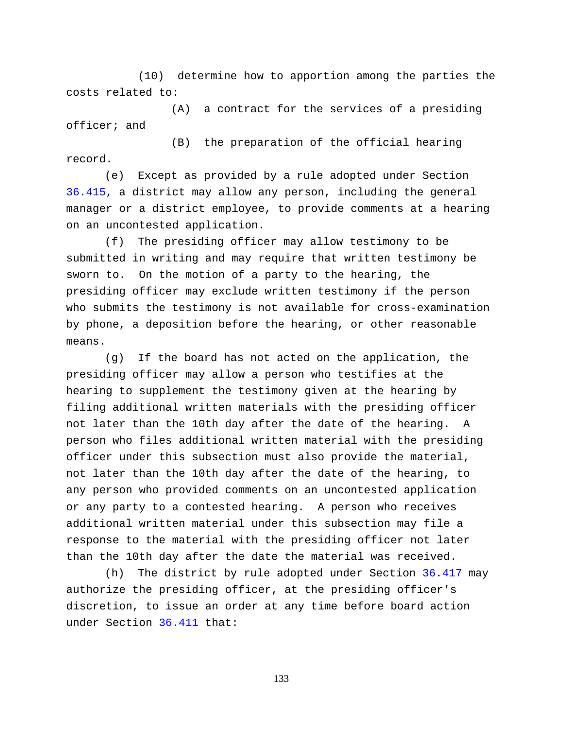(10) determine how to apportion among the parties the costs related to:

(A) a contract for the services of a presiding officer; and

(B) the preparation of the official hearing record.

(e) Except as provided by a rule adopted under Section [36.415,](http://www.statutes.legis.state.tx.us/GetStatute.aspx?Code=WA&Value=36.415) a district may allow any person, including the general manager or a district employee, to provide comments at a hearing on an uncontested application.

(f) The presiding officer may allow testimony to be submitted in writing and may require that written testimony be sworn to. On the motion of a party to the hearing, the presiding officer may exclude written testimony if the person who submits the testimony is not available for cross-examination by phone, a deposition before the hearing, or other reasonable means.

(g) If the board has not acted on the application, the presiding officer may allow a person who testifies at the hearing to supplement the testimony given at the hearing by filing additional written materials with the presiding officer not later than the 10th day after the date of the hearing. A person who files additional written material with the presiding officer under this subsection must also provide the material, not later than the 10th day after the date of the hearing, to any person who provided comments on an uncontested application or any party to a contested hearing. A person who receives additional written material under this subsection may file a response to the material with the presiding officer not later than the 10th day after the date the material was received.

(h) The district by rule adopted under Section [36.417](http://www.statutes.legis.state.tx.us/GetStatute.aspx?Code=WA&Value=36.417) may authorize the presiding officer, at the presiding officer's discretion, to issue an order at any time before board action under Section [36.411](http://www.statutes.legis.state.tx.us/GetStatute.aspx?Code=WA&Value=36.411) that: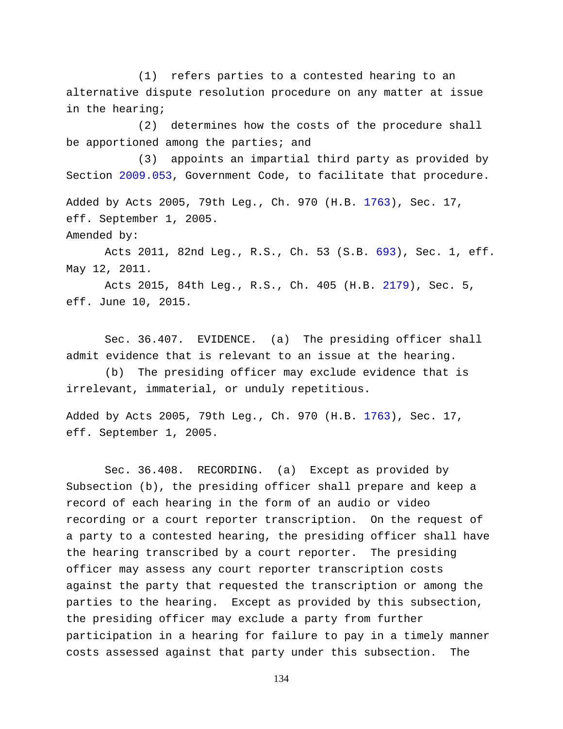(1) refers parties to a contested hearing to an alternative dispute resolution procedure on any matter at issue in the hearing;

(2) determines how the costs of the procedure shall be apportioned among the parties; and

(3) appoints an impartial third party as provided by Section [2009.053,](http://www.statutes.legis.state.tx.us/GetStatute.aspx?Code=GV&Value=2009.053) Government Code, to facilitate that procedure.

Added by Acts 2005, 79th Leg., Ch. 970 (H.B. [1763\)](http://www.legis.state.tx.us/tlodocs/79R/billtext/html/HB01763F.HTM), Sec. 17, eff. September 1, 2005. Amended by:

Acts 2011, 82nd Leg., R.S., Ch. 53 (S.B. [693\)](http://www.legis.state.tx.us/tlodocs/82R/billtext/html/SB00693F.HTM), Sec. 1, eff. May 12, 2011.

Acts 2015, 84th Leg., R.S., Ch. 405 (H.B. [2179\)](http://www.legis.state.tx.us/tlodocs/84R/billtext/html/HB02179F.HTM), Sec. 5, eff. June 10, 2015.

Sec. 36.407. EVIDENCE. (a) The presiding officer shall admit evidence that is relevant to an issue at the hearing.

(b) The presiding officer may exclude evidence that is irrelevant, immaterial, or unduly repetitious.

Added by Acts 2005, 79th Leg., Ch. 970 (H.B. [1763\)](http://www.legis.state.tx.us/tlodocs/79R/billtext/html/HB01763F.HTM), Sec. 17, eff. September 1, 2005.

Sec. 36.408. RECORDING. (a) Except as provided by Subsection (b), the presiding officer shall prepare and keep a record of each hearing in the form of an audio or video recording or a court reporter transcription. On the request of a party to a contested hearing, the presiding officer shall have the hearing transcribed by a court reporter. The presiding officer may assess any court reporter transcription costs against the party that requested the transcription or among the parties to the hearing. Except as provided by this subsection, the presiding officer may exclude a party from further participation in a hearing for failure to pay in a timely manner costs assessed against that party under this subsection. The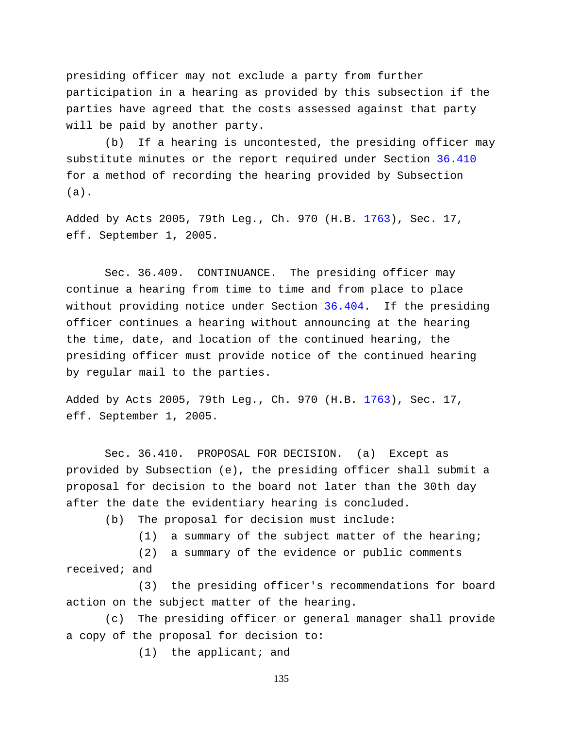presiding officer may not exclude a party from further participation in a hearing as provided by this subsection if the parties have agreed that the costs assessed against that party will be paid by another party.

(b) If a hearing is uncontested, the presiding officer may substitute minutes or the report required under Section [36.410](http://www.statutes.legis.state.tx.us/GetStatute.aspx?Code=WA&Value=36.410) for a method of recording the hearing provided by Subsection (a).

Added by Acts 2005, 79th Leg., Ch. 970 (H.B. [1763\)](http://www.legis.state.tx.us/tlodocs/79R/billtext/html/HB01763F.HTM), Sec. 17, eff. September 1, 2005.

Sec. 36.409. CONTINUANCE. The presiding officer may continue a hearing from time to time and from place to place without providing notice under Section [36.404.](http://www.statutes.legis.state.tx.us/GetStatute.aspx?Code=WA&Value=36.404) If the presiding officer continues a hearing without announcing at the hearing the time, date, and location of the continued hearing, the presiding officer must provide notice of the continued hearing by regular mail to the parties.

Added by Acts 2005, 79th Leg., Ch. 970 (H.B. [1763\)](http://www.legis.state.tx.us/tlodocs/79R/billtext/html/HB01763F.HTM), Sec. 17, eff. September 1, 2005.

Sec. 36.410. PROPOSAL FOR DECISION. (a) Except as provided by Subsection (e), the presiding officer shall submit a proposal for decision to the board not later than the 30th day after the date the evidentiary hearing is concluded.

(b) The proposal for decision must include:

(1) a summary of the subject matter of the hearing;

(2) a summary of the evidence or public comments received; and

(3) the presiding officer's recommendations for board action on the subject matter of the hearing.

(c) The presiding officer or general manager shall provide a copy of the proposal for decision to:

(1) the applicant; and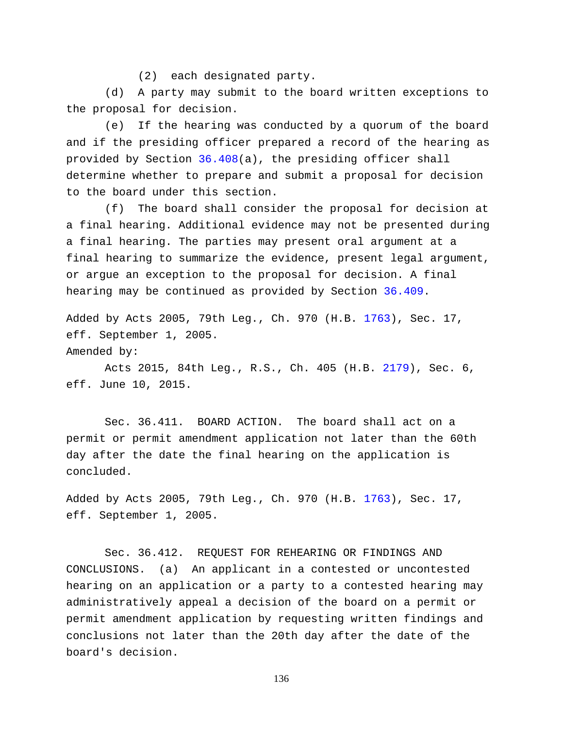(2) each designated party.

(d) A party may submit to the board written exceptions to the proposal for decision.

(e) If the hearing was conducted by a quorum of the board and if the presiding officer prepared a record of the hearing as provided by Section [36.408\(](http://www.statutes.legis.state.tx.us/GetStatute.aspx?Code=WA&Value=36.408)a), the presiding officer shall determine whether to prepare and submit a proposal for decision to the board under this section.

(f) The board shall consider the proposal for decision at a final hearing. Additional evidence may not be presented during a final hearing. The parties may present oral argument at a final hearing to summarize the evidence, present legal argument, or argue an exception to the proposal for decision. A final hearing may be continued as provided by Section [36.409.](http://www.statutes.legis.state.tx.us/GetStatute.aspx?Code=WA&Value=36.409)

Added by Acts 2005, 79th Leg., Ch. 970 (H.B. [1763\)](http://www.legis.state.tx.us/tlodocs/79R/billtext/html/HB01763F.HTM), Sec. 17, eff. September 1, 2005. Amended by:

Acts 2015, 84th Leg., R.S., Ch. 405 (H.B. [2179\)](http://www.legis.state.tx.us/tlodocs/84R/billtext/html/HB02179F.HTM), Sec. 6, eff. June 10, 2015.

Sec. 36.411. BOARD ACTION. The board shall act on a permit or permit amendment application not later than the 60th day after the date the final hearing on the application is concluded.

Added by Acts 2005, 79th Leg., Ch. 970 (H.B. [1763\)](http://www.legis.state.tx.us/tlodocs/79R/billtext/html/HB01763F.HTM), Sec. 17, eff. September 1, 2005.

Sec. 36.412. REQUEST FOR REHEARING OR FINDINGS AND CONCLUSIONS. (a) An applicant in a contested or uncontested hearing on an application or a party to a contested hearing may administratively appeal a decision of the board on a permit or permit amendment application by requesting written findings and conclusions not later than the 20th day after the date of the board's decision.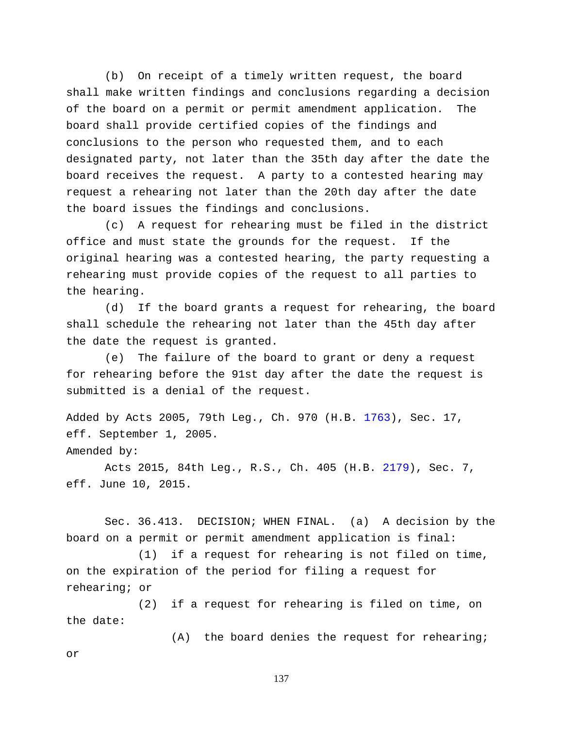(b) On receipt of a timely written request, the board shall make written findings and conclusions regarding a decision of the board on a permit or permit amendment application. The board shall provide certified copies of the findings and conclusions to the person who requested them, and to each designated party, not later than the 35th day after the date the board receives the request. A party to a contested hearing may request a rehearing not later than the 20th day after the date the board issues the findings and conclusions.

(c) A request for rehearing must be filed in the district office and must state the grounds for the request. If the original hearing was a contested hearing, the party requesting a rehearing must provide copies of the request to all parties to the hearing.

(d) If the board grants a request for rehearing, the board shall schedule the rehearing not later than the 45th day after the date the request is granted.

(e) The failure of the board to grant or deny a request for rehearing before the 91st day after the date the request is submitted is a denial of the request.

Added by Acts 2005, 79th Leg., Ch. 970 (H.B. [1763\)](http://www.legis.state.tx.us/tlodocs/79R/billtext/html/HB01763F.HTM), Sec. 17, eff. September 1, 2005. Amended by:

Acts 2015, 84th Leg., R.S., Ch. 405 (H.B. [2179\)](http://www.legis.state.tx.us/tlodocs/84R/billtext/html/HB02179F.HTM), Sec. 7, eff. June 10, 2015.

Sec. 36.413. DECISION; WHEN FINAL. (a) A decision by the board on a permit or permit amendment application is final:

(1) if a request for rehearing is not filed on time, on the expiration of the period for filing a request for rehearing; or

(2) if a request for rehearing is filed on time, on the date:

(A) the board denies the request for rehearing; or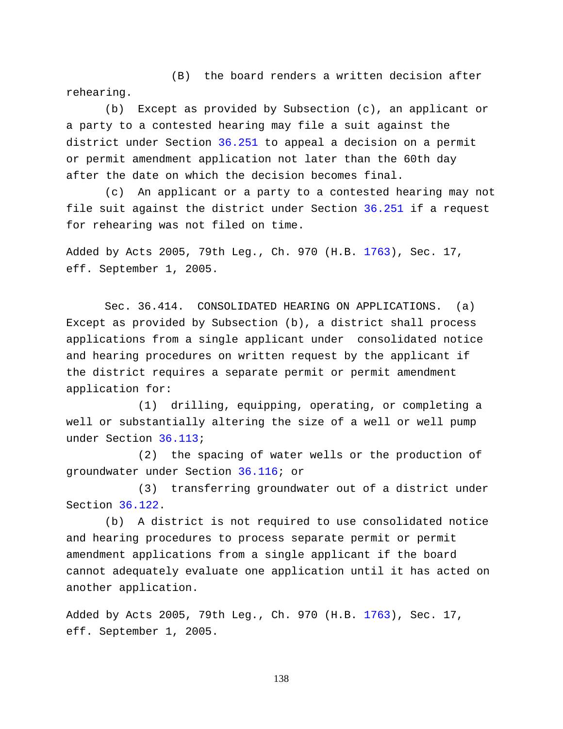(B) the board renders a written decision after rehearing.

(b) Except as provided by Subsection (c), an applicant or a party to a contested hearing may file a suit against the district under Section [36.251](http://www.statutes.legis.state.tx.us/GetStatute.aspx?Code=WA&Value=36.251) to appeal a decision on a permit or permit amendment application not later than the 60th day after the date on which the decision becomes final.

(c) An applicant or a party to a contested hearing may not file suit against the district under Section [36.251](http://www.statutes.legis.state.tx.us/GetStatute.aspx?Code=WA&Value=36.251) if a request for rehearing was not filed on time.

Added by Acts 2005, 79th Leg., Ch. 970 (H.B. [1763\)](http://www.legis.state.tx.us/tlodocs/79R/billtext/html/HB01763F.HTM), Sec. 17, eff. September 1, 2005.

Sec. 36.414. CONSOLIDATED HEARING ON APPLICATIONS. (a) Except as provided by Subsection (b), a district shall process applications from a single applicant under consolidated notice and hearing procedures on written request by the applicant if the district requires a separate permit or permit amendment application for:

(1) drilling, equipping, operating, or completing a well or substantially altering the size of a well or well pump under Section [36.113;](http://www.statutes.legis.state.tx.us/GetStatute.aspx?Code=WA&Value=36.113)

(2) the spacing of water wells or the production of groundwater under Section [36.116;](http://www.statutes.legis.state.tx.us/GetStatute.aspx?Code=WA&Value=36.116) or

(3) transferring groundwater out of a district under Section [36.122.](http://www.statutes.legis.state.tx.us/GetStatute.aspx?Code=WA&Value=36.122)

(b) A district is not required to use consolidated notice and hearing procedures to process separate permit or permit amendment applications from a single applicant if the board cannot adequately evaluate one application until it has acted on another application.

Added by Acts 2005, 79th Leg., Ch. 970 (H.B. [1763\)](http://www.legis.state.tx.us/tlodocs/79R/billtext/html/HB01763F.HTM), Sec. 17, eff. September 1, 2005.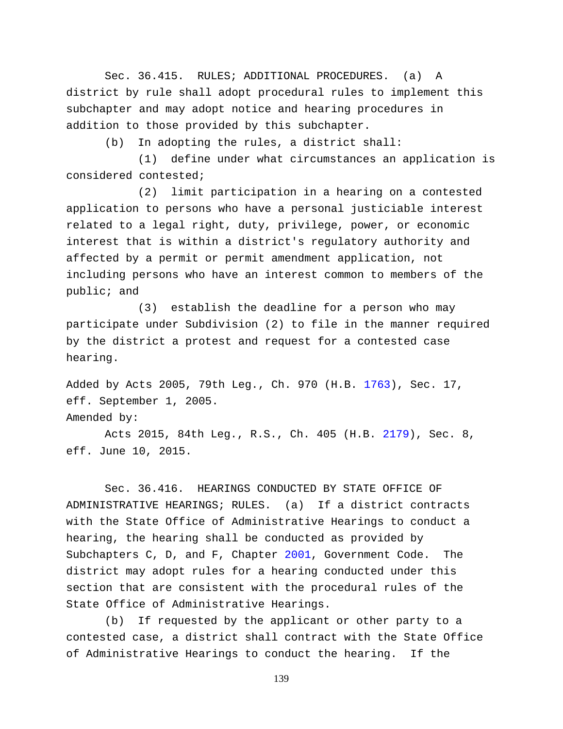Sec. 36.415. RULES; ADDITIONAL PROCEDURES. (a) A district by rule shall adopt procedural rules to implement this subchapter and may adopt notice and hearing procedures in addition to those provided by this subchapter.

(b) In adopting the rules, a district shall:

(1) define under what circumstances an application is considered contested;

(2) limit participation in a hearing on a contested application to persons who have a personal justiciable interest related to a legal right, duty, privilege, power, or economic interest that is within a district's regulatory authority and affected by a permit or permit amendment application, not including persons who have an interest common to members of the public; and

(3) establish the deadline for a person who may participate under Subdivision (2) to file in the manner required by the district a protest and request for a contested case hearing.

Added by Acts 2005, 79th Leg., Ch. 970 (H.B. [1763\)](http://www.legis.state.tx.us/tlodocs/79R/billtext/html/HB01763F.HTM), Sec. 17, eff. September 1, 2005. Amended by:

Acts 2015, 84th Leg., R.S., Ch. 405 (H.B. [2179\)](http://www.legis.state.tx.us/tlodocs/84R/billtext/html/HB02179F.HTM), Sec. 8, eff. June 10, 2015.

Sec. 36.416. HEARINGS CONDUCTED BY STATE OFFICE OF ADMINISTRATIVE HEARINGS; RULES. (a) If a district contracts with the State Office of Administrative Hearings to conduct a hearing, the hearing shall be conducted as provided by Subchapters C, D, and F, Chapter [2001,](http://www.statutes.legis.state.tx.us/GetStatute.aspx?Code=GV&Value=2001) Government Code. The district may adopt rules for a hearing conducted under this section that are consistent with the procedural rules of the State Office of Administrative Hearings.

(b) If requested by the applicant or other party to a contested case, a district shall contract with the State Office of Administrative Hearings to conduct the hearing. If the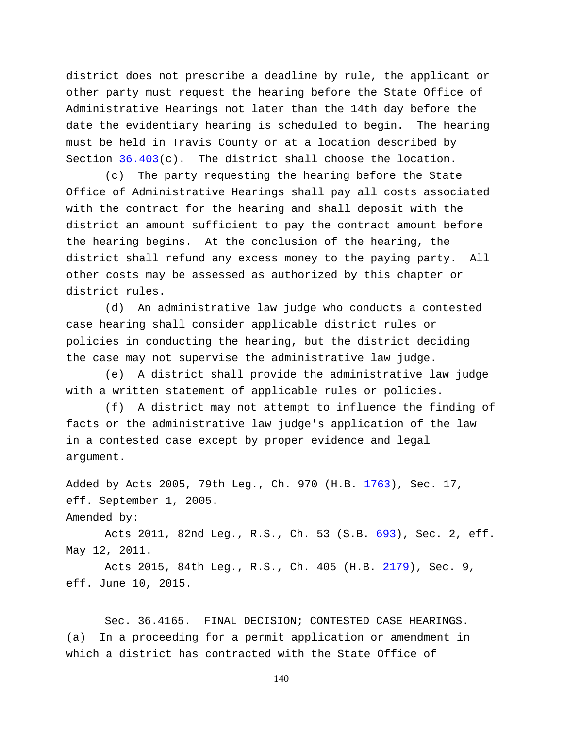district does not prescribe a deadline by rule, the applicant or other party must request the hearing before the State Office of Administrative Hearings not later than the 14th day before the date the evidentiary hearing is scheduled to begin. The hearing must be held in Travis County or at a location described by Section  $36.403(c)$ . The district shall choose the location.

(c) The party requesting the hearing before the State Office of Administrative Hearings shall pay all costs associated with the contract for the hearing and shall deposit with the district an amount sufficient to pay the contract amount before the hearing begins. At the conclusion of the hearing, the district shall refund any excess money to the paying party. All other costs may be assessed as authorized by this chapter or district rules.

(d) An administrative law judge who conducts a contested case hearing shall consider applicable district rules or policies in conducting the hearing, but the district deciding the case may not supervise the administrative law judge.

(e) A district shall provide the administrative law judge with a written statement of applicable rules or policies.

(f) A district may not attempt to influence the finding of facts or the administrative law judge's application of the law in a contested case except by proper evidence and legal argument.

Added by Acts 2005, 79th Leg., Ch. 970 (H.B. [1763\)](http://www.legis.state.tx.us/tlodocs/79R/billtext/html/HB01763F.HTM), Sec. 17, eff. September 1, 2005.

```
Amended by:
```
Acts 2011, 82nd Leg., R.S., Ch. 53 (S.B. [693\)](http://www.legis.state.tx.us/tlodocs/82R/billtext/html/SB00693F.HTM), Sec. 2, eff. May 12, 2011.

Acts 2015, 84th Leg., R.S., Ch. 405 (H.B. [2179\)](http://www.legis.state.tx.us/tlodocs/84R/billtext/html/HB02179F.HTM), Sec. 9, eff. June 10, 2015.

Sec. 36.4165. FINAL DECISION; CONTESTED CASE HEARINGS. (a) In a proceeding for a permit application or amendment in which a district has contracted with the State Office of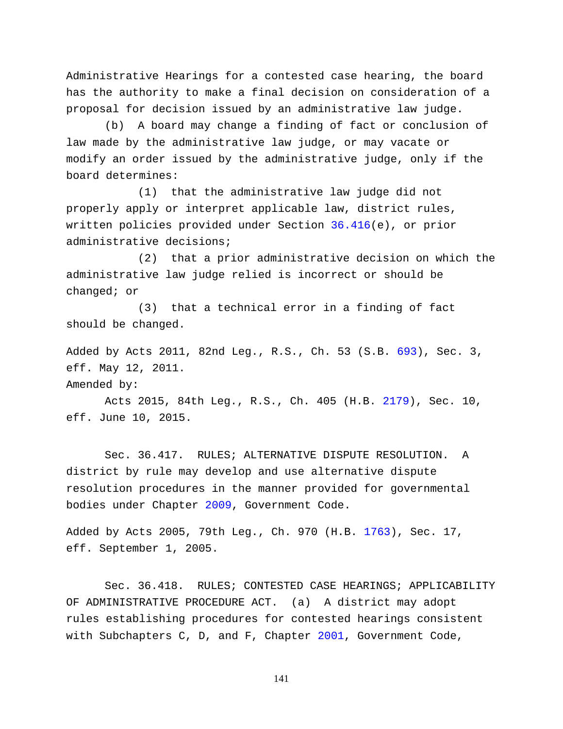Administrative Hearings for a contested case hearing, the board has the authority to make a final decision on consideration of a proposal for decision issued by an administrative law judge.

(b) A board may change a finding of fact or conclusion of law made by the administrative law judge, or may vacate or modify an order issued by the administrative judge, only if the board determines:

(1) that the administrative law judge did not properly apply or interpret applicable law, district rules, written policies provided under Section [36.416\(](http://www.statutes.legis.state.tx.us/GetStatute.aspx?Code=WA&Value=36.416)e), or prior administrative decisions;

(2) that a prior administrative decision on which the administrative law judge relied is incorrect or should be changed; or

(3) that a technical error in a finding of fact should be changed.

Added by Acts 2011, 82nd Leg., R.S., Ch. 53 (S.B. [693\)](http://www.legis.state.tx.us/tlodocs/82R/billtext/html/SB00693F.HTM), Sec. 3, eff. May 12, 2011.

Amended by:

Acts 2015, 84th Leg., R.S., Ch. 405 (H.B. [2179\)](http://www.legis.state.tx.us/tlodocs/84R/billtext/html/HB02179F.HTM), Sec. 10, eff. June 10, 2015.

Sec. 36.417. RULES; ALTERNATIVE DISPUTE RESOLUTION. A district by rule may develop and use alternative dispute resolution procedures in the manner provided for governmental bodies under Chapter [2009,](http://www.statutes.legis.state.tx.us/GetStatute.aspx?Code=GV&Value=2009) Government Code.

Added by Acts 2005, 79th Leg., Ch. 970 (H.B. [1763\)](http://www.legis.state.tx.us/tlodocs/79R/billtext/html/HB01763F.HTM), Sec. 17, eff. September 1, 2005.

Sec. 36.418. RULES; CONTESTED CASE HEARINGS; APPLICABILITY OF ADMINISTRATIVE PROCEDURE ACT. (a) A district may adopt rules establishing procedures for contested hearings consistent with Subchapters C, D, and F, Chapter [2001,](http://www.statutes.legis.state.tx.us/GetStatute.aspx?Code=GV&Value=2001) Government Code,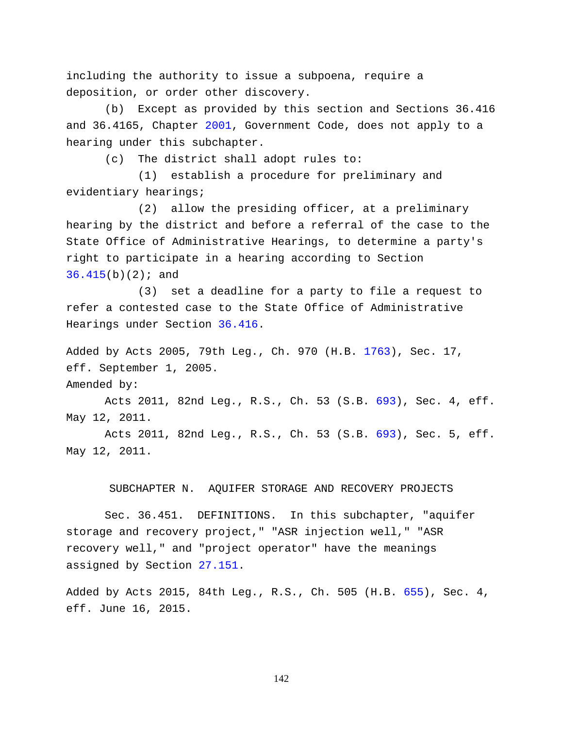including the authority to issue a subpoena, require a deposition, or order other discovery.

(b) Except as provided by this section and Sections 36.416 and 36.4165, Chapter [2001,](http://www.statutes.legis.state.tx.us/GetStatute.aspx?Code=GV&Value=2001) Government Code, does not apply to a hearing under this subchapter.

(c) The district shall adopt rules to:

(1) establish a procedure for preliminary and evidentiary hearings;

(2) allow the presiding officer, at a preliminary hearing by the district and before a referral of the case to the State Office of Administrative Hearings, to determine a party's right to participate in a hearing according to Section  $36.415(b)(2);$  $36.415(b)(2);$  and

(3) set a deadline for a party to file a request to refer a contested case to the State Office of Administrative Hearings under Section [36.416.](http://www.statutes.legis.state.tx.us/GetStatute.aspx?Code=WA&Value=36.416)

Added by Acts 2005, 79th Leg., Ch. 970 (H.B. [1763\)](http://www.legis.state.tx.us/tlodocs/79R/billtext/html/HB01763F.HTM), Sec. 17, eff. September 1, 2005.

Amended by:

Acts 2011, 82nd Leg., R.S., Ch. 53 (S.B. [693\)](http://www.legis.state.tx.us/tlodocs/82R/billtext/html/SB00693F.HTM), Sec. 4, eff. May 12, 2011.

Acts 2011, 82nd Leg., R.S., Ch. 53 (S.B. [693\)](http://www.legis.state.tx.us/tlodocs/82R/billtext/html/SB00693F.HTM), Sec. 5, eff. May 12, 2011.

## SUBCHAPTER N. AQUIFER STORAGE AND RECOVERY PROJECTS

Sec. 36.451. DEFINITIONS. In this subchapter, "aquifer storage and recovery project," "ASR injection well," "ASR recovery well," and "project operator" have the meanings assigned by Section [27.151.](http://www.statutes.legis.state.tx.us/GetStatute.aspx?Code=WA&Value=27.151)

Added by Acts 2015, 84th Leg., R.S., Ch. 505 (H.B. [655\)](http://www.legis.state.tx.us/tlodocs/84R/billtext/html/HB00655F.HTM), Sec. 4, eff. June 16, 2015.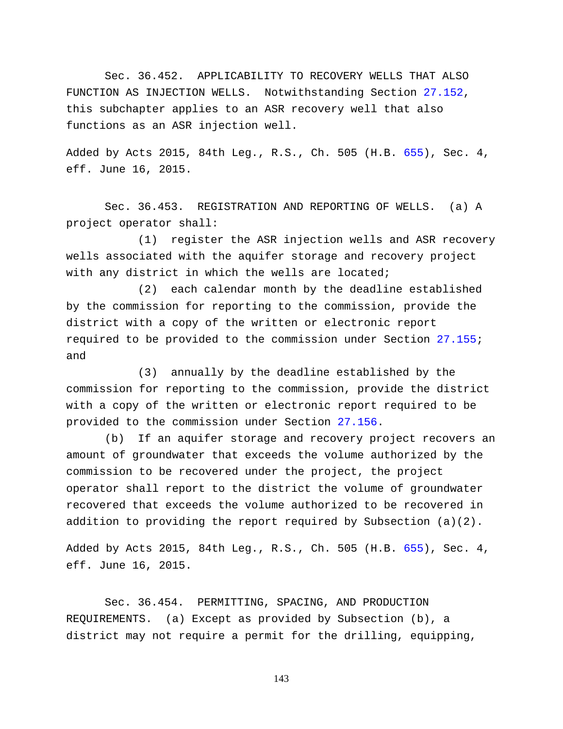Sec. 36.452. APPLICABILITY TO RECOVERY WELLS THAT ALSO FUNCTION AS INJECTION WELLS. Notwithstanding Section [27.152,](http://www.statutes.legis.state.tx.us/GetStatute.aspx?Code=WA&Value=27.152) this subchapter applies to an ASR recovery well that also functions as an ASR injection well.

Added by Acts 2015, 84th Leg., R.S., Ch. 505 (H.B. [655\)](http://www.legis.state.tx.us/tlodocs/84R/billtext/html/HB00655F.HTM), Sec. 4, eff. June 16, 2015.

Sec. 36.453. REGISTRATION AND REPORTING OF WELLS. (a) A project operator shall:

(1) register the ASR injection wells and ASR recovery wells associated with the aquifer storage and recovery project with any district in which the wells are located;

(2) each calendar month by the deadline established by the commission for reporting to the commission, provide the district with a copy of the written or electronic report required to be provided to the commission under Section [27.155;](http://www.statutes.legis.state.tx.us/GetStatute.aspx?Code=WA&Value=27.155) and

(3) annually by the deadline established by the commission for reporting to the commission, provide the district with a copy of the written or electronic report required to be provided to the commission under Section [27.156.](http://www.statutes.legis.state.tx.us/GetStatute.aspx?Code=WA&Value=27.156)

(b) If an aquifer storage and recovery project recovers an amount of groundwater that exceeds the volume authorized by the commission to be recovered under the project, the project operator shall report to the district the volume of groundwater recovered that exceeds the volume authorized to be recovered in addition to providing the report required by Subsection (a)(2).

Added by Acts 2015, 84th Leg., R.S., Ch. 505 (H.B. [655\)](http://www.legis.state.tx.us/tlodocs/84R/billtext/html/HB00655F.HTM), Sec. 4, eff. June 16, 2015.

Sec. 36.454. PERMITTING, SPACING, AND PRODUCTION REQUIREMENTS. (a) Except as provided by Subsection (b), a district may not require a permit for the drilling, equipping,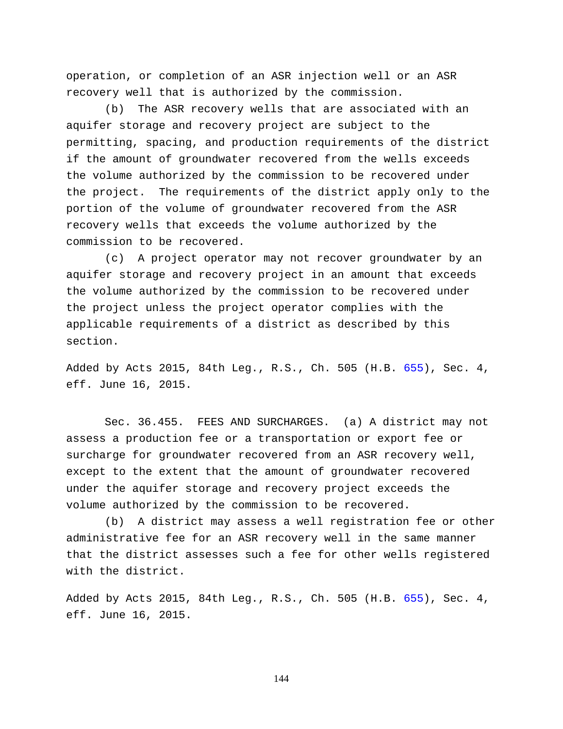operation, or completion of an ASR injection well or an ASR recovery well that is authorized by the commission.

(b) The ASR recovery wells that are associated with an aquifer storage and recovery project are subject to the permitting, spacing, and production requirements of the district if the amount of groundwater recovered from the wells exceeds the volume authorized by the commission to be recovered under the project. The requirements of the district apply only to the portion of the volume of groundwater recovered from the ASR recovery wells that exceeds the volume authorized by the commission to be recovered.

(c) A project operator may not recover groundwater by an aquifer storage and recovery project in an amount that exceeds the volume authorized by the commission to be recovered under the project unless the project operator complies with the applicable requirements of a district as described by this section.

Added by Acts 2015, 84th Leg., R.S., Ch. 505 (H.B. [655\)](http://www.legis.state.tx.us/tlodocs/84R/billtext/html/HB00655F.HTM), Sec. 4, eff. June 16, 2015.

Sec. 36.455. FEES AND SURCHARGES. (a) A district may not assess a production fee or a transportation or export fee or surcharge for groundwater recovered from an ASR recovery well, except to the extent that the amount of groundwater recovered under the aquifer storage and recovery project exceeds the volume authorized by the commission to be recovered.

(b) A district may assess a well registration fee or other administrative fee for an ASR recovery well in the same manner that the district assesses such a fee for other wells registered with the district.

Added by Acts 2015, 84th Leg., R.S., Ch. 505 (H.B. [655\)](http://www.legis.state.tx.us/tlodocs/84R/billtext/html/HB00655F.HTM), Sec. 4, eff. June 16, 2015.